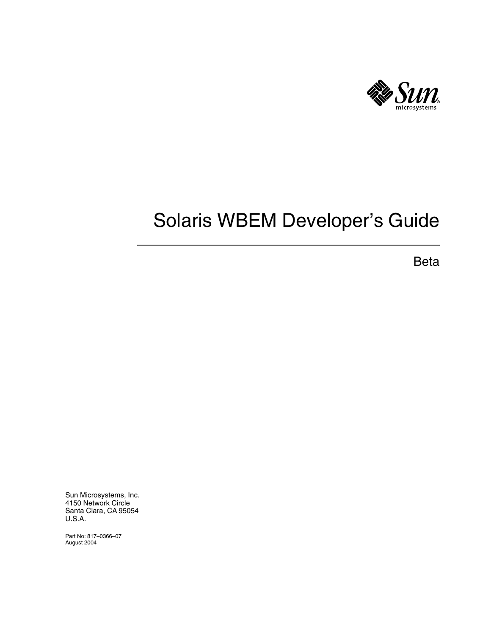

# Solaris WBEM Developer's Guide

Beta

Sun Microsystems, Inc. 4150 Network Circle Santa Clara, CA 95054 U.S.A.

Part No: 817–0366–07 August 2004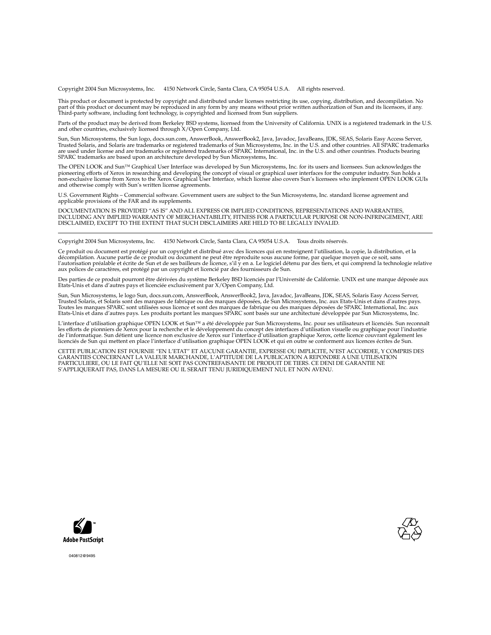Copyright 2004 Sun Microsystems, Inc. 4150 Network Circle, Santa Clara, CA 95054 U.S.A. All rights reserved.

This product or document is protected by copyright and distributed under licenses restricting its use, copying, distribution, and decompilation. No part of this product or document may be reproduced in any form by any means without prior written authorization of Sun and its licensors, if any.<br>Third-party software, including font technology, is copyrighted and licensed

Parts of the product may be derived from Berkeley BSD systems, licensed from the University of California. UNIX is a registered trademark in the U.S. and other countries, exclusively licensed through X/Open Company, Ltd.

Sun, Sun Microsystems, the Sun logo, docs.sun.com, AnswerBook, AnswerBook2, Java, Javadoc, JavaBeans, JDK, SEAS, Solaris Easy Access Server,<br>Trusted Solaris, and Solaris are trademarks or registered trademarks of Sun Micro SPARC trademarks are based upon an architecture developed by Sun Microsystems, Inc.

The OPEN LOOK and Sun™ Graphical User Interface was developed by Sun Microsystems, Inc. for its users and licensees. Sun acknowledges the pioneering efforts of Xerox in researching and developing the concept of visual or graphical user interfaces for the computer industry. Sun holds a<br>non-exclusive license from Xerox to the Xerox Graphical User Interface, wh and otherwise comply with Sun's written license agreements.

U.S. Government Rights – Commercial software. Government users are subject to the Sun Microsystems, Inc. standard license agreement and applicable provisions of the FAR and its supplements.

DOCUMENTATION IS PROVIDED "AS IS" AND ALL EXPRESS OR IMPLIED CONDITIONS, REPRESENTATIONS AND WARRANTIES,<br>INCLUDING ANY IMPLIED WARRANTY OF MERCHANTABILITY, FITNESS FOR A PARTICULAR PURPOSE OR NON-INFRINGEMENT, ARE<br>DISCLAIM

Copyright 2004 Sun Microsystems, Inc. 4150 Network Circle, Santa Clara, CA 95054 U.S.A. Tous droits réservés.

Ce produit ou document est protégé par un copyright et distribué avec des licences qui en restreignent l'utilisation, la copie, la distribution, et la décompilation. Aucune partie de ce produit ou document ne peut être reproduite sous aucune forme, par quelque moyen que ce soit, sans<br>l'autorisation préalable et écrite de Sun et de ses bailleurs de licence, s'il y en a. L

Des parties de ce produit pourront être dérivées du système Berkeley BSD licenciés par l'Université de Californie. UNIX est une marque déposée aux Etats-Unis et dans d'autres pays et licenciée exclusivement par X/Open Company, Ltd.

Sun, Sun Microsystems, le logo Sun, docs.sun.com, AnswerBook, AnswerBook2, Java, Javadoc, JavaBeans, JDK, SEAS, Solaris Easy Access Server, Trusted Solaris, et Solaris sont des marques de fabrique ou des marques déposées, de Sun Microsystems, Inc. aux Etats-Unis et dans d'autres pays.<br>Toutes les marques SPARC sont utilisées sous licence et sont des marques de Etats-Unis et dans d'autres pays. Les produits portant les marques SPARC sont basés sur une architecture développée par Sun Microsystems, Inc.

L'interface d'utilisation graphique OPEN LOOK et Sun™a été développée par Sun Microsystems, Inc. pour ses utilisateurs et licenciés. Sun reconnaît<br>les efforts de pionniers de Xerox pour la recherche et le développement du de l'informatique. Sun détient une licence non exclusive de Xerox sur l'interface d'utilisation graphique Xerox, cette licence couvrant également les<br>licenciés de Sun qui mettent en place l'interface d'utilisation graphiqu

CETTE PUBLICATION EST FOURNIE "EN L'ETAT" ET AUCUNE GARANTIE, EXPRESSE OU IMPLICITE, N'EST ACCORDEE, Y COMPRIS DES GARANTIES CONCERNANT LA VALEUR MARCHANDE, L'APTITUDE DE LA PUBLICATION A REPONDRE A UNE UTILISATION<br>PARTICULIERE, OU LE FAIT QU'ELLE NE SOIT PAS CONTREFAISANTE DE PRODUIT DE TIERS. CE DENI DE GARANTIE NE<br>S'APPLIQUERAIT PAS





040812@9495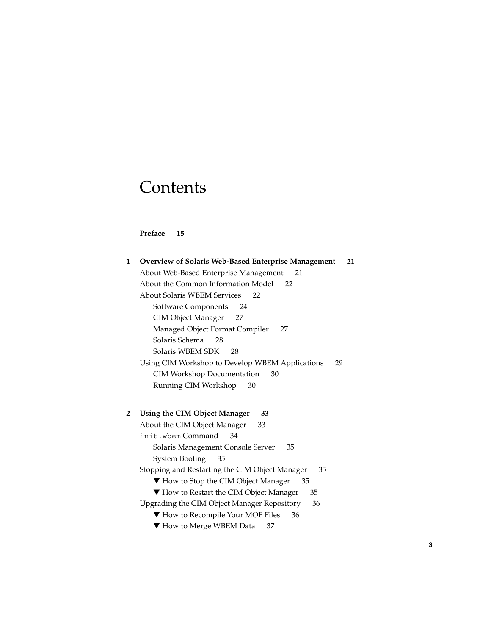# **Contents**

#### **[Preface 15](#page-14-0)**

| 1 | <b>Overview of Solaris Web-Based Enterprise Management</b><br>21 |
|---|------------------------------------------------------------------|
|   | About Web-Based Enterprise Management<br>21                      |
|   | About the Common Information Model<br>22                         |
|   | <b>About Solaris WBEM Services</b><br>22                         |
|   | Software Components<br>24                                        |
|   | CIM Object Manager<br>27                                         |
|   | Managed Object Format Compiler<br>27                             |
|   | Solaris Schema<br>28                                             |
|   | Solaris WBEM SDK<br>28                                           |
|   | Using CIM Workshop to Develop WBEM Applications<br>29            |
|   | <b>CIM Workshop Documentation</b><br>30                          |
|   | Running CIM Workshop<br>30                                       |
|   |                                                                  |
| 2 | Using the CIM Object Manager<br>33                               |
|   | About the CIM Object Manager<br>33                               |
|   | init.wbem Command<br>34                                          |
|   | Solaris Management Console Server<br>35                          |
|   | <b>System Booting</b><br>35                                      |
|   | Stopping and Restarting the CIM Object Manager<br>35             |
|   | ▼ How to Stop the CIM Object Manager<br>35                       |
|   | ▼ How to Restart the CIM Object Manager<br>35                    |
|   | Upgrading the CIM Object Manager Repository<br>36                |
|   | ▼ How to Recompile Your MOF Files<br>36                          |
|   | ▼ How to Merge WBEM Data<br>37                                   |
|   |                                                                  |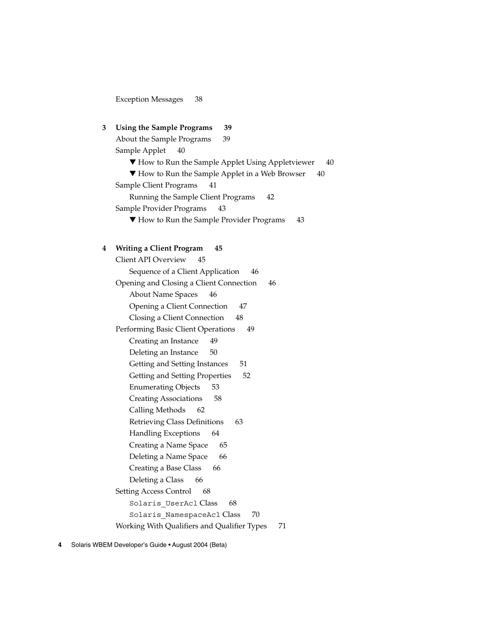[Exception Messages 38](#page-37-0)

#### **[3 Using the Sample Programs 39](#page-38-0)** [About the Sample Programs 39](#page-38-0) [Sample Applet 40](#page-39-0) ▼ [How to Run the Sample Applet Using Appletviewer 40](#page-39-0) ▼ [How to Run the Sample Applet in a Web Browser 40](#page-39-0) [Sample Client Programs 41](#page-40-0) [Running the Sample Client Programs 42](#page-41-0) [Sample Provider Programs 43](#page-42-0) ▼ [How to Run the Sample Provider Programs 43](#page-42-0)

#### **[4 Writing a Client Program 45](#page-44-0)**

[Client API Overview 45](#page-44-0) [Sequence of a Client Application 46](#page-45-0) [Opening and Closing a Client Connection 46](#page-45-0) [About Name Spaces 46](#page-45-0) [Opening a Client Connection 47](#page-46-0) [Closing a Client Connection 48](#page-47-0) [Performing Basic Client Operations 49](#page-48-0) [Creating an Instance 49](#page-48-0) [Deleting an Instance 50](#page-49-0) [Getting and Setting Instances 51](#page-50-0) [Getting and Setting Properties 52](#page-51-0) [Enumerating Objects 53](#page-52-0) [Creating Associations 58](#page-57-0) [Calling Methods 62](#page-61-0) [Retrieving Class Definitions 63](#page-62-0) [Handling Exceptions 64](#page-63-0) [Creating a Name Space 65](#page-64-0) [Deleting a Name Space 66](#page-65-0) [Creating a Base Class 66](#page-65-0) [Deleting a Class 66](#page-65-0) [Setting Access Control 68](#page-67-0) Solaris UserAcl Class 68 [Solaris\\_NamespaceAcl](#page-69-0) Class 70 [Working With Qualifiers and Qualifier Types 71](#page-70-0)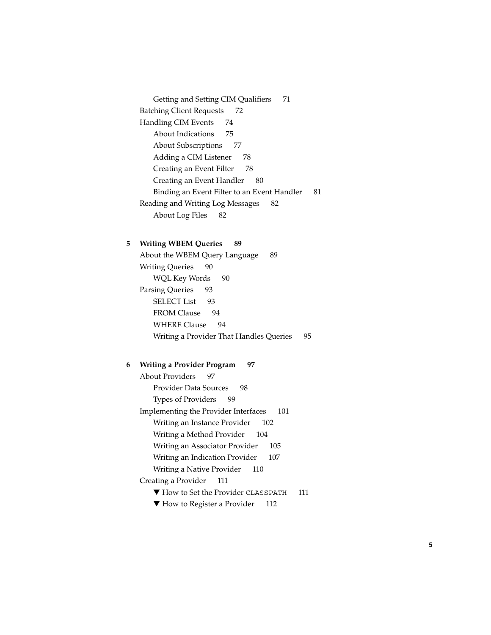[Getting and Setting CIM Qualifiers 71](#page-70-0) [Batching Client Requests 72](#page-71-0) [Handling CIM Events 74](#page-73-0) [About Indications 75](#page-74-0) [About Subscriptions 77](#page-76-0) [Adding a CIM Listener 78](#page-77-0) [Creating an Event Filter 78](#page-77-0) [Creating an Event Handler 80](#page-79-0) [Binding an Event Filter to an Event Handler 81](#page-80-0) [Reading and Writing Log Messages 82](#page-81-0) [About Log Files 82](#page-81-0)

#### **[5 Writing WBEM Queries 89](#page-88-0)**

[About the WBEM Query Language 89](#page-88-0) [Writing Queries 90](#page-89-0) [WQL Key Words 90](#page-89-0) [Parsing Queries 93](#page-92-0) [SELECT List 93](#page-92-0) [FROM Clause 94](#page-93-0) [WHERE Clause 94](#page-93-0) [Writing a Provider That Handles Queries 95](#page-94-0)

#### **[6 Writing a Provider Program 97](#page-96-0)**

[About Providers 97](#page-96-0) [Provider Data Sources 98](#page-97-0) [Types of Providers 99](#page-98-0) [Implementing the Provider Interfaces 101](#page-100-0) [Writing an Instance Provider 102](#page-101-0) [Writing a Method Provider 104](#page-103-0) [Writing an Associator Provider 105](#page-104-0) [Writing an Indication Provider 107](#page-106-0) [Writing a Native Provider 110](#page-109-0) [Creating a Provider 111](#page-110-0) ▼ [How to Set the Provider](#page-110-0) CLASSPATH 111

▼ [How to Register a Provider 112](#page-111-0)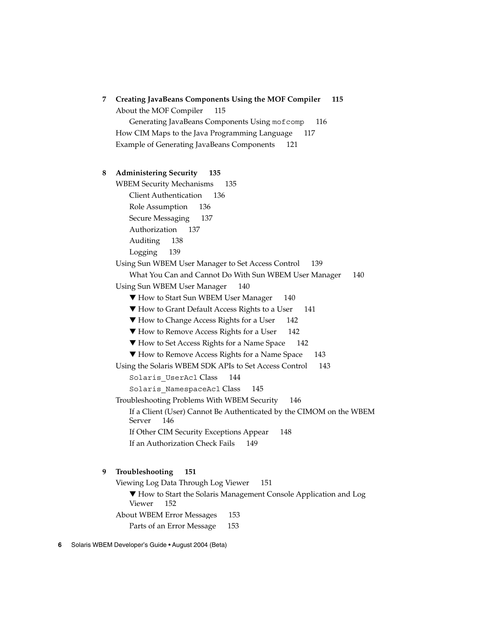| 7 | <b>Creating JavaBeans Components Using the MOF Compiler</b><br>115                   |
|---|--------------------------------------------------------------------------------------|
|   | About the MOF Compiler<br>115                                                        |
|   | Generating JavaBeans Components Using mofcomp<br>116                                 |
|   | How CIM Maps to the Java Programming Language<br>117                                 |
|   | Example of Generating JavaBeans Components<br>121                                    |
|   |                                                                                      |
| 8 | <b>Administering Security</b><br>135                                                 |
|   | <b>WBEM Security Mechanisms</b><br>135                                               |
|   | <b>Client Authentication</b><br>136                                                  |
|   | Role Assumption<br>136                                                               |
|   | Secure Messaging<br>137                                                              |
|   | Authorization<br>137                                                                 |
|   | Auditing<br>138                                                                      |
|   | Logging<br>139                                                                       |
|   | Using Sun WBEM User Manager to Set Access Control<br>139                             |
|   | What You Can and Cannot Do With Sun WBEM User Manager<br>140                         |
|   | Using Sun WBEM User Manager<br>140                                                   |
|   | ▼ How to Start Sun WBEM User Manager<br>140                                          |
|   | ▼ How to Grant Default Access Rights to a User<br>141                                |
|   | ▼ How to Change Access Rights for a User<br>142                                      |
|   | ▼ How to Remove Access Rights for a User<br>142                                      |
|   | ▼ How to Set Access Rights for a Name Space<br>142                                   |
|   | ▼ How to Remove Access Rights for a Name Space<br>143                                |
|   | Using the Solaris WBEM SDK APIs to Set Access Control<br>143                         |
|   | Solaris UserAcl Class<br>144                                                         |
|   | Solaris_NamespaceAclClass<br>145                                                     |
|   | Troubleshooting Problems With WBEM Security<br>146                                   |
|   | If a Client (User) Cannot Be Authenticated by the CIMOM on the WBEM<br>146<br>Server |
|   | If Other CIM Security Exceptions Appear<br>148                                       |
|   | If an Authorization Check Fails<br>149                                               |
| 9 | Troubleshooting<br>151                                                               |
|   | Viewing Log Data Through Log Viewer<br>151                                           |
|   | ▼ How to Start the Solaris Management Console Application and Log<br>Viewer<br>152   |
|   | <b>About WBEM Error Messages</b><br>153                                              |
|   | Parts of an Error Message<br>153                                                     |
|   |                                                                                      |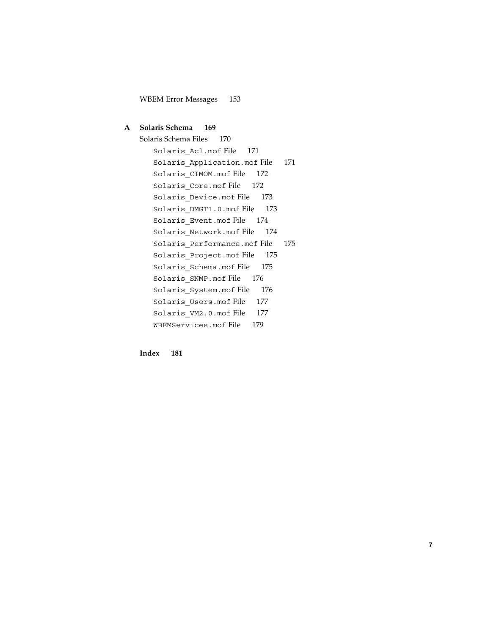[WBEM Error Messages 153](#page-152-0)

#### **[A Solaris Schema 169](#page-168-0)**

```
Solaris Schema Files 170
Solaris_Acl.mof File 171
Solaris_Application.mof File 171
Solaris_CIMOM.mof File 172
Solaris Core.mof File 172
Solaris_Device.mof File 173
Solaris_DMGT1.0.mof File 173
Solaris_Event.mof File 174
Solaris_Network.mof File 174
Solaris_Performance.mof File 175
Solaris_Project.mof File 175
Solaris_Schema.mof File 175
Solaris SNMP.mof File 176
Solaris System.mof File 176
Solaris Users.mof File 177
Solaris_VM2.0.mof File 177
WBEMServices.mof File 179
```
**[Index 181](#page-180-0)**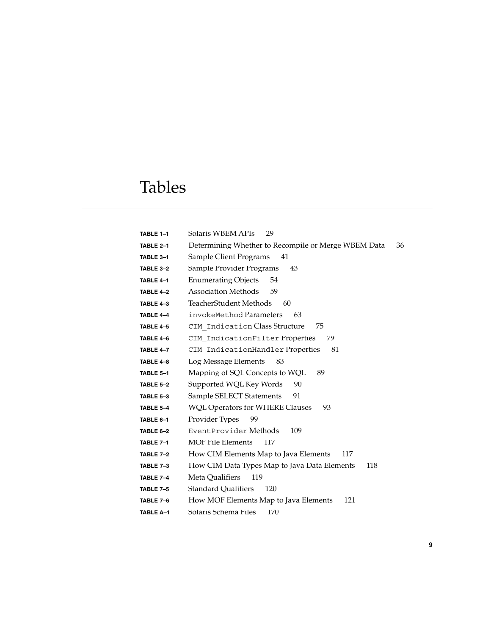# Tables

| TABLE 1-1 | Solaris WBEM APIs<br>29                                   |
|-----------|-----------------------------------------------------------|
| TABLE 2-1 | Determining Whether to Recompile or Merge WBEM Data<br>36 |
| TABLE 3-1 | Sample Client Programs<br>41                              |
| TABLE 3-2 | Sample Provider Programs<br>43                            |
| TABLE 4-1 | <b>Enumerating Objects</b><br>54                          |
| TABLE 4-2 | Association Methods<br>59                                 |
| TABLE 4-3 | TeacherStudent Methods<br>60                              |
| TABLE 4-4 | invokeMethod Parameters<br>63                             |
| TABLE 4-5 | CIM Indication Class Structure<br>75                      |
| TABLE 4-6 | 79<br>CIM IndicationFilter Properties                     |
| TABLE 4-7 | CIM IndicationHandler Properties<br>81                    |
| TABLE 4-8 | Log Message Elements<br>83                                |
| TABLE 5-1 | Mapping of SQL Concepts to WQL<br>89                      |
| TABLE 5-2 | Supported WQL Key Words<br>90                             |
| TABLE 5-3 | Sample SELECT Statements<br>91                            |
| TABLE 5-4 | <b>WQL Operators for WHERE Clauses</b><br>93              |
| TABLE 6-1 | Provider Types<br>99                                      |
| TABLE 6-2 | EventProvider Methods<br>109                              |
| TABLE 7-1 | <b>MOF File Elements</b><br>117                           |
| TABLE 7-2 | How CIM Elements Map to Java Elements<br>117              |
| TABLE 7-3 | How CIM Data Types Map to Java Data Elements<br>118       |
| TABLE 7-4 | Meta Qualifiers<br>119                                    |
| TABLE 7-5 | <b>Standard Qualifiers</b><br>120                         |
| TABLE 7-6 | How MOF Elements Map to Java Elements<br>121              |
| TABLE A-1 | Solaris Schema Files<br>170                               |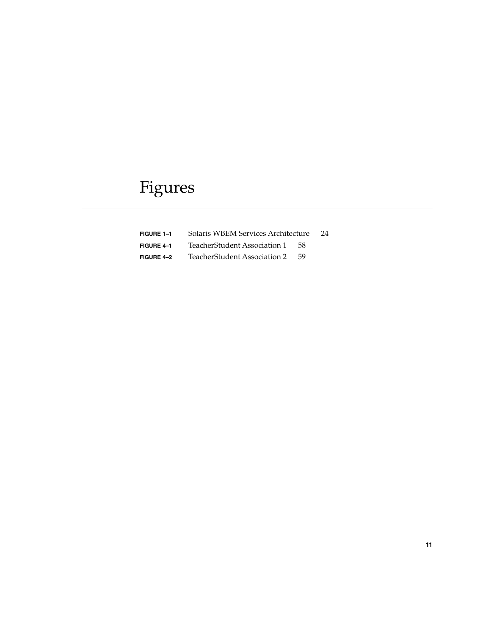# Figures

| FIGURE 1-1        | Solaris WBEM Services Architecture  | 24 |
|-------------------|-------------------------------------|----|
| <b>FIGURE 4-1</b> | TeacherStudent Association 1<br>-58 |    |

**FIGURE 4–2** [TeacherStudent Association 2 59](#page-58-0)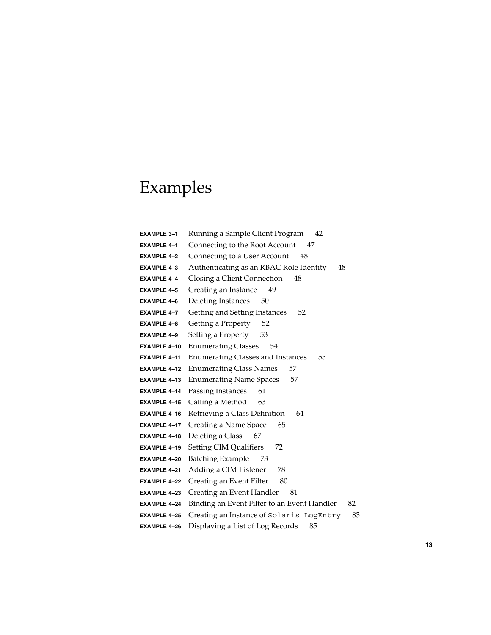# Examples

| <b>EXAMPLE 3-1</b>  | Running a Sample Client Program<br>42             |
|---------------------|---------------------------------------------------|
| <b>EXAMPLE 4-1</b>  | Connecting to the Root Account<br>47              |
| <b>EXAMPLE 4-2</b>  | Connecting to a User Account<br>48                |
| <b>EXAMPLE 4-3</b>  | Authenticating as an RBAC Role Identity<br>48     |
| <b>EXAMPLE 4-4</b>  | Closing a Client Connection<br>48                 |
| <b>EXAMPLE 4-5</b>  | Creating an Instance<br>49                        |
| <b>EXAMPLE 4-6</b>  | Deleting Instances<br>50                          |
| <b>EXAMPLE 4-7</b>  | Getting and Setting Instances<br>52               |
| <b>EXAMPLE 4-8</b>  | Getting a Property<br>52                          |
| <b>EXAMPLE 4-9</b>  | Setting a Property<br>53                          |
| <b>EXAMPLE 4-10</b> | <b>Enumerating Classes</b><br>54                  |
| <b>EXAMPLE 4-11</b> | <b>Enumerating Classes and Instances</b><br>55    |
| <b>EXAMPLE 4-12</b> | <b>Enumerating Class Names</b><br>57              |
| <b>EXAMPLE 4-13</b> | <b>Enumerating Name Spaces</b><br>57              |
| <b>EXAMPLE 4-14</b> | Passing Instances<br>61                           |
| <b>EXAMPLE 4-15</b> | Calling a Method<br>63                            |
| <b>EXAMPLE 4-16</b> | Retrieving a Class Definition<br>64               |
| <b>EXAMPLE 4-17</b> | Creating a Name Space<br>65                       |
| <b>EXAMPLE 4-18</b> | Deleting a Class<br>67                            |
| <b>EXAMPLE 4-19</b> | <b>Setting CIM Qualifiers</b><br>72               |
| <b>EXAMPLE 4-20</b> | <b>Batching Example</b><br>73                     |
| <b>EXAMPLE 4-21</b> | Adding a CIM Listener<br>78                       |
| <b>EXAMPLE 4-22</b> | Creating an Event Filter<br>80                    |
| <b>EXAMPLE 4-23</b> | Creating an Event Handler<br>81                   |
| <b>EXAMPLE 4-24</b> | Binding an Event Filter to an Event Handler<br>82 |
| <b>EXAMPLE 4-25</b> | Creating an Instance of Solaris LogEntry<br>83    |
| <b>EXAMPLE 4-26</b> | Displaying a List of Log Records<br>85            |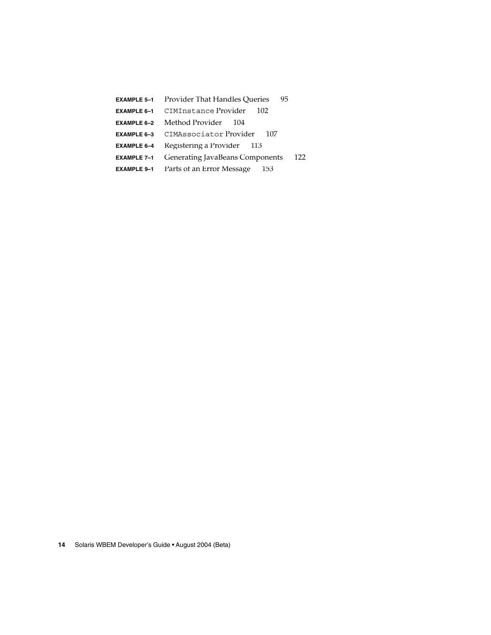**EXAMPLE 5-1** [Provider That Handles Queries 95](#page-94-0)

**EXAMPLE 6–1** CIMInstance [Provider 102](#page-101-0)

**EXAMPLE 6–2** [Method Provider 104](#page-103-0)

**EXAMPLE 6–3** [CIMAssociator](#page-106-0) Provider 107

**EXAMPLE 6-4** [Registering a Provider 113](#page-112-0)

**EXAMPLE 7–1** [Generating JavaBeans Components 122](#page-121-0)

**EXAMPLE 9–1** [Parts of an Error Message 153](#page-152-0)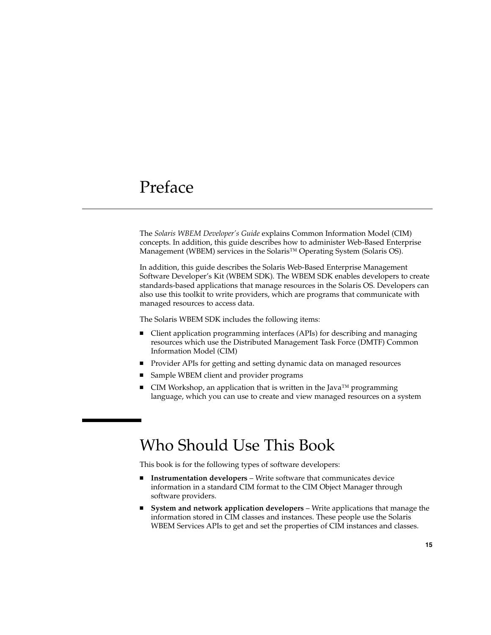# <span id="page-14-0"></span>Preface

The *Solaris WBEM Developer's Guide* explains Common Information Model (CIM) concepts. In addition, this guide describes how to administer Web-Based Enterprise Management (WBEM) services in the Solaris™ Operating System (Solaris OS).

In addition, this guide describes the Solaris Web-Based Enterprise Management Software Developer's Kit (WBEM SDK). The WBEM SDK enables developers to create standards-based applications that manage resources in the Solaris OS. Developers can also use this toolkit to write providers, which are programs that communicate with managed resources to access data.

The Solaris WBEM SDK includes the following items:

- Client application programming interfaces (APIs) for describing and managing resources which use the [Distributed Management Task Force \(DMTF\)](http://www.dmtf.org/) Common Information Model (CIM)
- Provider APIs for getting and setting dynamic data on managed resources
- Sample WBEM client and provider programs
- CIM Workshop, an application that is written in the Java<sup>™</sup> programming language, which you can use to create and view managed resources on a system

### Who Should Use This Book

This book is for the following types of software developers:

- **Instrumentation developers** Write software that communicates device information in a standard CIM format to the CIM Object Manager through software providers.
- **System and network application developers** Write applications that manage the information stored in CIM classes and instances. These people use the Solaris WBEM Services APIs to get and set the properties of CIM instances and classes.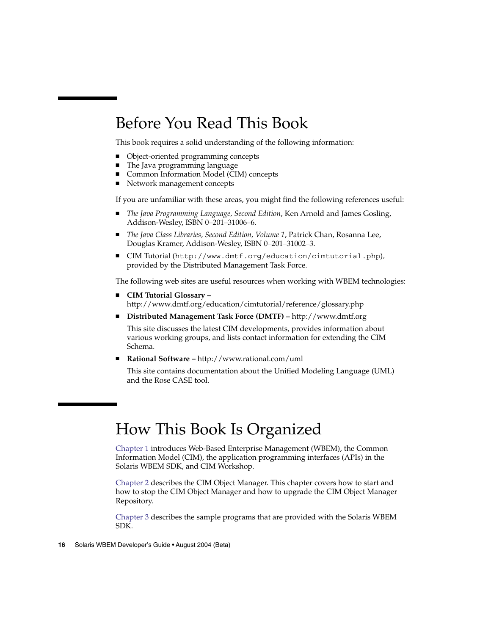## Before You Read This Book

This book requires a solid understanding of the following information:

- Object-oriented programming concepts
- The Java programming language
- Common Information Model (CIM) concepts
- Network management concepts

If you are unfamiliar with these areas, you might find the following references useful:

- *The Java Programming Language, Second Edition*, Ken Arnold and James Gosling, Addison-Wesley, ISBN 0–201–31006–6.
- *The Java Class Libraries, Second Edition, Volume 1*, Patrick Chan, Rosanna Lee, Douglas Kramer, Addison-Wesley, ISBN 0–201–31002–3.
- CIM Tutorial (<http://www.dmtf.org/education/cimtutorial.php>), provided by the Distributed Management Task Force.

The following web sites are useful resources when working with WBEM technologies:

- **CIM Tutorial Glossary –** <http://www.dmtf.org/education/cimtutorial/reference/glossary.php>
- **Distributed Management Task Force (DMTF) –** [http://www.dmtf.org](http://www.dmtf.org/)

This site discusses the latest CIM developments, provides information about various working groups, and lists contact information for extending the CIM Schema.

■ **Rational Software –** <http://www.rational.com/uml>

This site contains documentation about the Unified Modeling Language (UML) and the Rose CASE tool.

# How This Book Is Organized

[Chapter 1](#page-20-0) introduces Web-Based Enterprise Management (WBEM), the Common Information Model (CIM), the application programming interfaces (APIs) in the Solaris WBEM SDK, and CIM Workshop.

[Chapter 2](#page-32-0) describes the CIM Object Manager. This chapter covers how to start and how to stop the CIM Object Manager and how to upgrade the CIM Object Manager Repository.

[Chapter 3](#page-38-0) describes the sample programs that are provided with the Solaris WBEM SDK.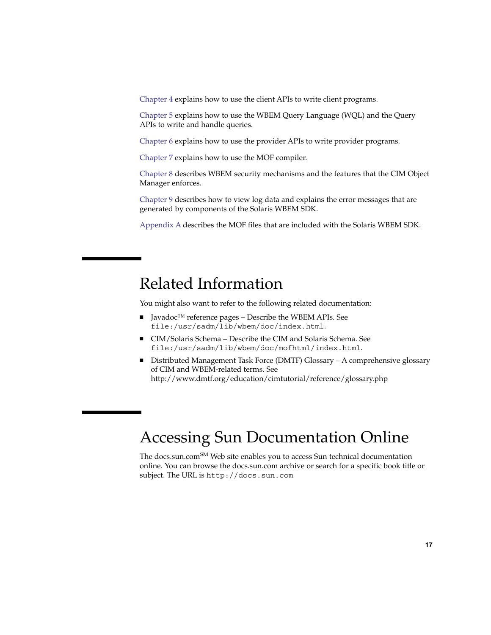[Chapter 4](#page-44-0) explains how to use the client APIs to write client programs.

[Chapter 5](#page-88-0) explains how to use the WBEM Query Language (WQL) and the Query APIs to write and handle queries.

[Chapter 6](#page-96-0) explains how to use the provider APIs to write provider programs.

[Chapter 7](#page-114-0) explains how to use the MOF compiler.

[Chapter 8](#page-134-0) describes WBEM security mechanisms and the features that the CIM Object Manager enforces.

[Chapter 9](#page-150-0) describes how to view log data and explains the error messages that are generated by components of the Solaris WBEM SDK.

[Appendix A](#page-168-0) describes the MOF files that are included with the Solaris WBEM SDK.

### Related Information

You might also want to refer to the following related documentation:

- Javadoc<sup>™</sup> reference pages Describe the WBEM APIs. See file:/usr/sadm/lib/wbem/doc/index.html.
- CIM/Solaris Schema Describe the CIM and Solaris Schema. See file:/usr/sadm/lib/wbem/doc/mofhtml/index.html.
- Distributed Management Task Force (DMTF) Glossary A comprehensive glossary of CIM and WBEM-related terms. See <http://www.dmtf.org/education/cimtutorial/reference/glossary.php>

# Accessing Sun Documentation Online

The docs.sun.com<sup>SM</sup> Web site enables you to access Sun technical documentation online. You can browse the docs.sun.com archive or search for a specific book title or subject. The URL is <http://docs.sun.com>.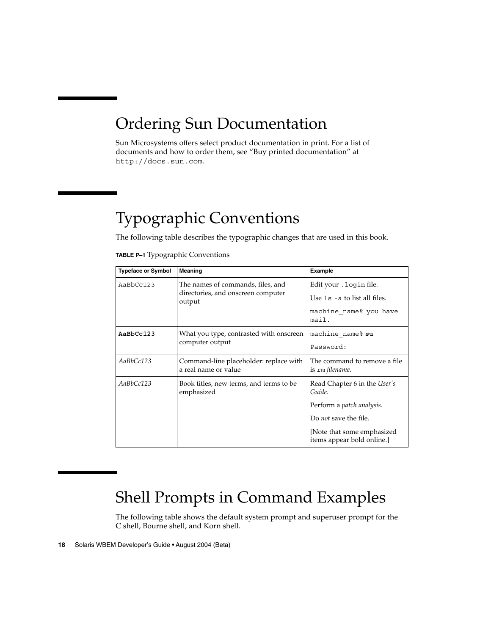# Ordering Sun Documentation

Sun Microsystems offers select product documentation in print. For a list of documents and how to order them, see "Buy printed documentation" at <http://docs.sun.com>.

# Typographic Conventions

The following table describes the typographic changes that are used in this book.

|  | TABLE P-1 Typographic Conventions |  |  |
|--|-----------------------------------|--|--|
|--|-----------------------------------|--|--|

| <b>Typeface or Symbol</b> | <b>Meaning</b>                                                          | <b>Example</b>                                             |
|---------------------------|-------------------------------------------------------------------------|------------------------------------------------------------|
| AaBbCc123                 | The names of commands, files, and<br>directories, and onscreen computer | Edit your . login file.<br>Use $1s$ - a to list all files. |
|                           | output                                                                  | machine name% you have<br>mail.                            |
| AaBbCc123                 | What you type, contrasted with onscreen                                 | machine name% su                                           |
|                           | computer output                                                         | Password:                                                  |
| AaBbCc123                 | Command-line placeholder: replace with<br>a real name or value          | The command to remove a file<br>is rm filename.            |
| AaBbCc123                 | Book titles, new terms, and terms to be<br>emphasized                   | Read Chapter 6 in the <i>User's</i><br>Guide.              |
|                           |                                                                         | Perform a patch analysis.                                  |
|                           |                                                                         | Do <i>not</i> save the file.                               |
|                           |                                                                         | [Note that some emphasized]<br>items appear bold online.]  |

# Shell Prompts in Command Examples

The following table shows the default system prompt and superuser prompt for the C shell, Bourne shell, and Korn shell.

**<sup>18</sup>** Solaris WBEM Developer's Guide • August 2004 (Beta)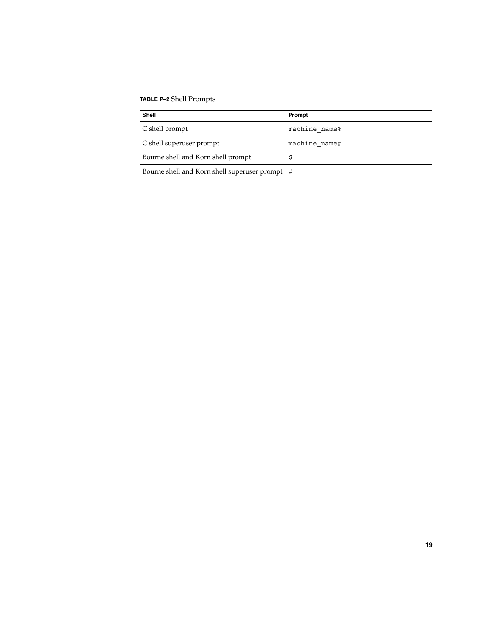#### **TABLE P–2** Shell Prompts

| <b>Shell</b>                                     | Prompt        |
|--------------------------------------------------|---------------|
| C shell prompt                                   | machine name% |
| C shell superuser prompt                         | machine name# |
| Bourne shell and Korn shell prompt               |               |
| Bourne shell and Korn shell superuser prompt   # |               |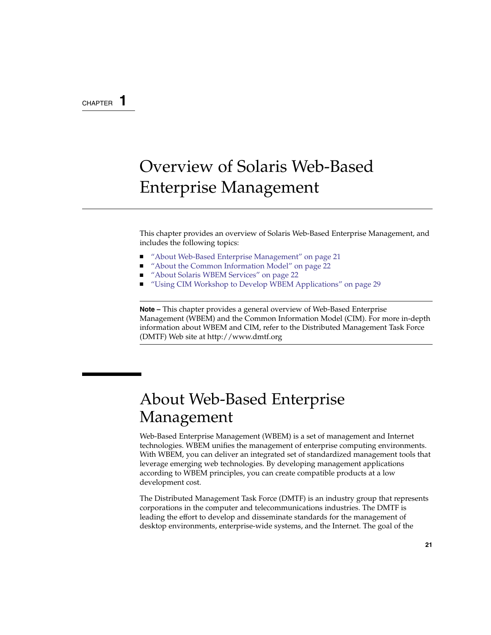#### <span id="page-20-0"></span>CHAPTER **1**

# Overview of Solaris Web-Based Enterprise Management

This chapter provides an overview of Solaris Web-Based Enterprise Management, and includes the following topics:

- "About Web-Based Enterprise Management" on page 21
- ["About the Common Information Model"](#page-21-0) on page 22
- ["About Solaris WBEM Services"](#page-21-0) on page 22
- ["Using CIM Workshop to Develop WBEM Applications"](#page-28-0) on page 29

**Note –** This chapter provides a general overview of Web-Based Enterprise Management (WBEM) and the Common Information Model (CIM). For more in-depth information about WBEM and CIM, refer to the Distributed Management Task Force (DMTF) Web site at [http://www.dmtf.org.](http://www.dmtf.org)

# About Web-Based Enterprise Management

Web-Based Enterprise Management (WBEM) is a set of management and Internet technologies. WBEM unifies the management of enterprise computing environments. With WBEM, you can deliver an integrated set of standardized management tools that leverage emerging web technologies. By developing management applications according to WBEM principles, you can create compatible products at a low development cost.

The Distributed Management Task Force (DMTF) is an industry group that represents corporations in the computer and telecommunications industries. The DMTF is leading the effort to develop and disseminate standards for the management of desktop environments, enterprise-wide systems, and the Internet. The goal of the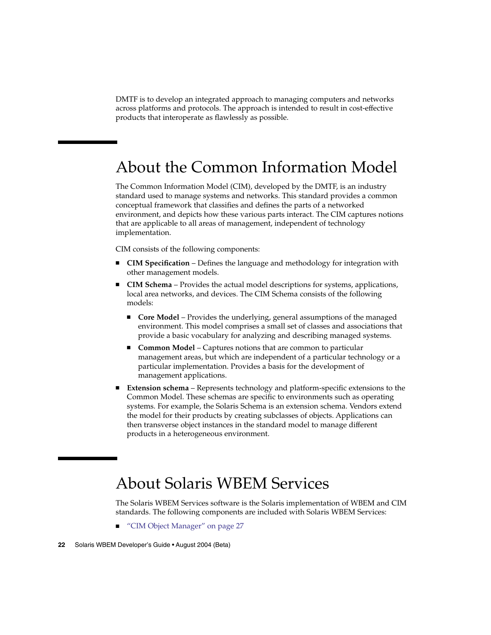<span id="page-21-0"></span>DMTF is to develop an integrated approach to managing computers and networks across platforms and protocols. The approach is intended to result in cost-effective products that interoperate as flawlessly as possible.

# About the Common Information Model

The Common Information Model (CIM), developed by the DMTF, is an industry standard used to manage systems and networks. This standard provides a common conceptual framework that classifies and defines the parts of a networked environment, and depicts how these various parts interact. The CIM captures notions that are applicable to all areas of management, independent of technology implementation.

CIM consists of the following components:

- **CIM Specification** Defines the language and methodology for integration with other management models.
- **CIM Schema** Provides the actual model descriptions for systems, applications, local area networks, and devices. The CIM Schema consists of the following models:
	- **Core Model** Provides the underlying, general assumptions of the managed environment. This model comprises a small set of classes and associations that provide a basic vocabulary for analyzing and describing managed systems.
	- **Common Model** Captures notions that are common to particular management areas, but which are independent of a particular technology or a particular implementation. Provides a basis for the development of management applications.
- **Extension schema** Represents technology and platform-specific extensions to the Common Model. These schemas are specific to environments such as operating systems. For example, the Solaris Schema is an extension schema. Vendors extend the model for their products by creating subclasses of objects. Applications can then transverse object instances in the standard model to manage different products in a heterogeneous environment.

### About Solaris WBEM Services

The Solaris WBEM Services software is the Solaris implementation of WBEM and CIM standards. The following components are included with Solaris WBEM Services:

["CIM Object Manager"](#page-26-0) on page 27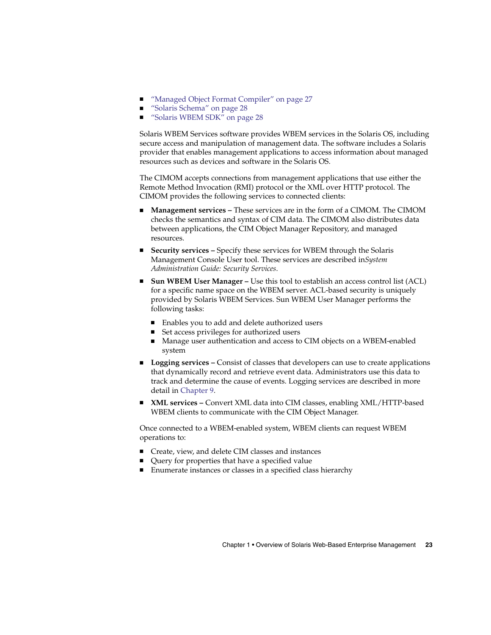- *"*Managed Object Format Compiler" on page 27
- ["Solaris Schema"](#page-27-0) on page 28
- ["Solaris WBEM SDK"](#page-27-0) on page 28

Solaris WBEM Services software provides WBEM services in the Solaris OS, including secure access and manipulation of management data. The software includes a Solaris provider that enables management applications to access information about managed resources such as devices and software in the Solaris OS.

The CIMOM accepts connections from management applications that use either the Remote Method Invocation (RMI) protocol or the XML over HTTP protocol. The CIMOM provides the following services to connected clients:

- **Management services -** These services are in the form of a CIMOM. The CIMOM checks the semantics and syntax of CIM data. The CIMOM also distributes data between applications, the CIM Object Manager Repository, and managed resources.
- **Security services –** Specify these services for WBEM through the Solaris Management Console User tool. These services are described in*System Administration Guide: Security Services*.
- **Sun WBEM User Manager** Use this tool to establish an access control list (ACL) for a specific name space on the WBEM server. ACL-based security is uniquely provided by Solaris WBEM Services. Sun WBEM User Manager performs the following tasks:
	- Enables you to add and delete authorized users
	- Set access privileges for authorized users
	- Manage user authentication and access to CIM objects on a WBEM-enabled system
- **Logging services** Consist of classes that developers can use to create applications that dynamically record and retrieve event data. Administrators use this data to track and determine the cause of events. Logging services are described in more detail in [Chapter 9.](#page-150-0)
- **XML services –** Convert XML data into CIM classes, enabling XML/HTTP-based WBEM clients to communicate with the CIM Object Manager.

Once connected to a WBEM-enabled system, WBEM clients can request WBEM operations to:

- Create, view, and delete CIM classes and instances
- Query for properties that have a specified value
- Enumerate instances or classes in a specified class hierarchy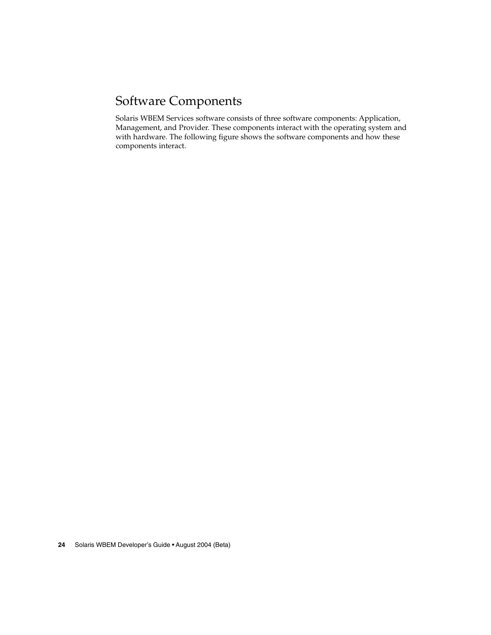#### <span id="page-23-0"></span>Software Components

Solaris WBEM Services software consists of three software components: Application, Management, and Provider. These components interact with the operating system and with hardware. The following figure shows the software components and how these components interact.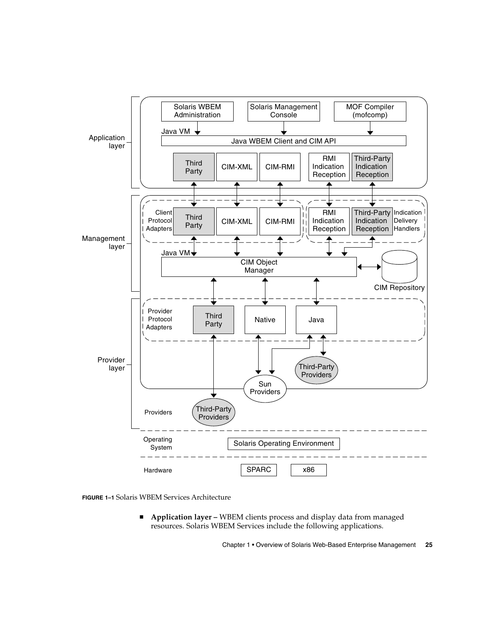

**FIGURE 1–1** Solaris WBEM Services Architecture

■ **Application layer** – WBEM clients process and display data from managed resources. Solaris WBEM Services include the following applications.

Chapter 1 • Overview of Solaris Web-Based Enterprise Management **25**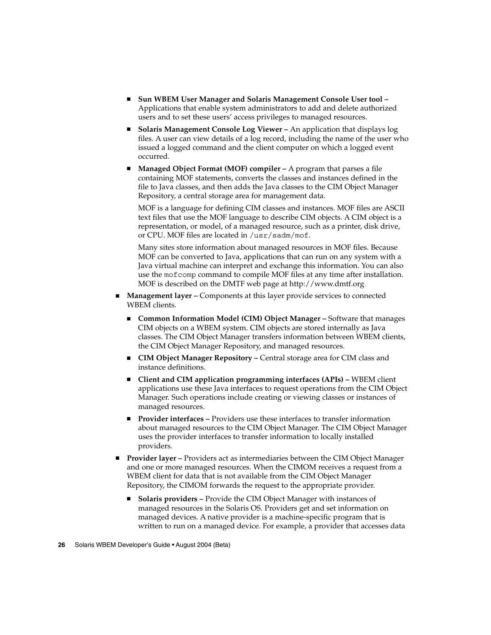- **Sun WBEM User Manager and Solaris Management Console User tool –** Applications that enable system administrators to add and delete authorized users and to set these users' access privileges to managed resources.
- **Solaris Management Console Log Viewer An application that displays log** files. A user can view details of a log record, including the name of the user who issued a logged command and the client computer on which a logged event occurred.
- **Managed Object Format (MOF) compiler A program that parses a file** containing MOF statements, converts the classes and instances defined in the file to Java classes, and then adds the Java classes to the CIM Object Manager Repository, a central storage area for management data.

MOF is a language for defining CIM classes and instances. MOF files are ASCII text files that use the MOF language to describe CIM objects. A CIM object is a representation, or model, of a managed resource, such as a printer, disk drive, or CPU. MOF files are located in /usr/sadm/mof.

Many sites store information about managed resources in MOF files. Because MOF can be converted to Java, applications that can run on any system with a Java virtual machine can interpret and exchange this information. You can also use the mofcomp command to compile MOF files at any time after installation. MOF is described on the DMTF web page at [http://www.dmtf.org.](http://www.dmtf.org)

- **Management layer –** Components at this layer provide services to connected WBEM clients.
	- **Common Information Model (CIM) Object Manager** Software that manages CIM objects on a WBEM system. CIM objects are stored internally as Java classes. The CIM Object Manager transfers information between WBEM clients, the CIM Object Manager Repository, and managed resources.
	- **CIM Object Manager Repository Central storage area for CIM class and** instance definitions.
	- **Client and CIM application programming interfaces (APIs) –** WBEM client applications use these Java interfaces to request operations from the CIM Object Manager. Such operations include creating or viewing classes or instances of managed resources.
	- **Provider interfaces –** Providers use these interfaces to transfer information about managed resources to the CIM Object Manager. The CIM Object Manager uses the provider interfaces to transfer information to locally installed providers.
- **Provider layer Providers act as intermediaries between the CIM Object Manager** and one or more managed resources. When the CIMOM receives a request from a WBEM client for data that is not available from the CIM Object Manager Repository, the CIMOM forwards the request to the appropriate provider.
	- **Solaris providers –** Provide the CIM Object Manager with instances of managed resources in the Solaris OS. Providers get and set information on managed devices. A native provider is a machine-specific program that is written to run on a managed device. For example, a provider that accesses data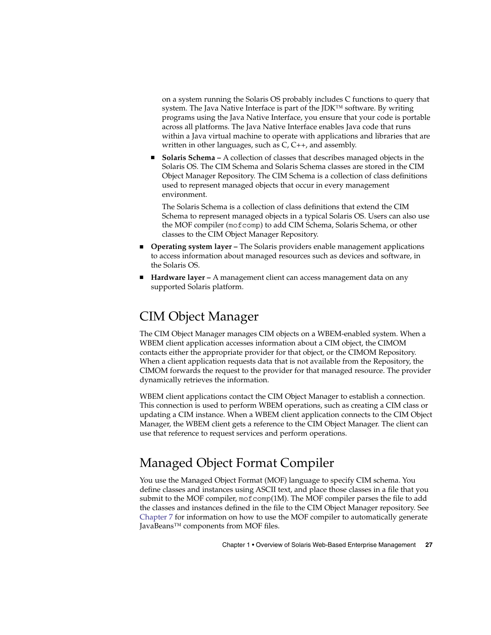<span id="page-26-0"></span>on a system running the Solaris OS probably includes C functions to query that system. The Java Native Interface is part of the JDK™ software. By writing programs using the Java Native Interface, you ensure that your code is portable across all platforms. The Java Native Interface enables Java code that runs within a Java virtual machine to operate with applications and libraries that are written in other languages, such as C, C++, and assembly.

■ **Solaris Schema** – A collection of classes that describes managed objects in the Solaris OS. The CIM Schema and Solaris Schema classes are stored in the CIM Object Manager Repository. The CIM Schema is a collection of class definitions used to represent managed objects that occur in every management environment.

The Solaris Schema is a collection of class definitions that extend the CIM Schema to represent managed objects in a typical Solaris OS. Users can also use the MOF compiler (mofcomp) to add CIM Schema, Solaris Schema, or other classes to the CIM Object Manager Repository.

- **Operating system layer** The Solaris providers enable management applications to access information about managed resources such as devices and software, in the Solaris OS.
- **Hardware layer -** A management client can access management data on any supported Solaris platform.

#### CIM Object Manager

The CIM Object Manager manages CIM objects on a WBEM-enabled system. When a WBEM client application accesses information about a CIM object, the CIMOM contacts either the appropriate provider for that object, or the CIMOM Repository. When a client application requests data that is not available from the Repository, the CIMOM forwards the request to the provider for that managed resource. The provider dynamically retrieves the information.

WBEM client applications contact the CIM Object Manager to establish a connection. This connection is used to perform WBEM operations, such as creating a CIM class or updating a CIM instance. When a WBEM client application connects to the CIM Object Manager, the WBEM client gets a reference to the CIM Object Manager. The client can use that reference to request services and perform operations.

#### Managed Object Format Compiler

You use the Managed Object Format (MOF) language to specify CIM schema. You define classes and instances using ASCII text, and place those classes in a file that you submit to the MOF compiler, mofcomp(1M). The MOF compiler parses the file to add the classes and instances defined in the file to the CIM Object Manager repository. See [Chapter 7](#page-114-0) for information on how to use the MOF compiler to automatically generate JavaBeans™ components from MOF files.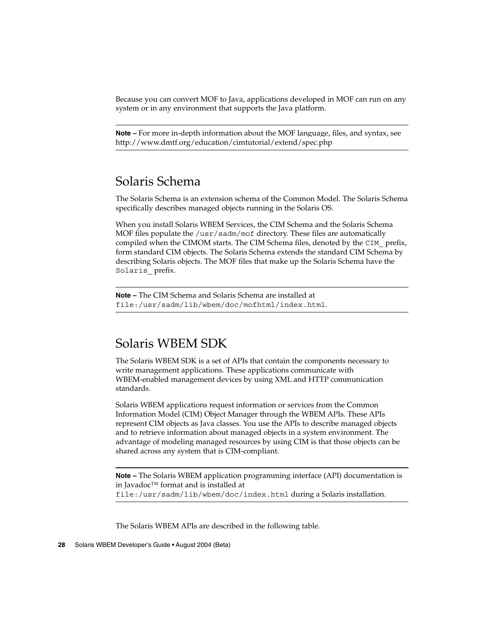<span id="page-27-0"></span>Because you can convert MOF to Java, applications developed in MOF can run on any system or in any environment that supports the Java platform.

**Note –** For more in-depth information about the MOF language, files, and syntax, see [http://www.dmtf.org/education/cimtutorial/extend/spec.php.](http://www.dmtf.org/education/cimtutorial/extend/spec.php)

#### Solaris Schema

The Solaris Schema is an extension schema of the Common Model. The Solaris Schema specifically describes managed objects running in the Solaris OS.

When you install Solaris WBEM Services, the CIM Schema and the Solaris Schema MOF files populate the /usr/sadm/mof directory. These files are automatically compiled when the CIMOM starts. The CIM Schema files, denoted by the CIM\_ prefix, form standard CIM objects. The Solaris Schema extends the standard CIM Schema by describing Solaris objects. The MOF files that make up the Solaris Schema have the Solaris prefix.

**Note –** The CIM Schema and Solaris Schema are installed at file:/usr/sadm/lib/wbem/doc/mofhtml/index.html.

#### Solaris WBEM SDK

The Solaris WBEM SDK is a set of APIs that contain the components necessary to write management applications. These applications communicate with WBEM-enabled management devices by using XML and HTTP communication standards.

Solaris WBEM applications request information or services from the Common Information Model (CIM) Object Manager through the WBEM APIs. These APIs represent CIM objects as Java classes. You use the APIs to describe managed objects and to retrieve information about managed objects in a system environment. The advantage of modeling managed resources by using CIM is that those objects can be shared across any system that is CIM-compliant.

**Note –** The Solaris WBEM application programming interface (API) documentation is in Javadoc™ format and is installed at file:/usr/sadm/lib/wbem/doc/index.html during a Solaris installation.

The Solaris WBEM APIs are described in the following table.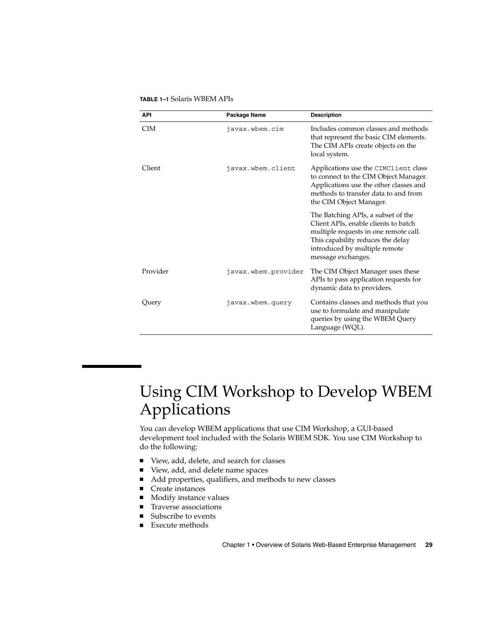<span id="page-28-0"></span>**TABLE 1–1** Solaris WBEM APIs

| <b>API</b> | Package Name        | <b>Description</b>                                                                                                                                                                                              |
|------------|---------------------|-----------------------------------------------------------------------------------------------------------------------------------------------------------------------------------------------------------------|
| <b>CIM</b> | javax.wbem.cim      | Includes common classes and methods<br>that represent the basic CIM elements.<br>The CIM APIs create objects on the<br>local system.                                                                            |
| Client     | javax.wbem.client   | Applications use the CIMClient class<br>to connect to the CIM Object Manager.<br>Applications use the other classes and<br>methods to transfer data to and from<br>the CIM Object Manager.                      |
|            |                     | The Batching APIs, a subset of the<br>Client APIs, enable clients to batch<br>multiple requests in one remote call.<br>This capability reduces the delay<br>introduced by multiple remote<br>message exchanges. |
| Provider   | javax.wbem.provider | The CIM Object Manager uses these<br>APIs to pass application requests for<br>dynamic data to providers.                                                                                                        |
| Query      | javax.wbem.query    | Contains classes and methods that you<br>use to formulate and manipulate<br>queries by using the WBEM Query<br>Language (WQL).                                                                                  |

# Using CIM Workshop to Develop WBEM Applications

You can develop WBEM applications that use CIM Workshop, a GUI-based development tool included with the Solaris WBEM SDK. You use CIM Workshop to do the following:

- View, add, delete, and search for classes
- View, add, and delete name spaces
- Add properties, qualifiers, and methods to new classes
- Create instances
- Modify instance values
- Traverse associations
- Subscribe to events
- Execute methods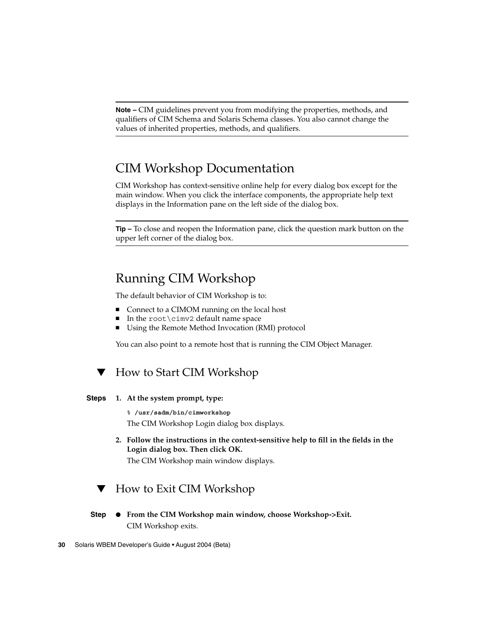<span id="page-29-0"></span>**Note –** CIM guidelines prevent you from modifying the properties, methods, and qualifiers of CIM Schema and Solaris Schema classes. You also cannot change the values of inherited properties, methods, and qualifiers.

#### CIM Workshop Documentation

CIM Workshop has context-sensitive online help for every dialog box except for the main window. When you click the interface components, the appropriate help text displays in the Information pane on the left side of the dialog box.

**Tip –** To close and reopen the Information pane, click the question mark button on the upper left corner of the dialog box.

#### Running CIM Workshop

The default behavior of CIM Workshop is to:

- Connect to a CIMOM running on the local host
- $\blacksquare$  In the root\cimv2 default name space
- Using the Remote Method Invocation (RMI) protocol

You can also point to a remote host that is running the CIM Object Manager.

#### ▼ How to Start CIM Workshop

#### **1. At the system prompt, type: Steps**

% **/usr/sadm/bin/cimworkshop** The CIM Workshop Login dialog box displays.

**2. Follow the instructions in the context-sensitive help to fill in the fields in the Login dialog box. Then click OK.**

The CIM Workshop main window displays.

#### ▼ How to Exit CIM Workshop

● **From the CIM Workshop main window, choose Workshop->Exit.** CIM Workshop exits. **Step**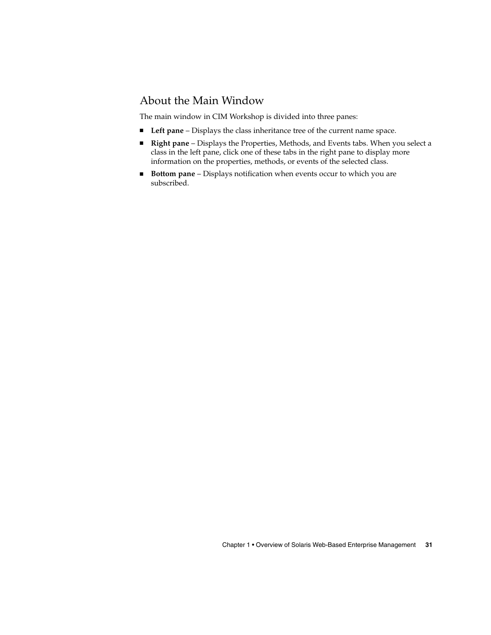#### About the Main Window

The main window in CIM Workshop is divided into three panes:

- **Left pane** Displays the class inheritance tree of the current name space.
- **Right pane** Displays the Properties, Methods, and Events tabs. When you select a class in the left pane, click one of these tabs in the right pane to display more information on the properties, methods, or events of the selected class.
- **Bottom pane** Displays notification when events occur to which you are subscribed.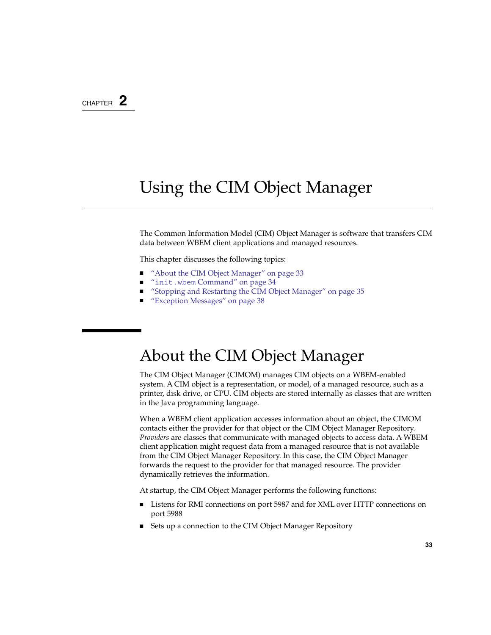#### <span id="page-32-0"></span>CHAPTER **2**

# Using the CIM Object Manager

The Common Information Model (CIM) Object Manager is software that transfers CIM data between WBEM client applications and managed resources.

This chapter discusses the following topics:

- "About the CIM Object Manager" on page 33
- "[init.wbem](#page-33-0) Command" on page 34
- ["Stopping and Restarting the CIM Object Manager"](#page-34-0) on page 35
- ["Exception Messages"](#page-37-0) on page 38

# About the CIM Object Manager

The CIM Object Manager (CIMOM) manages CIM objects on a WBEM-enabled system. A CIM object is a representation, or model, of a managed resource, such as a printer, disk drive, or CPU. CIM objects are stored internally as classes that are written in the Java programming language.

When a WBEM client application accesses information about an object, the CIMOM contacts either the provider for that object or the CIM Object Manager Repository. *Providers* are classes that communicate with managed objects to access data. A WBEM client application might request data from a managed resource that is not available from the CIM Object Manager Repository. In this case, the CIM Object Manager forwards the request to the provider for that managed resource. The provider dynamically retrieves the information.

At startup, the CIM Object Manager performs the following functions:

- Listens for RMI connections on port 5987 and for XML over HTTP connections on port 5988
- Sets up a connection to the CIM Object Manager Repository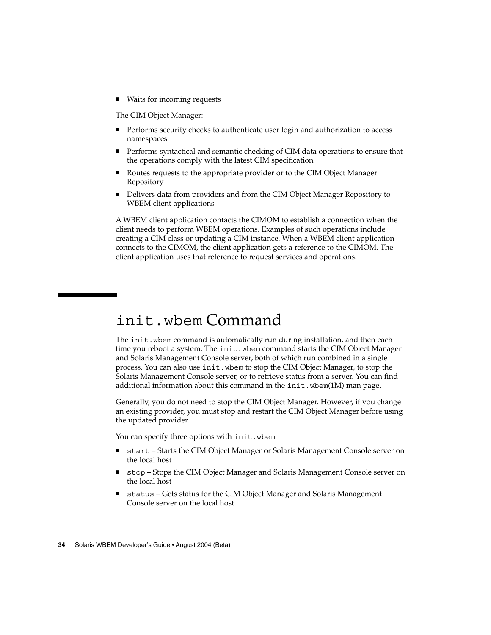<span id="page-33-0"></span>■ Waits for incoming requests

The CIM Object Manager:

- Performs security checks to authenticate user login and authorization to access namespaces
- Performs syntactical and semantic checking of CIM data operations to ensure that the operations comply with the latest CIM specification
- Routes requests to the appropriate provider or to the CIM Object Manager Repository
- Delivers data from providers and from the CIM Object Manager Repository to WBEM client applications

A WBEM client application contacts the CIMOM to establish a connection when the client needs to perform WBEM operations. Examples of such operations include creating a CIM class or updating a CIM instance. When a WBEM client application connects to the CIMOM, the client application gets a reference to the CIMOM. The client application uses that reference to request services and operations.

### init.wbem Command

The init.wbem command is automatically run during installation, and then each time you reboot a system. The init.wbem command starts the CIM Object Manager and Solaris Management Console server, both of which run combined in a single process. You can also use init.wbem to stop the CIM Object Manager, to stop the Solaris Management Console server, or to retrieve status from a server. You can find additional information about this command in the  $init$ . wbem $(1M)$  man page.

Generally, you do not need to stop the CIM Object Manager. However, if you change an existing provider, you must stop and restart the CIM Object Manager before using the updated provider.

You can specify three options with init.wbem:

- start Starts the CIM Object Manager or Solaris Management Console server on the local host
- stop Stops the CIM Object Manager and Solaris Management Console server on the local host
- status Gets status for the CIM Object Manager and Solaris Management Console server on the local host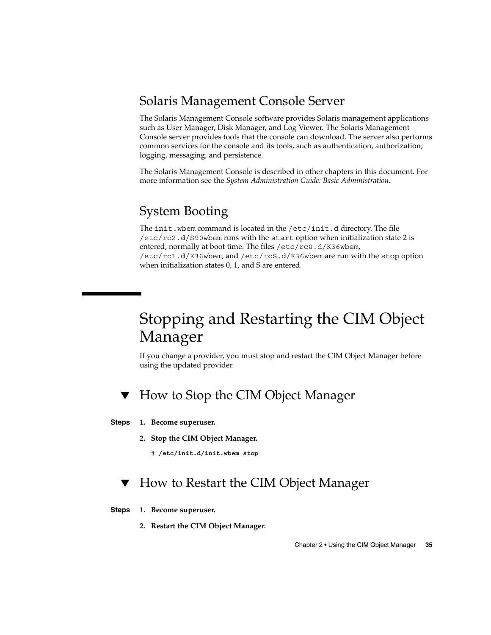#### <span id="page-34-0"></span>Solaris Management Console Server

The Solaris Management Console software provides Solaris management applications such as User Manager, Disk Manager, and Log Viewer. The Solaris Management Console server provides tools that the console can download. The server also performs common services for the console and its tools, such as authentication, authorization, logging, messaging, and persistence.

The Solaris Management Console is described in other chapters in this document. For more information see the *System Administration Guide: Basic Administration*.

#### System Booting

The init.wbem command is located in the /etc/init.d directory. The file /etc/rc2.d/S90wbem runs with the start option when initialization state 2 is entered, normally at boot time. The files /etc/rc0.d/K36wbem, /etc/rc1.d/K36wbem, and /etc/rcS.d/K36wbem are run with the stop option when initialization states 0, 1, and S are entered.

# Stopping and Restarting the CIM Object Manager

If you change a provider, you must stop and restart the CIM Object Manager before using the updated provider.

#### How to Stop the CIM Object Manager

**1. Become superuser. Steps**

- **2. Stop the CIM Object Manager.**
	- # **/etc/init.d/init.wbem stop**

#### ▼ How to Restart the CIM Object Manager

**1. Become superuser. Steps**

**2. Restart the CIM Object Manager.**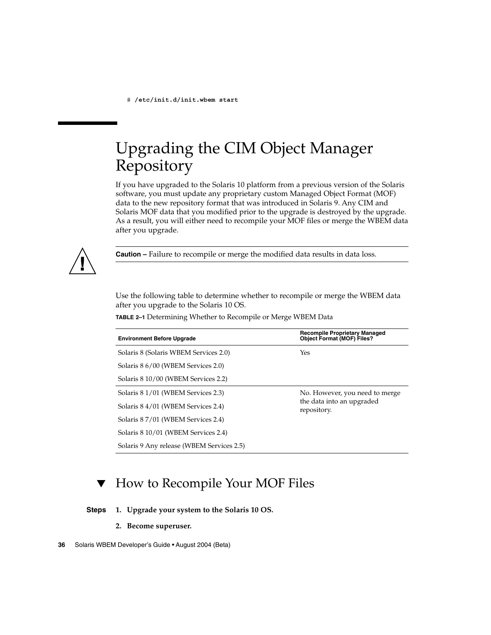# <span id="page-35-0"></span>Upgrading the CIM Object Manager Repository

If you have upgraded to the Solaris 10 platform from a previous version of the Solaris software, you must update any proprietary custom Managed Object Format (MOF) data to the new repository format that was introduced in Solaris 9. Any CIM and Solaris MOF data that you modified prior to the upgrade is destroyed by the upgrade. As a result, you will either need to recompile your MOF files or merge the WBEM data after you upgrade.



**Caution –** Failure to recompile or merge the modified data results in data loss.

Use the following table to determine whether to recompile or merge the WBEM data after you upgrade to the Solaris 10 OS.

**TABLE 2–1** Determining Whether to Recompile or Merge WBEM Data

| <b>Environment Before Upgrade</b>         | <b>Recompile Proprietary Managed</b><br><b>Object Format (MOF) Files?</b> |  |
|-------------------------------------------|---------------------------------------------------------------------------|--|
| Solaris 8 (Solaris WBEM Services 2.0)     | Yes                                                                       |  |
| Solaris 8 6/00 (WBEM Services 2.0)        |                                                                           |  |
| Solaris 8 10/00 (WBEM Services 2.2)       |                                                                           |  |
| Solaris 8 1/01 (WBEM Services 2.3)        | No. However, you need to merge                                            |  |
| Solaris 8 4/01 (WBEM Services 2.4)        | the data into an upgraded<br>repository.                                  |  |
| Solaris 8 7/01 (WBEM Services 2.4)        |                                                                           |  |
| Solaris 8 10/01 (WBEM Services 2.4)       |                                                                           |  |
| Solaris 9 Any release (WBEM Services 2.5) |                                                                           |  |

#### ▼ How to Recompile Your MOF Files

**1. Upgrade your system to the Solaris 10 OS. Steps**

**2. Become superuser.**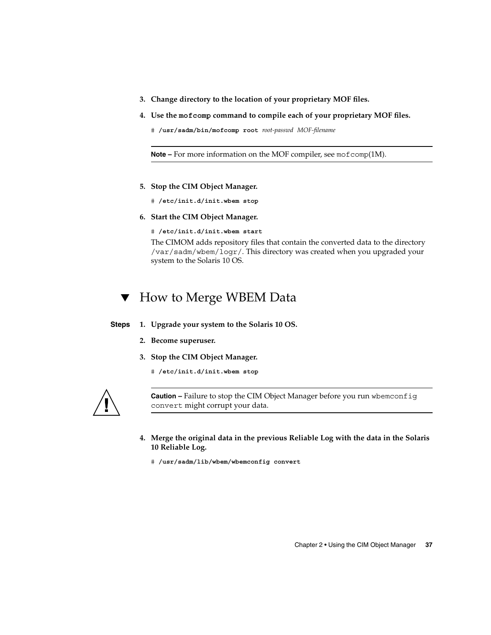- **3. Change directory to the location of your proprietary MOF files.**
- **4. Use the mofcomp command to compile each of your proprietary MOF files.**
	- # **/usr/sadm/bin/mofcomp root** *root-passwd MOF-filename*

**Note** – For more information on the MOF compiler, see mofcomp(1M).

- **5. Stop the CIM Object Manager.**
	- # **/etc/init.d/init.wbem stop**
- **6. Start the CIM Object Manager.**

# **/etc/init.d/init.wbem start**

The CIMOM adds repository files that contain the converted data to the directory /var/sadm/wbem/logr/. This directory was created when you upgraded your system to the Solaris 10 OS.

# ▼ How to Merge WBEM Data

- **1. Upgrade your system to the Solaris 10 OS. Steps**
	- **2. Become superuser.**
	- **3. Stop the CIM Object Manager.**
		- # **/etc/init.d/init.wbem stop**



**Caution –** Failure to stop the CIM Object Manager before you run wbemconfig convert might corrupt your data.

- **4. Merge the original data in the previous Reliable Log with the data in the Solaris 10 Reliable Log.**
	- # **/usr/sadm/lib/wbem/wbemconfig convert**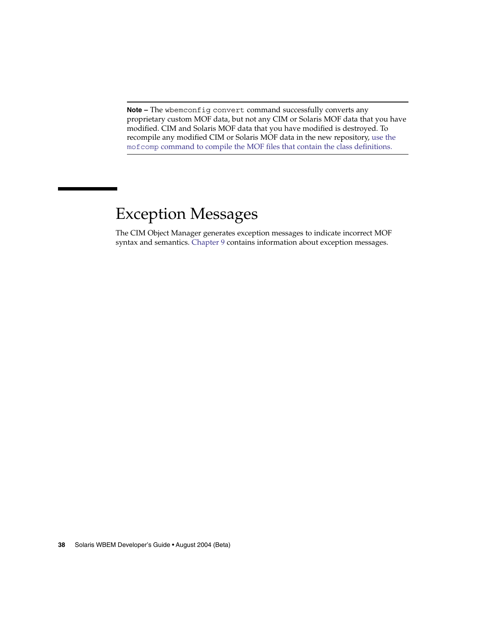**Note –** The wbemconfig convert command successfully converts any proprietary custom MOF data, but not any CIM or Solaris MOF data that you have modified. CIM and Solaris MOF data that you have modified is destroyed. To recompile any modified CIM or Solaris MOF data in the new repository, [use the](#page-35-0) mofcomp command to compile the MOF [files that contain the class definitions.](#page-35-0)

# Exception Messages

The CIM Object Manager generates exception messages to indicate incorrect MOF syntax and semantics. [Chapter 9](#page-150-0) contains information about exception messages.

**38** Solaris WBEM Developer's Guide • August 2004 (Beta)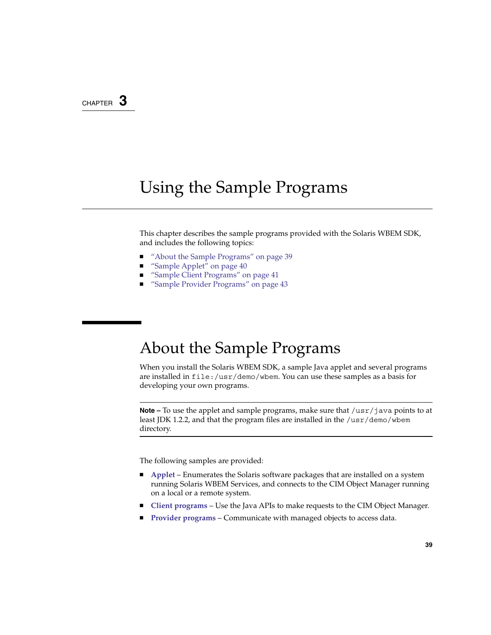## CHAPTER **3**

# Using the Sample Programs

This chapter describes the sample programs provided with the Solaris WBEM SDK, and includes the following topics:

- "About the Sample Programs" on page 39
- ["Sample Applet"](#page-39-0) on page 40
- ["Sample Client Programs"](#page-40-0) on page 41
- ["Sample Provider Programs"](#page-42-0) on page 43

# About the Sample Programs

When you install the Solaris WBEM SDK, a sample Java applet and several programs are installed in file:/usr/demo/wbem. You can use these samples as a basis for developing your own programs.

**Note –** To use the applet and sample programs, make sure that /usr/java points to at least JDK 1.2.2, and that the program files are installed in the /usr/demo/wbem directory.

The following samples are provided:

- **[Applet](#page-39-0)** Enumerates the Solaris software packages that are installed on a system running Solaris WBEM Services, and connects to the CIM Object Manager running on a local or a remote system.
- **[Client programs](#page-40-0)** Use the Java APIs to make requests to the CIM Object Manager.
- **[Provider programs](#page-42-0)** Communicate with managed objects to access data.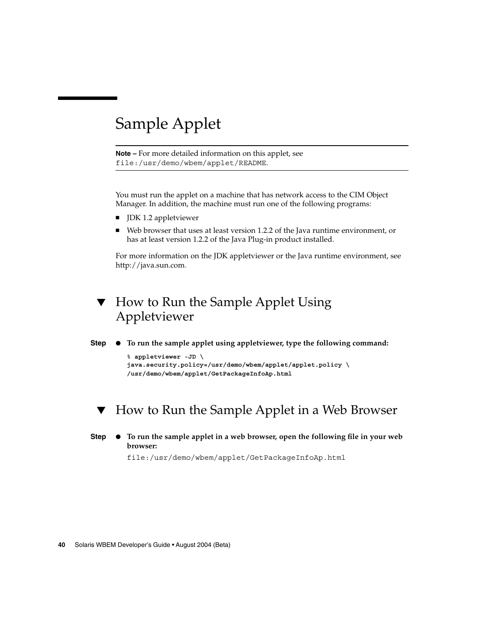# <span id="page-39-0"></span>Sample Applet

**Note –** For more detailed information on this applet, see file:/usr/demo/wbem/applet/README.

You must run the applet on a machine that has network access to the CIM Object Manager. In addition, the machine must run one of the following programs:

- JDK 1.2 appletviewer
- Web browser that uses at least version 1.2.2 of the Java runtime environment, or has at least version 1.2.2 of the Java Plug-in product installed.

For more information on the JDK appletviewer or the Java runtime environment, see [http://java.sun.com.](http://java.sun.com)

# ▼ How to Run the Sample Applet Using Appletviewer

● **To run the sample applet using appletviewer, type the following command: Step**

```
% appletviewer -JD \
java.security.policy=/usr/demo/wbem/applet/applet.policy \
/usr/demo/wbem/applet/GetPackageInfoAp.html
```


# ▼ How to Run the Sample Applet in a Web Browser

● **To run the sample applet in a web browser, open the following file in your web browser: Step**

file:/usr/demo/wbem/applet/GetPackageInfoAp.html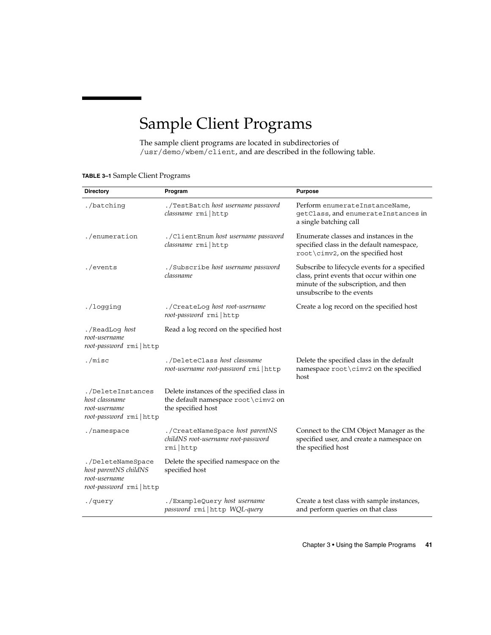# <span id="page-40-0"></span>Sample Client Programs

The sample client programs are located in subdirectories of /usr/demo/wbem/client, and are described in the following table.

| TABLE 3-1 Sample Client Programs |  |  |
|----------------------------------|--|--|
|----------------------------------|--|--|

| <b>Directory</b>                                                                        | Program                                                                                                 | Purpose                                                                                                                                                         |
|-----------------------------------------------------------------------------------------|---------------------------------------------------------------------------------------------------------|-----------------------------------------------------------------------------------------------------------------------------------------------------------------|
| ./batching                                                                              | ./TestBatch host username password<br><i>classname</i> rmi http                                         | Perform enumerateInstanceName,<br>getClass, and enumerateInstances in<br>a single batching call                                                                 |
| ./enumeration                                                                           | ./ClientEnum host username password<br>classname rmi   http                                             | Enumerate classes and instances in the<br>specified class in the default namespace,<br>root\cimv2, on the specified host                                        |
| ./events                                                                                | ./Subscribe host username password<br>classname                                                         | Subscribe to lifecycle events for a specified<br>class, print events that occur within one<br>minute of the subscription, and then<br>unsubscribe to the events |
| ./logging                                                                               | ./CreateLog host root-username<br>root-password rmi   http                                              | Create a log record on the specified host                                                                                                                       |
| $./$ ReadLoq <i>host</i><br>root-username<br>root-password rmi   http                   | Read a log record on the specified host                                                                 |                                                                                                                                                                 |
| ./misc                                                                                  | ./DeleteClass host classname<br>root-username root-password rmi   http                                  | Delete the specified class in the default<br>namespace root\cimv2 on the specified<br>host                                                                      |
| ./DeleteInstances<br>host classname<br>root-username<br>root-password rmi http          | Delete instances of the specified class in<br>the default namespace root\cimv2 on<br>the specified host |                                                                                                                                                                 |
| ./namespace                                                                             | ./CreateNameSpace host parentNS<br>childNS root-username root-password<br>rmi   http                    | Connect to the CIM Object Manager as the<br>specified user, and create a namespace on<br>the specified host                                                     |
| ./DeleteNameSpace<br>host parentNS childNS<br>root-username<br>root-password rmi   http | Delete the specified namespace on the<br>specified host                                                 |                                                                                                                                                                 |
| ./query                                                                                 | ./ExampleQuery host username<br>password rmi   http WQL-query                                           | Create a test class with sample instances,<br>and perform queries on that class                                                                                 |

Chapter 3 • Using the Sample Programs **41**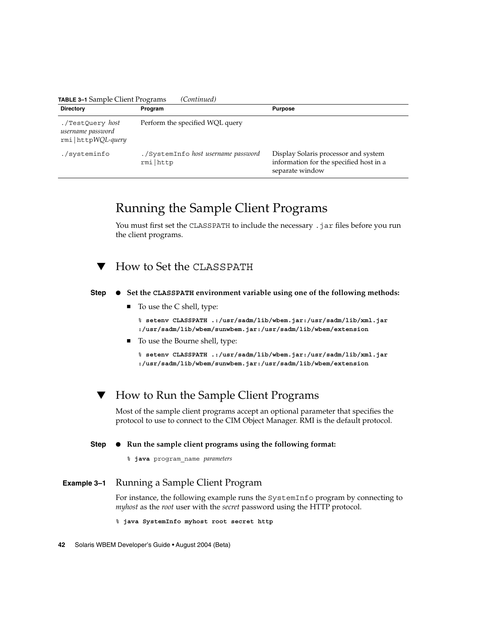| <b>Directory</b>                                             | Program                                         | <b>Purpose</b>                                                                                     |
|--------------------------------------------------------------|-------------------------------------------------|----------------------------------------------------------------------------------------------------|
| ./TestQuery host<br>username password<br>rmi   httpWQL-query | Perform the specified WQL query                 |                                                                                                    |
| ./systeminfo                                                 | ./SystemInfo host username password<br>rmi http | Display Solaris processor and system<br>information for the specified host in a<br>separate window |

# Running the Sample Client Programs

You must first set the CLASSPATH to include the necessary .jar files before you run the client programs.

### How to Set the CLASSPATH

#### ● **Set the CLASSPATH environment variable using one of the following methods: Step**

■ To use the C shell, type:

% **setenv CLASSPATH .:/usr/sadm/lib/wbem.jar:/usr/sadm/lib/xml.jar :/usr/sadm/lib/wbem/sunwbem.jar:/usr/sadm/lib/wbem/extension**

■ To use the Bourne shell, type:

```
% setenv CLASSPATH .:/usr/sadm/lib/wbem.jar:/usr/sadm/lib/xml.jar
:/usr/sadm/lib/wbem/sunwbem.jar:/usr/sadm/lib/wbem/extension
```
### ▼ How to Run the Sample Client Programs

Most of the sample client programs accept an optional parameter that specifies the protocol to use to connect to the CIM Object Manager. RMI is the default protocol.

#### ● **Run the sample client programs using the following format: Step**

% **java** program\_name *parameters*

#### Running a Sample Client Program **Example 3–1**

For instance, the following example runs the SystemInfo program by connecting to *myhost* as the *root* user with the *secret* password using the HTTP protocol.

% **java SystemInfo myhost root secret http**

**42** Solaris WBEM Developer's Guide • August 2004 (Beta)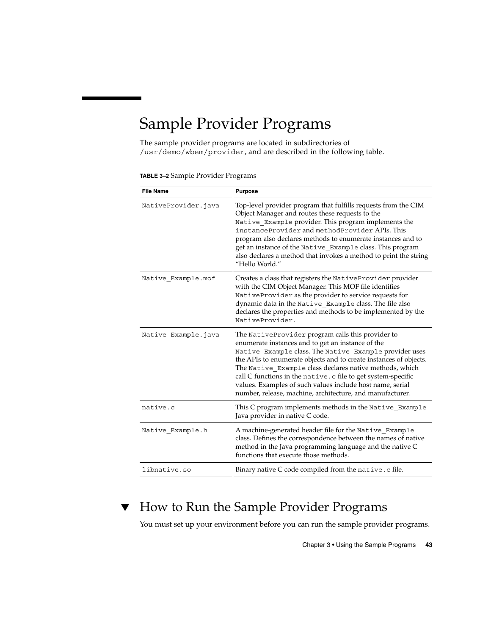# <span id="page-42-0"></span>Sample Provider Programs

The sample provider programs are located in subdirectories of /usr/demo/wbem/provider, and are described in the following table.

| TABLE 3-2 Sample Provider Programs |  |  |
|------------------------------------|--|--|
|------------------------------------|--|--|

| <b>File Name</b>    | <b>Purpose</b>                                                                                                                                                                                                                                                                                                                                                                                                                                                                             |
|---------------------|--------------------------------------------------------------------------------------------------------------------------------------------------------------------------------------------------------------------------------------------------------------------------------------------------------------------------------------------------------------------------------------------------------------------------------------------------------------------------------------------|
| NativeProvider.java | Top-level provider program that fulfills requests from the CIM<br>Object Manager and routes these requests to the<br>Native_Example provider. This program implements the<br>instanceProvider and methodProvider APIs. This<br>program also declares methods to enumerate instances and to<br>get an instance of the Native_Example class. This program<br>also declares a method that invokes a method to print the string<br>"Hello World."                                              |
| Native Example.mof  | Creates a class that registers the NativeProvider provider<br>with the CIM Object Manager. This MOF file identifies<br>NativeProvider as the provider to service requests for<br>dynamic data in the Native_Example class. The file also<br>declares the properties and methods to be implemented by the<br>NativeProvider.                                                                                                                                                                |
| Native Example.java | The NativeProvider program calls this provider to<br>enumerate instances and to get an instance of the<br>Native_Example class. The Native_Example provider uses<br>the APIs to enumerate objects and to create instances of objects.<br>The Native Example class declares native methods, which<br>call C functions in the native.c file to get system-specific<br>values. Examples of such values include host name, serial<br>number, release, machine, architecture, and manufacturer. |
| native.c            | This C program implements methods in the Native_Example<br>Java provider in native C code.                                                                                                                                                                                                                                                                                                                                                                                                 |
| Native Example.h    | A machine-generated header file for the Native_Example<br>class. Defines the correspondence between the names of native<br>method in the Java programming language and the native C<br>functions that execute those methods.                                                                                                                                                                                                                                                               |
| libnative.so        | Binary native C code compiled from the native.c file.                                                                                                                                                                                                                                                                                                                                                                                                                                      |

# ▼ How to Run the Sample Provider Programs

You must set up your environment before you can run the sample provider programs.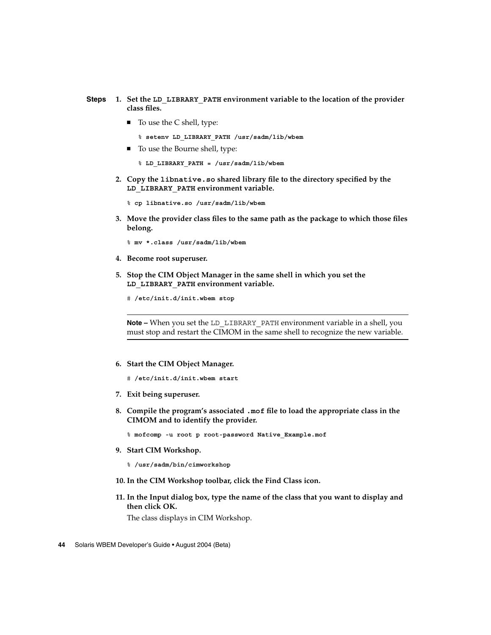- **1. Set the LD\_LIBRARY\_PATH environment variable to the location of the provider Steps class files.**
	- To use the C shell, type:
		- % **setenv LD\_LIBRARY\_PATH /usr/sadm/lib/wbem**
	- To use the Bourne shell, type:
		- % **LD\_LIBRARY\_PATH = /usr/sadm/lib/wbem**
	- **2. Copy the libnative.so shared library file to the directory specified by the LD\_LIBRARY\_PATH environment variable.**

% **cp libnative.so /usr/sadm/lib/wbem**

**3. Move the provider class files to the same path as the package to which those files belong.**

```
% mv *.class /usr/sadm/lib/wbem
```
- **4. Become root superuser.**
- **5. Stop the CIM Object Manager in the same shell in which you set the LD\_LIBRARY\_PATH environment variable.**

```
# /etc/init.d/init.wbem stop
```
**Note –** When you set the LD\_LIBRARY\_PATH environment variable in a shell, you must stop and restart the CIMOM in the same shell to recognize the new variable.

### **6. Start the CIM Object Manager.**

- # **/etc/init.d/init.wbem start**
- **7. Exit being superuser.**
- **8. Compile the program's associated .mof file to load the appropriate class in the CIMOM and to identify the provider.**
	- % **mofcomp -u root p root-password Native\_Example.mof**
- **9. Start CIM Workshop.**
	- % **/usr/sadm/bin/cimworkshop**

**10. In the CIM Workshop toolbar, click the Find Class icon.**

**11. In the Input dialog box, type the name of the class that you want to display and then click OK.**

The class displays in CIM Workshop.

**44** Solaris WBEM Developer's Guide • August 2004 (Beta)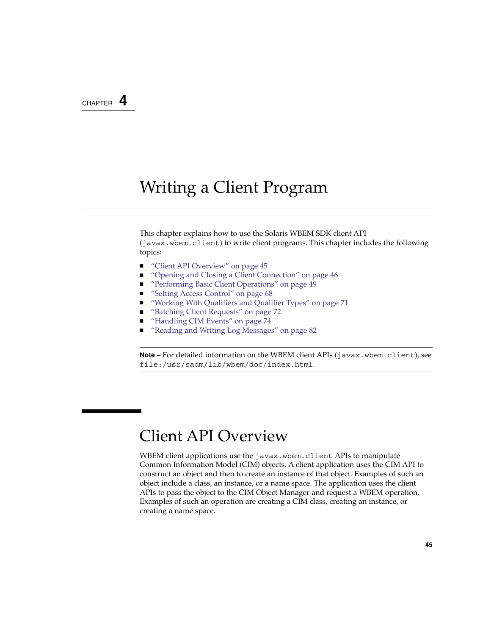### CHAPTER **4**

# Writing a Client Program

This chapter explains how to use the Solaris WBEM SDK client API (javax.wbem.client) to write client programs. This chapter includes the following topics:

- "Client API Overview" on page 45
- ["Opening and Closing a Client Connection"](#page-45-0) on page 46
- ["Performing Basic Client Operations"](#page-48-0) on page 49
- ["Setting Access Control"](#page-67-0) on page 68
- ["Working With Qualifiers and Qualifier Types"](#page-70-0) on page 71
- ["Batching Client Requests"](#page-71-0) on page 72
- ["Handling CIM Events"](#page-73-0) on page 74
- ["Reading and Writing Log Messages"](#page-81-0) on page 82

**Note** – For detailed information on the WBEM client APIs (javax.wbem.client), see file:/usr/sadm/lib/wbem/doc/index.html.

# Client API Overview

WBEM client applications use the javax.wbem.client APIs to manipulate Common Information Model (CIM) objects. A client application uses the CIM API to construct an object and then to create an instance of that object. Examples of such an object include a class, an instance, or a name space. The application uses the client APIs to pass the object to the CIM Object Manager and request a WBEM operation. Examples of such an operation are creating a CIM class, creating an instance, or creating a name space.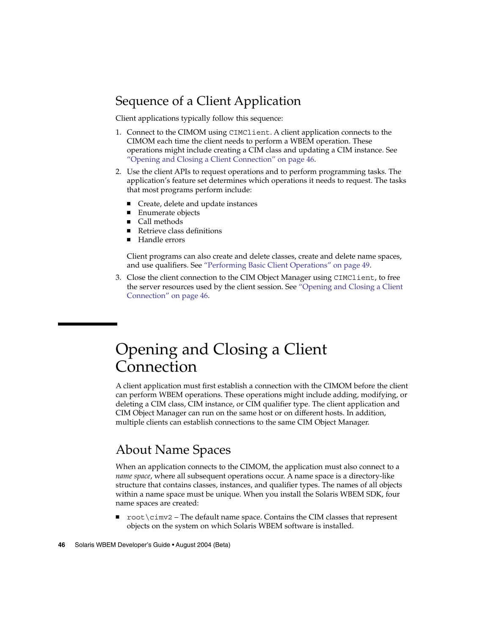# <span id="page-45-0"></span>Sequence of a Client Application

Client applications typically follow this sequence:

- 1. Connect to the CIMOM using CIMClient. A client application connects to the CIMOM each time the client needs to perform a WBEM operation. These operations might include creating a CIM class and updating a CIM instance. See "Opening and Closing a Client Connection" on page 46.
- 2. Use the client APIs to request operations and to perform programming tasks. The application's feature set determines which operations it needs to request. The tasks that most programs perform include:
	- Create, delete and update instances
	- Enumerate objects
	- Call methods
	- Retrieve class definitions
	- Handle errors

Client programs can also create and delete classes, create and delete name spaces, and use qualifiers. See ["Performing Basic Client Operations"](#page-48-0) on page 49.

3. Close the client connection to the CIM Object Manager using CIMClient, to free the server resources used by the client session. See "Opening and Closing a Client Connection" on page 46.

# Opening and Closing a Client **Connection**

A client application must first establish a connection with the CIMOM before the client can perform WBEM operations. These operations might include adding, modifying, or deleting a CIM class, CIM instance, or CIM qualifier type. The client application and CIM Object Manager can run on the same host or on different hosts. In addition, multiple clients can establish connections to the same CIM Object Manager.

# About Name Spaces

When an application connects to the CIMOM, the application must also connect to a *name space*, where all subsequent operations occur. A name space is a directory-like structure that contains classes, instances, and qualifier types. The names of all objects within a name space must be unique. When you install the Solaris WBEM SDK, four name spaces are created:

 $root\cm{cm}$  – The default name space. Contains the CIM classes that represent objects on the system on which Solaris WBEM software is installed.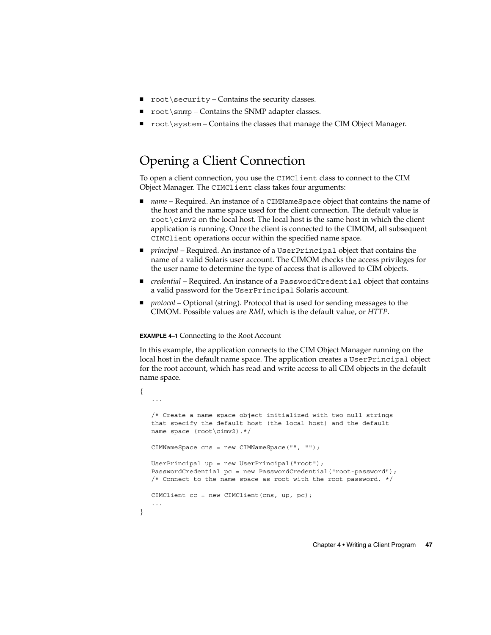- root\security Contains the security classes.
- $\blacksquare$  root \snmp Contains the SNMP adapter classes.
- root \system Contains the classes that manage the CIM Object Manager.

## Opening a Client Connection

To open a client connection, you use the CIMClient class to connect to the CIM Object Manager. The CIMClient class takes four arguments:

- name Required. An instance of a CIMNameSpace object that contains the name of the host and the name space used for the client connection. The default value is root\cimv2 on the local host. The local host is the same host in which the client application is running. Once the client is connected to the CIMOM, all subsequent CIMClient operations occur within the specified name space.
- *principal* Required. An instance of a UserPrincipal object that contains the name of a valid Solaris user account. The CIMOM checks the access privileges for the user name to determine the type of access that is allowed to CIM objects.
- *credential* Required. An instance of a PasswordCredential object that contains a valid password for the UserPrincipal Solaris account.
- protocol Optional (string). Protocol that is used for sending messages to the CIMOM. Possible values are *RMI*, which is the default value, or *HTTP*.

#### **EXAMPLE 4–1** Connecting to the Root Account

In this example, the application connects to the CIM Object Manager running on the local host in the default name space. The application creates a UserPrincipal object for the root account, which has read and write access to all CIM objects in the default name space.

```
{
   ...
  /* Create a name space object initialized with two null strings
  that specify the default host (the local host) and the default
  name space (root\cimv2).*/
  CIMNameSpace cns = new CIMNameSpace("", "");
  UserPrincipal up = new UserPrincipal("root");
  PasswordCredential pc = new PasswordCredential("root-password");
  /* Connect to the name space as root with the root password. */
  CIMClient cc = new CIMClient(cns, up, pc);
   ...
}
```
Chapter 4 • Writing a Client Program **47**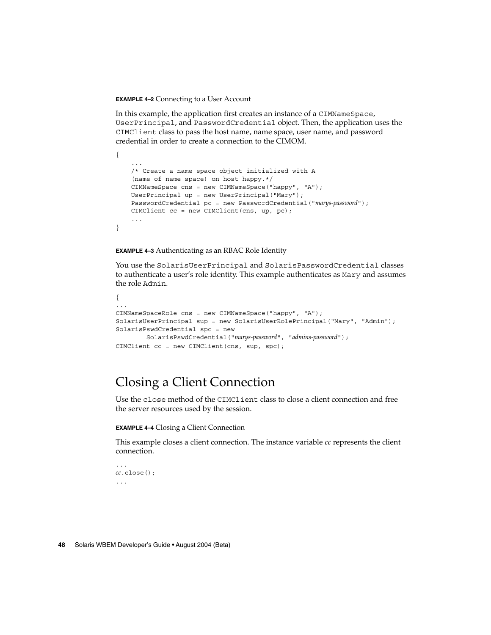**EXAMPLE 4–2** Connecting to a User Account

{

}

In this example, the application first creates an instance of a CIMNameSpace, UserPrincipal, and PasswordCredential object. Then, the application uses the CIMClient class to pass the host name, name space, user name, and password credential in order to create a connection to the CIMOM.

```
...
/* Create a name space object initialized with A
(name of name space) on host happy.*/
CIMNameSpace cns = new CIMNameSpace("happy", "A");
UserPrincipal up = new UserPrincipal("Mary");
PasswordCredential pc = new PasswordCredential("marys-password");
CIMClient cc = new CIMClient(cns, up, pc);
...
```
### **EXAMPLE 4–3** Authenticating as an RBAC Role Identity

You use the SolarisUserPrincipal and SolarisPasswordCredential classes to authenticate a user's role identity. This example authenticates as Mary and assumes the role Admin.

```
{
...
CIMNameSpaceRole cns = new CIMNameSpace("happy", "A");
SolarisUserPrincipal sup = new SolarisUserRolePrincipal("Mary", "Admin");
SolarisPswdCredential spc = new
        SolarisPswdCredential("marys-password", "admins-password");
CIMClient cc = new CIMClient(cns, sup, spc);
```
# Closing a Client Connection

Use the close method of the CIMClient class to close a client connection and free the server resources used by the session.

### **EXAMPLE 4–4** Closing a Client Connection

This example closes a client connection. The instance variable *cc* represents the client connection.

*cc*.close(); ...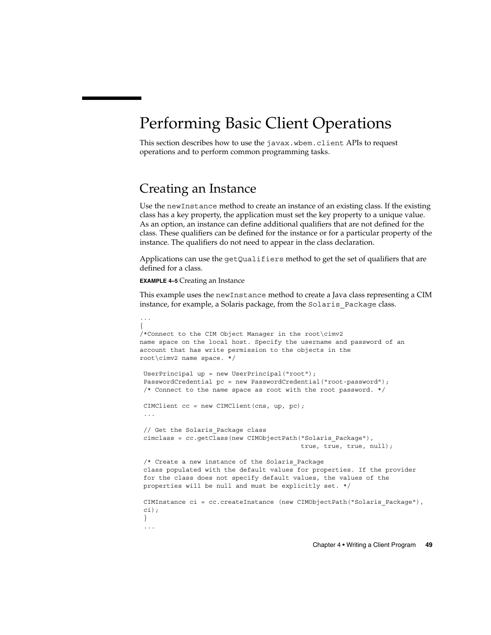# <span id="page-48-0"></span>Performing Basic Client Operations

This section describes how to use the javax.wbem.client APIs to request operations and to perform common programming tasks.

## Creating an Instance

Use the newInstance method to create an instance of an existing class. If the existing class has a key property, the application must set the key property to a unique value. As an option, an instance can define additional qualifiers that are not defined for the class. These qualifiers can be defined for the instance or for a particular property of the instance. The qualifiers do not need to appear in the class declaration.

Applications can use the getQualifiers method to get the set of qualifiers that are defined for a class.

**EXAMPLE 4–5** Creating an Instance

This example uses the newInstance method to create a Java class representing a CIM instance, for example, a Solaris package, from the Solaris\_Package class.

```
...
{
/*Connect to the CIM Object Manager in the root\cimv2
name space on the local host. Specify the username and password of an
account that has write permission to the objects in the
root\cimv2 name space. */
UserPrincipal up = new UserPrincipal("root");
PasswordCredential pc = new PasswordCredential("root-password");
 /* Connect to the name space as root with the root password. */
CIMClient cc = new CIMClient(cns, up, pc);
 ...
// Get the Solaris Package class
cimclass = cc.getClass(new CIMObjectPath("Solaris_Package"),
                                         true, true, true, null);
 /* Create a new instance of the Solaris_Package
class populated with the default values for properties. If the provider
 for the class does not specify default values, the values of the
properties will be null and must be explicitly set. */
CIMInstance ci = cc.createInstance (new CIMObjectPath("Solaris_Package"),
ci);
 }
 ...
```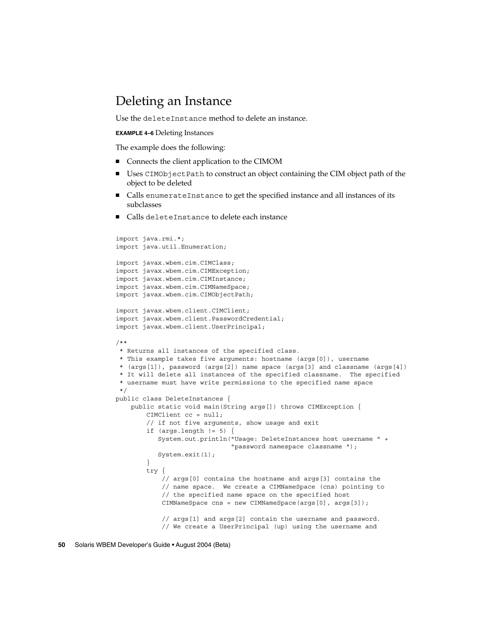## Deleting an Instance

Use the deleteInstance method to delete an instance.

**EXAMPLE 4–6** Deleting Instances

The example does the following:

- Connects the client application to the CIMOM
- Uses CIMObjectPath to construct an object containing the CIM object path of the object to be deleted
- Calls enumerateInstance to get the specified instance and all instances of its subclasses
- Calls deleteInstance to delete each instance

```
import java.rmi.*;
import java.util.Enumeration;
import javax.wbem.cim.CIMClass;
import javax.wbem.cim.CIMException;
import javax.wbem.cim.CIMInstance;
import javax.wbem.cim.CIMNameSpace;
import javax.wbem.cim.CIMObjectPath;
import javax.wbem.client.CIMClient;
import javax.wbem.client.PasswordCredential;
import javax.wbem.client.UserPrincipal;
/**
 * Returns all instances of the specified class.
 * This example takes five arguments: hostname (args[0]), username
 * (args[1]), password (args[2]) name space (args[3] and classname (args[4])
 * It will delete all instances of the specified classname. The specified
 * username must have write permissions to the specified name space
 */
public class DeleteInstances {
    public static void main(String args[]) throws CIMException {
        CIMClient cc = null;
        // if not five arguments, show usage and exit
        if (args.length != 5) {
           System.out.println("Usage: DeleteInstances host username " +
                              "password namespace classname ");
           System.exit(1);
        }
        try {
            // args[0] contains the hostname and args[3] contains the
            // name space. We create a CIMNameSpace (cns) pointing to
            // the specified name space on the specified host
            CIMNameSpace cns = new CIMNameSpace(args[0], args[3]);
            // args[1] and args[2] contain the username and password.
            // We create a UserPrincipal (up) using the username and
```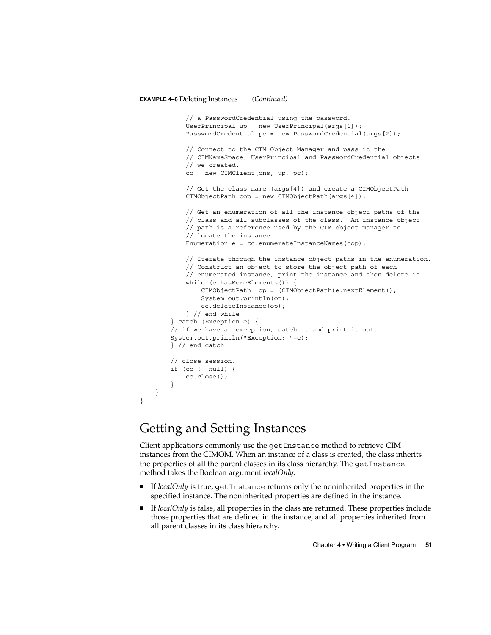```
EXAMPLE 4–6 Deleting Instances (Continued)
```

```
// a PasswordCredential using the password.
       UserPrincipal up = new UserPrincipal(args[1]);
       PasswordCredential pc = new PasswordCredential(args[2]);
       // Connect to the CIM Object Manager and pass it the
       // CIMNameSpace, UserPrincipal and PasswordCredential objects
       // we created.
       cc = new CIMClient(cns, up, pc);
       // Get the class name (args[4]) and create a CIMObjectPath
       CIMObjectPath cop = new CIMObjectPath(args[4]);
       // Get an enumeration of all the instance object paths of the
       // class and all subclasses of the class. An instance object
       // path is a reference used by the CIM object manager to
       // locate the instance
       Enumeration e = cc.enumerateInstanceNames(cop);
       // Iterate through the instance object paths in the enumeration.
       // Construct an object to store the object path of each
       // enumerated instance, print the instance and then delete it
       while (e.hasMoreElements()) {
           CIMObjectPath op = (CIMObjectPath)e.nextElement();
           System.out.println(op);
           cc.deleteInstance(op);
       } // end while
   } catch (Exception e) {
   // if we have an exception, catch it and print it out.
   System.out.println("Exception: "+e);
   } // end catch
   // close session.
   if (cc != null) {
       cc.close();
   }
}
```
# Getting and Setting Instances

}

Client applications commonly use the getInstance method to retrieve CIM instances from the CIMOM. When an instance of a class is created, the class inherits the properties of all the parent classes in its class hierarchy. The get Instance method takes the Boolean argument *localOnly*.

- If *localOnly* is true, getInstance returns only the noninherited properties in the specified instance. The noninherited properties are defined in the instance.
- If *localOnly* is false, all properties in the class are returned. These properties include those properties that are defined in the instance, and all properties inherited from all parent classes in its class hierarchy.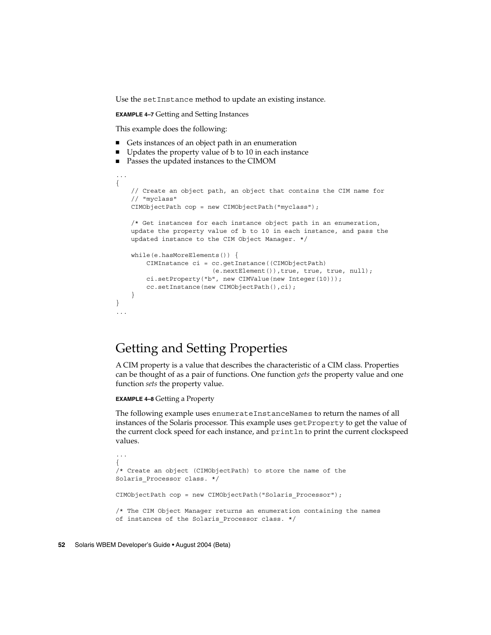Use the setInstance method to update an existing instance.

**EXAMPLE 4–7** Getting and Setting Instances

This example does the following:

- Gets instances of an object path in an enumeration
- Updates the property value of b to 10 in each instance
- Passes the updated instances to the CIMOM

```
...
{
   // Create an object path, an object that contains the CIM name for
   // "myclass"
   CIMObjectPath cop = new CIMObjectPath("myclass");
   /* Get instances for each instance object path in an enumeration,
   update the property value of b to 10 in each instance, and pass the
   updated instance to the CIM Object Manager. */
   while(e.hasMoreElements()) {
       CIMInstance ci = cc.getInstance((CIMObjectPath)
                        (e.nextElement()),true, true, true, null);
       ci.setProperty("b", new CIMValue(new Integer(10)));
       cc.setInstance(new CIMObjectPath(),ci);
   }
}
...
```
## Getting and Setting Properties

A CIM property is a value that describes the characteristic of a CIM class. Properties can be thought of as a pair of functions. One function *gets* the property value and one function *sets* the property value.

**EXAMPLE 4–8** Getting a Property

The following example uses enumerateInstanceNames to return the names of all instances of the Solaris processor. This example uses get Property to get the value of the current clock speed for each instance, and println to print the current clockspeed values.

```
...
{
/* Create an object (CIMObjectPath) to store the name of the
Solaris Processor class. */
CIMObjectPath cop = new CIMObjectPath("Solaris_Processor");
/* The CIM Object Manager returns an enumeration containing the names
of instances of the Solaris Processor class. */
```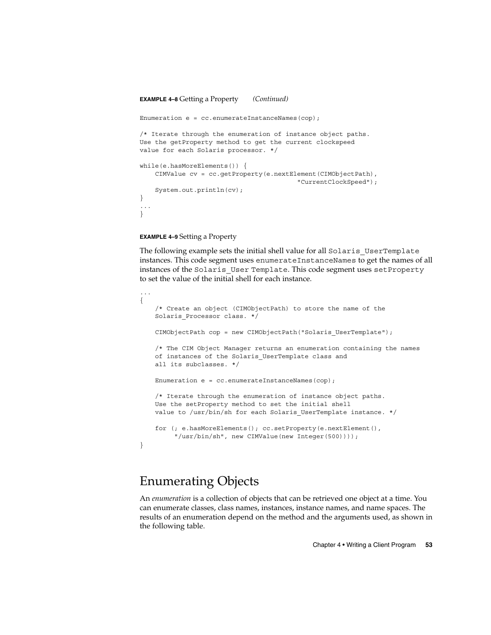```
EXAMPLE 4–8 Getting a Property (Continued)
Enumeration e = cc.enumerateInstanceNames(cop);
/* Iterate through the enumeration of instance object paths.
Use the getProperty method to get the current clockspeed
value for each Solaris processor. */
while(e.hasMoreElements()) {
    CIMValue cv = cc.getProperty(e.nextElement(CIMObjectPath),
                                         "CurrentClockSpeed");
    System.out.println(cv);
}
...
}
```

```
EXAMPLE 4–9 Setting a Property
```
The following example sets the initial shell value for all Solaris\_UserTemplate instances. This code segment uses enumerateInstanceNames to get the names of all instances of the Solaris\_User Template. This code segment uses setProperty to set the value of the initial shell for each instance.

```
...
{
    /* Create an object (CIMObjectPath) to store the name of the
   Solaris Processor class. */
   CIMObjectPath cop = new CIMObjectPath("Solaris_UserTemplate");
    /* The CIM Object Manager returns an enumeration containing the names
   of instances of the Solaris_UserTemplate class and
   all its subclasses. */
   Enumeration e = cc.enumerateInstanceNames(cop);
   /* Iterate through the enumeration of instance object paths.
   Use the setProperty method to set the initial shell
   value to /usr/bin/sh for each Solaris UserTemplate instance. */for (; e.hasMoreElements(); cc.setProperty(e.nextElement(),
         "/usr/bin/sh", new CIMValue(new Integer(500))));
```
# Enumerating Objects

}

An *enumeration* is a collection of objects that can be retrieved one object at a time. You can enumerate classes, class names, instances, instance names, and name spaces. The results of an enumeration depend on the method and the arguments used, as shown in the following table.

Chapter 4 • Writing a Client Program **53**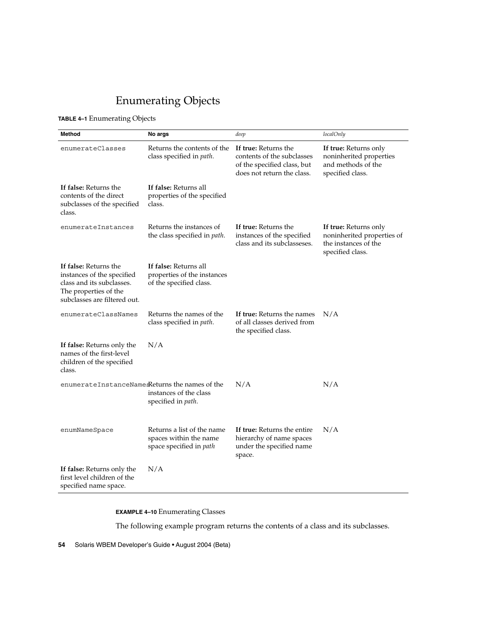# Enumerating Objects

**TABLE 4–1** Enumerating Objects

| Method                                                                                                                                    | No args                                                                         | deep                                                                                                            | localOnly                                                                                       |
|-------------------------------------------------------------------------------------------------------------------------------------------|---------------------------------------------------------------------------------|-----------------------------------------------------------------------------------------------------------------|-------------------------------------------------------------------------------------------------|
| enumerateClasses                                                                                                                          | Returns the contents of the<br>class specified in path.                         | If true: Returns the<br>contents of the subclasses<br>of the specified class, but<br>does not return the class. | If true: Returns only<br>noninherited properties<br>and methods of the<br>specified class.      |
| If false: Returns the<br>contents of the direct<br>subclasses of the specified<br>class.                                                  | If false: Returns all<br>properties of the specified<br>class.                  |                                                                                                                 |                                                                                                 |
| enumerateInstances                                                                                                                        | Returns the instances of<br>the class specified in path.                        | If true: Returns the<br>instances of the specified<br>class and its subclasseses.                               | If true: Returns only<br>noninherited properties of<br>the instances of the<br>specified class. |
| If false: Returns the<br>instances of the specified<br>class and its subclasses.<br>The properties of the<br>subclasses are filtered out. | If false: Returns all<br>properties of the instances<br>of the specified class. |                                                                                                                 |                                                                                                 |
| enumerateClassNames                                                                                                                       | Returns the names of the<br>class specified in path.                            | If true: Returns the names<br>of all classes derived from<br>the specified class.                               | N/A                                                                                             |
| If false: Returns only the<br>names of the first-level<br>children of the specified<br>class.                                             | N/A                                                                             |                                                                                                                 |                                                                                                 |
| enumerateInstanceNamesReturns the names of the                                                                                            | instances of the class<br>specified in <i>path</i> .                            | N/A                                                                                                             | N/A                                                                                             |
| enumNameSpace                                                                                                                             | Returns a list of the name<br>spaces within the name<br>space specified in path | If true: Returns the entire<br>hierarchy of name spaces<br>under the specified name<br>space.                   | N/A                                                                                             |
| If false: Returns only the<br>first level children of the<br>specified name space.                                                        | N/A                                                                             |                                                                                                                 |                                                                                                 |

### **EXAMPLE 4–10** Enumerating Classes

The following example program returns the contents of a class and its subclasses.

**54** Solaris WBEM Developer's Guide • August 2004 (Beta)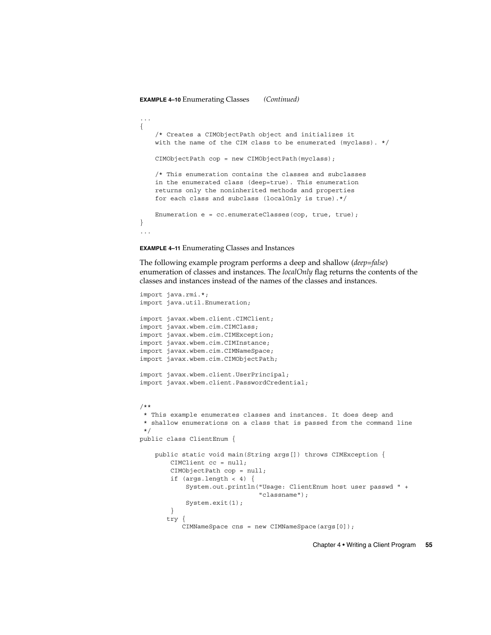**EXAMPLE 4–10** Enumerating Classes *(Continued)*

```
...
{
    /* Creates a CIMObjectPath object and initializes it
   with the name of the CIM class to be enumerated (myclass). */CIMObjectPath cop = new CIMObjectPath(myclass);
    /* This enumeration contains the classes and subclasses
   in the enumerated class (deep=true). This enumeration
   returns only the noninherited methods and properties
   for each class and subclass (localOnly is true).*/
   Enumeration e = cc.enumerateClasses(cop, true, true);
}
...
```
**EXAMPLE 4–11** Enumerating Classes and Instances

The following example program performs a deep and shallow (*deep=false*) enumeration of classes and instances. The *localOnly* flag returns the contents of the classes and instances instead of the names of the classes and instances.

```
import java.rmi.*;
import java.util.Enumeration;
import javax.wbem.client.CIMClient;
import javax.wbem.cim.CIMClass;
import javax.wbem.cim.CIMException;
import javax.wbem.cim.CIMInstance;
import javax.wbem.cim.CIMNameSpace;
import javax.wbem.cim.CIMObjectPath;
import javax.wbem.client.UserPrincipal;
import javax.wbem.client.PasswordCredential;
/**
* This example enumerates classes and instances. It does deep and
 * shallow enumerations on a class that is passed from the command line
*/
public class ClientEnum {
    public static void main(String args[]) throws CIMException {
        CIMClient cc = null;
        CIMObjectPath cop = null;
        if (\arg\theta \cdot \text{length} < 4) {
            System.out.println("Usage: ClientEnum host user passwd " +
                                "classname");
            System.exit(1);
        }
       try {
           CIMNameSpace cns = new CIMNameSpace(args[0]);
```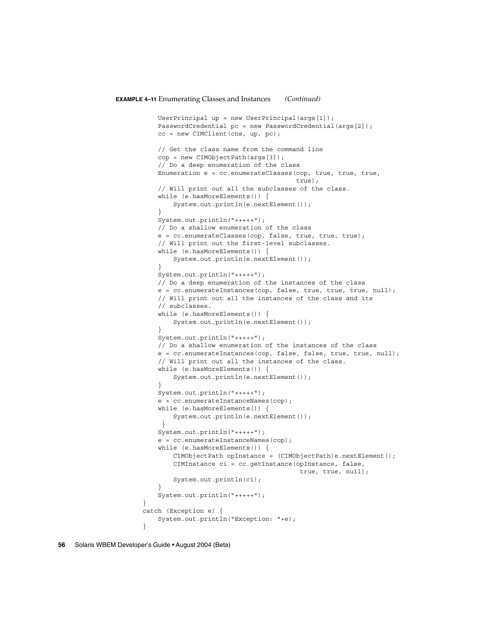#### **EXAMPLE 4–11** Enumerating Classes and Instances *(Continued)*

```
UserPrincipal up = new UserPrincipal(args[1]);
   PasswordCredential pc = new PasswordCredential(args[2]);
   cc = new CIMClient(cns, up, pc);
   // Get the class name from the command line
   cop = new CIMObjectPath(args[3]);
    // Do a deep enumeration of the class
   Enumeration e = cc.enumerateClasses(cop, true, true, true,
                                        true);
    // Will print out all the subclasses of the class.
   while (e.hasMoreElements()) {
       System.out.println(e.nextElement());
    }
   System.out.println("+++++");
    // Do a shallow enumeration of the class
   e = cc.enumerateClasses(cop, false, true, true, true);
    // Will print out the first-level subclasses.
   while (e.hasMoreElements()) {
       System.out.println(e.nextElement());
    }
   System.out.println("+++++");
    // Do a deep enumeration of the instances of the class
   e = cc.enumerateInstances(cop, false, true, true, true, null);
    // Will print out all the instances of the class and its
    // subclasses.
   while (e.hasMoreElements()) {
       System.out.println(e.nextElement());
    }
   System.out.println("+++++");
    // Do a shallow enumeration of the instances of the class
   e = cc.enumerateInstances(cop, false, false, true, true, null);
    // Will print out all the instances of the class.
   while (e.hasMoreElements()) {
       System.out.println(e.nextElement());
    }
   System.out.println("+++++");
   e = cc.enumerateInstanceNames(cop);
   while (e.hasMoreElements()) {
       System.out.println(e.nextElement());
     }
   System.out.println("+++++");
    e = cc.enumerateInstanceNames(cop);
   while (e.hasMoreElements()) {
       CIMObjectPath opInstance = (CIMObjectPath)e.nextElement();
       CIMInstance ci = cc.getInstance(opInstance, false,
                                         true, true, null);
       System.out.println(ci);
    }
   System.out.println("+++++");
}
catch (Exception e) {
   System.out.println("Exception: "+e);
}
```
**56** Solaris WBEM Developer's Guide • August 2004 (Beta)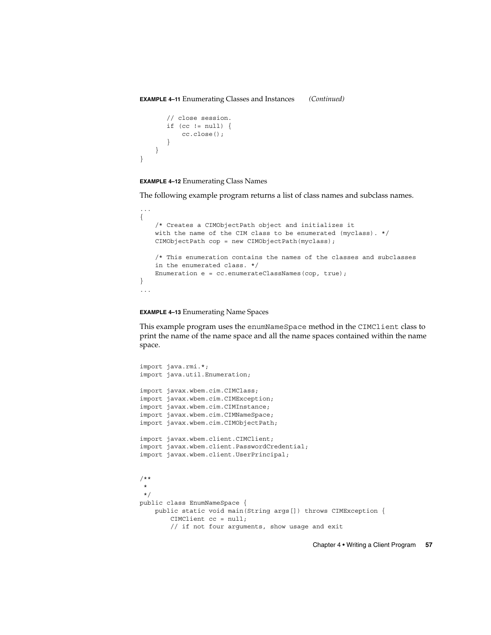**EXAMPLE 4–11** Enumerating Classes and Instances *(Continued)*

```
// close session.
   if (cc != null) {
       cc.close();
   }
}
```
}

**EXAMPLE 4–12** Enumerating Class Names

The following example program returns a list of class names and subclass names.

```
...
{
    /* Creates a CIMObjectPath object and initializes it
   with the name of the CIM class to be enumerated (myclass). */
   CIMObjectPath cop = new CIMObjectPath(myclass);
   /* This enumeration contains the names of the classes and subclasses
   in the enumerated class. */
   Enumeration e = cc.enumerateClassNames(cop, true);
}
...
```
**EXAMPLE 4–13** Enumerating Name Spaces

This example program uses the enumNameSpace method in the CIMClient class to print the name of the name space and all the name spaces contained within the name space.

```
import java.rmi.*;
import java.util.Enumeration;
import javax.wbem.cim.CIMClass;
import javax.wbem.cim.CIMException;
import javax.wbem.cim.CIMInstance;
import javax.wbem.cim.CIMNameSpace;
import javax.wbem.cim.CIMObjectPath;
import javax.wbem.client.CIMClient;
import javax.wbem.client.PasswordCredential;
import javax.wbem.client.UserPrincipal;
/**
 *
 */
public class EnumNameSpace {
   public static void main(String args[]) throws CIMException {
       CIMClient cc = null;
        // if not four arguments, show usage and exit
```
Chapter 4 • Writing a Client Program **57**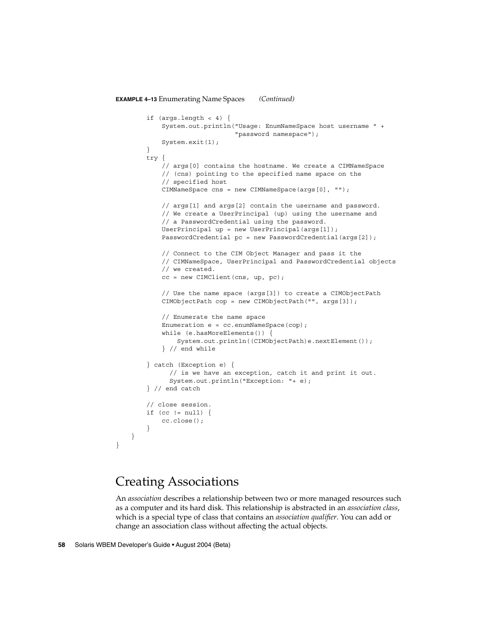```
EXAMPLE 4–13 Enumerating Name Spaces (Continued)
       if (args.length < 4) {
           System.out.println("Usage: EnumNameSpace host username " +
                               "password namespace");
            System.exit(1);
       }
       try {
            // args[0] contains the hostname. We create a CIMNameSpace
            // (cns) pointing to the specified name space on the
            // specified host
           CIMNameSpace cns = new CIMNameSpace(args[0], "");
            // args[1] and args[2] contain the username and password.
            // We create a UserPrincipal (up) using the username and
            // a PasswordCredential using the password.
           UserPrincipal up = new UserPrincipal(args[1]);
            PasswordCredential pc = new PasswordCredential(args[2]);
            // Connect to the CIM Object Manager and pass it the
            // CIMNameSpace, UserPrincipal and PasswordCredential objects
            // we created.
            cc = new CIMClient (cns, up, pc);
            // Use the name space (args[3]) to create a CIMObjectPath
           CIMObjectPath cop = new CIMObjectPath("", args[3]);
            // Enumerate the name space
           Enumeration e = cc.enumNameSpace(cop);
           while (e.hasMoreElements()) {
                System.out.println((CIMObjectPath)e.nextElement());
            } // end while
        } catch (Exception e) {
              // is we have an exception, catch it and print it out.
              System.out.println("Exception: "+ e);
        } // end catch
        // close session.
       if (cc != null) {
           cc.close();
       }
   }
}
```
## Creating Associations

An *association* describes a relationship between two or more managed resources such as a computer and its hard disk. This relationship is abstracted in an *association class*, which is a special type of class that contains an *association qualifier*. You can add or change an association class without affecting the actual objects.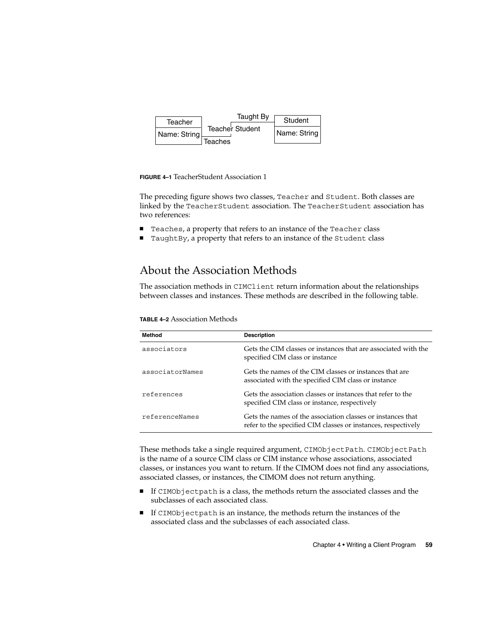| Teacher      |         | Taught By              | Student      |
|--------------|---------|------------------------|--------------|
|              |         |                        |              |
| Name: String |         | <b>Teacher Student</b> | Name: String |
|              | Teaches |                        |              |

**FIGURE 4–1** TeacherStudent Association 1

The preceding figure shows two classes, Teacher and Student. Both classes are linked by the TeacherStudent association. The TeacherStudent association has two references:

- Teaches, a property that refers to an instance of the Teacher class
- TaughtBy, a property that refers to an instance of the Student class

### About the Association Methods

The association methods in CIMClient return information about the relationships between classes and instances. These methods are described in the following table.

| <b>TABLE 4-2 Association Methods</b> |
|--------------------------------------|
|--------------------------------------|

| Method          | <b>Description</b>                                                                                                           |
|-----------------|------------------------------------------------------------------------------------------------------------------------------|
| associators     | Gets the CIM classes or instances that are associated with the<br>specified CIM class or instance                            |
| associatorNames | Gets the names of the CIM classes or instances that are<br>associated with the specified CIM class or instance               |
| references      | Gets the association classes or instances that refer to the<br>specified CIM class or instance, respectively                 |
| referenceNames  | Gets the names of the association classes or instances that<br>refer to the specified CIM classes or instances, respectively |

These methods take a single required argument, CIMObjectPath. CIMObjectPath is the name of a source CIM class or CIM instance whose associations, associated classes, or instances you want to return. If the CIMOM does not find any associations, associated classes, or instances, the CIMOM does not return anything.

- If CIMObjectpath is a class, the methods return the associated classes and the subclasses of each associated class.
- If CIMObjectpath is an instance, the methods return the instances of the associated class and the subclasses of each associated class.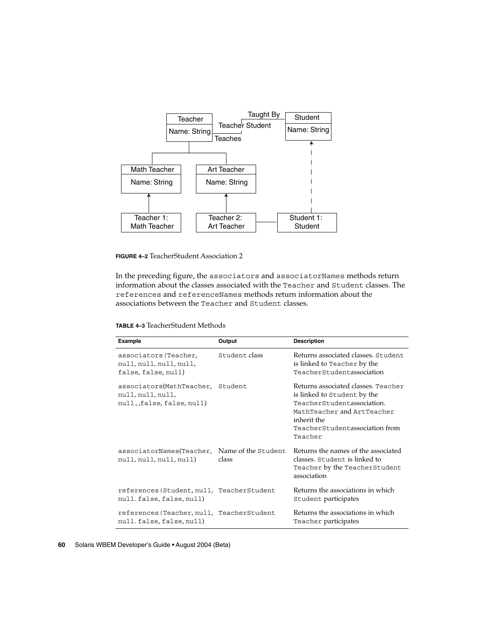

**FIGURE 4–2** TeacherStudent Association 2

In the preceding figure, the associators and associatorNames methods return information about the classes associated with the Teacher and Student classes. The references and referenceNames methods return information about the associations between the Teacher and Student classes.

| Example                                                                            | Output                       | <b>Description</b>                                                                                                                                                                         |
|------------------------------------------------------------------------------------|------------------------------|--------------------------------------------------------------------------------------------------------------------------------------------------------------------------------------------|
| associators (Teacher,<br>null, null, null, null,<br>false, false, null)            | Student class                | Returns associated classes. Student.<br>is linked to Teacher by the<br>TeacherStudentassociation                                                                                           |
| associators(MathTeacher, Student<br>null, null, null,<br>null, false, false, null) |                              | Returns associated classes. Teacher<br>is linked to Student by the<br>TeacherStudentassociation.<br>MathTeacher and ArtTeacher<br>inherit the<br>TeacherStudentassociation from<br>Teacher |
| associatorNames(Teacher,<br>null, null, null, null)                                | Name of the Student<br>class | Returns the names of the associated<br>classes. Student is linked to<br>Teacher by the TeacherStudent<br>association                                                                       |
| references (Student, null, TeacherStudent<br>null. false, false, null)             |                              | Returns the associations in which<br>Student participates                                                                                                                                  |
| references (Teacher, null, TeacherStudent<br>null. false, false, null)             |                              | Returns the associations in which<br>Teacher participates                                                                                                                                  |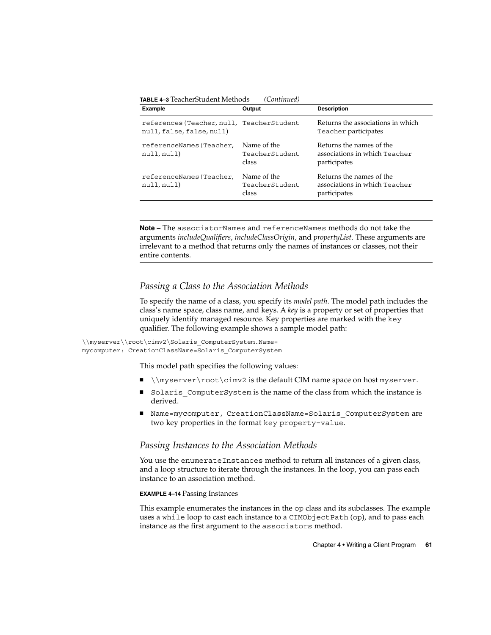| <b>TABLE 4-3 TeacherStudent Methods</b><br>(Continued)                 |                                        |                                                                           |  |
|------------------------------------------------------------------------|----------------------------------------|---------------------------------------------------------------------------|--|
| <b>Example</b>                                                         | Output                                 | <b>Description</b>                                                        |  |
| references (Teacher, null, TeacherStudent<br>null, false, false, null) |                                        | Returns the associations in which<br>Teacher participates                 |  |
| referenceNames (Teacher,<br>null, null)                                | Name of the<br>TeacherStudent<br>class | Returns the names of the<br>associations in which Teacher<br>participates |  |
| referenceNames (Teacher,<br>null, null)                                | Name of the<br>TeacherStudent<br>class | Returns the names of the<br>associations in which Teacher<br>participates |  |

**Note –** The associatorNames and referenceNames methods do not take the arguments *includeQualifiers*, *includeClassOrigin*, and *propertyList*. These arguments are irrelevant to a method that returns only the names of instances or classes, not their entire contents.

### *Passing a Class to the Association Methods*

To specify the name of a class, you specify its *model path*. The model path includes the class's name space, class name, and keys. A *key* is a property or set of properties that uniquely identify managed resource. Key properties are marked with the key qualifier. The following example shows a sample model path:

```
\\myserver\\root\cimv2\Solaris_ComputerSystem.Name=
mycomputer: CreationClassName=Solaris_ComputerSystem
```
This model path specifies the following values:

- $\blacksquare$  \\myserver\root\cimv2 is the default CIM name space on host myserver.
- Solaris ComputerSystem is the name of the class from which the instance is derived.
- Name=mycomputer, CreationClassName=Solaris ComputerSystem are two key properties in the format key property=value.

### *Passing Instances to the Association Methods*

You use the enumerateInstances method to return all instances of a given class, and a loop structure to iterate through the instances. In the loop, you can pass each instance to an association method.

**EXAMPLE 4–14** Passing Instances

This example enumerates the instances in the op class and its subclasses. The example uses a while loop to cast each instance to a CIMObjectPath (op), and to pass each instance as the first argument to the associators method.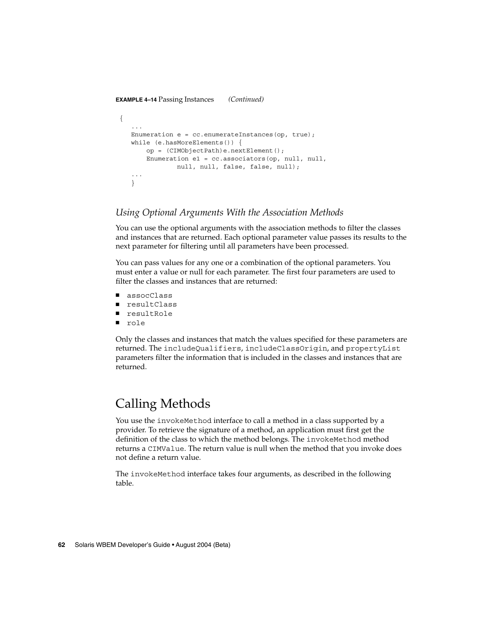```
EXAMPLE 4–14 Passing Instances (Continued)
{
    ...
   Enumeration e = cc.enumerateInstances(op, true);
   while (e.hasMoreElements()) {
       op = (CIMObjectPath)e.nextElement();
        Enumeration e1 = cc.associators(op, null, null,
               null, null, false, false, null);
    ...
    }
```
### *Using Optional Arguments With the Association Methods*

You can use the optional arguments with the association methods to filter the classes and instances that are returned. Each optional parameter value passes its results to the next parameter for filtering until all parameters have been processed.

You can pass values for any one or a combination of the optional parameters. You must enter a value or null for each parameter. The first four parameters are used to filter the classes and instances that are returned:

- assocClass
- resultClass
- resultRole
- role

Only the classes and instances that match the values specified for these parameters are returned. The includeQualifiers, includeClassOrigin, and propertyList parameters filter the information that is included in the classes and instances that are returned.

# Calling Methods

You use the invokeMethod interface to call a method in a class supported by a provider. To retrieve the signature of a method, an application must first get the definition of the class to which the method belongs. The invokeMethod method returns a CIMValue. The return value is null when the method that you invoke does not define a return value.

The invokeMethod interface takes four arguments, as described in the following table.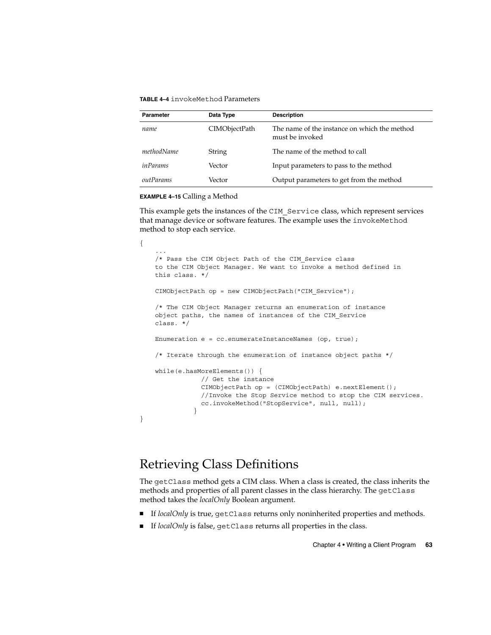#### **TABLE 4–4** invokeMethod Parameters

| Parameter       | Data Type            | <b>Description</b>                                              |
|-----------------|----------------------|-----------------------------------------------------------------|
| name            | <b>CIMObjectPath</b> | The name of the instance on which the method<br>must be invoked |
| methodName      | String               | The name of the method to call                                  |
| <i>inParams</i> | Vector               | Input parameters to pass to the method                          |
| outParams       | Vector               | Output parameters to get from the method                        |

**EXAMPLE 4–15** Calling a Method

{

}

This example gets the instances of the CIM\_Service class, which represent services that manage device or software features. The example uses the invokeMethod method to stop each service.

```
...
/* Pass the CIM Object Path of the CIM_Service class
to the CIM Object Manager. We want to invoke a method defined in
this class. */
CIMObjectPath op = new CIMObjectPath("CIM_Service");
/* The CIM Object Manager returns an enumeration of instance
object paths, the names of instances of the CIM_Service
class. */
Enumeration e = cc.enumerateInstanceNames (op, true);
/* Iterate through the enumeration of instance object paths */
while(e.hasMoreElements()) {
           // Get the instance
            CIMObjectPath op = (CIMObjectPath) e.nextElement();
            //Invoke the Stop Service method to stop the CIM services.
            cc.invokeMethod("StopService", null, null);
          }
```
## Retrieving Class Definitions

The getClass method gets a CIM class. When a class is created, the class inherits the methods and properties of all parent classes in the class hierarchy. The getClass method takes the *localOnly* Boolean argument.

- If *localOnly* is true, getClass returns only noninherited properties and methods.
- If *localOnly* is false, getClass returns all properties in the class.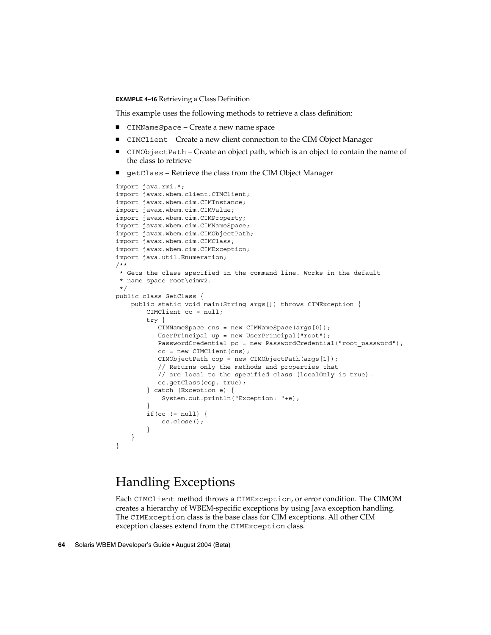**EXAMPLE 4–16** Retrieving a Class Definition

This example uses the following methods to retrieve a class definition:

- CIMNameSpace Create a new name space
- CIMClient Create a new client connection to the CIM Object Manager
- CIMObjectPath Create an object path, which is an object to contain the name of the class to retrieve
- qetClass Retrieve the class from the CIM Object Manager

```
import java.rmi.*;
import javax.wbem.client.CIMClient;
import javax.wbem.cim.CIMInstance;
import javax.wbem.cim.CIMValue;
import javax.wbem.cim.CIMProperty;
import javax.wbem.cim.CIMNameSpace;
import javax.wbem.cim.CIMObjectPath;
import javax.wbem.cim.CIMClass;
import javax.wbem.cim.CIMException;
import java.util.Enumeration;
/**
 * Gets the class specified in the command line. Works in the default
 * name space root\cimv2.
 */
public class GetClass {
    public static void main(String args[]) throws CIMException {
        CIMClient cc = null;
        try {
           CIMNameSpace cns = new CIMNameSpace(args[0]);
           UserPrincipal up = new UserPrincipal("root");
           PasswordCredential pc = new PasswordCredential("root password");
           cc = new CIMClient(cns);
           CIMObjectPath cop = new CIMObjectPath(args[1]);
           // Returns only the methods and properties that
           // are local to the specified class (localOnly is true).
           cc.getClass(cop, true);
        } catch (Exception e) {
            System.out.println("Exception: "+e);
        }
        if(cc != null) {
            cc.close();
        }
    }
}
```
## Handling Exceptions

Each CIMClient method throws a CIMException, or error condition. The CIMOM creates a hierarchy of WBEM-specific exceptions by using Java exception handling. The CIMException class is the base class for CIM exceptions. All other CIM exception classes extend from the CIMException class.

```
64 Solaris WBEM Developer's Guide • August 2004 (Beta)
```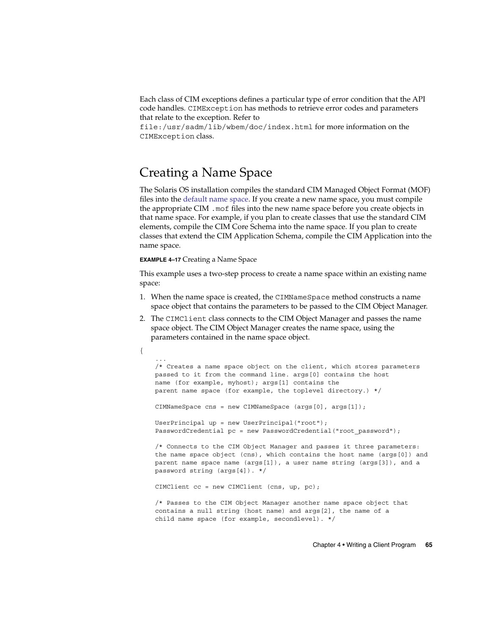Each class of CIM exceptions defines a particular type of error condition that the API code handles. CIMException has methods to retrieve error codes and parameters that relate to the exception. Refer to

file:/usr/sadm/lib/wbem/doc/index.html for more information on the CIMException class.

## Creating a Name Space

The Solaris OS installation compiles the standard CIM Managed Object Format (MOF) files into the [default name space.](#page-45-0) If you create a new name space, you must compile the appropriate CIM .mof files into the new name space before you create objects in that name space. For example, if you plan to create classes that use the standard CIM elements, compile the CIM Core Schema into the name space. If you plan to create classes that extend the CIM Application Schema, compile the CIM Application into the name space.

**EXAMPLE 4–17** Creating a Name Space

{

This example uses a two-step process to create a name space within an existing name space:

- 1. When the name space is created, the CIMNameSpace method constructs a name space object that contains the parameters to be passed to the CIM Object Manager.
- 2. The CIMClient class connects to the CIM Object Manager and passes the name space object. The CIM Object Manager creates the name space, using the parameters contained in the name space object.

```
...
/* Creates a name space object on the client, which stores parameters
passed to it from the command line. args[0] contains the host
name (for example, myhost); args[1] contains the
parent name space (for example, the toplevel directory.) */
CIMNameSpace cns = new CIMNameSpace (args[0], args[1]);
UserPrincipal up = new UserPrincipal("root");
PasswordCredential pc = new PasswordCredential("root_password");
/* Connects to the CIM Object Manager and passes it three parameters:
the name space object (cns), which contains the host name (args[0]) and
parent name space name (args[1]), a user name string (args[3]), and a
password string (args[4]). */
CIMClient cc = new CIMClient (cns, up, pc);
/* Passes to the CIM Object Manager another name space object that
contains a null string (host name) and args[2], the name of a
child name space (for example, secondlevel). */
```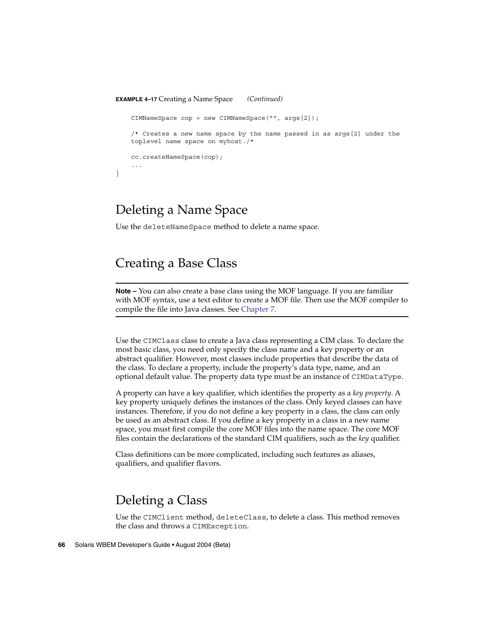```
EXAMPLE 4–17 Creating a Name Space (Continued)
    CIMNameSpace cop = new CIMNameSpace("", args[2]);
    /* Creates a new name space by the name passed in as args[2] under the
    toplevel name space on myhost./*
    cc.createNameSpace(cop);
    ...
}
```
# Deleting a Name Space

Use the deleteNameSpace method to delete a name space.

## Creating a Base Class

**Note –** You can also create a base class using the MOF language. If you are familiar with MOF syntax, use a text editor to create a MOF file. Then use the MOF compiler to compile the file into Java classes. See [Chapter 7.](#page-114-0)

Use the CIMClass class to create a Java class representing a CIM class. To declare the most basic class, you need only specify the class name and a key property or an abstract qualifier. However, most classes include properties that describe the data of the class. To declare a property, include the property's data type, name, and an optional default value. The property data type must be an instance of CIMDataType.

A property can have a key qualifier, which identifies the property as a *key property*. A key property uniquely defines the instances of the class. Only keyed classes can have instances. Therefore, if you do not define a key property in a class, the class can only be used as an abstract class. If you define a key property in a class in a new name space, you must first compile the core MOF files into the name space. The core MOF files contain the declarations of the standard CIM qualifiers, such as the *key* qualifier.

Class definitions can be more complicated, including such features as aliases, qualifiers, and qualifier flavors.

## Deleting a Class

Use the CIMClient method, deleteClass, to delete a class. This method removes the class and throws a CIMException.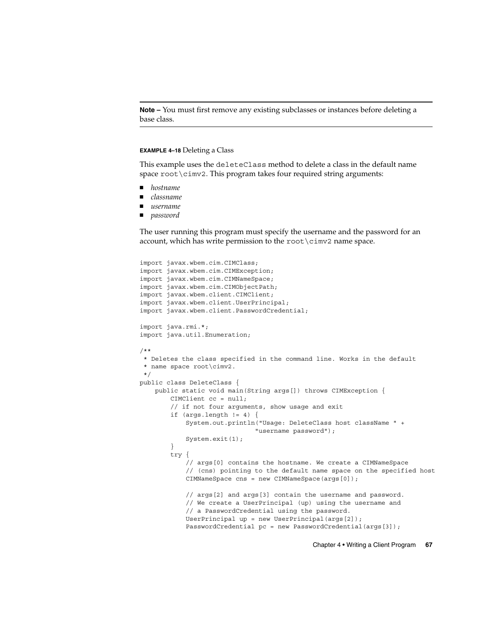**Note –** You must first remove any existing subclasses or instances before deleting a base class.

### **EXAMPLE 4–18** Deleting a Class

This example uses the deleteClass method to delete a class in the default name space root\cimv2. This program takes four required string arguments:

- *hostname*
- *classname*
- *username*
- *password*

The user running this program must specify the username and the password for an account, which has write permission to the  $root\cim v2$  name space.

```
import javax.wbem.cim.CIMClass;
import javax.wbem.cim.CIMException;
import javax.wbem.cim.CIMNameSpace;
import javax.wbem.cim.CIMObjectPath;
import javax.wbem.client.CIMClient;
import javax.wbem.client.UserPrincipal;
import javax.wbem.client.PasswordCredential;
import java.rmi.*;
import java.util.Enumeration;
/**
* Deletes the class specified in the command line. Works in the default
 * name space root\cimv2.
*/
public class DeleteClass {
   public static void main(String args[]) throws CIMException {
       CIMClient cc = null;
        // if not four arguments, show usage and exit
        if (args.length != 4) {
            System.out.println("Usage: DeleteClass host className " +
                              "username password");
            System.exit(1);
        }
        try {
            // args[0] contains the hostname. We create a CIMNameSpace
            // (cns) pointing to the default name space on the specified host
            CIMNameSpace cns = new CIMNameSpace(args[0]);
            // args[2] and args[3] contain the username and password.
            // We create a UserPrincipal (up) using the username and
            // a PasswordCredential using the password.
            UserPrincipal up = new UserPrincipal(args[2]);
            PasswordCredential pc = new PasswordCredential(args[3]);
```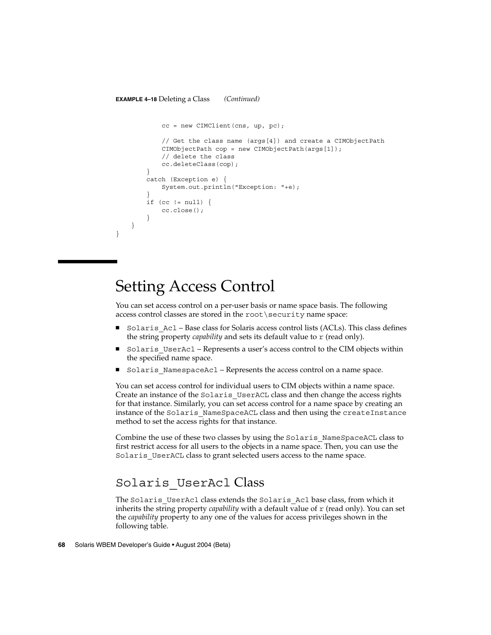```
cc = new CIMClient(cns, up, pc);
        // Get the class name (args[4]) and create a CIMObjectPath
        CIMObjectPath cop = new CIMObjectPath(args[1]);
        // delete the class
        cc.deleteClass(cop);
    }
    catch (Exception e) {
       System.out.println("Exception: "+e);
    }
    if (cc != null) {
       cc.close();
    }
}
```
# Setting Access Control

}

<span id="page-67-0"></span>**EXAMPLE 4–18** Deleting a Class *(Continued)*

You can set access control on a per-user basis or name space basis. The following access control classes are stored in the root\security name space:

- Solaris Acl Base class for Solaris access control lists (ACLs). This class defines the string property *capability* and sets its default value to r (read only).
- Solaris UserAcl Represents a user's access control to the CIM objects within the specified name space.
- Solaris NamespaceAcl Represents the access control on a name space.

You can set access control for individual users to CIM objects within a name space. Create an instance of the Solaris UserACL class and then change the access rights for that instance. Similarly, you can set access control for a name space by creating an instance of the Solaris NameSpaceACL class and then using the createInstance method to set the access rights for that instance.

Combine the use of these two classes by using the Solaris NameSpaceACL class to first restrict access for all users to the objects in a name space. Then, you can use the Solaris UserACL class to grant selected users access to the name space.

## Solaris UserAcl Class

The Solaris UserAcl class extends the Solaris Acl base class, from which it inherits the string property *capability* with a default value of r (read only). You can set the *capability* property to any one of the values for access privileges shown in the following table.

**68** Solaris WBEM Developer's Guide • August 2004 (Beta)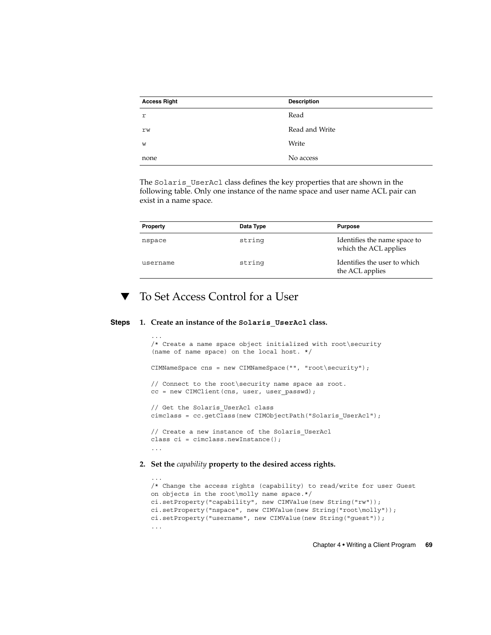| <b>Access Right</b> | <b>Description</b> |
|---------------------|--------------------|
| r                   | Read               |
| rw                  | Read and Write     |
| W                   | Write              |
| none                | No access          |

The Solaris\_UserAcl class defines the key properties that are shown in the following table. Only one instance of the name space and user name ACL pair can exist in a name space.

| <b>Property</b> | Data Type | Purpose                                               |
|-----------------|-----------|-------------------------------------------------------|
| nspace          | string    | Identifies the name space to<br>which the ACL applies |
| username        | string    | Identifies the user to which<br>the ACL applies       |

## ▼ To Set Access Control for a User

#### **1. Create an instance of the Solaris\_UserAcl class. Steps**

... /\* Create a name space object initialized with root\security (name of name space) on the local host. \*/ CIMNameSpace cns = new CIMNameSpace("", "root\security"); // Connect to the root\security name space as root. cc = new CIMClient(cns, user, user\_passwd); // Get the Solaris UserAcl class cimclass = cc.getClass(new CIMObjectPath("Solaris UserAcl"); // Create a new instance of the Solaris UserAcl class ci = cimclass.newInstance(); ... **2. Set the** *capability* **property to the desired access rights.** ...

```
/* Change the access rights (capability) to read/write for user Guest
on objects in the root\molly name space.*/
ci.setProperty("capability", new CIMValue(new String("rw"));
ci.setProperty("nspace", new CIMValue(new String("root\molly"));
ci.setProperty("username", new CIMValue(new String("guest"));
...
```
Chapter 4 • Writing a Client Program **69**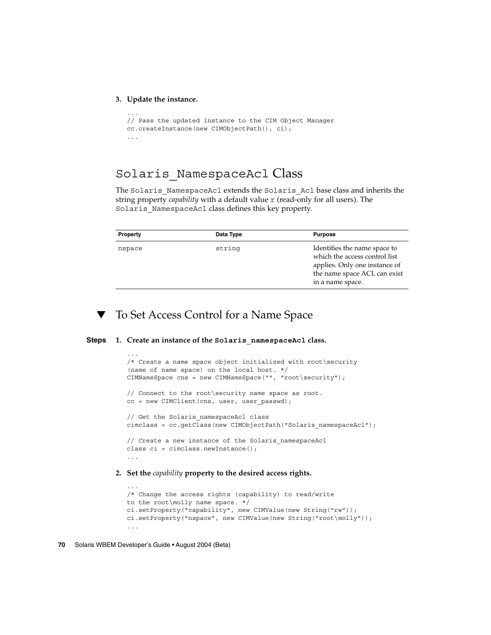### **3. Update the instance.**

...

```
// Pass the updated instance to the CIM Object Manager
cc.createInstance(new CIMObjectPath(), ci);
...
```
## Solaris NamespaceAcl Class

The Solaris NamespaceAcl extends the Solaris Acl base class and inherits the string property *capability* with a default value r (read-only for all users). The Solaris\_NamespaceAcl class defines this key property.

| <b>Property</b> | Data Type | <b>Purpose</b>                                                                                                                                     |
|-----------------|-----------|----------------------------------------------------------------------------------------------------------------------------------------------------|
| nspace          | string    | Identifies the name space to<br>which the access control list<br>applies. Only one instance of<br>the name space ACL can exist<br>in a name space. |

## ▼ To Set Access Control for a Name Space

### **1. Create an instance of the Solaris\_namespaceAcl class. Steps**

```
...
   /* Create a name space object initialized with root\security
   (name of name space) on the local host. */
  CIMNameSpace cns = new CIMNameSpace("", "root\security");
  // Connect to the root\security name space as root.
  cc = new CIMClient(cns, user, user_passwd);
  // Get the Solaris namespaceAcl class
  cimclass = cc.getClass(new CIMObjectPath("Solaris_namespaceAcl");
   // Create a new instance of the Solaris namespaceAcl
  class ci = cimclass.newInstance();
   ...
2. Set the capability property to the desired access rights.
   ...
```

```
/* Change the access rights (capability) to read/write
to the root\molly name space. */
ci.setProperty("capability", new CIMValue(new String("rw"));
ci.setProperty("nspace", new CIMValue(new String("root\molly"));
...
```
#### **70** Solaris WBEM Developer's Guide • August 2004 (Beta)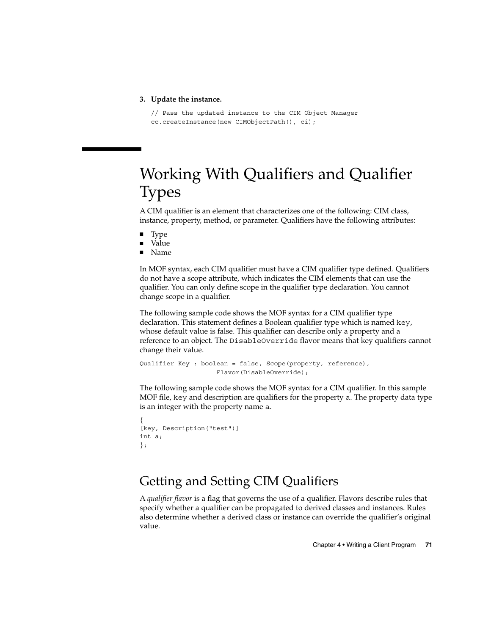### <span id="page-70-0"></span>**3. Update the instance.**

```
// Pass the updated instance to the CIM Object Manager
cc.createInstance(new CIMObjectPath(), ci);
```
# Working With Qualifiers and Qualifier Types

A CIM qualifier is an element that characterizes one of the following: CIM class, instance, property, method, or parameter. Qualifiers have the following attributes:

- Type
- Value
- Name

In MOF syntax, each CIM qualifier must have a CIM qualifier type defined. Qualifiers do not have a scope attribute, which indicates the CIM elements that can use the qualifier. You can only define scope in the qualifier type declaration. You cannot change scope in a qualifier.

The following sample code shows the MOF syntax for a CIM qualifier type declaration. This statement defines a Boolean qualifier type which is named key, whose default value is false. This qualifier can describe only a property and a reference to an object. The DisableOverride flavor means that key qualifiers cannot change their value.

```
Qualifier Key : boolean = false, Scope(property, reference),
                    Flavor(DisableOverride);
```
The following sample code shows the MOF syntax for a CIM qualifier. In this sample MOF file, key and description are qualifiers for the property a. The property data type is an integer with the property name a.

```
{
[key, Description("test")]
int a;
};
```
## Getting and Setting CIM Qualifiers

A *qualifier flavor* is a flag that governs the use of a qualifier. Flavors describe rules that specify whether a qualifier can be propagated to derived classes and instances. Rules also determine whether a derived class or instance can override the qualifier's original value.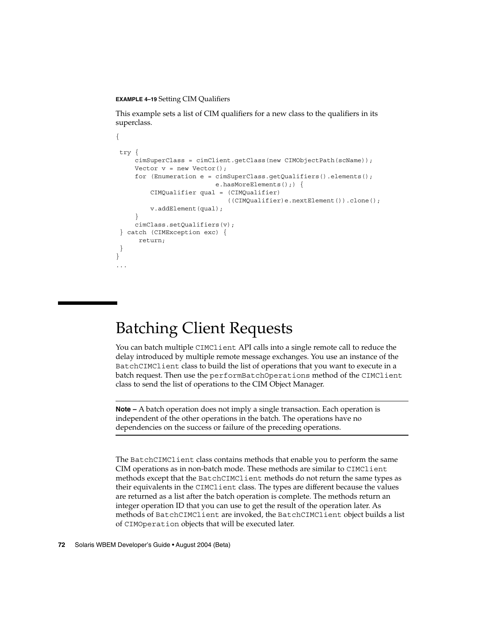### <span id="page-71-0"></span>**EXAMPLE 4–19** Setting CIM Qualifiers

{

This example sets a list of CIM qualifiers for a new class to the qualifiers in its superclass.

```
try {
     cimSuperClass = cimClient.getClass(new CIMObjectPath(scName));
     Vector v = new Vector();
     for (Enumeration e = cimSuperClass.getQualifiers().elements();
                          e.hasMoreElements();) {
         CIMQualifier qual = (CIMQualifier)
                             ((CIMQualifier)e.nextElement()).clone();
        v.addElement(qual);
     }
     cimClass.setQualifiers(v);
} catch (CIMException exc) {
     return;
 }
}
...
```
# Batching Client Requests

You can batch multiple CIMClient API calls into a single remote call to reduce the delay introduced by multiple remote message exchanges. You use an instance of the BatchCIMClient class to build the list of operations that you want to execute in a batch request. Then use the performBatchOperations method of the CIMClient class to send the list of operations to the CIM Object Manager.

**Note –** A batch operation does not imply a single transaction. Each operation is independent of the other operations in the batch. The operations have no dependencies on the success or failure of the preceding operations.

The BatchCIMClient class contains methods that enable you to perform the same CIM operations as in non-batch mode. These methods are similar to CIMClient methods except that the BatchCIMClient methods do not return the same types as their equivalents in the CIMClient class. The types are different because the values are returned as a list after the batch operation is complete. The methods return an integer operation ID that you can use to get the result of the operation later. As methods of BatchCIMClient are invoked, the BatchCIMClient object builds a list of CIMOperation objects that will be executed later.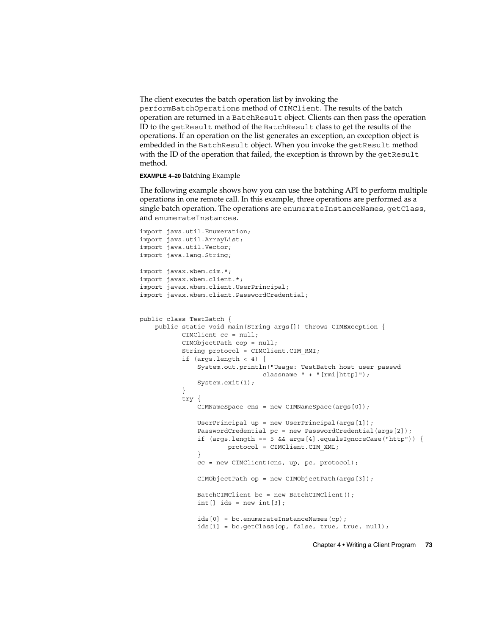The client executes the batch operation list by invoking the performBatchOperations method of CIMClient. The results of the batch operation are returned in a BatchResult object. Clients can then pass the operation ID to the getResult method of the BatchResult class to get the results of the operations. If an operation on the list generates an exception, an exception object is embedded in the BatchResult object. When you invoke the getResult method with the ID of the operation that failed, the exception is thrown by the getResult method.

**EXAMPLE 4–20** Batching Example

The following example shows how you can use the batching API to perform multiple operations in one remote call. In this example, three operations are performed as a single batch operation. The operations are enumerateInstanceNames, getClass, and enumerateInstances.

```
import java.util.Enumeration;
import java.util.ArrayList;
import java.util.Vector;
import java.lang.String;
import javax.wbem.cim.*;
import javax.wbem.client.*;
import javax.wbem.client.UserPrincipal;
import javax.wbem.client.PasswordCredential;
public class TestBatch {
   public static void main(String args[]) throws CIMException {
           CIMClient cc = null;
           CIMObjectPath cop = null;
           String protocol = CIMClient.CIM_RMI;
           if (args.length < 4) {
               System.out.println("Usage: TestBatch host user passwd
                                classname " + "[rmi|http]");
               System.exit(1);
           }
           try {
               CIMNameSpace cns = new CIMNameSpace(args[0]);
               UserPrincipal up = new UserPrincipal(args[1]);
               PasswordCredential pc = new PasswordCredential(args[2]);
               if (\text{args.length} == 5 \&\text{axis args[4].equalsIqmoreCase("http"))protocol = CIMClient.CIM_XML;
               }
               cc = new CIMClient(cns, up, pc, protocol);
               CIMObjectPath op = new CIMObjectPath(args[3]);
               BatchCIMClient bc = new BatchCIMClient();
               int[] ids = new int[3];
               ids[0] = bc.enumerateInstanceNames(op);
               ids[1] = bc.getClass(op, false, true, true, null);
```
Chapter 4 • Writing a Client Program **73**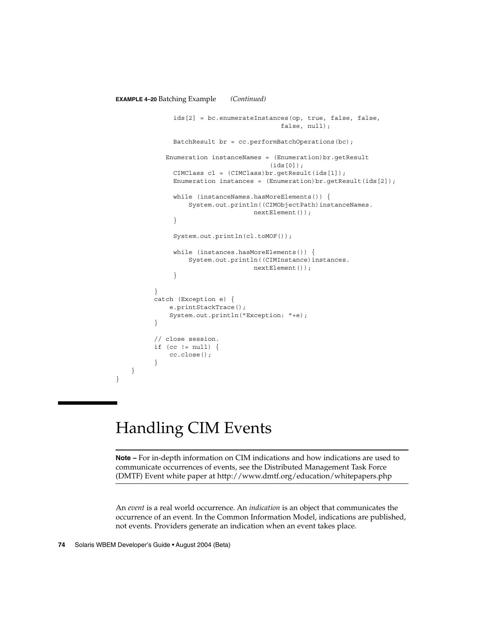```
EXAMPLE 4–20 Batching Example (Continued)
               ids[2] = bc.enumerateInstances(op, true, false, false,
                                           false, null);
               BatchResult br = cc.performBatchOperations(bc);
             Enumeration instanceNames = (Enumeration)br.getResult
                                         (ids[0]);
               CIMClass cl = (CIMClass)br.getResult(ids[1]);
               Enumeration instances = (Enumeration)br.getResult(ids[2]);
               while (instanceNames.hasMoreElements()) {
                   System.out.println((CIMObjectPath)instanceNames.
                                   nextElement());
               }
               System.out.println(cl.toMOF());
               while (instances.hasMoreElements()) {
                   System.out.println((CIMInstance)instances.
                                    nextElement());
               }
          }
          catch (Exception e) {
              e.printStackTrace();
              System.out.println("Exception: "+e);
          }
          // close session.
          if (cc != null) {
              cc.close();
          }
    }
}
```
# Handling CIM Events

**Note –** For in-depth information on CIM indications and how indications are used to communicate occurrences of events, see the Distributed Management Task Force (DMTF) Event white paper at [http://www.dmtf.org/education/whitepapers.php.](http://www.dmtf.org/education/whitepapers.php)

An *event* is a real world occurrence. An *indication* is an object that communicates the occurrence of an event. In the Common Information Model, indications are published, not events. Providers generate an indication when an event takes place.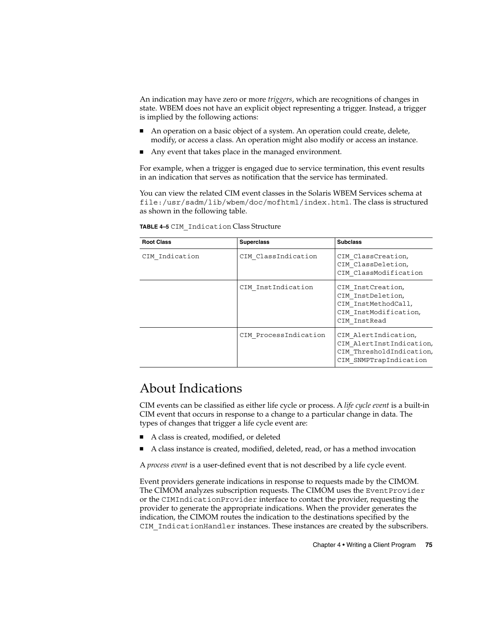An indication may have zero or more *triggers*, which are recognitions of changes in state. WBEM does not have an explicit object representing a trigger. Instead, a trigger is implied by the following actions:

- An operation on a basic object of a system. An operation could create, delete, modify, or access a class. An operation might also modify or access an instance.
- Any event that takes place in the managed environment.

For example, when a trigger is engaged due to service termination, this event results in an indication that serves as notification that the service has terminated.

You can view the related CIM event classes in the Solaris WBEM Services schema at file:/usr/sadm/lib/wbem/doc/mofhtml/index.html. The class is structured as shown in the following table.

| <b>Root Class</b> | <b>Superclass</b>     | <b>Subclass</b>                                                                                        |
|-------------------|-----------------------|--------------------------------------------------------------------------------------------------------|
| CIM Indication    | CIM ClassIndication   | CIM ClassCreation,<br>CIM ClassDeletion,<br>CIM ClassModification                                      |
|                   | CIM InstIndication    | CIM InstCreation,<br>CIM InstDeletion,<br>CIM InstMethodCall,<br>CIM InstModification,<br>CIM InstRead |
|                   | CIM ProcessIndication | CIM AlertIndication,<br>CIM AlertInstIndication,<br>CIM ThresholdIndication,<br>CIM SNMPTrapIndication |

**TABLE 4–5** CIM\_Indication Class Structure

# About Indications

CIM events can be classified as either life cycle or process. A *life cycle event* is a built-in CIM event that occurs in response to a change to a particular change in data. The types of changes that trigger a life cycle event are:

- A class is created, modified, or deleted
- A class instance is created, modified, deleted, read, or has a method invocation

A *process event* is a user-defined event that is not described by a life cycle event.

Event providers generate indications in response to requests made by the CIMOM. The CIMOM analyzes subscription requests. The CIMOM uses the EventProvider or the CIMIndicationProvider interface to contact the provider, requesting the provider to generate the appropriate indications. When the provider generates the indication, the CIMOM routes the indication to the destinations specified by the CIM\_IndicationHandler instances. These instances are created by the subscribers.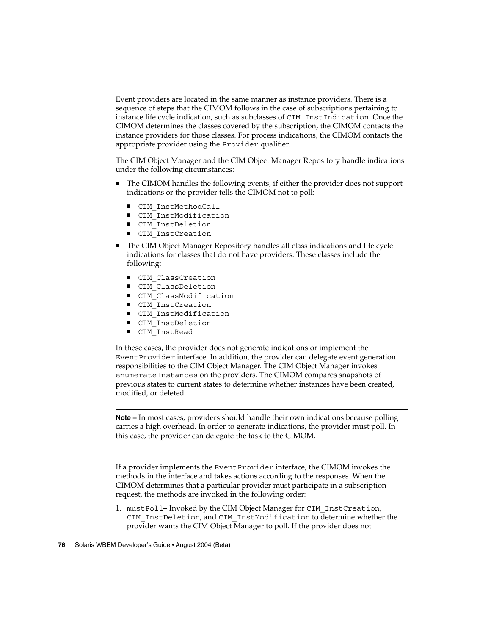Event providers are located in the same manner as instance providers. There is a sequence of steps that the CIMOM follows in the case of subscriptions pertaining to instance life cycle indication, such as subclasses of CIM\_InstIndication. Once the CIMOM determines the classes covered by the subscription, the CIMOM contacts the instance providers for those classes. For process indications, the CIMOM contacts the appropriate provider using the Provider qualifier.

The CIM Object Manager and the CIM Object Manager Repository handle indications under the following circumstances:

- The CIMOM handles the following events, if either the provider does not support indications or the provider tells the CIMOM not to poll:
	- CIM InstMethodCall
	- CIM InstModification
	- CIM InstDeletion
	- CIM InstCreation
- The CIM Object Manager Repository handles all class indications and life cycle indications for classes that do not have providers. These classes include the following:
	- CIM ClassCreation
	- CIM\_ClassDeletion
	- CIM ClassModification
	- CIM InstCreation
	- CIM InstModification
	- CIM InstDeletion
	- CIM InstRead

In these cases, the provider does not generate indications or implement the EventProvider interface. In addition, the provider can delegate event generation responsibilities to the CIM Object Manager. The CIM Object Manager invokes enumerateInstances on the providers. The CIMOM compares snapshots of previous states to current states to determine whether instances have been created, modified, or deleted.

**Note –** In most cases, providers should handle their own indications because polling carries a high overhead. In order to generate indications, the provider must poll. In this case, the provider can delegate the task to the CIMOM.

If a provider implements the EventProvider interface, the CIMOM invokes the methods in the interface and takes actions according to the responses. When the CIMOM determines that a particular provider must participate in a subscription request, the methods are invoked in the following order:

1. mustPoll– Invoked by the CIM Object Manager for CIM\_InstCreation, CIM\_InstDeletion, and CIM\_InstModification to determine whether the provider wants the CIM Object Manager to poll. If the provider does not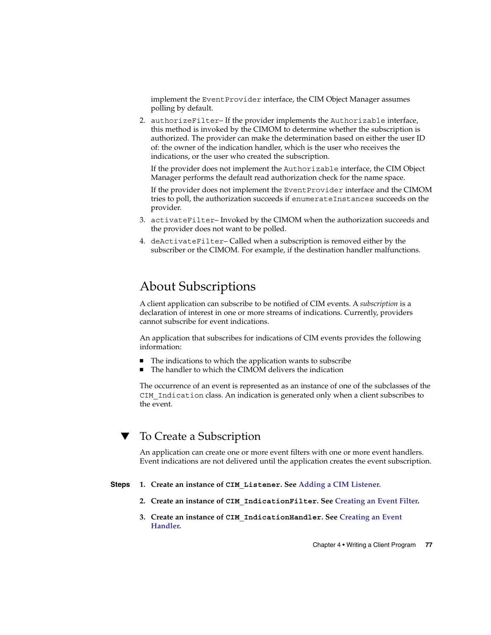implement the EventProvider interface, the CIM Object Manager assumes polling by default.

2. authorizeFilter– If the provider implements the Authorizable interface, this method is invoked by the CIMOM to determine whether the subscription is authorized. The provider can make the determination based on either the user ID of: the owner of the indication handler, which is the user who receives the indications, or the user who created the subscription.

If the provider does not implement the Authorizable interface, the CIM Object Manager performs the default read authorization check for the name space.

If the provider does not implement the EventProvider interface and the CIMOM tries to poll, the authorization succeeds if enumerateInstances succeeds on the provider.

- 3. activateFilter– Invoked by the CIMOM when the authorization succeeds and the provider does not want to be polled.
- 4. deActivateFilter– Called when a subscription is removed either by the subscriber or the CIMOM. For example, if the destination handler malfunctions.

# About Subscriptions

A client application can subscribe to be notified of CIM events. A *subscription* is a declaration of interest in one or more streams of indications. Currently, providers cannot subscribe for event indications.

An application that subscribes for indications of CIM events provides the following information:

- The indications to which the application wants to subscribe
- The handler to which the CIMOM delivers the indication

The occurrence of an event is represented as an instance of one of the subclasses of the CIM\_Indication class. An indication is generated only when a client subscribes to the event.

## To Create a Subscription

An application can create one or more event filters with one or more event handlers. Event indications are not delivered until the application creates the event subscription.

#### **1. Create an instance of CIM\_Listener. See [Adding a CIM Listener.](#page-77-0) Steps**

- **2. Create an instance of CIM\_IndicationFilter. See [Creating an Event Filter.](#page-77-0)**
- **3. Create an instance of CIM\_IndicationHandler. See [Creating an Event](#page-79-0) [Handler.](#page-79-0)**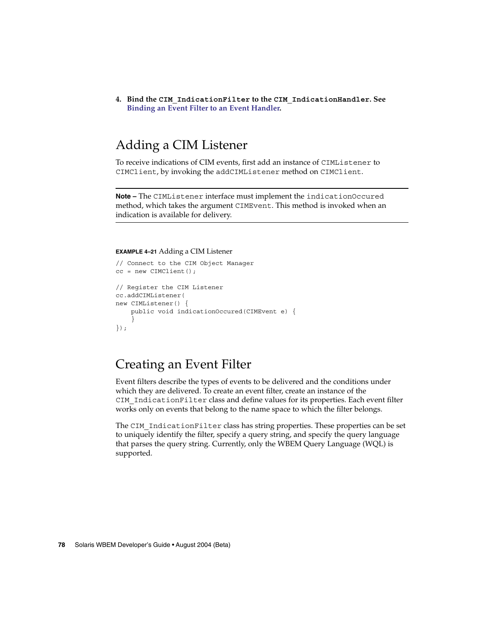<span id="page-77-0"></span>**4. Bind the CIM\_IndicationFilter to the CIM\_IndicationHandler. See [Binding an Event Filter to an Event Handler.](#page-80-0)**

# Adding a CIM Listener

To receive indications of CIM events, first add an instance of CIMListener to CIMClient, by invoking the addCIMListener method on CIMClient.

**Note –** The CIMListener interface must implement the indicationOccured method, which takes the argument CIMEvent. This method is invoked when an indication is available for delivery.

```
EXAMPLE 4–21 Adding a CIM Listener
```

```
// Connect to the CIM Object Manager
cc = new CIMClient();
// Register the CIM Listener
cc.addCIMListener(
new CIMListener() {
   public void indicationOccured(CIMEvent e) {
    }
});
```
# Creating an Event Filter

Event filters describe the types of events to be delivered and the conditions under which they are delivered. To create an event filter, create an instance of the CIM\_IndicationFilter class and define values for its properties. Each event filter works only on events that belong to the name space to which the filter belongs.

The CIM\_IndicationFilter class has string properties. These properties can be set to uniquely identify the filter, specify a query string, and specify the query language that parses the query string. Currently, only the WBEM Query Language (WQL) is supported.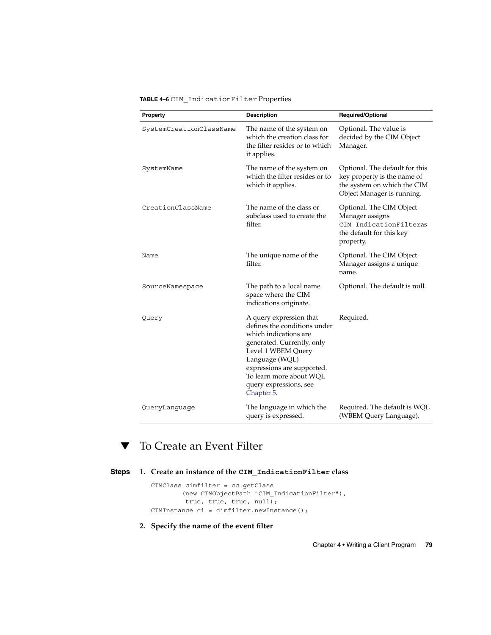| <b>Property</b>         | <b>Description</b>                                                                                                                                                                                                                                      | Required/Optional                                                                                                          |
|-------------------------|---------------------------------------------------------------------------------------------------------------------------------------------------------------------------------------------------------------------------------------------------------|----------------------------------------------------------------------------------------------------------------------------|
| SystemCreationClassName | The name of the system on<br>which the creation class for<br>the filter resides or to which<br>it applies.                                                                                                                                              | Optional. The value is<br>decided by the CIM Object<br>Manager.                                                            |
| SystemName              | The name of the system on<br>which the filter resides or to<br>which it applies.                                                                                                                                                                        | Optional. The default for this<br>key property is the name of<br>the system on which the CIM<br>Object Manager is running. |
| CreationClassName       | The name of the class or<br>subclass used to create the<br>filter.                                                                                                                                                                                      | Optional. The CIM Object<br>Manager assigns<br>CIM IndicationFilteras<br>the default for this key<br>property.             |
| Name                    | The unique name of the<br>filter.                                                                                                                                                                                                                       | Optional. The CIM Object<br>Manager assigns a unique<br>name.                                                              |
| SourceNamespace         | The path to a local name<br>space where the CIM<br>indications originate.                                                                                                                                                                               | Optional. The default is null.                                                                                             |
| Query                   | A query expression that<br>defines the conditions under<br>which indications are<br>generated. Currently, only<br>Level 1 WBEM Query<br>Language (WQL)<br>expressions are supported.<br>To learn more about WQL<br>query expressions, see<br>Chapter 5. | Required.                                                                                                                  |
| QueryLanguage           | The language in which the<br>query is expressed.                                                                                                                                                                                                        | Required. The default is WQL<br>(WBEM Query Language).                                                                     |

### <span id="page-78-0"></span>**TABLE 4–6** CIM\_IndicationFilter Properties

# ▼ To Create an Event Filter

#### **1. Create an instance of the CIM\_IndicationFilter class Steps**

```
CIMClass cimfilter = cc.getClass
        (new CIMObjectPath "CIM_IndicationFilter"),
        true, true, true, null);
CIMInstance ci = cimfilter.newInstance();
```
**2. Specify the name of the event filter**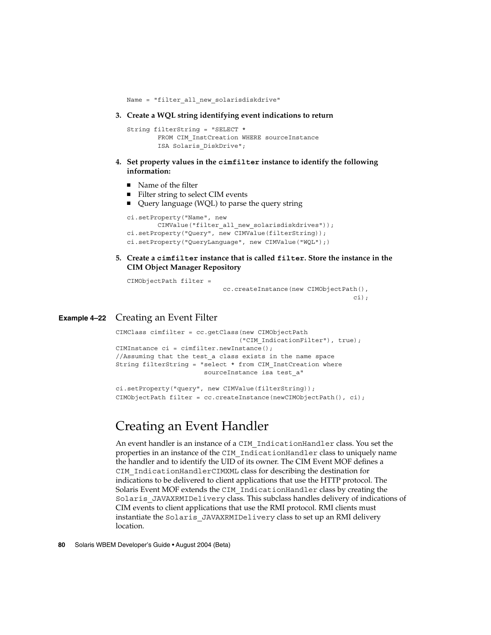```
Name = "filter all new solarisdiskdrive"
```
**3. Create a WQL string identifying event indications to return**

```
String filterString = "SELECT *
        FROM CIM_InstCreation WHERE sourceInstance
        ISA Solaris_DiskDrive";
```
- **4. Set property values in the cimfilter instance to identify the following information:**
	- Name of the filter
	- Filter string to select CIM events
	- Query language (WQL) to parse the query string

```
ci.setProperty("Name", new
        CIMValue("filter_all_new_solarisdiskdrives"));
ci.setProperty("Query", new CIMValue(filterString));
ci.setProperty("QueryLanguage", new CIMValue("WQL");)
```
**5. Create a cimfilter instance that is called filter. Store the instance in the CIM Object Manager Repository**

```
CIMObjectPath filter =
                         cc.createInstance(new CIMObjectPath(),
                                                            ci);
```
### **Example 4–22** Creating an Event Filter

```
CIMClass cimfilter = cc.getClass(new CIMObjectPath
                               ("CIM_IndicationFilter"), true);
CIMInstance ci = cimfilter.newInstance();
//Assuming that the test_a class exists in the name space
String filterString = "select * from CIM_InstCreation where
                      sourceInstance isa test_a"
```
ci.setProperty("query", new CIMValue(filterString)); CIMObjectPath filter = cc.createInstance(newCIMObjectPath(), ci);

## Creating an Event Handler

An event handler is an instance of a CIM\_IndicationHandler class. You set the properties in an instance of the CIM\_IndicationHandler class to uniquely name the handler and to identify the UID of its owner. The CIM Event MOF defines a CIM\_IndicationHandlerCIMXML class for describing the destination for indications to be delivered to client applications that use the HTTP protocol. The Solaris Event MOF extends the CIM\_IndicationHandler class by creating the Solaris JAVAXRMIDelivery class. This subclass handles delivery of indications of CIM events to client applications that use the RMI protocol. RMI clients must instantiate the Solaris\_JAVAXRMIDelivery class to set up an RMI delivery location.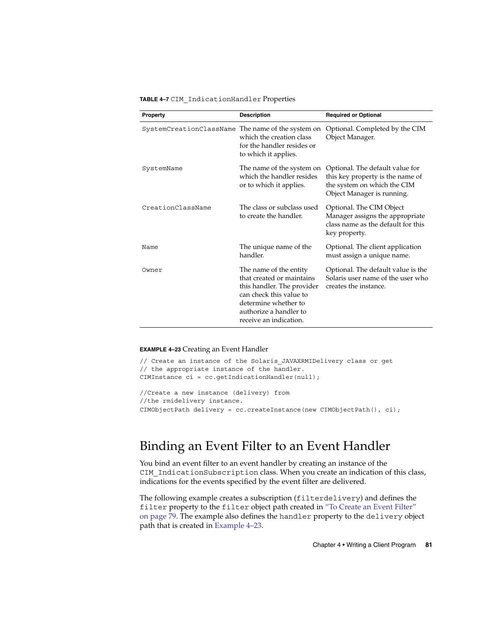<span id="page-80-0"></span>

| TABLE 4-7 CIM IndicationHandler Properties |
|--------------------------------------------|
|                                            |

| <b>Property</b>                                   | <b>Description</b>                                                                                                                                                                       | <b>Required or Optional</b>                                                                                                      |
|---------------------------------------------------|------------------------------------------------------------------------------------------------------------------------------------------------------------------------------------------|----------------------------------------------------------------------------------------------------------------------------------|
| SystemCreationClassName The name of the system on | which the creation class<br>for the handler resides or<br>to which it applies.                                                                                                           | Optional. Completed by the CIM<br>Object Manager.                                                                                |
| SystemName                                        | The name of the system on<br>which the handler resides<br>or to which it applies.                                                                                                        | Optional. The default value for<br>this key property is the name of<br>the system on which the CIM<br>Object Manager is running. |
| CreationClassName                                 | The class or subclass used<br>to create the handler.                                                                                                                                     | Optional. The CIM Object<br>Manager assigns the appropriate<br>class name as the default for this<br>key property.               |
| Name                                              | The unique name of the<br>handler.                                                                                                                                                       | Optional. The client application<br>must assign a unique name.                                                                   |
| Owner                                             | The name of the entity<br>that created or maintains<br>this handler. The provider<br>can check this value to<br>determine whether to<br>authorize a handler to<br>receive an indication. | Optional. The default value is the<br>Solaris user name of the user who<br>creates the instance.                                 |

### **EXAMPLE 4–23** Creating an Event Handler

```
// Create an instance of the Solaris_JAVAXRMIDelivery class or get
// the appropriate instance of the handler.
CIMInstance ci = cc.getIndicationHandler(null);
```

```
//Create a new instance (delivery) from
//the rmidelivery instance.
CIMObjectPath delivery = cc.createInstance(new CIMObjectPath(), ci);
```
# Binding an Event Filter to an Event Handler

You bind an event filter to an event handler by creating an instance of the CIM\_IndicationSubscription class. When you create an indication of this class, indications for the events specified by the event filter are delivered.

The following example creates a subscription (filterdelivery) and defines the filter property to the filter object path created in ["To Create an Event Filter"](#page-78-0) [on page 79.](#page-78-0) The example also defines the handler property to the delivery object path that is created in Example 4–23.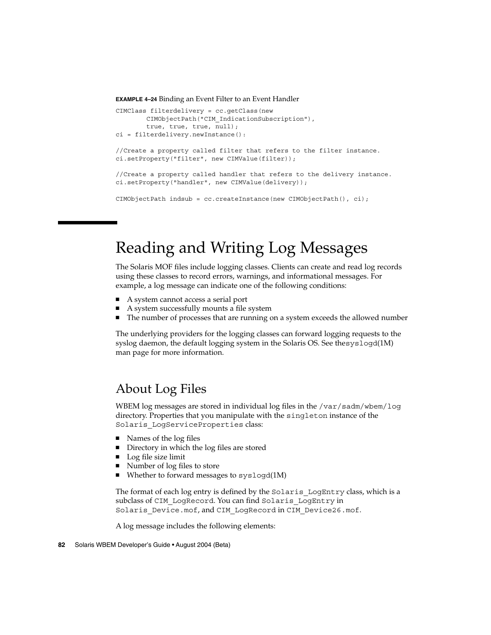#### **EXAMPLE 4–24** Binding an Event Filter to an Event Handler

```
CIMClass filterdelivery = cc.getClass(new
       CIMObjectPath("CIM_IndicationSubscription"),
        true, true, true, null);
ci = filterdelivery.newInstance():
//Create a property called filter that refers to the filter instance.
ci.setProperty("filter", new CIMValue(filter));
//Create a property called handler that refers to the delivery instance.
ci.setProperty("handler", new CIMValue(delivery));
CIMObjectPath indsub = cc.createInstance(new CIMObjectPath(), ci);
```
# Reading and Writing Log Messages

The Solaris MOF files include logging classes. Clients can create and read log records using these classes to record errors, warnings, and informational messages. For example, a log message can indicate one of the following conditions:

- A system cannot access a serial port
- A system successfully mounts a file system
- The number of processes that are running on a system exceeds the allowed number

The underlying providers for the logging classes can forward logging requests to the syslog daemon, the default logging system in the Solaris OS. See thesyslogd(1M) man page for more information.

## About Log Files

WBEM log messages are stored in individual log files in the /var/sadm/wbem/log directory. Properties that you manipulate with the singleton instance of the Solaris LogServiceProperties class:

- Names of the log files
- Directory in which the log files are stored
- Log file size limit
- Number of log files to store
- Whether to forward messages to syslogd(1M)

The format of each log entry is defined by the Solaris\_LogEntry class, which is a subclass of CIM\_LogRecord. You can find Solaris\_LogEntry in Solaris Device.mof, and CIM LogRecord in CIM Device26.mof.

A log message includes the following elements:

**82** Solaris WBEM Developer's Guide • August 2004 (Beta)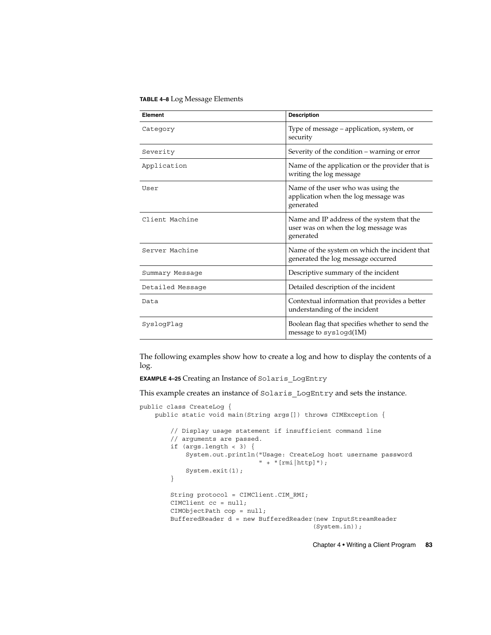### **TABLE 4–8** Log Message Elements

| Element          | <b>Description</b>                                                                              |
|------------------|-------------------------------------------------------------------------------------------------|
| Category         | Type of message – application, system, or<br>security                                           |
| Severity         | Severity of the condition – warning or error                                                    |
| Application      | Name of the application or the provider that is<br>writing the log message                      |
| User             | Name of the user who was using the<br>application when the log message was<br>generated         |
| Client Machine   | Name and IP address of the system that the<br>user was on when the log message was<br>generated |
| Server Machine   | Name of the system on which the incident that<br>generated the log message occurred             |
| Summary Message  | Descriptive summary of the incident                                                             |
| Detailed Message | Detailed description of the incident                                                            |
| Data             | Contextual information that provides a better<br>understanding of the incident                  |
| SyslogFlag       | Boolean flag that specifies whether to send the<br>message to syslogd(1M)                       |

The following examples show how to create a log and how to display the contents of a log.

**EXAMPLE 4–25** Creating an Instance of Solaris\_LogEntry

This example creates an instance of Solaris LogEntry and sets the instance.

```
public class CreateLog {
    public static void main(String args[]) throws CIMException {
        // Display usage statement if insufficient command line
        // arguments are passed.
        if (args.length < 3) {
            System.out.println("Usage: CreateLog host username password
                               " + "[rmi|http]");System.exit(1);
        }
        String protocol = CIMClient.CIM_RMI;
        CIMClient cc = null;
        CIMObjectPath cop = null;
        BufferedReader d = new BufferedReader(new InputStreamReader
                                             (System.in));
```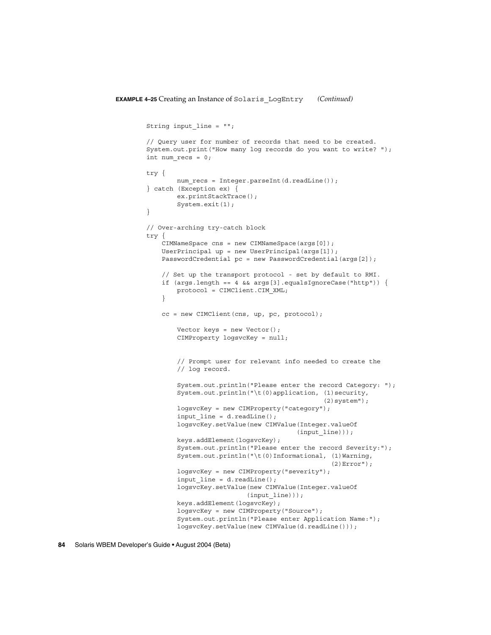**EXAMPLE 4–25** Creating an Instance of Solaris\_LogEntry *(Continued)*

```
String input line = " ";
// Query user for number of records that need to be created.
System.out.print("How many log records do you want to write? ");
int num_recs = 0;
try {
       num_recs = Integer.parseInt(d.readLine());
} catch (Exception ex) {
       ex.printStackTrace();
       System.exit(1);
}
// Over-arching try-catch block
try {
   CIMNameSpace cns = new CIMNameSpace(args[0]);
   UserPrincipal up = new UserPrincipal(args[1]);
    PasswordCredential pc = new PasswordCredential(args[2]);
    // Set up the transport protocol - set by default to RMI.
    if (args.length == 4 && args[3].equalsIgnoreCase("http")) {
       protocol = CIMClient.CIM_XML;
    }
    cc = new CIMClient(cns, up, pc, protocol);
        Vector keys = new Vector();
        CIMProperty logsvcKey = null;
        // Prompt user for relevant info needed to create the
        // log record.
        System.out.println("Please enter the record Category: ");
        System.out.println("\t(0)application, (1)security,
                                              (2)system");
        logsvcKey = new CIMProperty("category");
        input line = d.readLine();
        logsvcKey.setValue(new CIMValue(Integer.valueOf
                                       (input line)));
        keys.addElement(logsvcKey);
        System.out.println("Please enter the record Severity:");
        System.out.println("\t(0)Informational, (1)Warning,
                                                (2)Error");
        logsvcKey = new CIMProperty("severity");
        input_line = d.readLine();
        logsvcKey.setValue(new CIMValue(Integer.valueOf
                          (input line));
        keys.addElement(logsvcKey);
        logsvcKey = new CIMProperty("Source");
        System.out.println("Please enter Application Name:");
        logsvcKey.setValue(new CIMValue(d.readLine()));
```
**84** Solaris WBEM Developer's Guide • August 2004 (Beta)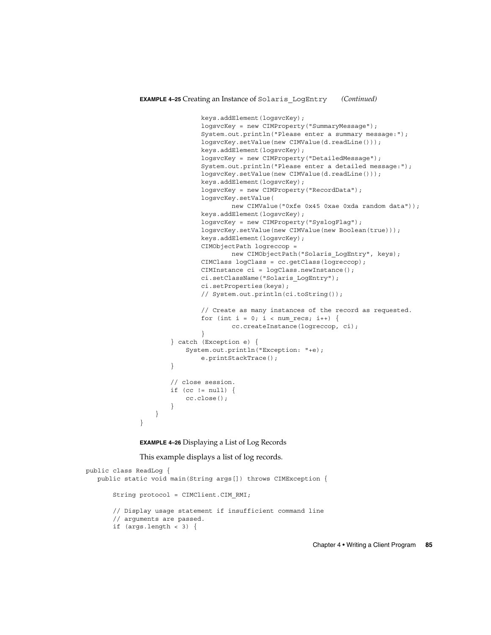```
keys.addElement(logsvcKey);
                logsvcKey = new CIMProperty("SummaryMessage");
                System.out.println("Please enter a summary message:");
                logsvcKey.setValue(new CIMValue(d.readLine()));
                keys.addElement(logsvcKey);
                logsvcKey = new CIMProperty("DetailedMessage");
                System.out.println("Please enter a detailed message:");
                logsvcKey.setValue(new CIMValue(d.readLine()));
                keys.addElement(logsvcKey);
                logsvcKey = new CIMProperty("RecordData");
                logsvcKey.setValue(
                        new CIMValue("0xfe 0x45 0xae 0xda random data"));
                keys.addElement(logsvcKey);
                logsvcKey = new CIMProperty("SyslogFlag");
                logsvcKey.setValue(new CIMValue(new Boolean(true)));
                keys.addElement(logsvcKey);
                CIMObjectPath logreccop =
                        new CIMObjectPath("Solaris LogEntry", keys);
                CIMClass logClass = cc.getClass(logreccop);
                CIMInstance ci = logClass.newInstance();
                ci.setClassName("Solaris_LogEntry");
                ci.setProperties(keys);
                // System.out.println(ci.toString());
                // Create as many instances of the record as requested.
                for (int i = 0; i < num recs; i++) {
                        cc.createInstance(logreccop, ci);
                }
        } catch (Exception e) {
            System.out.println("Exception: "+e);
                e.printStackTrace();
        }
        // close session.
        if (cc != null) {
            cc.close();
        }
    }
}
```

```
EXAMPLE 4–26 Displaying a List of Log Records
```
This example displays a list of log records.

```
public class ReadLog {
   public static void main(String args[]) throws CIMException {
       String protocol = CIMClient.CIM_RMI;
       // Display usage statement if insufficient command line
       // arguments are passed.
       if (args.length < 3) {
```
Chapter 4 • Writing a Client Program **85**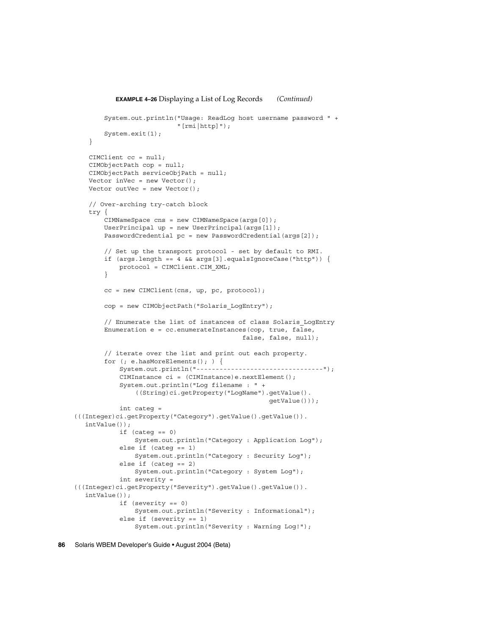```
EXAMPLE 4–26 Displaying a List of Log Records (Continued)
       System.out.println("Usage: ReadLog host username password " +
                           "[rmi|http]");
       System.exit(1);
   }
   CIMClient cc = null;
   CIMObjectPath cop = null;
   CIMObjectPath serviceObjPath = null;
   Vector invec = new Vector();
   Vector outVec = new Vector();
   // Over-arching try-catch block
   try {
       CIMNameSpace cns = new CIMNameSpace(args[0]);
       UserPrincipal up = new UserPrincipal(args[1]);
       PasswordCredential pc = new PasswordCredential(args[2]);
       // Set up the transport protocol - set by default to RMI.
       if (args.length == 4 && args[3].equalsIgnoreCase("http")) {
           protocol = CIMClient.CIM_XML;
       }
       cc = new CIMClient(cns, up, pc, protocol);
       cop = new CIMObjectPath("Solaris_LogEntry");
       // Enumerate the list of instances of class Solaris LogEntry
       Enumeration e = cc.enumerateInstances(cop, true, false,
                                            false, false, null);
       // iterate over the list and print out each property.
       for (; e.hasMoreElements(); ) {
           System.out.println("---------------------------------");
           CIMInstance ci = (CIMInstance)e.nextElement();
           System.out.println("Log filename: " +
                ((String)ci.getProperty("LogName").getValue().
                                                   getValue()));
           int categ =
(((Integer)ci.getProperty("Category").getValue().getValue()).
  intValue());
           if (categ == 0)System.out.println("Category : Application Log");
           else if (categ == 1)
               System.out.println("Category : Security Log");
           else if (categ == 2)
               System.out.println("Category : System Log");
           int severity =
(((Integer)ci.getProperty("Severity").getValue().getValue()).
  intValue());
           if (severity == 0)
               System.out.println("Severity : Informational");
           else if (severity == 1)
               System.out.println("Severity : Warning Log!");
```
**86** Solaris WBEM Developer's Guide • August 2004 (Beta)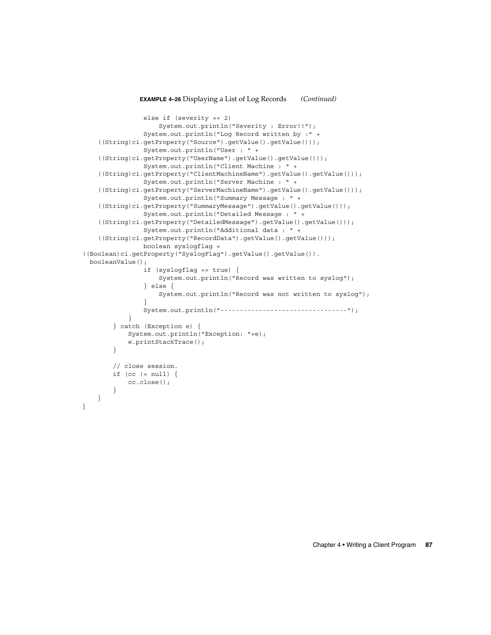#### **EXAMPLE 4–26** Displaying a List of Log Records *(Continued)*

```
else if (severity == 2)
                   System.out.println("Severity : Error!!");
                System.out.println("Log Record written by :" +
    ((String)ci.getProperty("Source").getValue().getValue()));
               System.out.println("User: " +
    ((String)ci.getProperty("UserName").getValue().getValue()));
               System.out.println("Client Machine: " +
    ((String)ci.getProperty("ClientMachineName").getValue().getValue()));
               System.out.println("Server Machine: " +
    ((String)ci.getProperty("ServerMachineName").getValue().getValue()));
               System.out.println("Summary Message: " +
    ((String)ci.getProperty("SummaryMessage").getValue().getValue()));
               System.out.println("Detailed Message: " +
    ((String)ci.getProperty("DetailedMessage").getValue().getValue()));
               System.out.println("Additional data: " +
    ((String)ci.getProperty("RecordData").getValue().getValue()));
               boolean syslogflag =
((Boolean)ci.getProperty("SyslogFlag").getValue().getValue()).
  booleanValue();
                if (syslogflag == true) {
                   System.out.println("Record was written to syslog");
                } else {
                    System.out.println("Record was not written to syslog");
                }
                System.out.println("---------------------------------");
            }
        } catch (Exception e) {
            System.out.println("Exception: "+e);
            e.printStackTrace();
        }
        // close session.
        if (cc != null) {
           cc.close();
        }
   }
}
```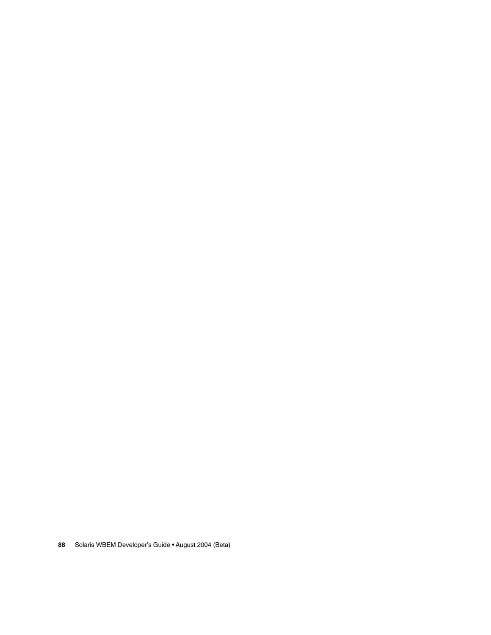Solaris WBEM Developer's Guide • August 2004 (Beta)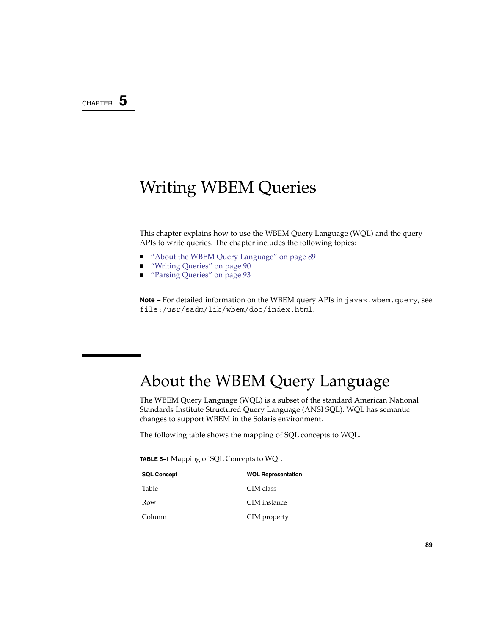# <span id="page-88-0"></span>CHAPTER **5**

# Writing WBEM Queries

This chapter explains how to use the WBEM Query Language (WQL) and the query APIs to write queries. The chapter includes the following topics:

- "About the WBEM Query Language" on page 89
- *["Writing Queries"](#page-89-0)* on page 90
- *["Parsing Queries"](#page-92-0)* on page 93

**Note –** For detailed information on the WBEM query APIs in javax.wbem.query, see file:/usr/sadm/lib/wbem/doc/index.html.

# About the WBEM Query Language

The WBEM Query Language (WQL) is a subset of the standard American National Standards Institute Structured Query Language (ANSI SQL). WQL has semantic changes to support WBEM in the Solaris environment.

The following table shows the mapping of SQL concepts to WQL.

| TABLE 5-1 Mapping of SQL Concepts to WQL |
|------------------------------------------|
|------------------------------------------|

| <b>SQL Concept</b> | <b>WQL Representation</b> |
|--------------------|---------------------------|
| Table              | CIM class                 |
| Row                | CIM instance              |
| Column             | CIM property              |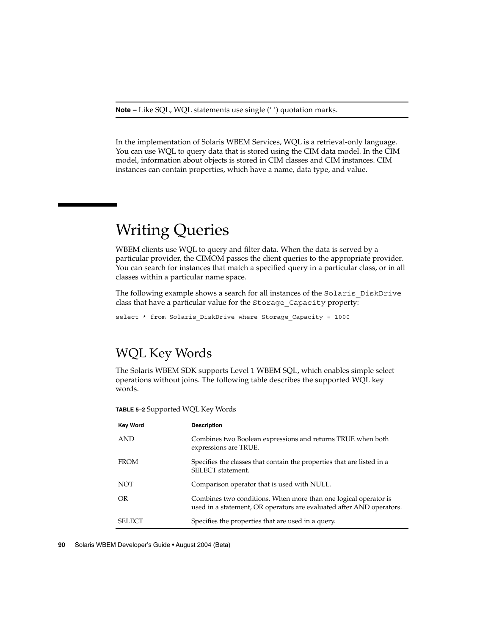<span id="page-89-0"></span>**Note –** Like SQL, WQL statements use single (' ') quotation marks.

In the implementation of Solaris WBEM Services, WQL is a retrieval-only language. You can use WQL to query data that is stored using the CIM data model. In the CIM model, information about objects is stored in CIM classes and CIM instances. CIM instances can contain properties, which have a name, data type, and value.

# Writing Queries

WBEM clients use WQL to query and filter data. When the data is served by a particular provider, the CIMOM passes the client queries to the appropriate provider. You can search for instances that match a specified query in a particular class, or in all classes within a particular name space.

The following example shows a search for all instances of the Solaris\_DiskDrive class that have a particular value for the Storage\_Capacity property:

select \* from Solaris\_DiskDrive where Storage\_Capacity = 1000

# WQL Key Words

The Solaris WBEM SDK supports Level 1 WBEM SQL, which enables simple select operations without joins. The following table describes the supported WQL key words.

| <b>Key Word</b> | <b>Description</b>                                                                                                                      |
|-----------------|-----------------------------------------------------------------------------------------------------------------------------------------|
| <b>AND</b>      | Combines two Boolean expressions and returns TRUE when both<br>expressions are TRUE.                                                    |
| <b>FROM</b>     | Specifies the classes that contain the properties that are listed in a<br>SELECT statement.                                             |
| <b>NOT</b>      | Comparison operator that is used with NULL.                                                                                             |
| OR.             | Combines two conditions. When more than one logical operator is<br>used in a statement, OR operators are evaluated after AND operators. |
| <b>SELECT</b>   | Specifies the properties that are used in a query.                                                                                      |

**TABLE 5–2** Supported WQL Key Words

**90** Solaris WBEM Developer's Guide • August 2004 (Beta)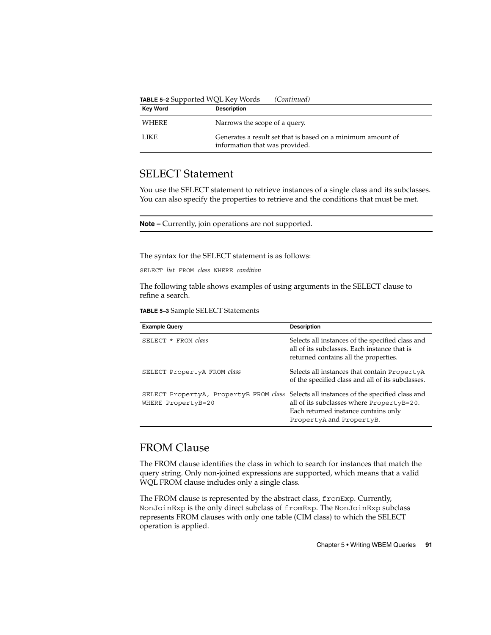| <b>TABLE 5-2</b> Supported WQL Key Words | (Continued)                                                                                   |
|------------------------------------------|-----------------------------------------------------------------------------------------------|
| <b>Key Word</b>                          | <b>Description</b>                                                                            |
| <b>WHERE</b>                             | Narrows the scope of a query.                                                                 |
| <b>LIKE</b>                              | Generates a result set that is based on a minimum amount of<br>information that was provided. |

## SELECT Statement

You use the SELECT statement to retrieve instances of a single class and its subclasses. You can also specify the properties to retrieve and the conditions that must be met.

**Note –** Currently, join operations are not supported.

The syntax for the SELECT statement is as follows:

SELECT *list* FROM *class* WHERE *condition*

The following table shows examples of using arguments in the SELECT clause to refine a search.

**TABLE 5–3** Sample SELECT Statements

| <b>Example Query</b>                                                                                          | <b>Description</b>                                                                                                                        |
|---------------------------------------------------------------------------------------------------------------|-------------------------------------------------------------------------------------------------------------------------------------------|
| SELECT $*$ FROM class                                                                                         | Selects all instances of the specified class and<br>all of its subclasses. Each instance that is<br>returned contains all the properties. |
| SELECT PropertyA FROM class                                                                                   | Selects all instances that contain PropertyA<br>of the specified class and all of its subclasses.                                         |
| SELECT PropertyA, PropertyB FROM class Selects all instances of the specified class and<br>WHERE PropertyB=20 | all of its subclasses where PropertyB=20.<br>Each returned instance contains only<br>PropertyA and PropertyB.                             |

### FROM Clause

The FROM clause identifies the class in which to search for instances that match the query string. Only non-joined expressions are supported, which means that a valid WQL FROM clause includes only a single class.

The FROM clause is represented by the abstract class, fromExp. Currently, NonJoinExp is the only direct subclass of fromExp. The NonJoinExp subclass represents FROM clauses with only one table (CIM class) to which the SELECT operation is applied.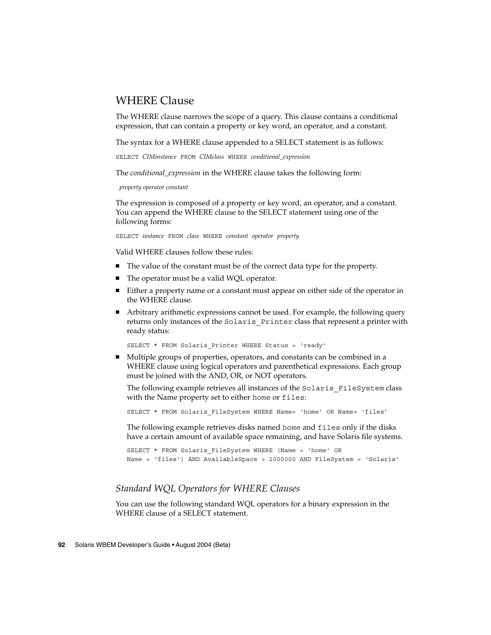### WHERE Clause

The WHERE clause narrows the scope of a query. This clause contains a conditional expression, that can contain a property or key word, an operator, and a constant.

The syntax for a WHERE clause appended to a SELECT statement is as follows:

SELECT *CIMinstance* FROM *CIMclass* WHERE *conditional\_expression*

The *conditional\_expression* in the WHERE clause takes the following form:

*property operator constant*

The expression is composed of a property or key word, an operator, and a constant. You can append the WHERE clause to the SELECT statement using one of the following forms:

SELECT *instance* FROM *class* WHERE *constant operator property*

Valid WHERE clauses follow these rules:

- The value of the constant must be of the correct data type for the property.
- The operator must be a valid WQL operator.
- Either a property name or a constant must appear on either side of the operator in the WHERE clause.
- Arbitrary arithmetic expressions cannot be used. For example, the following query returns only instances of the Solaris\_Printer class that represent a printer with ready status:

SELECT \* FROM Solaris\_Printer WHERE Status = 'ready'

Multiple groups of properties, operators, and constants can be combined in a WHERE clause using logical operators and parenthetical expressions. Each group must be joined with the AND, OR, or NOT operators.

The following example retrieves all instances of the Solaris FileSystem class with the Name property set to either home or files:

SELECT \* FROM Solaris\_FileSystem WHERE Name= 'home' OR Name= 'files'

The following example retrieves disks named home and files only if the disks have a certain amount of available space remaining, and have Solaris file systems.

```
SELECT * FROM Solaris_FileSystem WHERE (Name = 'home' OR
Name = 'files') AND AvailableSpace > 2000000 AND FileSystem = 'Solaris'
```
### *Standard WQL Operators for WHERE Clauses*

You can use the following standard WQL operators for a binary expression in the WHERE clause of a SELECT statement.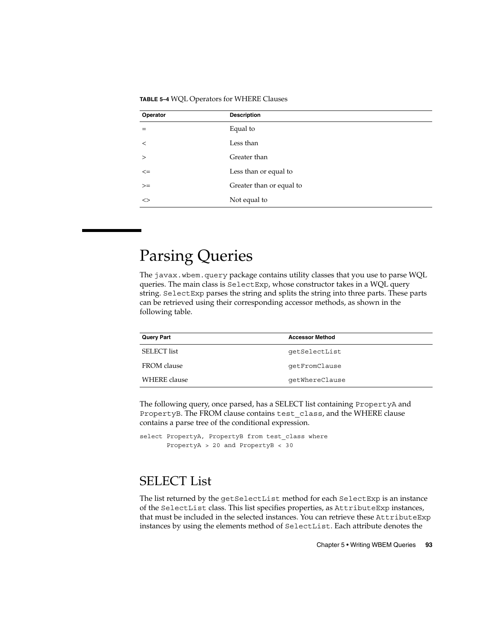<span id="page-92-0"></span>**TABLE 5–4** WQL Operators for WHERE Clauses

| Operator          | <b>Description</b>       |
|-------------------|--------------------------|
| $=$               | Equal to                 |
| $\,<\,$           | Less than                |
| $\geq$            | Greater than             |
| $\leq$            | Less than or equal to    |
| $>=$              | Greater than or equal to |
| $\Leftrightarrow$ | Not equal to             |

# Parsing Queries

The javax.wbem.query package contains utility classes that you use to parse WQL queries. The main class is SelectExp, whose constructor takes in a WQL query string. SelectExp parses the string and splits the string into three parts. These parts can be retrieved using their corresponding accessor methods, as shown in the following table.

| <b>Query Part</b>  | <b>Accessor Method</b> |
|--------------------|------------------------|
| <b>SELECT</b> list | qetSelectList          |
| FROM clause        | qetFromClause          |
| WHERE clause       | getWhereClause         |

The following query, once parsed, has a SELECT list containing PropertyA and PropertyB. The FROM clause contains test class, and the WHERE clause contains a parse tree of the conditional expression.

select PropertyA, PropertyB from test\_class where PropertyA > 20 and PropertyB < 30

# SELECT List

The list returned by the getSelectList method for each SelectExp is an instance of the SelectList class. This list specifies properties, as AttributeExp instances, that must be included in the selected instances. You can retrieve these AttributeExp instances by using the elements method of SelectList. Each attribute denotes the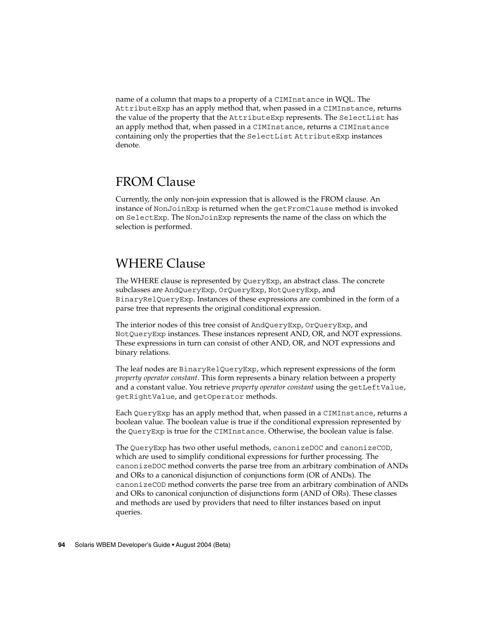name of a column that maps to a property of a CIMInstance in WQL. The AttributeExp has an apply method that, when passed in a CIMInstance, returns the value of the property that the AttributeExp represents. The SelectList has an apply method that, when passed in a CIMInstance, returns a CIMInstance containing only the properties that the SelectList AttributeExp instances denote.

# FROM Clause

Currently, the only non-join expression that is allowed is the FROM clause. An instance of NonJoinExp is returned when the getFromClause method is invoked on SelectExp. The NonJoinExp represents the name of the class on which the selection is performed.

# WHERE Clause

The WHERE clause is represented by QueryExp, an abstract class. The concrete subclasses are AndQueryExp, OrQueryExp, NotQueryExp, and BinaryRelQueryExp. Instances of these expressions are combined in the form of a parse tree that represents the original conditional expression.

The interior nodes of this tree consist of AndQueryExp, OrQueryExp, and NotQueryExp instances. These instances represent AND, OR, and NOT expressions. These expressions in turn can consist of other AND, OR, and NOT expressions and binary relations.

The leaf nodes are BinaryRelQueryExp, which represent expressions of the form *property operator constant*. This form represents a binary relation between a property and a constant value. You retrieve *property operator constant* using the getLeftValue, getRightValue, and getOperator methods.

Each QueryExp has an apply method that, when passed in a CIMInstance, returns a boolean value. The boolean value is true if the conditional expression represented by the QueryExp is true for the CIMInstance. Otherwise, the boolean value is false.

The QueryExp has two other useful methods, canonizeDOC and canonizeCOD, which are used to simplify conditional expressions for further processing. The canonizeDOC method converts the parse tree from an arbitrary combination of ANDs and ORs to a canonical disjunction of conjunctions form (OR of ANDs). The canonizeCOD method converts the parse tree from an arbitrary combination of ANDs and ORs to canonical conjunction of disjunctions form (AND of ORs). These classes and methods are used by providers that need to filter instances based on input queries.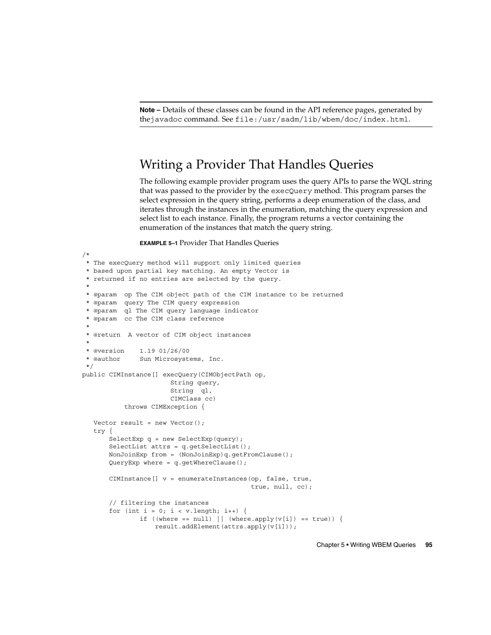**Note –** Details of these classes can be found in the API reference pages, generated by thejavadoc command. See file:/usr/sadm/lib/wbem/doc/index.html.

# Writing a Provider That Handles Queries

The following example provider program uses the query APIs to parse the WQL string that was passed to the provider by the execQuery method. This program parses the select expression in the query string, performs a deep enumeration of the class, and iterates through the instances in the enumeration, matching the query expression and select list to each instance. Finally, the program returns a vector containing the enumeration of the instances that match the query string.

**EXAMPLE 5–1** Provider That Handles Queries

/\*

```
* The execQuery method will support only limited queries
* based upon partial key matching. An empty Vector is
* returned if no entries are selected by the query.
 *
* @param op The CIM object path of the CIM instance to be returned
* @param query The CIM query expression
* @param ql The CIM query language indicator
* @param cc The CIM class reference
 *
* @return A vector of CIM object instances
 *
* @version 1.19 01/26/00
* @author Sun Microsystems, Inc.
*/
public CIMInstance[] execQuery(CIMObjectPath op,
                      String query,
                      String ql,
                      CIMClass cc)
          throws CIMException {
  Vector result = new Vector();
  try {
      SelectExp q = new SelectExp(query);
      SelectList attrs = q.getSelectList();
      NonJoinExp from = (NonJoinExp)q.getFromClause();
      QueryExp where = q.getWhereClause();
      CIMInstance[] v = enumerateInstances(op, false, true,
                                           true, null, cc);
      // filtering the instances
      for (int i = 0; i < v.length; i++) {
              if ((where == null) || (where.apply(v[i]) == true)) {
                  result.addElement(attrs.apply(v[i]));
```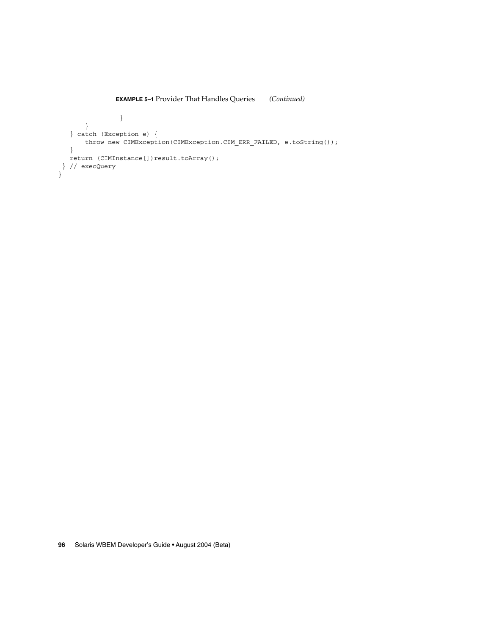```
EXAMPLE 5–1 Provider That Handles Queries (Continued)
                }
     }
  } catch (Exception e) {
     throw new CIMException(CIMException.CIM_ERR_FAILED, e.toString());
  }
  return (CIMInstance[])result.toArray();
} // execQuery
}
```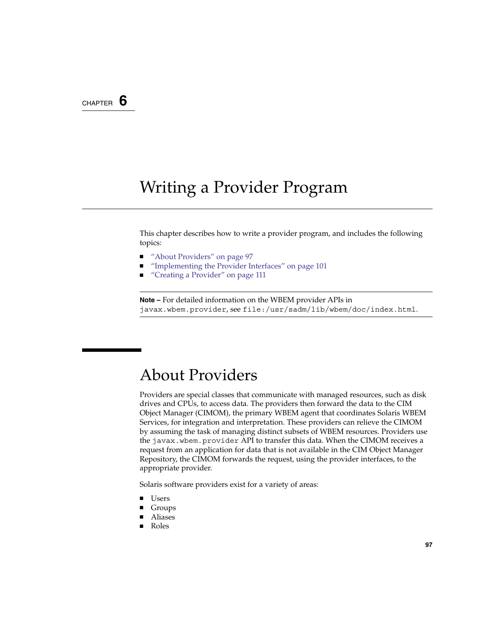# CHAPTER **6**

# Writing a Provider Program

This chapter describes how to write a provider program, and includes the following topics:

- "About Providers" on page 97
- ["Implementing the Provider Interfaces"](#page-100-0) on page 101
- ["Creating a Provider"](#page-110-0) on page 111

**Note –** For detailed information on the WBEM provider APIs in javax.wbem.provider, see file:/usr/sadm/lib/wbem/doc/index.html.

# About Providers

Providers are special classes that communicate with managed resources, such as disk drives and CPUs, to access data. The providers then forward the data to the CIM Object Manager (CIMOM), the primary WBEM agent that coordinates Solaris WBEM Services, for integration and interpretation. These providers can relieve the CIMOM by assuming the task of managing distinct subsets of WBEM resources. Providers use the javax.wbem.provider API to transfer this data. When the CIMOM receives a request from an application for data that is not available in the CIM Object Manager Repository, the CIMOM forwards the request, using the provider interfaces, to the appropriate provider.

Solaris software providers exist for a variety of areas:

- Users
- Groups
- Aliases
- Roles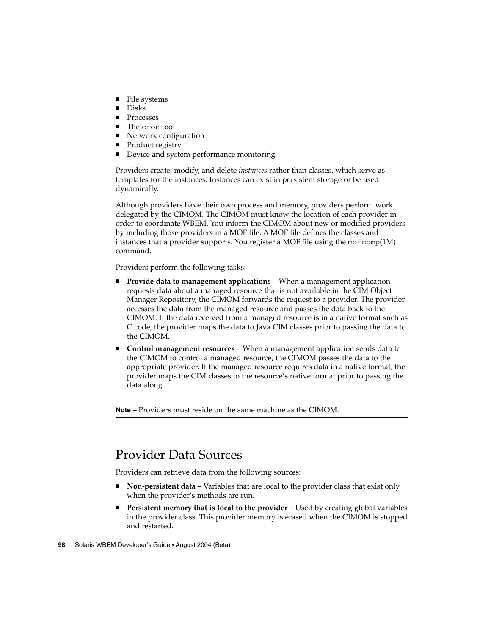- File systems
- Disks
- Processes
- The cron tool
- Network configuration
- Product registry
- Device and system performance monitoring

Providers create, modify, and delete *instances* rather than classes, which serve as templates for the instances. Instances can exist in persistent storage or be used dynamically.

Although providers have their own process and memory, providers perform work delegated by the CIMOM. The CIMOM must know the location of each provider in order to coordinate WBEM. You inform the CIMOM about new or modified providers by including those providers in a MOF file. A MOF file defines the classes and instances that a provider supports. You register a MOF file using the mofcomp(1M) command.

Providers perform the following tasks:

- **Provide data to management applications** When a management application requests data about a managed resource that is not available in the CIM Object Manager Repository, the CIMOM forwards the request to a provider. The provider accesses the data from the managed resource and passes the data back to the CIMOM. If the data received from a managed resource is in a native format such as C code, the provider maps the data to Java CIM classes prior to passing the data to the CIMOM.
- **Control management resources** When a management application sends data to the CIMOM to control a managed resource, the CIMOM passes the data to the appropriate provider. If the managed resource requires data in a native format, the provider maps the CIM classes to the resource's native format prior to passing the data along.

**Note –** Providers must reside on the same machine as the CIMOM.

## Provider Data Sources

Providers can retrieve data from the following sources:

- **Non-persistent data** Variables that are local to the provider class that exist only when the provider's methods are run.
- **Persistent memory that is local to the provider** Used by creating global variables in the provider class. This provider memory is erased when the CIMOM is stopped and restarted.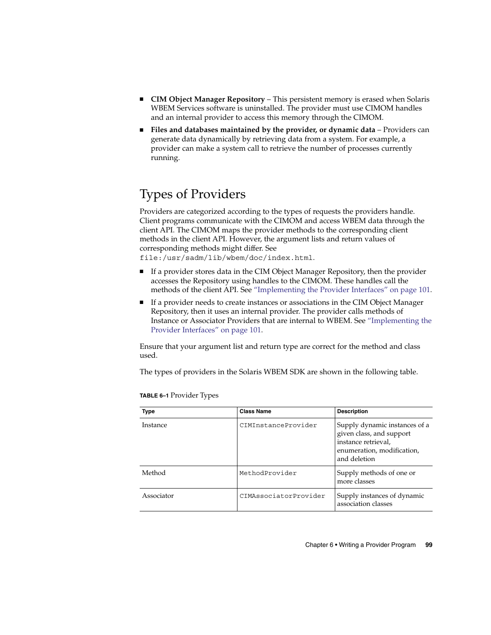- **CIM Object Manager Repository** This persistent memory is erased when Solaris WBEM Services software is uninstalled. The provider must use CIMOM handles and an internal provider to access this memory through the CIMOM.
- **Files and databases maintained by the provider, or dynamic data** Providers can generate data dynamically by retrieving data from a system. For example, a provider can make a system call to retrieve the number of processes currently running.

# Types of Providers

Providers are categorized according to the types of requests the providers handle. Client programs communicate with the CIMOM and access WBEM data through the client API. The CIMOM maps the provider methods to the corresponding client methods in the client API. However, the argument lists and return values of corresponding methods might differ. See

file:/usr/sadm/lib/wbem/doc/index.html.

- If a provider stores data in the CIM Object Manager Repository, then the provider accesses the Repository using handles to the CIMOM. These handles call the methods of the client API. See ["Implementing the Provider Interfaces"](#page-100-0) on page 101.
- If a provider needs to create instances or associations in the CIM Object Manager Repository, then it uses an internal provider. The provider calls methods of Instance or Associator Providers that are internal to WBEM. See ["Implementing the](#page-100-0) [Provider Interfaces"](#page-100-0) on page 101.

Ensure that your argument list and return type are correct for the method and class used.

The types of providers in the Solaris WBEM SDK are shown in the following table.

| <b>Type</b> | <b>Class Name</b>     | <b>Description</b>                                                                                                             |
|-------------|-----------------------|--------------------------------------------------------------------------------------------------------------------------------|
| Instance    | CIMInstanceProvider   | Supply dynamic instances of a<br>given class, and support<br>instance retrieval,<br>enumeration, modification,<br>and deletion |
| Method      | MethodProvider        | Supply methods of one or<br>more classes                                                                                       |
| Associator  | CIMAssociatorProvider | Supply instances of dynamic<br>association classes                                                                             |

**TABLE 6–1** Provider Types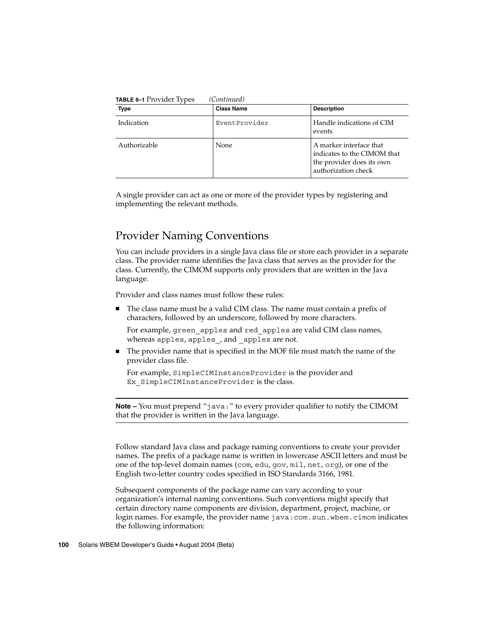#### **TABLE 6–1** Provider Types *(Continued)*

| <b>Type</b>  | <b>Class Name</b> | <b>Description</b>                                                                                         |
|--------------|-------------------|------------------------------------------------------------------------------------------------------------|
| Indication   | EventProvider     | Handle indications of CIM<br>events                                                                        |
| Authorizable | None              | A marker interface that<br>indicates to the CIMOM that<br>the provider does its own<br>authorization check |

A single provider can act as one or more of the provider types by registering and implementing the relevant methods.

## Provider Naming Conventions

You can include providers in a single Java class file or store each provider in a separate class. The provider name identifies the Java class that serves as the provider for the class. Currently, the CIMOM supports only providers that are written in the Java language.

Provider and class names must follow these rules:

■ The class name must be a valid CIM class. The name must contain a prefix of characters, followed by an underscore, followed by more characters.

For example, green apples and red apples are valid CIM class names, whereas apples, apples\_, and \_apples are not.

■ The provider name that is specified in the MOF file must match the name of the provider class file.

For example, SimpleCIMInstanceProvider is the provider and Ex\_SimpleCIMInstanceProvider is the class.

**Note –** You must prepend "java:" to every provider qualifier to notify the CIMOM that the provider is written in the Java language.

Follow standard Java class and package naming conventions to create your provider names. The prefix of a package name is written in lowercase ASCII letters and must be one of the top-level domain names (com, edu, gov, mil, net, org), or one of the English two-letter country codes specified in ISO Standards 3166, 1981.

Subsequent components of the package name can vary according to your organization's internal naming conventions. Such conventions might specify that certain directory name components are division, department, project, machine, or login names. For example, the provider name java: com.sun.wbem.cimom indicates the following information: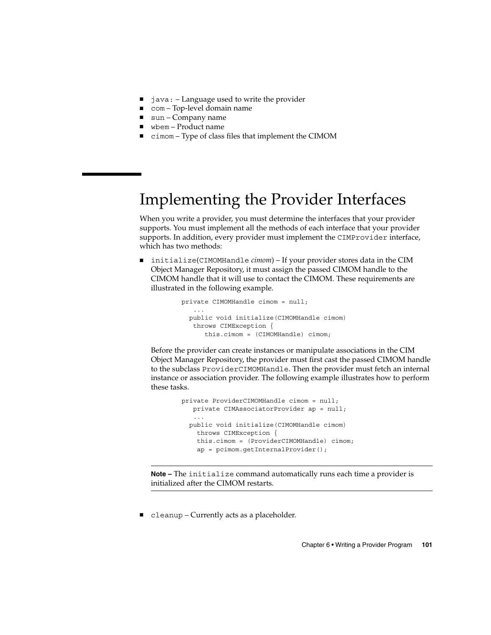- <span id="page-100-0"></span>■ java: - Language used to write the provider
- com Top-level domain name
- sun Company name
- wbem Product name
- cimom Type of class files that implement the CIMOM

# Implementing the Provider Interfaces

When you write a provider, you must determine the interfaces that your provider supports. You must implement all the methods of each interface that your provider supports. In addition, every provider must implement the CIMProvider interface, which has two methods:

initialize(CIMOMHandle *cimom*) – If your provider stores data in the CIM Object Manager Repository, it must assign the passed CIMOM handle to the CIMOM handle that it will use to contact the CIMOM. These requirements are illustrated in the following example.

```
private CIMOMHandle cimom = null;
   ...
 public void initialize(CIMOMHandle cimom)
   throws CIMException {
      this.cimom = (CIMOMHandle) cimom;
```
Before the provider can create instances or manipulate associations in the CIM Object Manager Repository, the provider must first cast the passed CIMOM handle to the subclass ProviderCIMOMHandle. Then the provider must fetch an internal instance or association provider. The following example illustrates how to perform these tasks.

```
private ProviderCIMOMHandle cimom = null;
  private CIMAssociatorProvider ap = null;
 public void initialize(CIMOMHandle cimom)
   throws CIMException {
   this.cimom = (ProviderCIMOMHandle) cimom;
   ap = pcimom.getInternalProvider();
```
**Note –** The initialize command automatically runs each time a provider is initialized after the CIMOM restarts.

■ cleanup – Currently acts as a placeholder.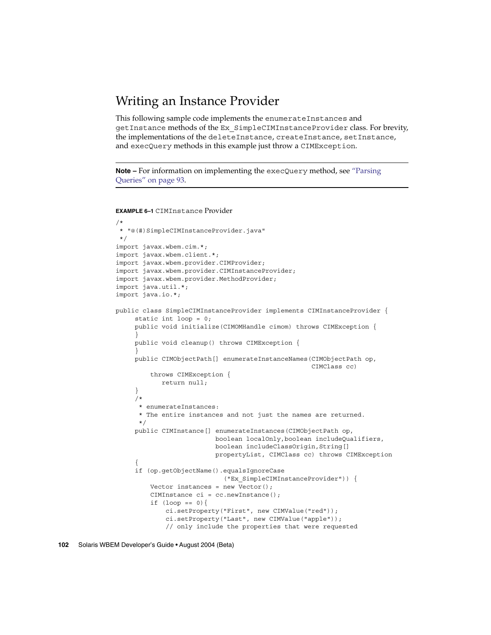# Writing an Instance Provider

This following sample code implements the enumerateInstances and getInstance methods of the Ex\_SimpleCIMInstanceProvider class. For brevity, the implementations of the deleteInstance, createInstance, setInstance, and execQuery methods in this example just throw a CIMException.

**Note –** For information on implementing the execQuery method, see ["Parsing](#page-92-0) Queries" [on page 93.](#page-92-0)

**EXAMPLE 6–1** CIMInstance Provider

```
/*
 * "@(#)SimpleCIMInstanceProvider.java"
*/
import javax.wbem.cim.*;
import javax.wbem.client.*;
import javax.wbem.provider.CIMProvider;
import javax.wbem.provider.CIMInstanceProvider;
import javax.wbem.provider.MethodProvider;
import java.util.*;
import java.io.*;
public class SimpleCIMInstanceProvider implements CIMInstanceProvider {
     static int loop = 0;
     public void initialize(CIMOMHandle cimom) throws CIMException {
     }
     public void cleanup() throws CIMException {
     }
    public CIMObjectPath[] enumerateInstanceNames(CIMObjectPath op,
                                                    CIMClass cc)
         throws CIMException {
            return null;
     }
     /*
      * enumerateInstances:
      * The entire instances and not just the names are returned.
      */
     public CIMInstance[] enumerateInstances(CIMObjectPath op,
                          boolean localOnly,boolean includeQualifiers,
                          boolean includeClassOrigin, String[]
                          propertyList, CIMClass cc) throws CIMException
     {
     if (op.getObjectName().equalsIgnoreCase
                            ("Ex_SimpleCIMInstanceProvider")) {
         Vector instances = new Vector();
         CIMInstance ci = cc.newInstance();
         if \text{loop} == 0}
             ci.setProperty("First", new CIMValue("red"));
             ci.setProperty("Last", new CIMValue("apple"));
             // only include the properties that were requested
```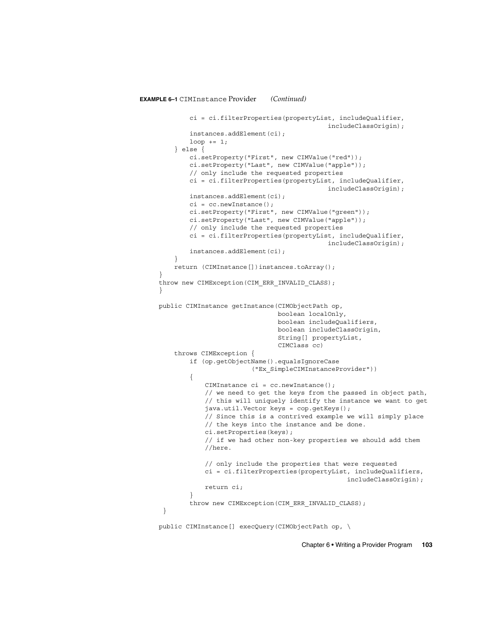#### **EXAMPLE 6–1** CIMInstance Provider *(Continued)*

```
ci = ci.filterProperties(propertyList, includeQualifier,
                                            includeClassOrigin);
       instances.addElement(ci);
       loop += 1;} else {
        ci.setProperty("First", new CIMValue("red"));
        ci.setProperty("Last", new CIMValue("apple"));
        // only include the requested properties
        ci = ci.filterProperties(propertyList, includeQualifier,
                                            includeClassOrigin);
       instances.addElement(ci);
       ci = cc.newInstance();
       ci.setProperty("First", new CIMValue("green"));
        ci.setProperty("Last", new CIMValue("apple"));
        // only include the requested properties
       ci = ci.filterProperties(propertyList, includeQualifier,
                                            includeClassOrigin);
        instances.addElement(ci);
    }
   return (CIMInstance[])instances.toArray();
}
throw new CIMException(CIM_ERR_INVALID_CLASS);
}
public CIMInstance getInstance(CIMObjectPath op,
                               boolean localOnly,
                               boolean includeQualifiers,
                               boolean includeClassOrigin,
                               String[] propertyList,
                               CIMClass cc)
    throws CIMException {
       if (op.getObjectName().equalsIgnoreCase
                        ("Ex_SimpleCIMInstanceProvider"))
        {
            CIMInstance ci = cc.newInstance();
            // we need to get the keys from the passed in object path,
            // this will uniquely identify the instance we want to get
            java.util.Vector keys = cop.getKeys();
            // Since this is a contrived example we will simply place
            // the keys into the instance and be done.
            ci.setProperties(keys);
            // if we had other non-key properties we should add them
            //here.
            // only include the properties that were requested
            ci = ci.filterProperties(propertyList, includeQualifiers,
                                                 includeClassOrigin);
            return ci;
        }
        throw new CIMException(CIM_ERR_INVALID_CLASS);
 }
public CIMInstance[] execQuery(CIMObjectPath op, \
```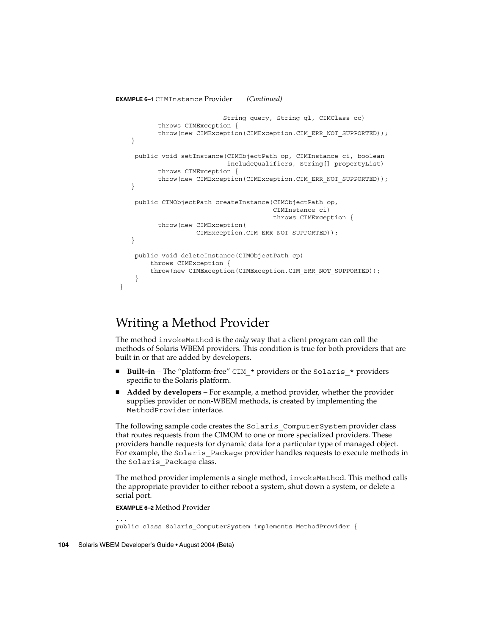```
EXAMPLE 6–1 CIMInstance Provider (Continued)
```

```
String query, String ql, CIMClass cc)
       throws CIMException {
       throw(new CIMException(CIMException.CIM_ERR_NOT_SUPPORTED));
}
public void setInstance(CIMObjectPath op, CIMInstance ci, boolean
                         includeQualifiers, String[] propertyList)
       throws CIMException {
       throw(new CIMException(CIMException.CIM ERR NOT SUPPORTED));
}
public CIMObjectPath createInstance(CIMObjectPath op,
                                    CIMInstance ci)
                                    throws CIMException {
       throw(new CIMException(
                 CIMException.CIM_ERR_NOT_SUPPORTED));
}
public void deleteInstance(CIMObjectPath cp)
    throws CIMException {
    throw(new CIMException(CIMException.CIM ERR NOT SUPPORTED));
 }
```
# Writing a Method Provider

The method invokeMethod is the *only* way that a client program can call the methods of Solaris WBEM providers. This condition is true for both providers that are built in or that are added by developers.

- **Built-in** The "platform-free" CIM \* providers or the Solaris \* providers specific to the Solaris platform.
- **Added by developers** For example, a method provider, whether the provider supplies provider or non-WBEM methods, is created by implementing the MethodProvider interface.

The following sample code creates the Solaris\_ComputerSystem provider class that routes requests from the CIMOM to one or more specialized providers. These providers handle requests for dynamic data for a particular type of managed object. For example, the Solaris Package provider handles requests to execute methods in the Solaris Package class.

The method provider implements a single method, invokeMethod. This method calls the appropriate provider to either reboot a system, shut down a system, or delete a serial port.

**EXAMPLE 6–2** Method Provider

public class Solaris ComputerSystem implements MethodProvider {

...

}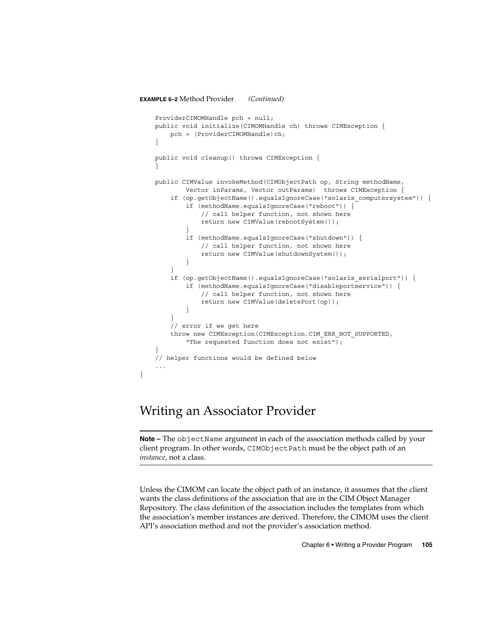```
EXAMPLE 6–2 Method Provider (Continued)
    ProviderCIMOMHandle pch = null;
   public void initialize(CIMOMHandle ch) throws CIMException {
        pch = (ProviderCIMOMHandle)ch;
    }
    public void cleanup() throws CIMException {
    }
    public CIMValue invokeMethod(CIMObjectPath op, String methodName,
            Vector inParams, Vector outParams) throws CIMException {
        if (op.getObjectName().equalsIgnoreCase("solaris_computersystem")) {
            if (methodName.equalsIgnoreCase("reboot")) {
                // call helper function, not shown here
                return new CIMValue(rebootSystem());
            }
            if (methodName.equalsIgnoreCase("shutdown")) {
                // call helper function, not shown here
                return new CIMValue(shutdownSystem());
            }
        }
        if (op.getObjectName().equalsIgnoreCase("solaris_serialport")) {
            if (methodName.equalsIgnoreCase("disableportservice")) {
                // call helper function, not shown here
                return new CIMValue(deletePort(op));
            }
        }
        // error if we get here
        throw new CIMException(CIMException.CIM_ERR_NOT_SUPPORTED,
            "The requested function does not exist");
    }
    // helper functions would be defined below
    ...
```
# Writing an Associator Provider

}

**Note –** The objectName argument in each of the association methods called by your client program. In other words, CIMObjectPath must be the object path of an *instance*, not a class.

Unless the CIMOM can locate the object path of an instance, it assumes that the client wants the class definitions of the association that are in the CIM Object Manager Repository. The class definition of the association includes the templates from which the association's member instances are derived. Therefore, the CIMOM uses the client API's association method and not the provider's association method.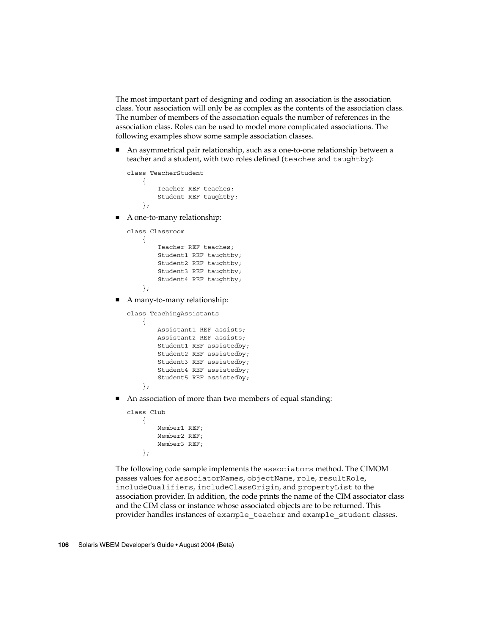The most important part of designing and coding an association is the association class. Your association will only be as complex as the contents of the association class. The number of members of the association equals the number of references in the association class. Roles can be used to model more complicated associations. The following examples show some sample association classes.

An asymmetrical pair relationship, such as a one-to-one relationship between a teacher and a student, with two roles defined (teaches and taughtby):

```
class TeacherStudent
    {
        Teacher REF teaches;
        Student REF taughtby;
    };
```
■ A one-to-many relationship:

```
class Classroom
    {
        Teacher REF teaches;
        Student1 REF taughtby;
        Student2 REF taughtby;
        Student3 REF taughtby;
        Student4 REF taughtby;
    };
```
■ A many-to-many relationship:

```
class TeachingAssistants
    {
        Assistant1 REF assists;
       Assistant2 REF assists;
       Student1 REF assistedby;
        Student2 REF assistedby;
        Student3 REF assistedby;
        Student4 REF assistedby;
        Student5 REF assistedby;
    };
```
An association of more than two members of equal standing:

```
class Club
    {
        Member1 REF;
        Member2 REF;
        Member3 REF;
    };
```
The following code sample implements the associators method. The CIMOM passes values for associatorNames, objectName, role, resultRole, includeQualifiers, includeClassOrigin, and propertyList to the association provider. In addition, the code prints the name of the CIM associator class and the CIM class or instance whose associated objects are to be returned. This provider handles instances of example\_teacher and example\_student classes.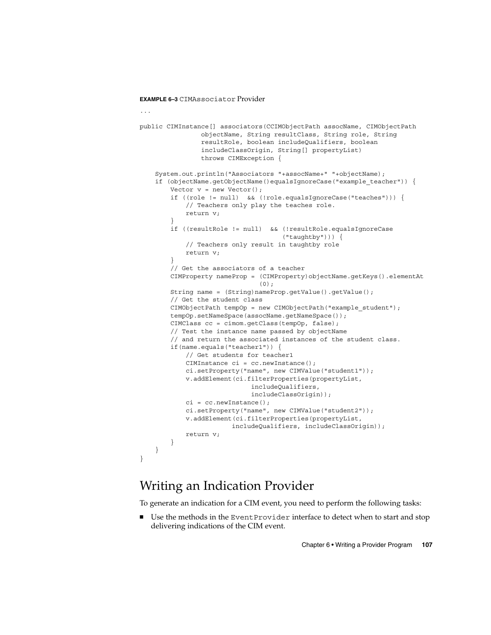#### **EXAMPLE 6–3** CIMAssociator Provider

...

```
public CIMInstance[] associators(CCIMObjectPath assocName, CIMObjectPath
                objectName, String resultClass, String role, String
                resultRole, boolean includeQualifiers, boolean
                includeClassOrigin, String[] propertyList)
                throws CIMException {
    System.out.println("Associators "+assocName+" "+objectName);
    if (objectName.getObjectName()equalsIgnoreCase("example_teacher")) {
        Vector v = new Vector();
        if ((role != null) && (!role.equalsIgnoreCase("teaches"))) {
            // Teachers only play the teaches role.
            return v;
        }
        if ((resultRole != null) && (!resultRole.equalsIgnoreCase
                                      ("taughtby"))) {
            // Teachers only result in taughtby role
            return v;
        }
        // Get the associators of a teacher
        CIMProperty nameProp = (CIMProperty)objectName.getKeys().elementAt
                               (0);
        String name = (String)nameProp.getValue().getValue();
        // Get the student class
        CIMObjectPath tempOp = new CIMObjectPath("example_student");
        tempOp.setNameSpace(assocName.getNameSpace());
        CIMClass cc = cimom.getClass(tempOp, false);
        // Test the instance name passed by objectName
        // and return the associated instances of the student class.
        if(name.equals("teacher1")) {
            // Get students for teacher1
            CIMInstance ci = cc.newInstance();
            ci.setProperty("name", new CIMValue("student1"));
            v.addElement(ci.filterProperties(propertyList,
                            includeQualifiers,
                            includeClassOrigin));
            ci = cc.newInstance();
            ci.setProperty("name", new CIMValue("student2"));
            v.addElement(ci.filterProperties(propertyList,
                        includeQualifiers, includeClassOrigin));
            return v;
       }
   }
}
```
# Writing an Indication Provider

To generate an indication for a CIM event, you need to perform the following tasks:

■ Use the methods in the EventProvider interface to detect when to start and stop delivering indications of the CIM event.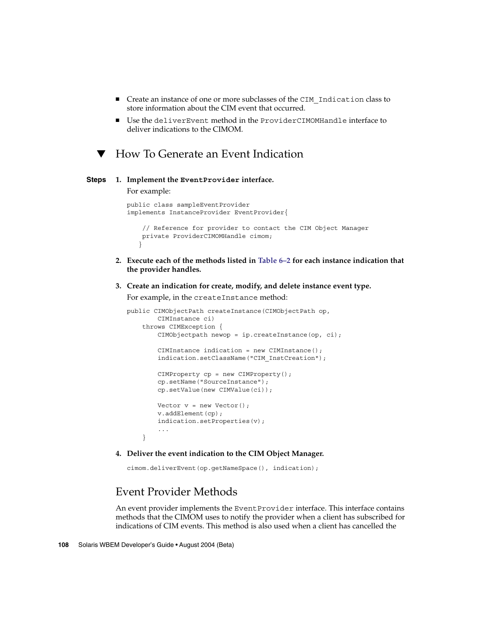- Create an instance of one or more subclasses of the CIM\_Indication class to store information about the CIM event that occurred.
- Use the deliverEvent method in the ProviderCIMOMHandle interface to deliver indications to the CIMOM.
- ▼ How To Generate an Event Indication

#### **1. Implement the EventProvider interface. Steps**

For example:

```
public class sampleEventProvider
implements InstanceProvider EventProvider{
    // Reference for provider to contact the CIM Object Manager
   private ProviderCIMOMHandle cimom;
   }
```
- **2. Execute each of the methods listed in [Table 6–2](#page-108-0) for each instance indication that the provider handles.**
- **3. Create an indication for create, modify, and delete instance event type.**

For example, in the createInstance method:

```
public CIMObjectPath createInstance(CIMObjectPath op,
        CIMInstance ci)
    throws CIMException {
        CIMObjectpath newop = ip.createInstance(op, ci);
        CIMInstance indication = new CIMInstance();
        indication.setClassName("CIM_InstCreation");
        CIMProperty cp = new CIMProperty();
        cp.setName("SourceInstance");
        cp.setValue(new CIMValue(ci));
        Vector v = new Vector();
        v.addElement(cp);
        indication.setProperties(v);
        ...
    }
```
**4. Deliver the event indication to the CIM Object Manager.**

cimom.deliverEvent(op.getNameSpace(), indication);

### Event Provider Methods

An event provider implements the Event Provider interface. This interface contains methods that the CIMOM uses to notify the provider when a client has subscribed for indications of CIM events. This method is also used when a client has cancelled the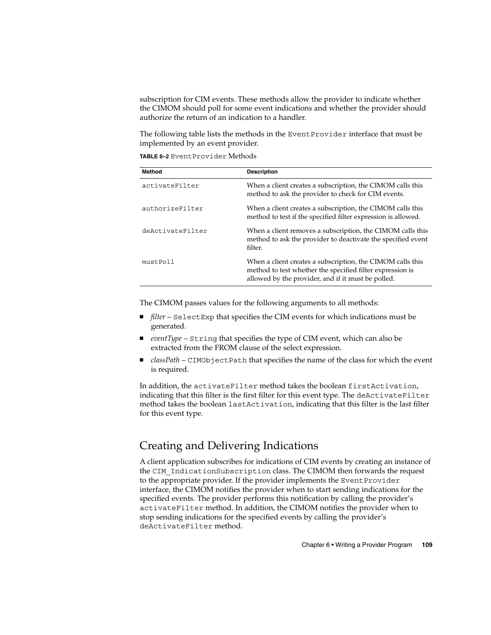subscription for CIM events. These methods allow the provider to indicate whether the CIMOM should poll for some event indications and whether the provider should authorize the return of an indication to a handler.

The following table lists the methods in the EventProvider interface that must be implemented by an event provider.

**TABLE 6–2** EventProvider Methods

| Method           | <b>Description</b>                                                                                                                                                            |
|------------------|-------------------------------------------------------------------------------------------------------------------------------------------------------------------------------|
| activateFilter   | When a client creates a subscription, the CIMOM calls this<br>method to ask the provider to check for CIM events.                                                             |
| authorizeFilter  | When a client creates a subscription, the CIMOM calls this<br>method to test if the specified filter expression is allowed.                                                   |
| deActivateFilter | When a client removes a subscription, the CIMOM calls this<br>method to ask the provider to deactivate the specified event<br>filter.                                         |
| mustPoll         | When a client creates a subscription, the CIMOM calls this<br>method to test whether the specified filter expression is<br>allowed by the provider, and if it must be polled. |

The CIMOM passes values for the following arguments to all methods:

- *filter* SelectExp that specifies the CIM events for which indications must be generated.
- *eventType* String that specifies the type of CIM event, which can also be extracted from the FROM clause of the select expression.
- *classPath* CIMObjectPath that specifies the name of the class for which the event is required.

In addition, the activateFilter method takes the boolean firstActivation, indicating that this filter is the first filter for this event type. The deActivateFilter method takes the boolean lastActivation, indicating that this filter is the last filter for this event type.

### Creating and Delivering Indications

A client application subscribes for indications of CIM events by creating an instance of the CIM\_IndicationSubscription class. The CIMOM then forwards the request to the appropriate provider. If the provider implements the Event Provider interface, the CIMOM notifies the provider when to start sending indications for the specified events. The provider performs this notification by calling the provider's activateFilter method. In addition, the CIMOM notifies the provider when to stop sending indications for the specified events by calling the provider's deActivateFilter method.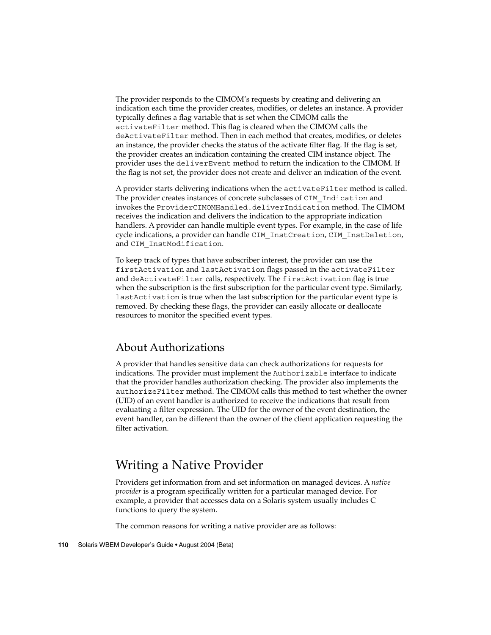The provider responds to the CIMOM's requests by creating and delivering an indication each time the provider creates, modifies, or deletes an instance. A provider typically defines a flag variable that is set when the CIMOM calls the activateFilter method. This flag is cleared when the CIMOM calls the deActivateFilter method. Then in each method that creates, modifies, or deletes an instance, the provider checks the status of the activate filter flag. If the flag is set, the provider creates an indication containing the created CIM instance object. The provider uses the deliverEvent method to return the indication to the CIMOM. If the flag is not set, the provider does not create and deliver an indication of the event.

A provider starts delivering indications when the activateFilter method is called. The provider creates instances of concrete subclasses of CIM\_Indication and invokes the ProviderCIMOMHandled.deliverIndication method. The CIMOM receives the indication and delivers the indication to the appropriate indication handlers. A provider can handle multiple event types. For example, in the case of life cycle indications, a provider can handle CIM\_InstCreation, CIM\_InstDeletion, and CIM\_InstModification.

To keep track of types that have subscriber interest, the provider can use the firstActivation and lastActivation flags passed in the activateFilter and deActivateFilter calls, respectively. The firstActivation flag is true when the subscription is the first subscription for the particular event type. Similarly, lastActivation is true when the last subscription for the particular event type is removed. By checking these flags, the provider can easily allocate or deallocate resources to monitor the specified event types.

#### About Authorizations

A provider that handles sensitive data can check authorizations for requests for indications. The provider must implement the Authorizable interface to indicate that the provider handles authorization checking. The provider also implements the authorizeFilter method. The CIMOM calls this method to test whether the owner (UID) of an event handler is authorized to receive the indications that result from evaluating a filter expression. The UID for the owner of the event destination, the event handler, can be different than the owner of the client application requesting the filter activation.

## Writing a Native Provider

Providers get information from and set information on managed devices. A *native provider* is a program specifically written for a particular managed device. For example, a provider that accesses data on a Solaris system usually includes C functions to query the system.

The common reasons for writing a native provider are as follows: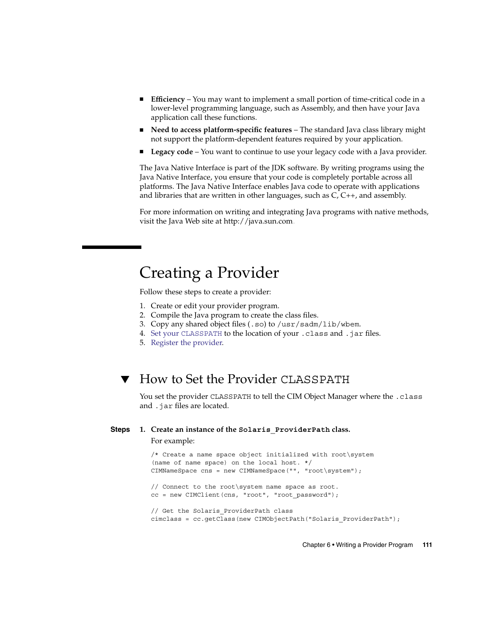- **Efficiency** You may want to implement a small portion of time-critical code in a lower-level programming language, such as Assembly, and then have your Java application call these functions.
- **Need to access platform-specific features** The standard Java class library might not support the platform-dependent features required by your application.
- **Legacy code** You want to continue to use your legacy code with a Java provider.

The Java Native Interface is part of the JDK software. By writing programs using the Java Native Interface, you ensure that your code is completely portable across all platforms. The Java Native Interface enables Java code to operate with applications and libraries that are written in other languages, such as C, C++, and assembly.

For more information on writing and integrating Java programs with native methods, visit the Java Web site at [http://java.sun.com.](http://java.sun.com)

# Creating a Provider

Follow these steps to create a provider:

- 1. Create or edit your provider program.
- 2. Compile the Java program to create the class files.
- 3. Copy any shared object files (.so) to /usr/sadm/lib/wbem.
- 4. Set your CLASSPATH to the location of your .class and .jar files.
- 5. [Register the provider.](#page-111-0)

### How to Set the Provider CLASSPATH

You set the provider CLASSPATH to tell the CIM Object Manager where the . class and .jar files are located.

#### **1. Create an instance of the Solaris\_ProviderPath class. Steps**

#### For example:

```
/* Create a name space object initialized with root\system
(name of name space) on the local host. */
CIMNameSpace cns = new CIMNameSpace("", "root\system");
// Connect to the root\system name space as root.
cc = new CIMClient(cns, "root", "root_password");
// Get the Solaris_ProviderPath class
cimclass = cc.getClass(new CIMObjectPath("Solaris_ProviderPath");
```
Chapter 6 • Writing a Provider Program **111**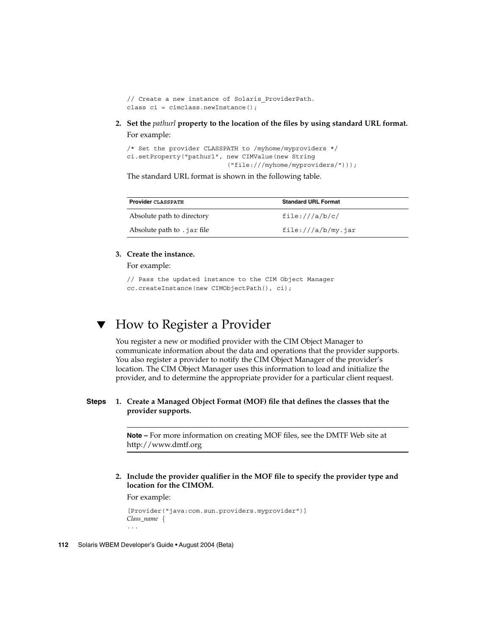```
// Create a new instance of Solaris ProviderPath.
class ci = cimclass.newInstance();
```
**2. Set the** *pathurl* **property to the location of the files by using standard URL format.** For example:

```
/* Set the provider CLASSPATH to /myhome/myproviders */
ci.setProperty("pathurl", new CIMValue(new String
                          ("file:///myhome/myproviders/")));
```
The standard URL format is shown in the following table.

| Provider CLASSPATH         | <b>Standard URL Format</b> |
|----------------------------|----------------------------|
| Absolute path to directory | file://a/b/c/              |
| Absolute path to .jar file | file://a/b/my.jar          |

#### **3. Create the instance.**

For example:

// Pass the updated instance to the CIM Object Manager cc.createInstance(new CIMObjectPath(), ci);

### How to Register a Provider

You register a new or modified provider with the CIM Object Manager to communicate information about the data and operations that the provider supports. You also register a provider to notify the CIM Object Manager of the provider's location. The CIM Object Manager uses this information to load and initialize the provider, and to determine the appropriate provider for a particular client request.

#### **1. Create a Managed Object Format (MOF) file that defines the classes that the provider supports. Steps**

**Note –** For more information on creating MOF files, see the DMTF Web site at [http://www.dmtf.org.](http://www.dmtf.org)

**2. Include the provider qualifier in the MOF file to specify the provider type and location for the CIMOM.**

For example:

```
[Provider("java:com.sun.providers.myprovider")]
Class_name {
```
**112** Solaris WBEM Developer's Guide • August 2004 (Beta)

...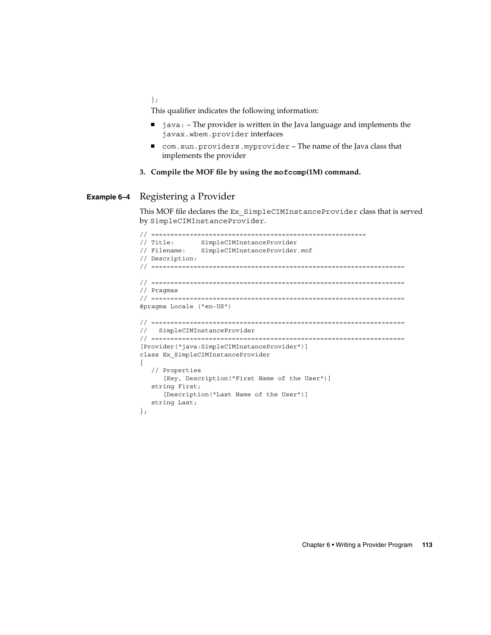};

This qualifier indicates the following information:

- java: The provider is written in the Java language and implements the javax.wbem.provider interfaces
- com.sun.providers.myprovider The name of the Java class that implements the provider
- **3. Compile the MOF file by using the mofcomp(1M) command.**

#### Registering a Provider **Example 6–4**

This MOF file declares the Ex\_SimpleCIMInstanceProvider class that is served by SimpleCIMInstanceProvider.

```
// ========================================================
// Title: SimpleCIMInstanceProvider<br>// Filename: SimpleCIMInstanceProvider
              SimpleCIMInstanceProvider.mof
// Description:
// ==================================================================
// ==================================================================
// Pragmas
// ==================================================================
#pragma Locale ("en-US")
// ==================================================================
// SimpleCIMInstanceProvider
// ==================================================================
[Provider("java:SimpleCIMInstanceProvider")]
class Ex_SimpleCIMInstanceProvider
{
   // Properties
      [Key, Description("First Name of the User")]
   string First;
      [Description("Last Name of the User")]
   string Last;
};
```
Chapter 6 • Writing a Provider Program **113**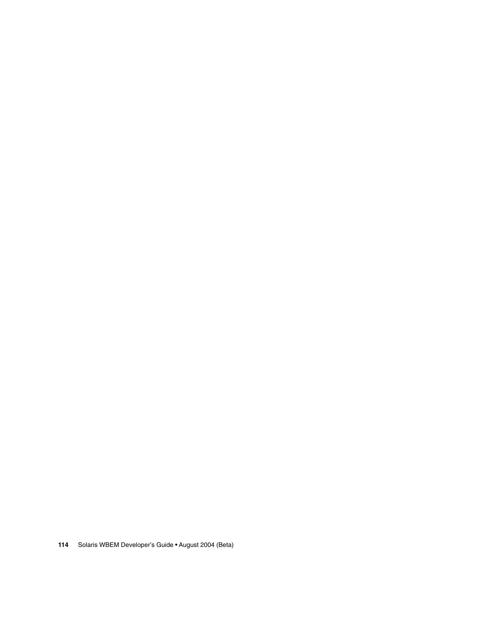Solaris WBEM Developer's Guide • August 2004 (Beta)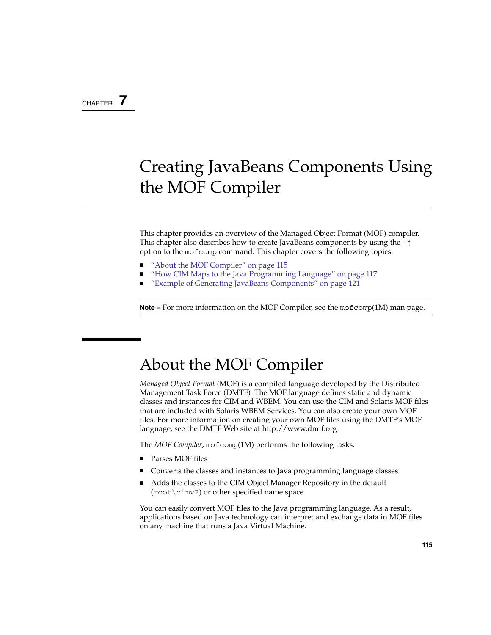#### CHAPTER **7**

# Creating JavaBeans Components Using the MOF Compiler

This chapter provides an overview of the Managed Object Format (MOF) compiler. This chapter also describes how to create JavaBeans components by using the -j option to the mofcomp command. This chapter covers the following topics.

- "About the MOF Compiler" on page 115
- *["How CIM Maps to the Java Programming Language"](#page-116-0)* on page 117
- *["Example of Generating JavaBeans Components"](#page-120-0)* on page 121

**Note** – For more information on the MOF Compiler, see the mofcomp(1M) man page.

# About the MOF Compiler

*Managed Object Format* (MOF) is a compiled language developed by the [Distributed](http://www.dmtf.org) [Management Task Force \(DMTF\).](http://www.dmtf.org) The MOF language defines static and dynamic classes and instances for CIM and WBEM. You can use the CIM and Solaris MOF files that are included with Solaris WBEM Services. You can also create your own MOF files. For more information on creating your own MOF files using the DMTF's MOF language, see the DMTF Web site at [http://www.dmtf.org.](http://www.dmtf.org)

The *MOF Compiler*, mofcomp(1M) performs the following tasks:

- Parses MOF files
- Converts the classes and instances to Java programming language classes
- Adds the classes to the CIM Object Manager Repository in the default (root\cimv2) or other specified name space

You can easily convert MOF files to the Java programming language. As a result, applications based on Java technology can interpret and exchange data in MOF files on any machine that runs a Java Virtual Machine.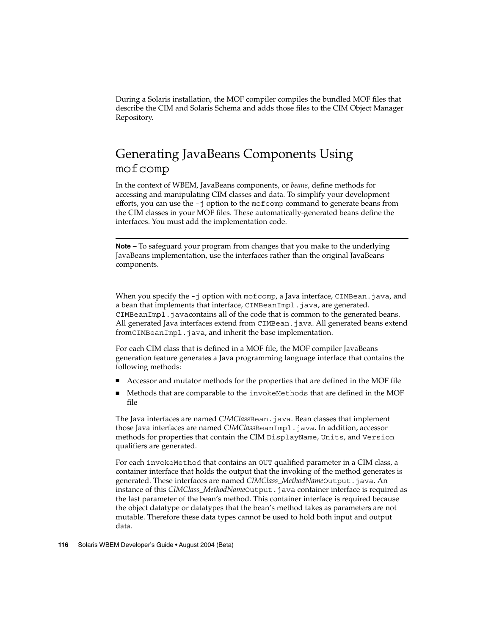During a Solaris installation, the MOF compiler compiles the bundled MOF files that describe the CIM and Solaris Schema and adds those files to the CIM Object Manager Repository.

## Generating JavaBeans Components Using mofcomp

In the context of WBEM, JavaBeans components, or *beans*, define methods for accessing and manipulating CIM classes and data. To simplify your development efforts, you can use the -j option to the mofcomp command to generate beans from the CIM classes in your MOF files. These automatically-generated beans define the interfaces. You must add the implementation code.

**Note –** To safeguard your program from changes that you make to the underlying JavaBeans implementation, use the interfaces rather than the original JavaBeans components.

When you specify the  $-$ j option with mofcomp, a Java interface, CIMBean.java, and a bean that implements that interface, CIMBeanImpl.java, are generated. CIMBeanImpl.javacontains all of the code that is common to the generated beans. All generated Java interfaces extend from CIMBean.java. All generated beans extend fromCIMBeanImpl.java, and inherit the base implementation.

For each CIM class that is defined in a MOF file, the MOF compiler JavaBeans generation feature generates a Java programming language interface that contains the following methods:

- Accessor and mutator methods for the properties that are defined in the MOF file
- Methods that are comparable to the invokeMethods that are defined in the MOF file

The Java interfaces are named *CIMClass*Bean.java. Bean classes that implement those Java interfaces are named *CIMClass*BeanImpl.java. In addition, accessor methods for properties that contain the CIM DisplayName, Units, and Version qualifiers are generated.

For each invokeMethod that contains an OUT qualified parameter in a CIM class, a container interface that holds the output that the invoking of the method generates is generated. These interfaces are named *CIMClass*\_*MethodName*Output.java. An instance of this *CIMClass*\_*MethodName*Output.java container interface is required as the last parameter of the bean's method. This container interface is required because the object datatype or datatypes that the bean's method takes as parameters are not mutable. Therefore these data types cannot be used to hold both input and output data.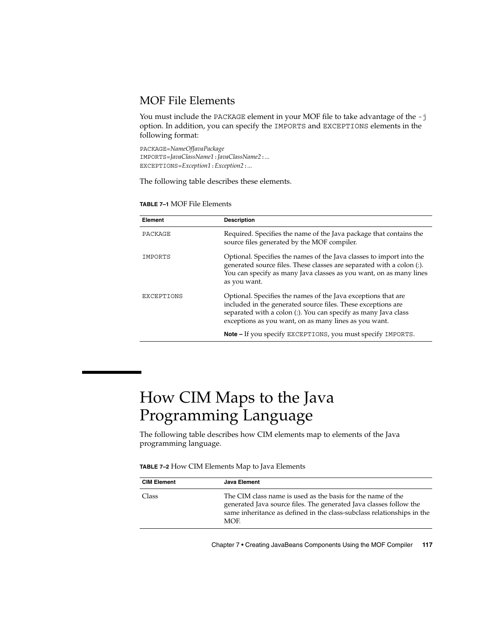### <span id="page-116-0"></span>MOF File Elements

You must include the PACKAGE element in your MOF file to take advantage of the -j option. In addition, you can specify the IMPORTS and EXCEPTIONS elements in the following format:

PACKAGE=*NameOfJavaPackage* IMPORTS=*JavaClassName1*:*JavaClassName2*:*...* EXCEPTIONS=*Exception1*:*Exception2*:*...*

The following table describes these elements.

| <b>TABLE 7-1 MOF File Elements</b> |
|------------------------------------|
|                                    |

| Element    | <b>Description</b>                                                                                                                                                                                                                                       |
|------------|----------------------------------------------------------------------------------------------------------------------------------------------------------------------------------------------------------------------------------------------------------|
| PACKAGE    | Required. Specifies the name of the Java package that contains the<br>source files generated by the MOF compiler.                                                                                                                                        |
| IMPORTS    | Optional. Specifies the names of the Java classes to import into the<br>generated source files. These classes are separated with a colon (:).<br>You can specify as many Java classes as you want, on as many lines<br>as you want.                      |
| EXCEPTIONS | Optional. Specifies the names of the Java exceptions that are<br>included in the generated source files. These exceptions are<br>separated with a colon (:). You can specify as many Java class<br>exceptions as you want, on as many lines as you want. |
|            | Note - If you specify EXCEPTIONS, you must specify IMPORTS.                                                                                                                                                                                              |

# How CIM Maps to the Java Programming Language

The following table describes how CIM elements map to elements of the Java programming language.

**TABLE 7–2** How CIM Elements Map to Java Elements

| <b>CIM Element</b> | Java Element                                                                                                                                                                                                        |
|--------------------|---------------------------------------------------------------------------------------------------------------------------------------------------------------------------------------------------------------------|
| Class              | The CIM class name is used as the basis for the name of the<br>generated Java source files. The generated Java classes follow the<br>same inheritance as defined in the class-subclass relationships in the<br>MOF. |

Chapter 7 • Creating JavaBeans Components Using the MOF Compiler **117**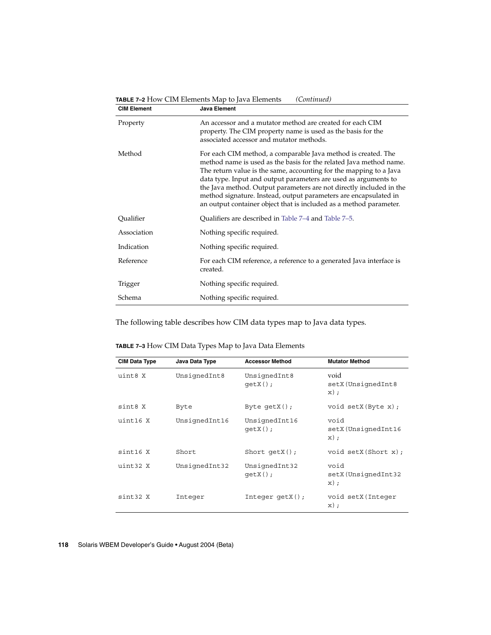| <b>CIM Element</b> | $\frac{1}{100}$ . $\frac{1}{1000}$ Changelicity map to java Eichteith<br><b>Java Element</b>                                                                                                                                                                                                                                                                                                                                                                                                  |  |
|--------------------|-----------------------------------------------------------------------------------------------------------------------------------------------------------------------------------------------------------------------------------------------------------------------------------------------------------------------------------------------------------------------------------------------------------------------------------------------------------------------------------------------|--|
| Property           | An accessor and a mutator method are created for each CIM<br>property. The CIM property name is used as the basis for the<br>associated accessor and mutator methods.                                                                                                                                                                                                                                                                                                                         |  |
| Method             | For each CIM method, a comparable Java method is created. The<br>method name is used as the basis for the related Java method name.<br>The return value is the same, accounting for the mapping to a Java<br>data type. Input and output parameters are used as arguments to<br>the Java method. Output parameters are not directly included in the<br>method signature. Instead, output parameters are encapsulated in<br>an output container object that is included as a method parameter. |  |
| Qualifier          | Qualifiers are described in Table 7–4 and Table 7–5.                                                                                                                                                                                                                                                                                                                                                                                                                                          |  |
| Association        | Nothing specific required.                                                                                                                                                                                                                                                                                                                                                                                                                                                                    |  |
| Indication         | Nothing specific required.                                                                                                                                                                                                                                                                                                                                                                                                                                                                    |  |
| Reference          | For each CIM reference, a reference to a generated Java interface is<br>created.                                                                                                                                                                                                                                                                                                                                                                                                              |  |
| Trigger            | Nothing specific required.                                                                                                                                                                                                                                                                                                                                                                                                                                                                    |  |
| Schema             | Nothing specific required.                                                                                                                                                                                                                                                                                                                                                                                                                                                                    |  |

**TABLE 7–2** How CIM Elements Map to Java Elements *(Continued)*

The following table describes how CIM data types map to Java data types.

| <b>CIM Data Type</b> | Java Data Type | <b>Accessor Method</b>      | <b>Mutator Method</b>                |
|----------------------|----------------|-----------------------------|--------------------------------------|
| uint8 X              | UnsignedInt8   | UnsignedInt8<br>$qetX()$ ;  | void<br>setX(UnsignedInt8<br>$x)$ ;  |
| sint8 X              | Byte           | Byte $qetX()$ ;             | void $setX(Byte x)$ ;                |
| uint16 X             | UnsignedInt16  | UnsignedInt16<br>$qetX()$ ; | void<br>setX(UnsignedInt16<br>$x)$ ; |
| sint16 X             | Short          | Short $qetX()$ ;            | void setX(Short x);                  |
| uint32 X             | UnsignedInt32  | UnsignedInt32<br>$qetX()$ ; | void<br>setX(UnsignedInt32<br>$x)$ ; |
| sint32 X             | Integer        | Integer $q$ etX $()$ ;      | void setX(Integer<br>$x)$ ;          |

**TABLE 7–3** How CIM Data Types Map to Java Data Elements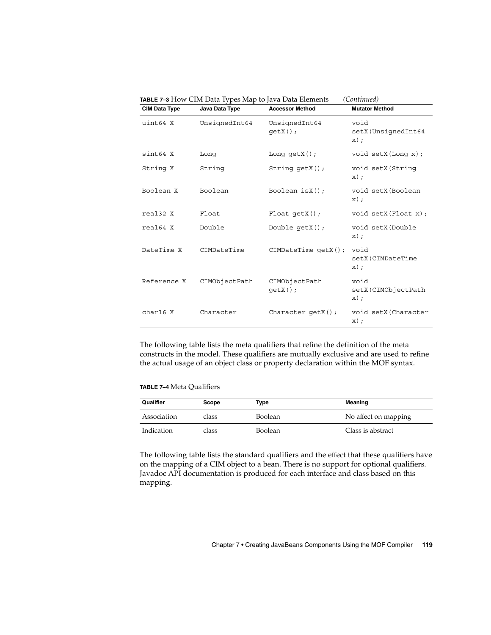<span id="page-118-0"></span>

| <b>CIM Data Type</b> | Java Data Type | <b>Accessor Method</b>      | <b>Mutator Method</b>                |
|----------------------|----------------|-----------------------------|--------------------------------------|
| uint64 X             | UnsignedInt64  | UnsignedInt64<br>$qetX()$ ; | void<br>setX(UnsignedInt64<br>$x)$ ; |
| sint64 X             | Long           | Long $qetX()$ ;             | void setX(Long x);                   |
| String X             | String         | String $getX()$ ;           | void setX (String<br>$x)$ ;          |
| Boolean X            | Boolean        | Boolean $isX()$ ;           | void setX (Boolean<br>$x)$ ;         |
| real32 X             | Float          | $Float qetX()$ ;            | void setX(Float x);                  |
| real64 X             | Double         | Double getX();              | void setX (Double<br>$x)$ ;          |
| DateTime X           | CIMDateTime    | CIMDateTime $getX()$ ;      | void<br>setX(CIMDateTime<br>$x)$ ;   |
| Reference X          | CIMObjectPath  | CIMObjectPath<br>$getX()$ ; | void<br>setX(CIMObjectPath<br>$x)$ ; |
| char16 X             | Character      | Character $qetX()$ ;        | void setX (Character<br>$x)$ ;       |

The following table lists the meta qualifiers that refine the definition of the meta constructs in the model. These qualifiers are mutually exclusive and are used to refine the actual usage of an object class or property declaration within the MOF syntax.

**TABLE 7–4** Meta Qualifiers

| Qualifier   | <b>Scope</b> | Meaning<br>Type |                      |
|-------------|--------------|-----------------|----------------------|
| Association | class        | <b>Boolean</b>  | No affect on mapping |
| Indication  | class        | <b>Boolean</b>  | Class is abstract    |

The following table lists the standard qualifiers and the effect that these qualifiers have on the mapping of a CIM object to a bean. There is no support for optional qualifiers. Javadoc API documentation is produced for each interface and class based on this mapping.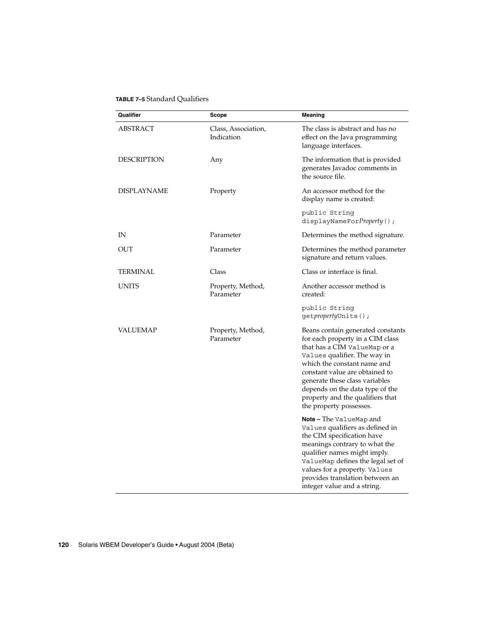#### <span id="page-119-0"></span>**TABLE 7–5** Standard Qualifiers

| Qualifier          | Scope                             | Meaning                                                                                                                                                                                                                                                                                                                                    |  |
|--------------------|-----------------------------------|--------------------------------------------------------------------------------------------------------------------------------------------------------------------------------------------------------------------------------------------------------------------------------------------------------------------------------------------|--|
| <b>ABSTRACT</b>    | Class, Association,<br>Indication | The class is abstract and has no<br>effect on the Java programming<br>language interfaces.                                                                                                                                                                                                                                                 |  |
| <b>DESCRIPTION</b> | Any                               | The information that is provided<br>generates Javadoc comments in<br>the source file.                                                                                                                                                                                                                                                      |  |
| <b>DISPLAYNAME</b> | Property                          | An accessor method for the<br>display name is created:                                                                                                                                                                                                                                                                                     |  |
|                    |                                   | public String<br>displayNameForProperty();                                                                                                                                                                                                                                                                                                 |  |
| IN                 | Parameter                         | Determines the method signature.                                                                                                                                                                                                                                                                                                           |  |
| OUT                | Parameter                         | Determines the method parameter<br>signature and return values.                                                                                                                                                                                                                                                                            |  |
| TERMINAL           | Class                             | Class or interface is final.                                                                                                                                                                                                                                                                                                               |  |
| UNITS              | Property, Method,<br>Parameter    | Another accessor method is<br>created:                                                                                                                                                                                                                                                                                                     |  |
|                    |                                   | public String<br>getpropertyUnits();                                                                                                                                                                                                                                                                                                       |  |
| VALUEMAP           | Property, Method,<br>Parameter    | Beans contain generated constants<br>for each property in a CIM class<br>that has a CIM ValueMap or a<br>Values qualifier. The way in<br>which the constant name and<br>constant value are obtained to<br>generate these class variables<br>depends on the data type of the<br>property and the qualifiers that<br>the property possesses. |  |
|                    |                                   | Note - The ValueMap and<br>Values qualifiers as defined in<br>the CIM specification have<br>meanings contrary to what the<br>qualifier names might imply.<br>ValueMap defines the legal set of<br>values for a property. Values<br>provides translation between an<br>integer value and a string.                                          |  |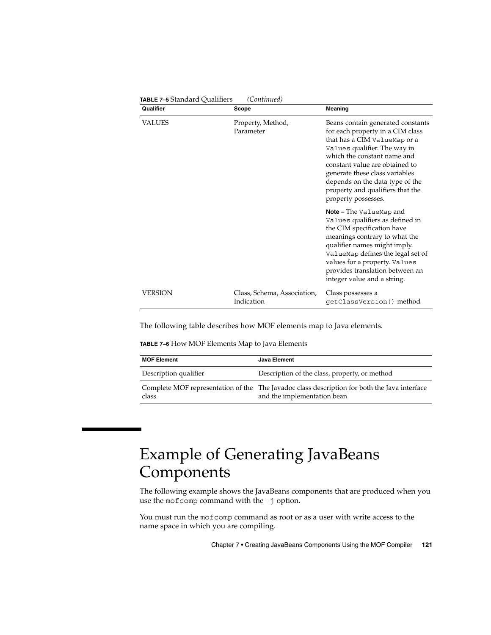<span id="page-120-0"></span>

| <b>TABLE 7-5 Standard Qualifiers</b><br>Qualifier | (Continued)<br>Scope                      | <b>Meaning</b>                                                                                                                                                                                                                                                                                                                         |
|---------------------------------------------------|-------------------------------------------|----------------------------------------------------------------------------------------------------------------------------------------------------------------------------------------------------------------------------------------------------------------------------------------------------------------------------------------|
| VALUES                                            | Property, Method,<br>Parameter            | Beans contain generated constants<br>for each property in a CIM class<br>that has a CIM ValueMap or a<br>Values qualifier. The way in<br>which the constant name and<br>constant value are obtained to<br>generate these class variables<br>depends on the data type of the<br>property and qualifiers that the<br>property possesses. |
|                                                   |                                           | <b>Note –</b> The ValueMap and<br>Values qualifiers as defined in<br>the CIM specification have<br>meanings contrary to what the<br>qualifier names might imply.<br>ValueMap defines the legal set of<br>values for a property. Values<br>provides translation between an<br>integer value and a string.                               |
| VERSION                                           | Class, Schema, Association,<br>Indication | Class possesses a<br>qetClassVersion() method                                                                                                                                                                                                                                                                                          |

The following table describes how MOF elements map to Java elements.

|  |  | <b>TABLE 7–6</b> How MOF Elements Map to Java Elements |  |  |  |
|--|--|--------------------------------------------------------|--|--|--|
|--|--|--------------------------------------------------------|--|--|--|

| <b>MOF Element</b>    | <b>Java Element</b>                                                                                                         |
|-----------------------|-----------------------------------------------------------------------------------------------------------------------------|
| Description qualifier | Description of the class, property, or method                                                                               |
| class                 | Complete MOF representation of the The Javadoc class description for both the Java interface<br>and the implementation bean |

# Example of Generating JavaBeans Components

The following example shows the JavaBeans components that are produced when you use the mofcomp command with the -j option.

You must run the mofcomp command as root or as a user with write access to the name space in which you are compiling.

Chapter 7 • Creating JavaBeans Components Using the MOF Compiler **121**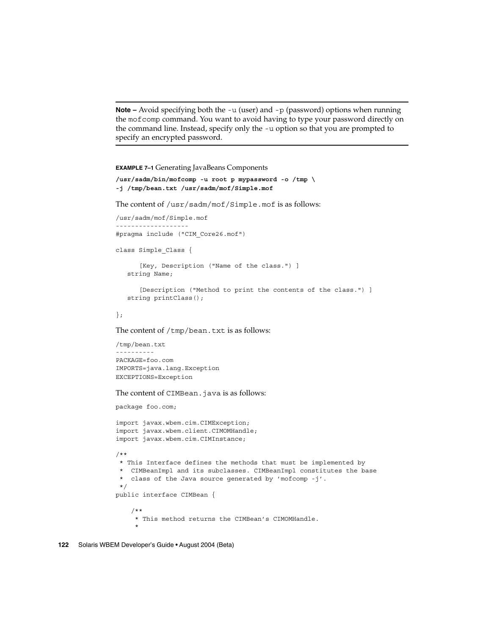**Note** – Avoid specifying both the -u (user) and -p (password) options when running the mofcomp command. You want to avoid having to type your password directly on the command line. Instead, specify only the -u option so that you are prompted to specify an encrypted password.

**EXAMPLE 7–1** Generating JavaBeans Components

```
/usr/sadm/bin/mofcomp -u root p mypassword -o /tmp \
-j /tmp/bean.txt /usr/sadm/mof/Simple.mof
```
The content of /usr/sadm/mof/Simple.mof is as follows:

```
/usr/sadm/mof/Simple.mof
-------------------
#pragma include ("CIM_Core26.mof")
```
class Simple\_Class {

```
[Key, Description ("Name of the class.") ]
string Name;
```
[Description ("Method to print the contents of the class.") ] string printClass();

#### };

The content of /tmp/bean.txt is as follows:

```
/tmp/bean.txt
----------
PACKAGE=foo.com
IMPORTS=java.lang.Exception
EXCEPTIONS=Exception
```
The content of CIMBean. java is as follows:

package foo.com;

```
import javax.wbem.cim.CIMException;
import javax.wbem.client.CIMOMHandle;
import javax.wbem.cim.CIMInstance;
/**
* This Interface defines the methods that must be implemented by
 * CIMBeanImpl and its subclasses. CIMBeanImpl constitutes the base
 * class of the Java source generated by 'mofcomp -j'.
 */
public interface CIMBean {
    /**
    * This method returns the CIMBean's CIMOMHandle.
     *
```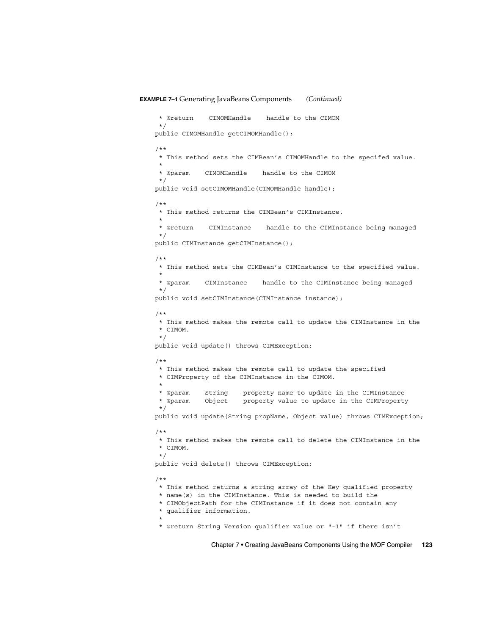```
* @return CIMOMHandle handle to the CIMOM
 */
public CIMOMHandle getCIMOMHandle();
/**
* This method sets the CIMBean's CIMOMHandle to the specifed value.
 *
 * @param CIMOMHandle handle to the CIMOM
 */
public void setCIMOMHandle(CIMOMHandle handle);
/**
* This method returns the CIMBean's CIMInstance.
 *
 * @return CIMInstance handle to the CIMInstance being managed
 */
public CIMInstance getCIMInstance();
/**
 * This method sets the CIMBean's CIMInstance to the specified value.
 *
 * @param CIMInstance handle to the CIMInstance being managed
 */
public void setCIMInstance(CIMInstance instance);
/**
* This method makes the remote call to update the CIMInstance in the
* CIMOM.
 */
public void update() throws CIMException;
/**
* This method makes the remote call to update the specified
 * CIMProperty of the CIMInstance in the CIMOM.
 *
 * @param String property name to update in the CIMInstance
 * @param Object property value to update in the CIMProperty
 */
public void update(String propName, Object value) throws CIMException;
/**
* This method makes the remote call to delete the CIMInstance in the
* CIMOM.
 */
public void delete() throws CIMException;
/**
 * This method returns a string array of the Key qualified property
 * name(s) in the CIMInstance. This is needed to build the
 * CIMObjectPath for the CIMInstance if it does not contain any
 * qualifier information.
 *
 * @return String Version qualifier value or "-1" if there isn't
```
Chapter 7 • Creating JavaBeans Components Using the MOF Compiler **123**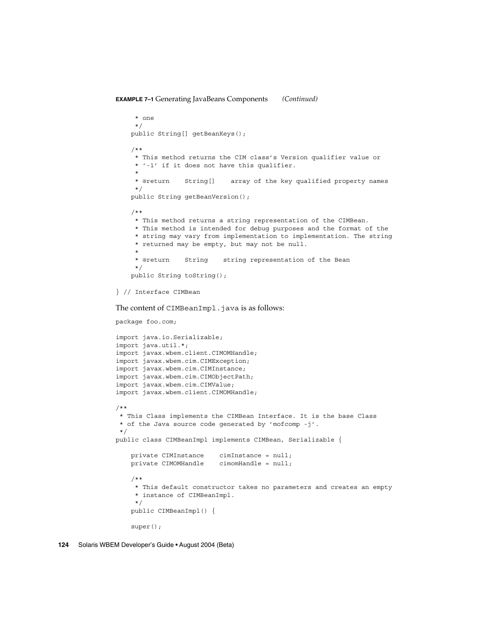```
EXAMPLE 7–1 Generating JavaBeans Components (Continued)
    * one
    */
   public String[] getBeanKeys();
    /**
    * This method returns the CIM class's Version qualifier value or
    * '-1' if it does not have this qualifier.
     *
    * @return String[] array of the key qualified property names
    */
   public String getBeanVersion();
    /**
    * This method returns a string representation of the CIMBean.
    * This method is intended for debug purposes and the format of the
    * string may vary from implementation to implementation. The string
    * returned may be empty, but may not be null.
     *
    * @return String string representation of the Bean
    */
    public String toString();
} // Interface CIMBean
The content of CIMBeanImpl.java is as follows:
package foo.com;
import java.io.Serializable;
```

```
import java.util.*;
import javax.wbem.client.CIMOMHandle;
import javax.wbem.cim.CIMException;
import javax.wbem.cim.CIMInstance;
import javax.wbem.cim.CIMObjectPath;
import javax.wbem.cim.CIMValue;
import javax.wbem.client.CIMOMHandle;
/**
* This Class implements the CIMBean Interface. It is the base Class
* of the Java source code generated by 'mofcomp -j'.
*/
public class CIMBeanImpl implements CIMBean, Serializable {
   private CIMInstance cimInstance = null;
   private CIMOMHandle cimomHandle = null;
    /**
    * This default constructor takes no parameters and creates an empty
    * instance of CIMBeanImpl.
    */
    public CIMBeanImpl() {
    super();
```
**124** Solaris WBEM Developer's Guide • August 2004 (Beta)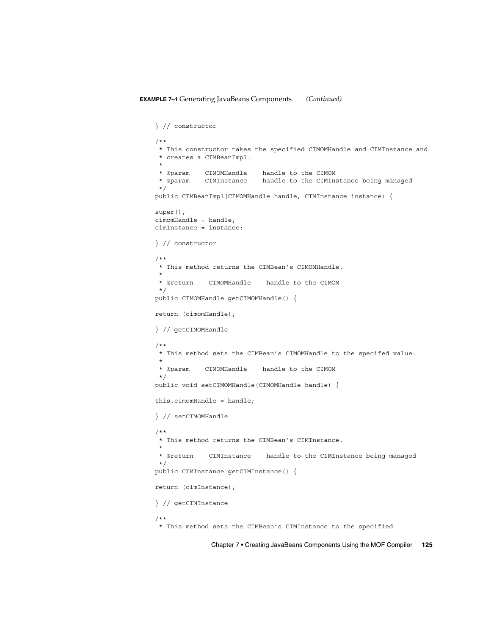```
} // constructor
/**
* This constructor takes the specified CIMOMHandle and CIMInstance and
* creates a CIMBeanImpl.
 *
 * @param CIMOMHandle handle to the CIMOM
 * @param CIMInstance handle to the CIMInstance being managed
 */
public CIMBeanImpl(CIMOMHandle handle, CIMInstance instance) {
super();
cimomHandle = handle;
cimInstance = instance;
} // constructor
/**
 * This method returns the CIMBean's CIMOMHandle.
 *
 * @return CIMOMHandle handle to the CIMOM
 */
public CIMOMHandle getCIMOMHandle() {
return (cimomHandle);
} // getCIMOMHandle
/**
 * This method sets the CIMBean's CIMOMHandle to the specifed value.
 *
 * @param CIMOMHandle handle to the CIMOM
 */
public void setCIMOMHandle(CIMOMHandle handle) {
this.cimomHandle = handle;
} // setCIMOMHandle
/**
 * This method returns the CIMBean's CIMInstance.
 *
 * @return CIMInstance handle to the CIMInstance being managed
 */
public CIMInstance getCIMInstance() {
return (cimInstance);
} // getCIMInstance
/**
 * This method sets the CIMBean's CIMInstance to the specified
```
Chapter 7 • Creating JavaBeans Components Using the MOF Compiler **125**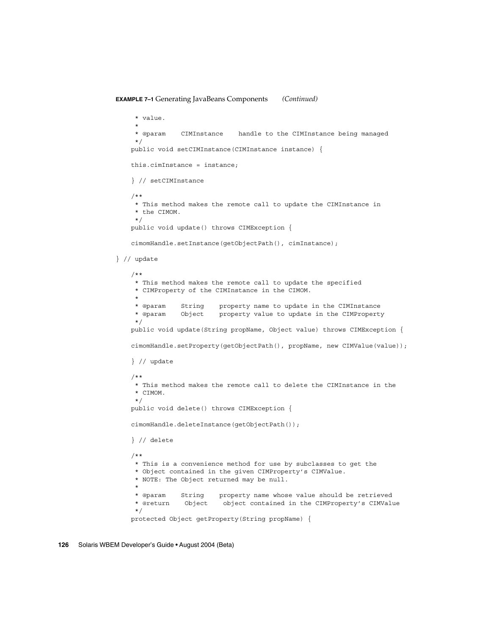```
EXAMPLE 7–1 Generating JavaBeans Components (Continued)
    * value.
     *
    * @param CIMInstance handle to the CIMInstance being managed
    */
   public void setCIMInstance(CIMInstance instance) {
    this.cimInstance = instance;
    } // setCIMInstance
    /**
    * This method makes the remote call to update the CIMInstance in
    * the CIMOM.
    */
    public void update() throws CIMException {
    cimomHandle.setInstance(getObjectPath(), cimInstance);
} // update
    /**
    * This method makes the remote call to update the specified
    * CIMProperty of the CIMInstance in the CIMOM.
     *
    * @param String property name to update in the CIMInstance
    * @param Object property value to update in the CIMProperty
    */
    public void update(String propName, Object value) throws CIMException {
   cimomHandle.setProperty(getObjectPath(), propName, new CIMValue(value));
    } // update
    /**
    * This method makes the remote call to delete the CIMInstance in the
    * CIMOM.
    */
   public void delete() throws CIMException {
    cimomHandle.deleteInstance(getObjectPath());
    } // delete
    /**
    * This is a convenience method for use by subclasses to get the
    * Object contained in the given CIMProperty's CIMValue.
    * NOTE: The Object returned may be null.
     *
    * @param String property name whose value should be retrieved
    * @return Object object contained in the CIMProperty's CIMValue
    */
    protected Object getProperty(String propName) {
```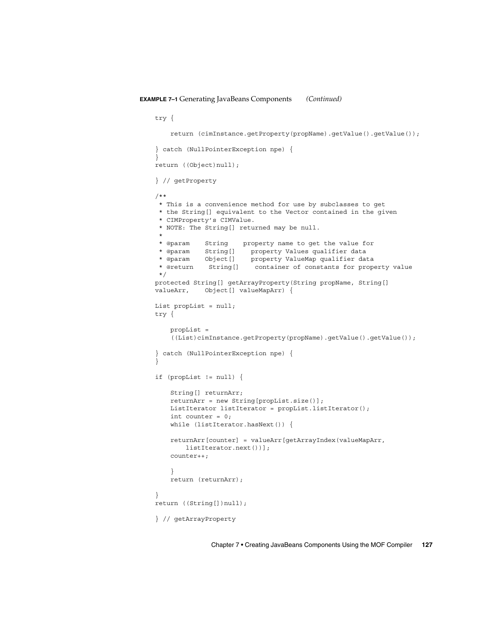```
try {
```
return (cimInstance.getProperty(propName).getValue().getValue());

```
} catch (NullPointerException npe) {
}
return ((Object)null);
} // getProperty
/**
* This is a convenience method for use by subclasses to get
* the String[] equivalent to the Vector contained in the given
* CIMProperty's CIMValue.
 * NOTE: The String[] returned may be null.
 *
 * @param String property name to get the value for
* @param String[] property Values qualifier data
                      property ValueMap qualifier data
 * @return String[] container of constants for property value
*/
protected String[] getArrayProperty(String propName, String[]
valueArr, Object[] valueMapArr) {
List propList = null;
try {
   propList =
    ((List)cimInstance.getProperty(propName).getValue().getValue());
} catch (NullPointerException npe) {
}
if (propList != null) {
    String[] returnArr;
   returnArr = new String[propList.size()];
   ListIterator listIterator = propList.listIterator();
   int counter = 0;
   while (listIterator.hasNext()) {
    returnArr[counter] = valueArr[getArrayIndex(valueMapArr,
       listIterator.next())];
   counter++;
    }
    return (returnArr);
}
return ((String[])null);
} // getArrayProperty
```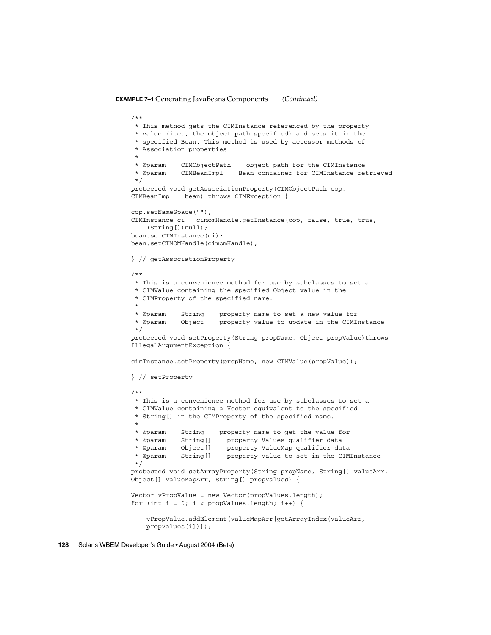```
/**
* This method gets the CIMInstance referenced by the property
* value (i.e., the object path specified) and sets it in the
* specified Bean. This method is used by accessor methods of
* Association properties.
 *
* @param CIMObjectPath object path for the CIMInstance
 * @param CIMBeanImpl Bean container for CIMInstance retrieved
*/
protected void getAssociationProperty(CIMObjectPath cop,
CIMBeanImp bean) throws CIMException {
cop.setNameSpace("");
CIMInstance ci = cimomHandle.getInstance(cop, false, true, true,
   (String[])null);
bean.setCIMInstance(ci);
bean.setCIMOMHandle(cimomHandle);
} // getAssociationProperty
/**
* This is a convenience method for use by subclasses to set a
* CIMValue containing the specified Object value in the
* CIMProperty of the specified name.
 *
* @param String property name to set a new value for
 * @param Object property value to update in the CIMInstance
 */
protected void setProperty(String propName, Object propValue)throws
IllegalArgumentException {
cimInstance.setProperty(propName, new CIMValue(propValue));
} // setProperty
/**
* This is a convenience method for use by subclasses to set a
* CIMValue containing a Vector equivalent to the specified
 * String[] in the CIMProperty of the specified name.
 *
 * @param String property name to get the value for
 * @param String[] property Values qualifier data
 * @param Object[] property ValueMap qualifier data
                     property value to set in the CIMInstance
*/
protected void setArrayProperty(String propName, String[] valueArr,
Object[] valueMapArr, String[] propValues) {
Vector vPropValue = new Vector(propValues.length);
for (int i = 0; i < propValues.length; i++) {
    vPropValue.addElement(valueMapArr[getArrayIndex(valueArr,
    propValues[i])]);
```
**128** Solaris WBEM Developer's Guide • August 2004 (Beta)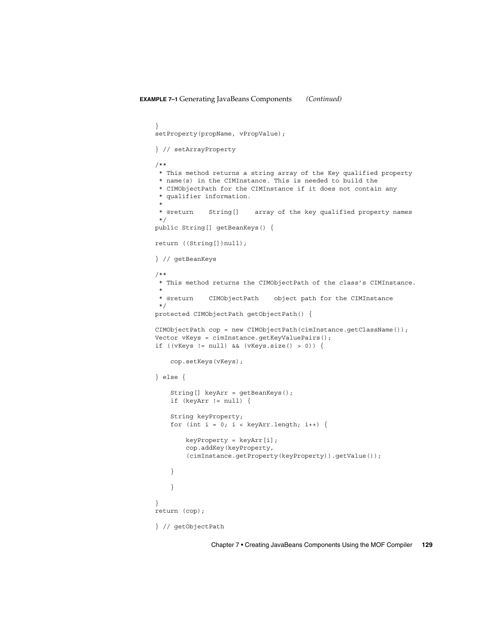```
}
setProperty(propName, vPropValue);
} // setArrayProperty
/**
* This method returns a string array of the Key qualified property
 * name(s) in the CIMInstance. This is needed to build the
 * CIMObjectPath for the CIMInstance if it does not contain any
 * qualifier information.
 *
* @return String[] array of the key qualified property names
*/
public String[] getBeanKeys() {
return ((String[])null);
} // getBeanKeys
/**
* This method returns the CIMObjectPath of the class's CIMInstance.
 *
 * @return CIMObjectPath object path for the CIMInstance
*/
protected CIMObjectPath getObjectPath() {
CIMObjectPath cop = new CIMObjectPath(cimInstance.getClassName());
Vector vKeys = cimInstance.getKeyValuePairs();
if ((vKeys != null) && (vKeys.size() > 0)) {
    cop.setKeys(vKeys);
} else {
    String[] keyArr = getBeanKeys();
    if (keyArr != null) {
    String keyProperty;
    for (int i = 0; i < keyArr.length; i++) {
        keyProperty = keyArr[i];
        cop.addKey(keyProperty,
        (cimInstance.getProperty(keyProperty)).getValue());
    }
    }
}
return (cop);
} // getObjectPath
```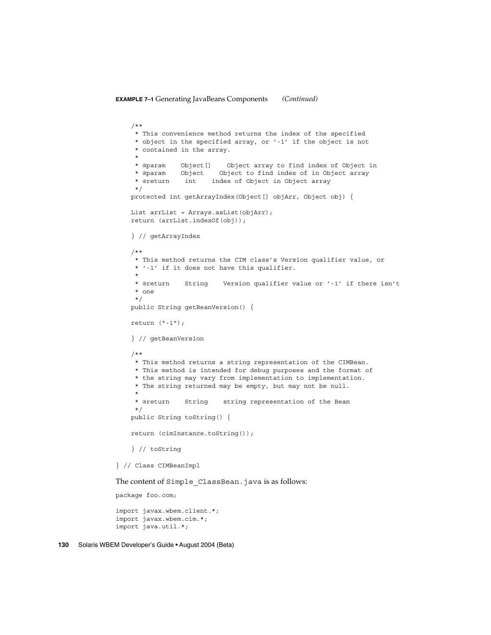```
/**
    * This convenience method returns the index of the specified
    * object in the specified array, or '-1' if the object is not
    * contained in the array.
     *
    * @param Object[] Object array to find index of Object in
    * @param Object Object to find index of in Object array
    * @return int index of Object in Object array
    */
    protected int getArrayIndex(Object[] objArr, Object obj) {
   List arrList = Arrays.asList(objArr);
    return (arrList.indexOf(obj));
    } // getArrayIndex
    /**
    * This method returns the CIM class's Version qualifier value, or
    * '-1' if it does not have this qualifier.
     *
    * @return String Version qualifier value or '-1' if there isn't
    * one
    */
    public String getBeanVersion() {
   return ("-1");
    } // getBeanVersion
    /**
    * This method returns a string representation of the CIMBean.
    * This method is intended for debug purposes and the format of
    * the string may vary from implementation to implementation.
    * The string returned may be empty, but may not be null.
     *
    * @return String string representation of the Bean
    */
    public String toString() {
    return (cimInstance.toString());
    } // toString
} // Class CIMBeanImpl
The content of Simple ClassBean.java is as follows:
package foo.com;
import javax.wbem.client.*;
```
**130** Solaris WBEM Developer's Guide • August 2004 (Beta)

import javax.wbem.cim.\*; import java.util.\*;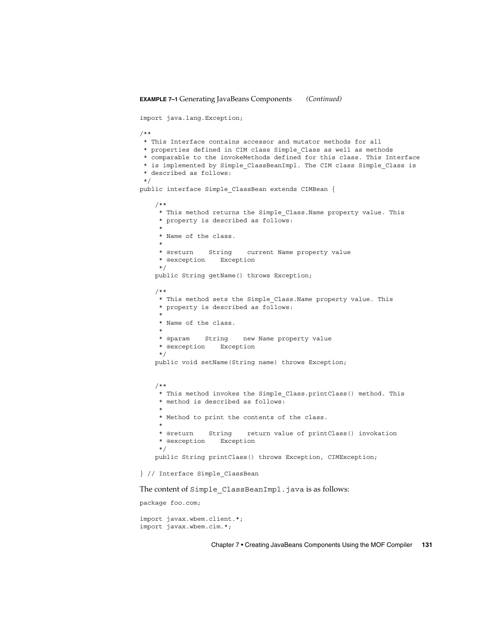import java.lang.Exception;

```
/**
* This Interface contains accessor and mutator methods for all
* properties defined in CIM class Simple_Class as well as methods
* comparable to the invokeMethods defined for this class. This Interface
* is implemented by Simple_ClassBeanImpl. The CIM class Simple_Class is
 * described as follows:
*/
public interface Simple_ClassBean extends CIMBean {
    /**
    * This method returns the Simple_Class.Name property value. This
    * property is described as follows:
     *
    * Name of the class.
     *
    * @return String current Name property value
    * @exception Exception
    */
   public String getName() throws Exception;
    /**
    * This method sets the Simple_Class.Name property value. This
    * property is described as follows:
     *
    * Name of the class.
     *
    * @param String new Name property value
    * @exception Exception
    */
   public void setName(String name) throws Exception;
    /**
    * This method invokes the Simple_Class.printClass() method. This
    * method is described as follows:
     *
    * Method to print the contents of the class.
     *
    * @return String return value of printClass() invokation
    * @exception Exception
    */
   public String printClass() throws Exception, CIMException;
} // Interface Simple_ClassBean
The content of Simple_ClassBeanImpl.java is as follows:
package foo.com;
import javax.wbem.client.*;
import javax.wbem.cim.*;
```
Chapter 7 • Creating JavaBeans Components Using the MOF Compiler **131**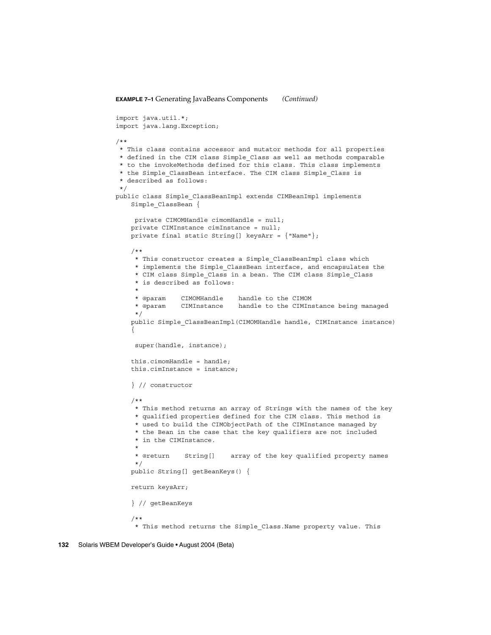```
EXAMPLE 7–1 Generating JavaBeans Components (Continued)
import java.util.*;
import java.lang.Exception;
/**
* This class contains accessor and mutator methods for all properties
* defined in the CIM class Simple_Class as well as methods comparable
 * to the invokeMethods defined for this class. This class implements
 * the Simple ClassBean interface. The CIM class Simple Class is
 * described as follows:
 */
public class Simple_ClassBeanImpl extends CIMBeanImpl implements
   Simple ClassBean {
    private CIMOMHandle cimomHandle = null;
    private CIMInstance cimInstance = null;
   private final static String[] keysArr = {"Name"};
    /**
    * This constructor creates a Simple_ClassBeanImpl class which
    * implements the Simple ClassBean interface, and encapsulates the
     * CIM class Simple_Class in a bean. The CIM class Simple_Class
     * is described as follows:
     *
    * @param CIMOMHandle handle to the CIMOM
     * @param CIMInstance handle to the CIMInstance being managed
    */
    public Simple_ClassBeanImpl(CIMOMHandle handle, CIMInstance instance)
    {
    super(handle, instance);
    this.cimomHandle = handle;
    this.cimInstance = instance;
    } // constructor
    /**
    * This method returns an array of Strings with the names of the key
    * qualified properties defined for the CIM class. This method is
     * used to build the CIMObjectPath of the CIMInstance managed by
     * the Bean in the case that the key qualifiers are not included
     * in the CIMInstance.
     *
     * @return String[] array of the key qualified property names
    */
   public String[] getBeanKeys() {
   return keysArr;
    } // getBeanKeys
    /**
    * This method returns the Simple_Class.Name property value. This
```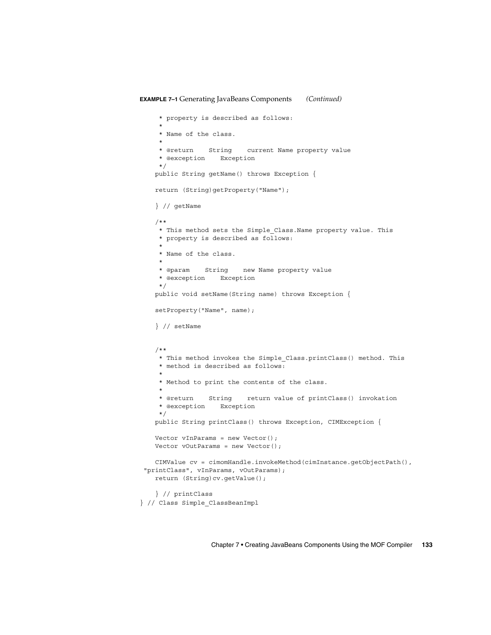```
EXAMPLE 7–1 Generating JavaBeans Components (Continued)
    * property is described as follows:
     *
    * Name of the class.
     *
    * @return String current Name property value
    * @exception Exception
    */
   public String getName() throws Exception {
   return (String)getProperty("Name");
   } // getName
    /**
    * This method sets the Simple_Class.Name property value. This
    * property is described as follows:
     *
    * Name of the class.
     *
    * @param String new Name property value
    * @exception Exception
    */
   public void setName(String name) throws Exception {
   setProperty("Name", name);
    } // setName
    /**
    * This method invokes the Simple_Class.printClass() method. This
    * method is described as follows:
     *
    * Method to print the contents of the class.
     *
    * @return String return value of printClass() invokation
    * @exception Exception
    */
   public String printClass() throws Exception, CIMException {
   Vector vInParams = new Vector();
   Vector vOutParams = new Vector();
   CIMValue cv = cimomHandle.invokeMethod(cimInstance.getObjectPath(),
 "printClass", vInParams, vOutParams);
   return (String)cv.getValue();
    } // printClass
} // Class Simple_ClassBeanImpl
```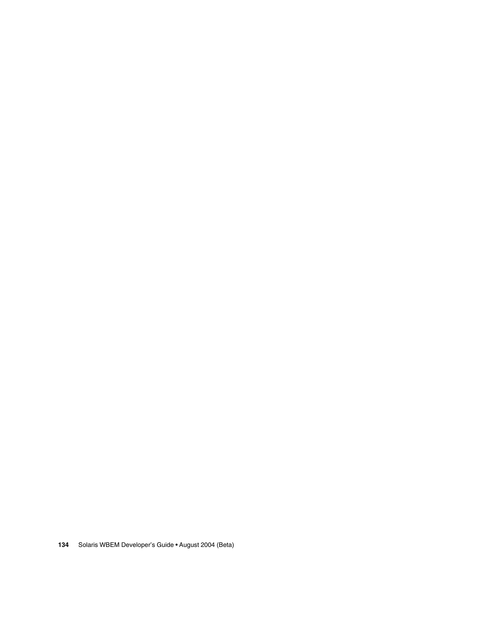Solaris WBEM Developer's Guide • August 2004 (Beta)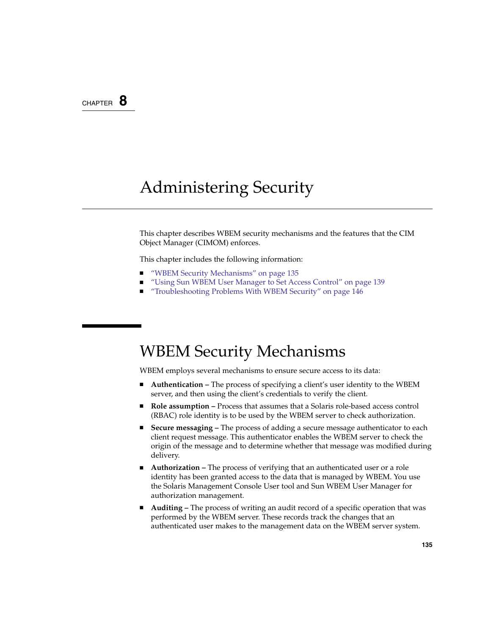### CHAPTER **8**

# Administering Security

This chapter describes WBEM security mechanisms and the features that the CIM Object Manager (CIMOM) enforces.

This chapter includes the following information:

- "WBEM Security Mechanisms" on page 135
- ["Using Sun WBEM User Manager to Set Access Control"](#page-138-0) on page 139
- ["Troubleshooting Problems With WBEM Security"](#page-145-0) on page 146

# WBEM Security Mechanisms

WBEM employs several mechanisms to ensure secure access to its data:

- **Authentication** The process of specifying a client's user identity to the WBEM server, and then using the client's credentials to verify the client.
- **Role assumption** Process that assumes that a Solaris role-based access control (RBAC) role identity is to be used by the WBEM server to check authorization.
- **Secure messaging** The process of adding a secure message authenticator to each client request message. This authenticator enables the WBEM server to check the origin of the message and to determine whether that message was modified during delivery.
- **Authorization** The process of verifying that an authenticated user or a role identity has been granted access to the data that is managed by WBEM. You use the Solaris Management Console User tool and Sun WBEM User Manager for authorization management.
- **Auditing –** The process of writing an audit record of a specific operation that was performed by the WBEM server. These records track the changes that an authenticated user makes to the management data on the WBEM server system.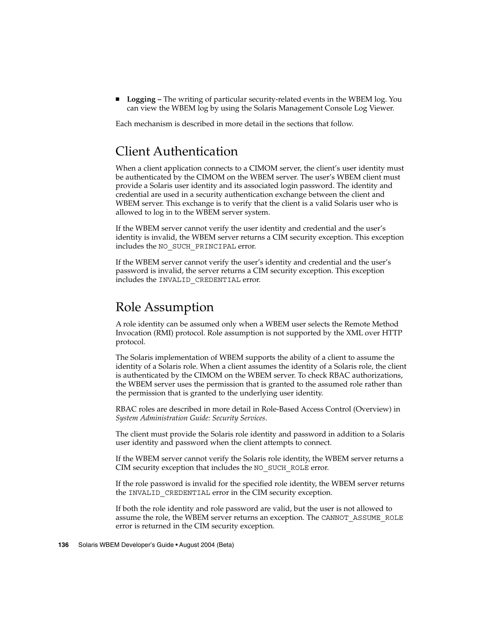**Logging** – The writing of particular security-related events in the WBEM log. You can view the WBEM log by using the Solaris Management Console Log Viewer.

Each mechanism is described in more detail in the sections that follow.

## Client Authentication

When a client application connects to a CIMOM server, the client's user identity must be authenticated by the CIMOM on the WBEM server. The user's WBEM client must provide a Solaris user identity and its associated login password. The identity and credential are used in a security authentication exchange between the client and WBEM server. This exchange is to verify that the client is a valid Solaris user who is allowed to log in to the WBEM server system.

If the WBEM server cannot verify the user identity and credential and the user's identity is invalid, the WBEM server returns a CIM security exception. This exception includes the NO\_SUCH\_PRINCIPAL error.

If the WBEM server cannot verify the user's identity and credential and the user's password is invalid, the server returns a CIM security exception. This exception includes the INVALID\_CREDENTIAL error.

### Role Assumption

A role identity can be assumed only when a WBEM user selects the Remote Method Invocation (RMI) protocol. Role assumption is not supported by the XML over HTTP protocol.

The Solaris implementation of WBEM supports the ability of a client to assume the identity of a Solaris role. When a client assumes the identity of a Solaris role, the client is authenticated by the CIMOM on the WBEM server. To check RBAC authorizations, the WBEM server uses the permission that is granted to the assumed role rather than the permission that is granted to the underlying user identity.

RBAC roles are described in more detail in Role-Based Access Control (Overview) in *System Administration Guide: Security Services*.

The client must provide the Solaris role identity and password in addition to a Solaris user identity and password when the client attempts to connect.

If the WBEM server cannot verify the Solaris role identity, the WBEM server returns a CIM security exception that includes the NO\_SUCH\_ROLE error.

If the role password is invalid for the specified role identity, the WBEM server returns the INVALID\_CREDENTIAL error in the CIM security exception.

If both the role identity and role password are valid, but the user is not allowed to assume the role, the WBEM server returns an exception. The CANNOT\_ASSUME\_ROLE error is returned in the CIM security exception.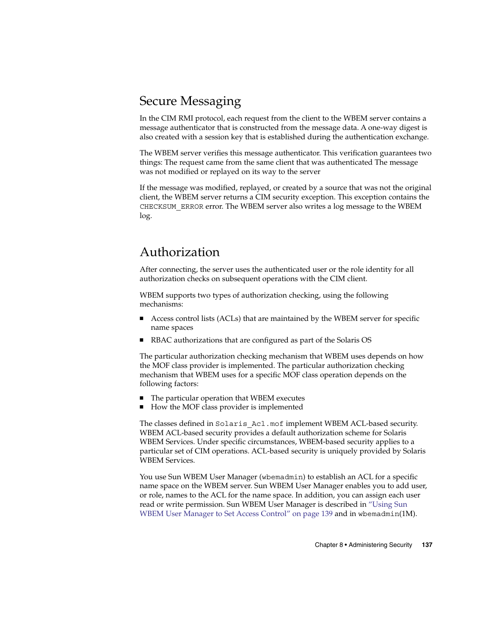## Secure Messaging

In the CIM RMI protocol, each request from the client to the WBEM server contains a message authenticator that is constructed from the message data. A one-way digest is also created with a session key that is established during the authentication exchange.

The WBEM server verifies this message authenticator. This verification guarantees two things: The request came from the same client that was authenticated The message was not modified or replayed on its way to the server

If the message was modified, replayed, or created by a source that was not the original client, the WBEM server returns a CIM security exception. This exception contains the CHECKSUM\_ERROR error. The WBEM server also writes a log message to the WBEM log.

## Authorization

After connecting, the server uses the authenticated user or the role identity for all authorization checks on subsequent operations with the CIM client.

WBEM supports two types of authorization checking, using the following mechanisms:

- Access control lists (ACLs) that are maintained by the WBEM server for specific name spaces
- RBAC authorizations that are configured as part of the Solaris OS

The particular authorization checking mechanism that WBEM uses depends on how the MOF class provider is implemented. The particular authorization checking mechanism that WBEM uses for a specific MOF class operation depends on the following factors:

- The particular operation that WBEM executes
- How the MOF class provider is implemented

The classes defined in Solaris Acl.mof implement WBEM ACL-based security. WBEM ACL-based security provides a default authorization scheme for Solaris WBEM Services. Under specific circumstances, WBEM-based security applies to a particular set of CIM operations. ACL-based security is uniquely provided by Solaris WBEM Services.

You use Sun WBEM User Manager (wbemadmin) to establish an ACL for a specific name space on the WBEM server. Sun WBEM User Manager enables you to add user, or role, names to the ACL for the name space. In addition, you can assign each user read or write permission. Sun WBEM User Manager is described in ["Using Sun](#page-138-0) [WBEM User Manager to Set Access Control"](#page-138-0) on page 139 and in wbemadmin(1M).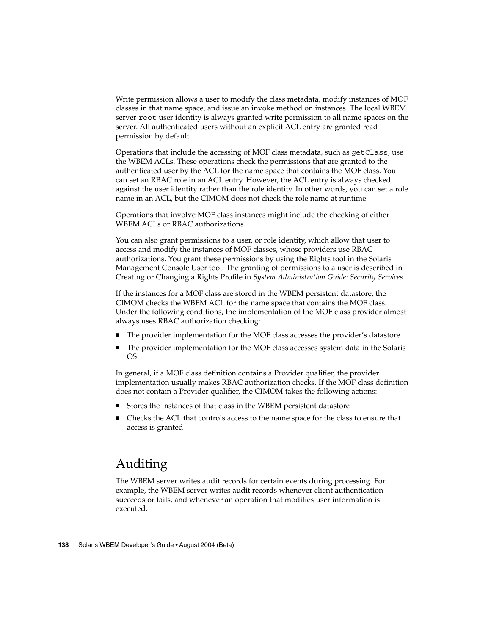Write permission allows a user to modify the class metadata, modify instances of MOF classes in that name space, and issue an invoke method on instances. The local WBEM server root user identity is always granted write permission to all name spaces on the server. All authenticated users without an explicit ACL entry are granted read permission by default.

Operations that include the accessing of MOF class metadata, such as getClass, use the WBEM ACLs. These operations check the permissions that are granted to the authenticated user by the ACL for the name space that contains the MOF class. You can set an RBAC role in an ACL entry. However, the ACL entry is always checked against the user identity rather than the role identity. In other words, you can set a role name in an ACL, but the CIMOM does not check the role name at runtime.

Operations that involve MOF class instances might include the checking of either WBEM ACLs or RBAC authorizations.

You can also grant permissions to a user, or role identity, which allow that user to access and modify the instances of MOF classes, whose providers use RBAC authorizations. You grant these permissions by using the Rights tool in the Solaris Management Console User tool. The granting of permissions to a user is described in Creating or Changing a Rights Profile in *System Administration Guide: Security Services*.

If the instances for a MOF class are stored in the WBEM persistent datastore, the CIMOM checks the WBEM ACL for the name space that contains the MOF class. Under the following conditions, the implementation of the MOF class provider almost always uses RBAC authorization checking:

- The provider implementation for the MOF class accesses the provider's datastore
- The provider implementation for the MOF class accesses system data in the Solaris OS

In general, if a MOF class definition contains a Provider qualifier, the provider implementation usually makes RBAC authorization checks. If the MOF class definition does not contain a Provider qualifier, the CIMOM takes the following actions:

- Stores the instances of that class in the WBEM persistent datastore
- Checks the ACL that controls access to the name space for the class to ensure that access is granted

### Auditing

The WBEM server writes audit records for certain events during processing. For example, the WBEM server writes audit records whenever client authentication succeeds or fails, and whenever an operation that modifies user information is executed.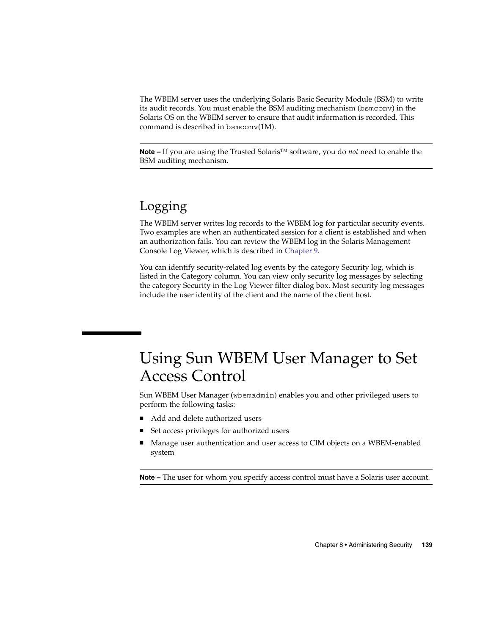<span id="page-138-0"></span>The WBEM server uses the underlying Solaris Basic Security Module (BSM) to write its audit records. You must enable the BSM auditing mechanism (bsmconv) in the Solaris OS on the WBEM server to ensure that audit information is recorded. This command is described in bsmconv(1M).

**Note –** If you are using the Trusted Solaris™ software, you do *not* need to enable the BSM auditing mechanism.

## Logging

The WBEM server writes log records to the WBEM log for particular security events. Two examples are when an authenticated session for a client is established and when an authorization fails. You can review the WBEM log in the Solaris Management Console Log Viewer, which is described in [Chapter 9.](#page-150-0)

You can identify security-related log events by the category Security log, which is listed in the Category column. You can view only security log messages by selecting the category Security in the Log Viewer filter dialog box. Most security log messages include the user identity of the client and the name of the client host.

# Using Sun WBEM User Manager to Set Access Control

Sun WBEM User Manager (wbemadmin) enables you and other privileged users to perform the following tasks:

- Add and delete authorized users
- Set access privileges for authorized users
- Manage user authentication and user access to CIM objects on a WBEM-enabled system

**Note –** The user for whom you specify access control must have a Solaris user account.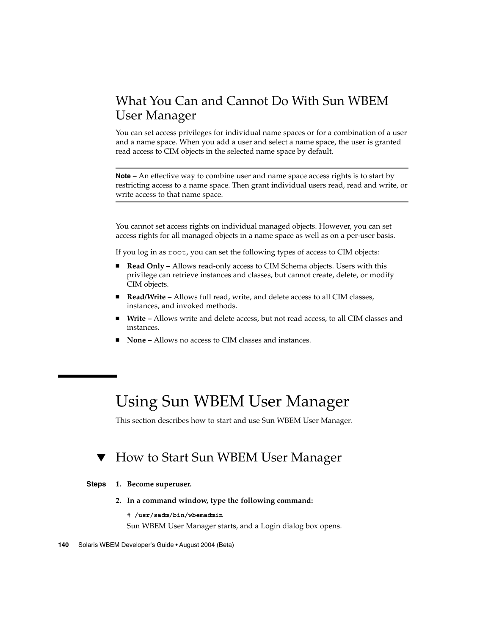# What You Can and Cannot Do With Sun WBEM User Manager

You can set access privileges for individual name spaces or for a combination of a user and a name space. When you add a user and select a name space, the user is granted read access to CIM objects in the selected name space by default.

**Note –** An effective way to combine user and name space access rights is to start by restricting access to a name space. Then grant individual users read, read and write, or write access to that name space.

You cannot set access rights on individual managed objects. However, you can set access rights for all managed objects in a name space as well as on a per-user basis.

If you log in as root, you can set the following types of access to CIM objects:

- **Read Only** Allows read-only access to CIM Schema objects. Users with this privilege can retrieve instances and classes, but cannot create, delete, or modify CIM objects.
- **Read/Write** Allows full read, write, and delete access to all CIM classes, instances, and invoked methods.
- **Write** Allows write and delete access, but not read access, to all CIM classes and instances.
- None Allows no access to CIM classes and instances.

# Using Sun WBEM User Manager

This section describes how to start and use Sun WBEM User Manager.

### ▼ How to Start Sun WBEM User Manager

#### **1. Become superuser. Steps**

#### **2. In a command window, type the following command:**

# **/usr/sadm/bin/wbemadmin** Sun WBEM User Manager starts, and a Login dialog box opens.

**<sup>140</sup>** Solaris WBEM Developer's Guide • August 2004 (Beta)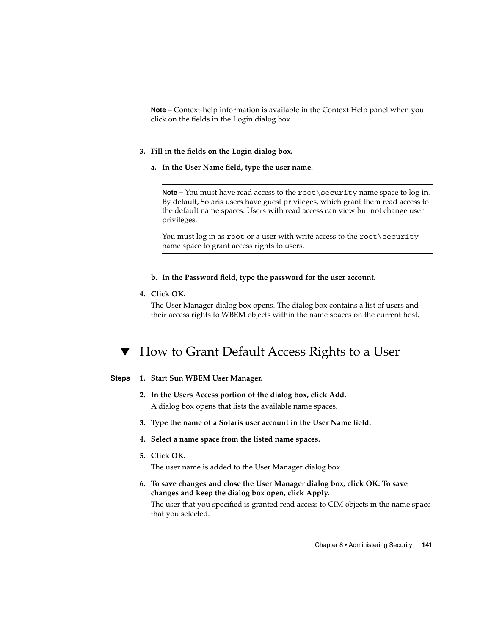**Note –** Context-help information is available in the Context Help panel when you click on the fields in the Login dialog box.

#### **3. Fill in the fields on the Login dialog box.**

#### **a. In the User Name field, type the user name.**

**Note –** You must have read access to the root\security name space to log in. By default, Solaris users have guest privileges, which grant them read access to the default name spaces. Users with read access can view but not change user privileges.

You must log in as root or a user with write access to the root \security name space to grant access rights to users.

#### **b. In the Password field, type the password for the user account.**

**4. Click OK.**

The User Manager dialog box opens. The dialog box contains a list of users and their access rights to WBEM objects within the name spaces on the current host.

## ▼ How to Grant Default Access Rights to a User

#### **1. Start Sun WBEM User Manager. Steps**

- **2. In the Users Access portion of the dialog box, click Add.** A dialog box opens that lists the available name spaces.
- **3. Type the name of a Solaris user account in the User Name field.**
- **4. Select a name space from the listed name spaces.**
- **5. Click OK.**

The user name is added to the User Manager dialog box.

**6. To save changes and close the User Manager dialog box, click OK. To save changes and keep the dialog box open, click Apply.**

The user that you specified is granted read access to CIM objects in the name space that you selected.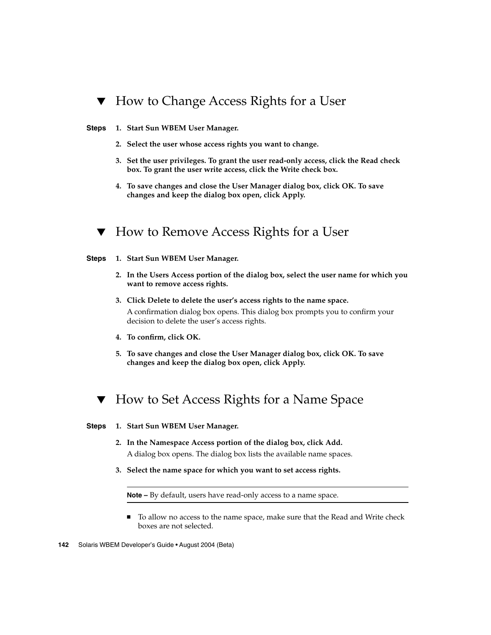## ▼ How to Change Access Rights for a User

#### **1. Start Sun WBEM User Manager. Steps**

- **2. Select the user whose access rights you want to change.**
- **3. Set the user privileges. To grant the user read-only access, click the Read check box. To grant the user write access, click the Write check box.**
- **4. To save changes and close the User Manager dialog box, click OK. To save changes and keep the dialog box open, click Apply.**

### ▼ How to Remove Access Rights for a User

**1. Start Sun WBEM User Manager. Steps**

- **2. In the Users Access portion of the dialog box, select the user name for which you want to remove access rights.**
- **3. Click Delete to delete the user's access rights to the name space.** A confirmation dialog box opens. This dialog box prompts you to confirm your decision to delete the user's access rights.
- **4. To confirm, click OK.**
- **5. To save changes and close the User Manager dialog box, click OK. To save changes and keep the dialog box open, click Apply.**

### ▼ How to Set Access Rights for a Name Space

#### **1. Start Sun WBEM User Manager. Steps**

- **2. In the Namespace Access portion of the dialog box, click Add.** A dialog box opens. The dialog box lists the available name spaces.
- **3. Select the name space for which you want to set access rights.**

**Note –** By default, users have read-only access to a name space.

■ To allow no access to the name space, make sure that the Read and Write check boxes are not selected.

**<sup>142</sup>** Solaris WBEM Developer's Guide • August 2004 (Beta)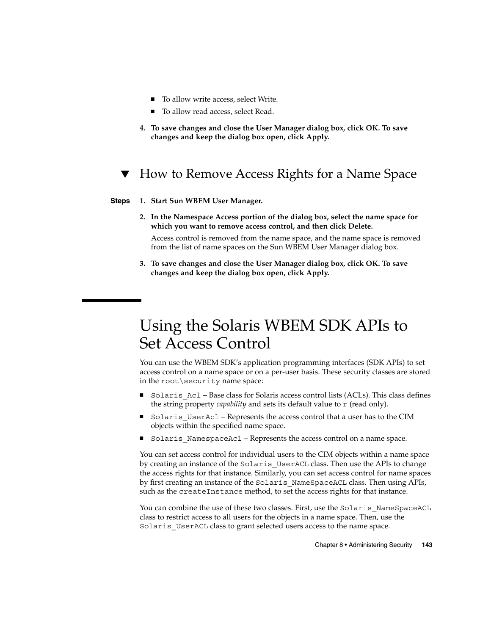- To allow write access, select Write.
- To allow read access, select Read.
- **4. To save changes and close the User Manager dialog box, click OK. To save changes and keep the dialog box open, click Apply.**

## How to Remove Access Rights for a Name Space

#### **1. Start Sun WBEM User Manager. Steps**

**2. In the Namespace Access portion of the dialog box, select the name space for which you want to remove access control, and then click Delete.** Access control is removed from the name space, and the name space is removed

from the list of name spaces on the Sun WBEM User Manager dialog box.

**3. To save changes and close the User Manager dialog box, click OK. To save changes and keep the dialog box open, click Apply.**

# Using the Solaris WBEM SDK APIs to Set Access Control

You can use the WBEM SDK's application programming interfaces (SDK APIs) to set access control on a name space or on a per-user basis. These security classes are stored in the root\security name space:

- Solaris Acl Base class for Solaris access control lists (ACLs). This class defines the string property *capability* and sets its default value to r (read only).
- Solaris UserAcl Represents the access control that a user has to the CIM objects within the specified name space.
- Solaris NamespaceAcl Represents the access control on a name space.

You can set access control for individual users to the CIM objects within a name space by creating an instance of the Solaris UserACL class. Then use the APIs to change the access rights for that instance. Similarly, you can set access control for name spaces by first creating an instance of the Solaris NameSpaceACL class. Then using APIs, such as the createInstance method, to set the access rights for that instance.

You can combine the use of these two classes. First, use the Solaris NameSpaceACL class to restrict access to all users for the objects in a name space. Then, use the Solaris UserACL class to grant selected users access to the name space.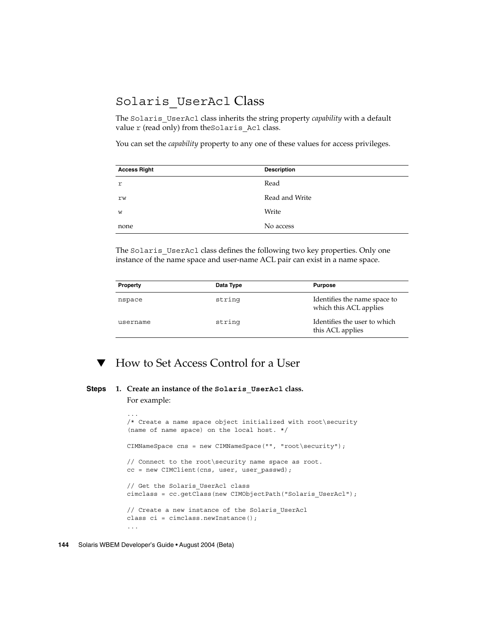### Solaris UserAcl Class

The Solaris\_UserAcl class inherits the string property *capability* with a default value r (read only) from theSolaris\_Acl class.

You can set the *capability* property to any one of these values for access privileges.

| <b>Access Right</b> | <b>Description</b> |
|---------------------|--------------------|
| r                   | Read               |
| rw                  | Read and Write     |
| W                   | Write              |
| none                | No access          |

The Solaris\_UserAcl class defines the following two key properties. Only one instance of the name space and user-name ACL pair can exist in a name space.

| Property | Data Type | <b>Purpose</b>                                         |
|----------|-----------|--------------------------------------------------------|
| nspace   | string    | Identifies the name space to<br>which this ACL applies |
| username | string    | Identifies the user to which<br>this ACL applies       |

### ▼ How to Set Access Control for a User

For example:

```
...
/* Create a name space object initialized with root\security
(name of name space) on the local host. */
CIMNameSpace cns = new CIMNameSpace("", "root\security");
// Connect to the root\security name space as root.
cc = new CIMClient (cns, user, user passwd);
// Get the Solaris_UserAcl class
cimclass = cc.getClass(new CIMObjectPath("Solaris_UserAcl");
// Create a new instance of the Solaris UserAcl
class ci = cimclass.newInstance();
...
```
#### **144** Solaris WBEM Developer's Guide • August 2004 (Beta)

**<sup>1.</sup> Create an instance of the Solaris\_UserAcl class. Steps**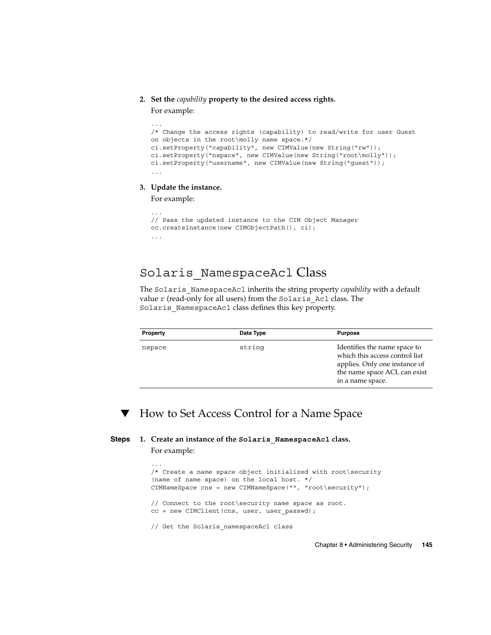**2. Set the** *capability* **property to the desired access rights.**

For example:

```
...
/* Change the access rights (capability) to read/write for user Guest
on objects in the root\molly name space.*/
ci.setProperty("capability", new CIMValue(new String("rw"));
ci.setProperty("nspace", new CIMValue(new String("root\molly"));
ci.setProperty("username", new CIMValue(new String("guest"));
```
#### **3. Update the instance.**

For example:

```
...
// Pass the updated instance to the CIM Object Manager
cc.createInstance(new CIMObjectPath(), ci);
...
```
### Solaris\_NamespaceAcl Class

The Solaris\_NamespaceAcl inherits the string property *capability* with a default value r (read-only for all users) from the Solaris\_Acl class. The Solaris\_NamespaceAcl class defines this key property.

| <b>Property</b> | Data Type | <b>Purpose</b>                                                                                                                                      |
|-----------------|-----------|-----------------------------------------------------------------------------------------------------------------------------------------------------|
| nspace          | string    | Identifies the name space to<br>which this access control list<br>applies. Only one instance of<br>the name space ACL can exist<br>in a name space. |

### ▼ How to Set Access Control for a Name Space

#### **1. Create an instance of the Solaris\_NamespaceAcl class.** For example: **Steps**

```
...
/* Create a name space object initialized with root\security
(name of name space) on the local host. */
CIMNameSpace cns = new CIMNameSpace("", "root\security");
// Connect to the root\security name space as root.
cc = new CIMClient(cns, user, user passwd);
// Get the Solaris namespaceAcl class
```
Chapter 8 • Administering Security **145**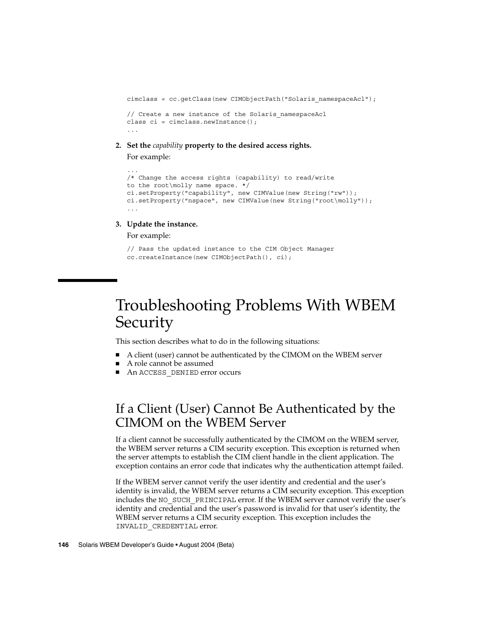```
cimclass = cc.getClass(new CIMObjectPath("Solaris_namespaceAcl");
// Create a new instance of the Solaris namespaceAcl
class ci = cimclass.newInstance();
```
#### **2. Set the** *capability* **property to the desired access rights.**

For example:

...

```
...
/* Change the access rights (capability) to read/write
to the root\molly name space. */
ci.setProperty("capability", new CIMValue(new String("rw"));
ci.setProperty("nspace", new CIMValue(new String("root\molly"));
...
```
#### **3. Update the instance.**

#### For example:

```
// Pass the updated instance to the CIM Object Manager
cc.createInstance(new CIMObjectPath(), ci);
```
# Troubleshooting Problems With WBEM **Security**

This section describes what to do in the following situations:

- A client (user) cannot be authenticated by the CIMOM on the WBEM server
- A role cannot be assumed
- An ACCESS DENIED error occurs

### If a Client (User) Cannot Be Authenticated by the CIMOM on the WBEM Server

If a client cannot be successfully authenticated by the CIMOM on the WBEM server, the WBEM server returns a CIM security exception. This exception is returned when the server attempts to establish the CIM client handle in the client application. The exception contains an error code that indicates why the authentication attempt failed.

If the WBEM server cannot verify the user identity and credential and the user's identity is invalid, the WBEM server returns a CIM security exception. This exception includes the NO\_SUCH\_PRINCIPAL error. If the WBEM server cannot verify the user's identity and credential and the user's password is invalid for that user's identity, the WBEM server returns a CIM security exception. This exception includes the INVALID\_CREDENTIAL error.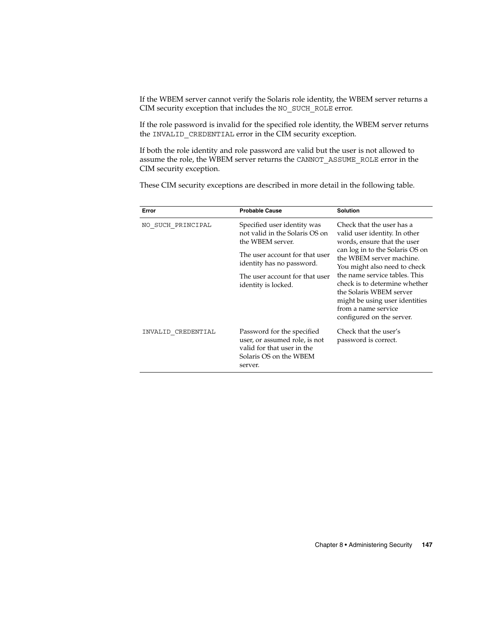If the WBEM server cannot verify the Solaris role identity, the WBEM server returns a CIM security exception that includes the NO\_SUCH\_ROLE error.

If the role password is invalid for the specified role identity, the WBEM server returns the INVALID\_CREDENTIAL error in the CIM security exception.

If both the role identity and role password are valid but the user is not allowed to assume the role, the WBEM server returns the CANNOT\_ASSUME\_ROLE error in the CIM security exception.

These CIM security exceptions are described in more detail in the following table.

| Error              | <b>Probable Cause</b>                                                                                                                                                                                     | <b>Solution</b>                                                                                                                                                                                                                                                                                                                                                             |
|--------------------|-----------------------------------------------------------------------------------------------------------------------------------------------------------------------------------------------------------|-----------------------------------------------------------------------------------------------------------------------------------------------------------------------------------------------------------------------------------------------------------------------------------------------------------------------------------------------------------------------------|
| NO SUCH PRINCIPAL  | Specified user identity was<br>not valid in the Solaris OS on<br>the WBEM server.<br>The user account for that user<br>identity has no password.<br>The user account for that user<br>identity is locked. | Check that the user has a<br>valid user identity. In other<br>words, ensure that the user<br>can log in to the Solaris OS on<br>the WBEM server machine.<br>You might also need to check<br>the name service tables. This<br>check is to determine whether<br>the Solaris WBEM server<br>might be using user identities<br>from a name service<br>configured on the server. |
| INVALID CREDENTIAL | Password for the specified<br>user, or assumed role, is not<br>valid for that user in the<br>Solaris OS on the WBEM<br>server.                                                                            | Check that the user's<br>password is correct.                                                                                                                                                                                                                                                                                                                               |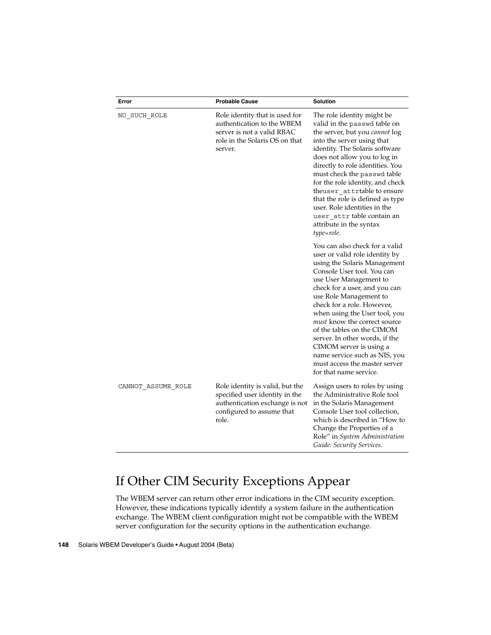| Error              | <b>Probable Cause</b>                                                                                                                     | <b>Solution</b>                                                                                                                                                                                                                                                                                                                                                                                                                                                                                           |
|--------------------|-------------------------------------------------------------------------------------------------------------------------------------------|-----------------------------------------------------------------------------------------------------------------------------------------------------------------------------------------------------------------------------------------------------------------------------------------------------------------------------------------------------------------------------------------------------------------------------------------------------------------------------------------------------------|
| NO SUCH ROLE       | Role identity that is used for<br>authentication to the WBEM<br>server is not a valid RBAC<br>role in the Solaris OS on that<br>server.   | The role identity might be<br>valid in the passwd table on<br>the server, but you cannot log<br>into the server using that<br>identity. The Solaris software<br>does not allow you to log in<br>directly to role identities. You<br>must check the passwd table<br>for the role identity, and check<br>theuser_attrtable to ensure<br>that the role is defined as type<br>user. Role identities in the<br>user_attr table contain an<br>attribute in the syntax<br>type=role.                             |
|                    |                                                                                                                                           | You can also check for a valid<br>user or valid role identity by<br>using the Solaris Management<br>Console User tool. You can<br>use User Management to<br>check for a user, and you can<br>use Role Management to<br>check for a role. However,<br>when using the User tool, you<br>must know the correct source<br>of the tables on the CIMOM<br>server. In other words, if the<br>CIMOM server is using a<br>name service such as NIS, you<br>must access the master server<br>for that name service. |
| CANNOT ASSUME ROLE | Role identity is valid, but the<br>specified user identity in the<br>authentication exchange is not<br>configured to assume that<br>role. | Assign users to roles by using<br>the Administrative Role tool<br>in the Solaris Management<br>Console User tool collection,<br>which is described in "How to<br>Change the Properties of a<br>Role" in System Administration<br>Guide: Security Services.                                                                                                                                                                                                                                                |

## If Other CIM Security Exceptions Appear

The WBEM server can return other error indications in the CIM security exception. However, these indications typically identify a system failure in the authentication exchange. The WBEM client configuration might not be compatible with the WBEM server configuration for the security options in the authentication exchange.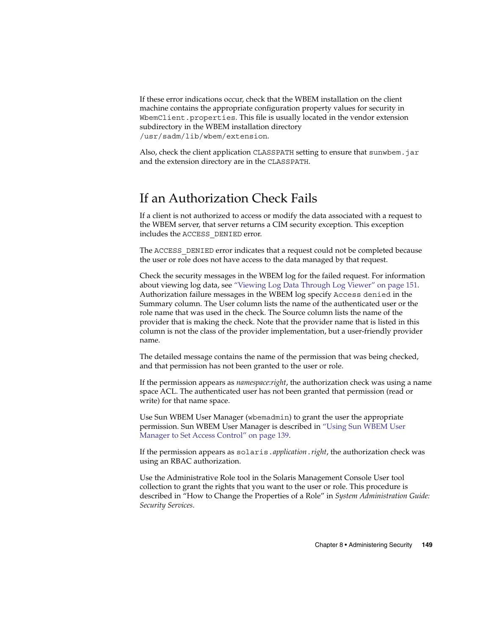If these error indications occur, check that the WBEM installation on the client machine contains the appropriate configuration property values for security in WbemClient.properties. This file is usually located in the vendor extension subdirectory in the WBEM installation directory /usr/sadm/lib/wbem/extension.

Also, check the client application CLASSPATH setting to ensure that sunwbem.jar and the extension directory are in the CLASSPATH.

### If an Authorization Check Fails

If a client is not authorized to access or modify the data associated with a request to the WBEM server, that server returns a CIM security exception. This exception includes the ACCESS\_DENIED error.

The ACCESS DENIED error indicates that a request could not be completed because the user or role does not have access to the data managed by that request.

Check the security messages in the WBEM log for the failed request. For information about viewing log data, see ["Viewing Log Data Through Log Viewer"](#page-150-0) on page 151. Authorization failure messages in the WBEM log specify Access denied in the Summary column. The User column lists the name of the authenticated user or the role name that was used in the check. The Source column lists the name of the provider that is making the check. Note that the provider name that is listed in this column is not the class of the provider implementation, but a user-friendly provider name.

The detailed message contains the name of the permission that was being checked, and that permission has not been granted to the user or role.

If the permission appears as *namespace*:*right*, the authorization check was using a name space ACL. The authenticated user has not been granted that permission (read or write) for that name space.

Use Sun WBEM User Manager (wbemadmin) to grant the user the appropriate permission. Sun WBEM User Manager is described in ["Using Sun WBEM User](#page-138-0) [Manager to Set Access Control"](#page-138-0) on page 139.

If the permission appears as solaris.*application*.*right*, the authorization check was using an RBAC authorization.

Use the Administrative Role tool in the Solaris Management Console User tool collection to grant the rights that you want to the user or role. This procedure is described in "How to Change the Properties of a Role" in *System Administration Guide: Security Services*.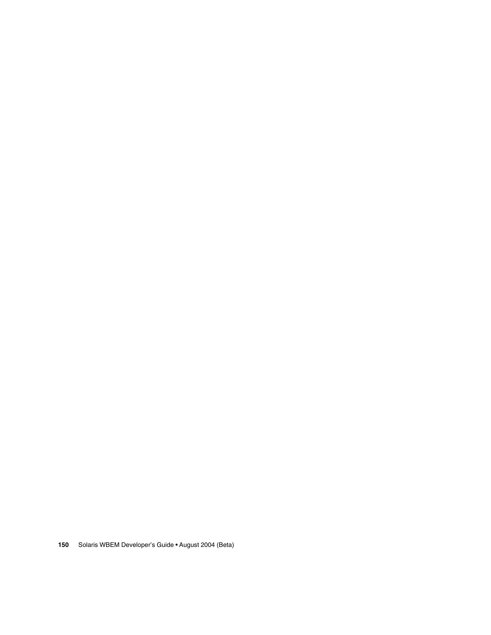Solaris WBEM Developer's Guide • August 2004 (Beta)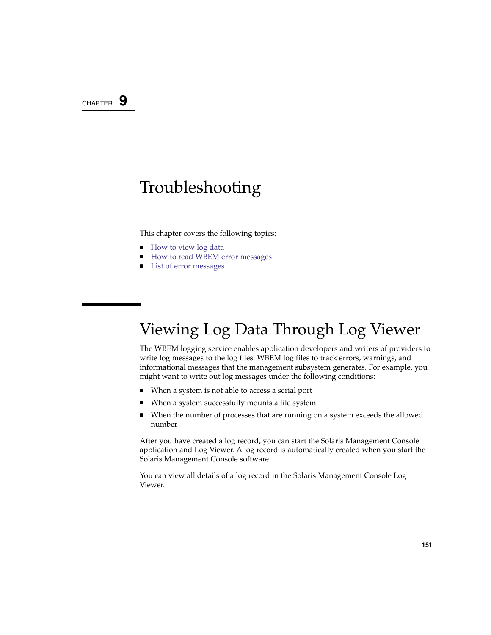### <span id="page-150-0"></span>CHAPTER **9**

## Troubleshooting

This chapter covers the following topics:

- How to view log data
- [How to read WBEM error messages](#page-152-0)
- [List of error messages](#page-152-0)

# Viewing Log Data Through Log Viewer

The WBEM logging service enables application developers and writers of providers to write log messages to the log files. WBEM log files to track errors, warnings, and informational messages that the management subsystem generates. For example, you might want to write out log messages under the following conditions:

- When a system is not able to access a serial port
- When a system successfully mounts a file system
- When the number of processes that are running on a system exceeds the allowed number

After you have created a log record, you can start the Solaris Management Console application and Log Viewer. A log record is automatically created when you start the Solaris Management Console software.

You can view all details of a log record in the Solaris Management Console Log Viewer.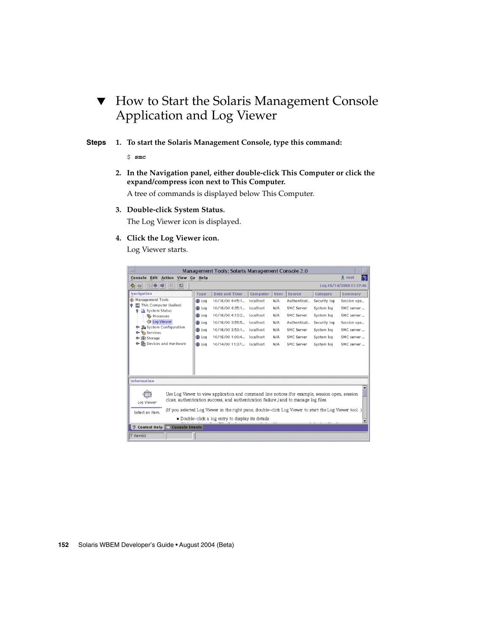## ▼ How to Start the Solaris Management Console Application and Log Viewer

#### **1. To start the Solaris Management Console, type this command: Steps**

\$ **smc**

**2. In the Navigation panel, either double-click This Computer or click the expand/compress icon next to This Computer.**

A tree of commands is displayed below This Computer.

#### **3. Double-click System Status.**

The Log Viewer icon is displayed.

**4. Click the Log Viewer icon.**

Log Viewer starts.

| Management Tools: Solaris Management Console 2.0                                                                                                                                                      |              |                           |           |             |                   |              |                         |
|-------------------------------------------------------------------------------------------------------------------------------------------------------------------------------------------------------|--------------|---------------------------|-----------|-------------|-------------------|--------------|-------------------------|
| Console Edit Action View Go Help                                                                                                                                                                      |              |                           |           |             |                   |              | $\bigstar$ root         |
| ♦ 9 8 9 2<br>围<br>图                                                                                                                                                                                   |              |                           |           |             |                   |              | Log.10/14/2000.11:37:46 |
| <b>Navigation</b>                                                                                                                                                                                     | Type         | <b>Date and Time</b>      | Computer  | <b>User</b> | Source            | Category     | Summary                 |
| <b>B</b> . Management Tools                                                                                                                                                                           | <b>B</b> Log | 10/16/00 4:45:1           | localhost | N/A         | Authenticat       | Security log | Session ope             |
| This Computer (kailee)<br><b>H</b> System Status<br>۰                                                                                                                                                 | <b>B</b> Log | 10/16/00 4:35:1           | localhost | N/A         | <b>SMC Server</b> | System log   | SMC server              |
| <b>S</b> Processes                                                                                                                                                                                    | <b>B</b> Log | 10/16/00 4:13:2           | localhost | N/A         | <b>SMC Server</b> | System log   | SMC server              |
| <b>CD</b> Log Viewer                                                                                                                                                                                  | <b>B</b> Log | 10/16/00 3:55:5           | localhost | N/A         | Authenticat       | Security log | Session ope             |
| → System Configuration<br><b>O- %</b> Services                                                                                                                                                        | <b>B</b> Log | 10/16/00 3:53:1           | localhost | N/A         | <b>SMC Server</b> | System log   | SMC server              |
| e- 国 Storage                                                                                                                                                                                          | <b>B</b> Log | 10/16/00 1:00:4           | localhost | N/A         | <b>SMC Server</b> | System log   | SMC server              |
| o- 图 Devices and Hardware                                                                                                                                                                             | <b>B</b> Log | 10/14/00 11:37: localhost |           | N/A         | <b>SMC Server</b> | System log   | SMC server              |
|                                                                                                                                                                                                       |              |                           |           |             |                   |              |                         |
| Information                                                                                                                                                                                           |              |                           |           |             |                   |              |                         |
| Use Log Viewer to view application and command line notices (for example, session open, session<br>close, authentication success, and authentication failure ) and to manage log files.<br>Log Viewer |              |                           |           |             |                   |              |                         |
| (If you selected Log Viewer in the right pane, double-click Log Viewer to start the Log Viewer tool.)<br>Select an item.                                                                              |              |                           |           |             |                   |              |                         |
| · Double-click a log entry to display its details.                                                                                                                                                    |              |                           |           |             |                   |              |                         |
| <b><i>⊘</i></b> Context Help <b>E</b> Console Events                                                                                                                                                  |              |                           |           |             |                   |              |                         |
| 7 Item(s)                                                                                                                                                                                             |              |                           |           |             |                   |              |                         |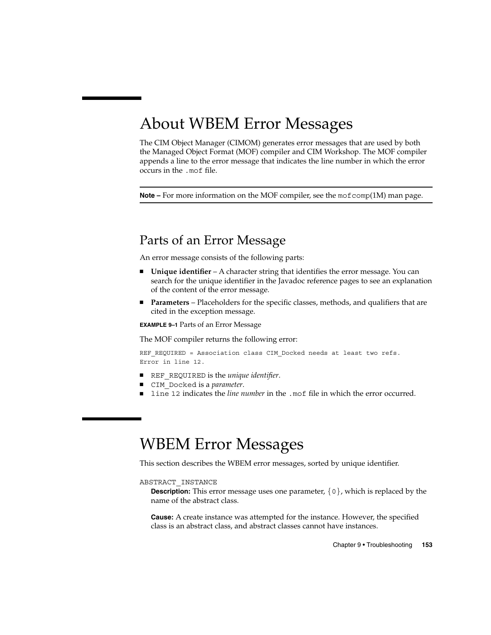## <span id="page-152-0"></span>About WBEM Error Messages

The CIM Object Manager (CIMOM) generates error messages that are used by both the Managed Object Format (MOF) compiler and CIM Workshop. The MOF compiler appends a line to the error message that indicates the line number in which the error occurs in the .mof file.

**Note** – For more information on the MOF compiler, see the mofcomp(1M) man page.

### Parts of an Error Message

An error message consists of the following parts:

- **Unique identifier** A character string that identifies the error message. You can search for the unique identifier in the Javadoc reference pages to see an explanation of the content of the error message.
- **Parameters** Placeholders for the specific classes, methods, and qualifiers that are cited in the exception message.

**EXAMPLE 9–1** Parts of an Error Message

The MOF compiler returns the following error:

REF\_REQUIRED = Association class CIM\_Docked needs at least two refs. Error in line 12.

- REF\_REQUIRED is the *unique identifier*.
- CIM\_Docked is a *parameter*.
- line 12 indicates the *line number* in the .mof file in which the error occurred.

## WBEM Error Messages

This section describes the WBEM error messages, sorted by unique identifier.

#### ABSTRACT\_INSTANCE

**Description:** This error message uses one parameter, {0}, which is replaced by the name of the abstract class.

**Cause:** A create instance was attempted for the instance. However, the specified class is an abstract class, and abstract classes cannot have instances.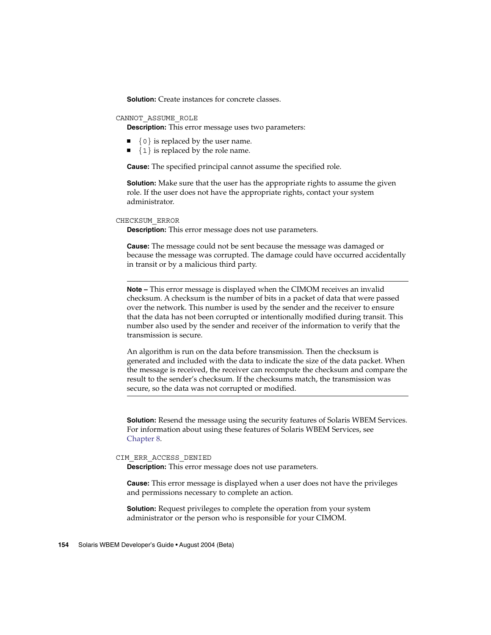**Solution:** Create instances for concrete classes.

#### CANNOT\_ASSUME\_ROLE

**Description:** This error message uses two parameters:

- $\blacksquare$  {0} is replaced by the user name.
- $\blacksquare$  {1} is replaced by the role name.

**Cause:** The specified principal cannot assume the specified role.

**Solution:** Make sure that the user has the appropriate rights to assume the given role. If the user does not have the appropriate rights, contact your system administrator.

#### CHECKSUM\_ERROR

**Description:** This error message does not use parameters.

**Cause:** The message could not be sent because the message was damaged or because the message was corrupted. The damage could have occurred accidentally in transit or by a malicious third party.

**Note –** This error message is displayed when the CIMOM receives an invalid checksum. A checksum is the number of bits in a packet of data that were passed over the network. This number is used by the sender and the receiver to ensure that the data has not been corrupted or intentionally modified during transit. This number also used by the sender and receiver of the information to verify that the transmission is secure.

An algorithm is run on the data before transmission. Then the checksum is generated and included with the data to indicate the size of the data packet. When the message is received, the receiver can recompute the checksum and compare the result to the sender's checksum. If the checksums match, the transmission was secure, so the data was not corrupted or modified.

**Solution:** Resend the message using the security features of Solaris WBEM Services. For information about using these features of Solaris WBEM Services, see [Chapter 8.](#page-134-0)

#### CIM\_ERR\_ACCESS\_DENIED

**Description:** This error message does not use parameters.

**Cause:** This error message is displayed when a user does not have the privileges and permissions necessary to complete an action.

**Solution:** Request privileges to complete the operation from your system administrator or the person who is responsible for your CIMOM.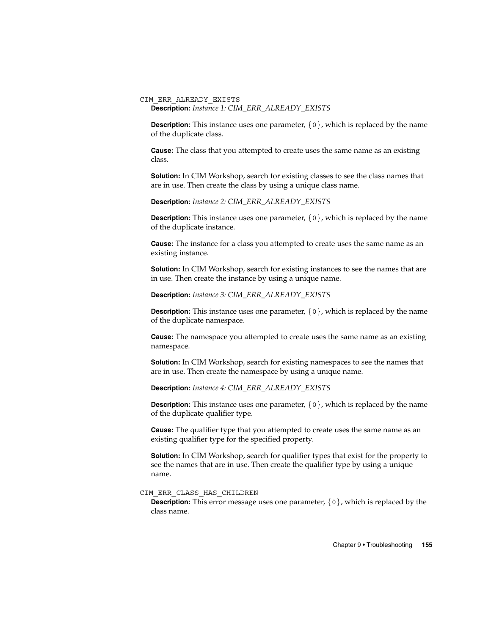CIM\_ERR\_ALREADY\_EXISTS **Description:** *Instance 1: CIM\_ERR\_ALREADY\_EXISTS*

**Description:** This instance uses one parameter, {0}, which is replaced by the name of the duplicate class.

**Cause:** The class that you attempted to create uses the same name as an existing class.

**Solution:** In CIM Workshop, search for existing classes to see the class names that are in use. Then create the class by using a unique class name.

**Description:** *Instance 2: CIM\_ERR\_ALREADY\_EXISTS*

**Description:** This instance uses one parameter,  $\{0\}$ , which is replaced by the name of the duplicate instance.

**Cause:** The instance for a class you attempted to create uses the same name as an existing instance.

**Solution:** In CIM Workshop, search for existing instances to see the names that are in use. Then create the instance by using a unique name.

**Description:** *Instance 3: CIM\_ERR\_ALREADY\_EXISTS*

**Description:** This instance uses one parameter, {0}, which is replaced by the name of the duplicate namespace.

**Cause:** The namespace you attempted to create uses the same name as an existing namespace.

**Solution:** In CIM Workshop, search for existing namespaces to see the names that are in use. Then create the namespace by using a unique name.

**Description:** *Instance 4: CIM\_ERR\_ALREADY\_EXISTS*

**Description:** This instance uses one parameter, {0}, which is replaced by the name of the duplicate qualifier type.

**Cause:** The qualifier type that you attempted to create uses the same name as an existing qualifier type for the specified property.

**Solution:** In CIM Workshop, search for qualifier types that exist for the property to see the names that are in use. Then create the qualifier type by using a unique name.

CIM\_ERR\_CLASS\_HAS\_CHILDREN

**Description:** This error message uses one parameter, {0}, which is replaced by the class name.

Chapter 9 • Troubleshooting **155**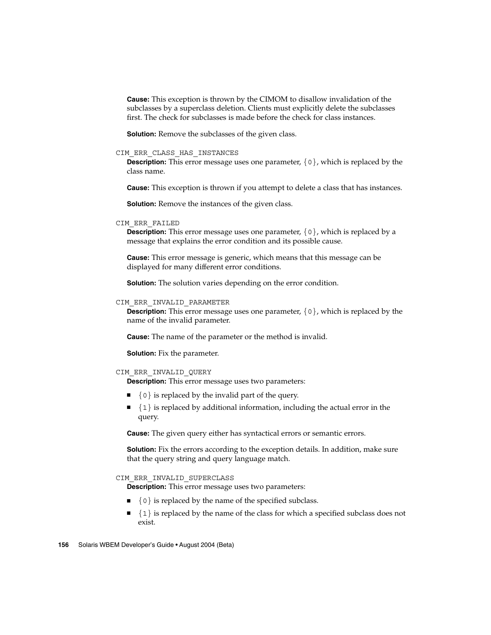**Cause:** This exception is thrown by the CIMOM to disallow invalidation of the subclasses by a superclass deletion. Clients must explicitly delete the subclasses first. The check for subclasses is made before the check for class instances.

**Solution:** Remove the subclasses of the given class.

#### CIM\_ERR\_CLASS\_HAS\_INSTANCES

**Description:** This error message uses one parameter, {0}, which is replaced by the class name.

**Cause:** This exception is thrown if you attempt to delete a class that has instances.

**Solution:** Remove the instances of the given class.

#### CIM\_ERR\_FAILED

**Description:** This error message uses one parameter,  $\{0\}$ , which is replaced by a message that explains the error condition and its possible cause.

**Cause:** This error message is generic, which means that this message can be displayed for many different error conditions.

**Solution:** The solution varies depending on the error condition.

#### CIM\_ERR\_INVALID\_PARAMETER

**Description:** This error message uses one parameter,  $\{0\}$ , which is replaced by the name of the invalid parameter.

**Cause:** The name of the parameter or the method is invalid.

**Solution:** Fix the parameter.

#### CIM\_ERR\_INVALID\_QUERY

- **Description:** This error message uses two parameters:
- $\blacksquare$  {0} is replaced by the invalid part of the query.
- $\blacksquare$  {1} is replaced by additional information, including the actual error in the query.

**Cause:** The given query either has syntactical errors or semantic errors.

**Solution:** Fix the errors according to the exception details. In addition, make sure that the query string and query language match.

#### CIM\_ERR\_INVALID\_SUPERCLASS

- **Description:** This error message uses two parameters:
- $\blacksquare$  {0} is replaced by the name of the specified subclass.
- $\blacksquare$  {1} is replaced by the name of the class for which a specified subclass does not exist.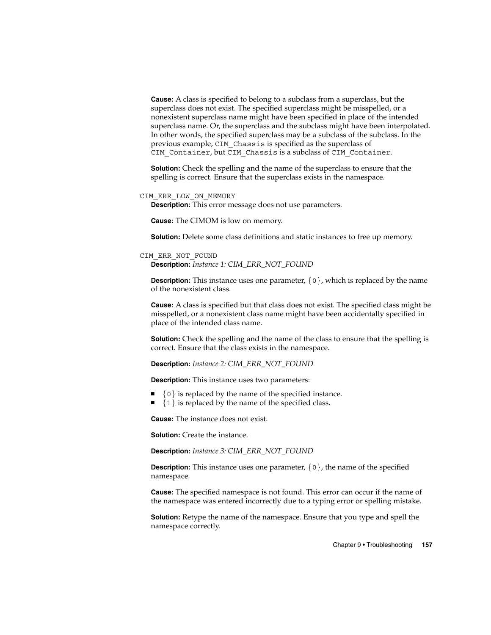**Cause:** A class is specified to belong to a subclass from a superclass, but the superclass does not exist. The specified superclass might be misspelled, or a nonexistent superclass name might have been specified in place of the intended superclass name. Or, the superclass and the subclass might have been interpolated. In other words, the specified superclass may be a subclass of the subclass. In the previous example, CIM\_Chassis is specified as the superclass of CIM Container, but CIM Chassis is a subclass of CIM Container.

**Solution:** Check the spelling and the name of the superclass to ensure that the spelling is correct. Ensure that the superclass exists in the namespace.

CIM\_ERR\_LOW\_ON\_MEMORY

**Description:** This error message does not use parameters.

**Cause:** The CIMOM is low on memory.

**Solution:** Delete some class definitions and static instances to free up memory.

#### CIM\_ERR\_NOT\_FOUND

**Description:** *Instance 1: CIM\_ERR\_NOT\_FOUND*

**Description:** This instance uses one parameter,  $\{0\}$ , which is replaced by the name of the nonexistent class.

**Cause:** A class is specified but that class does not exist. The specified class might be misspelled, or a nonexistent class name might have been accidentally specified in place of the intended class name.

**Solution:** Check the spelling and the name of the class to ensure that the spelling is correct. Ensure that the class exists in the namespace.

**Description:** *Instance 2: CIM\_ERR\_NOT\_FOUND*

**Description:** This instance uses two parameters:

- $\blacksquare$  {0} is replaced by the name of the specified instance.
- $\blacksquare$  {1} is replaced by the name of the specified class.

**Cause:** The instance does not exist.

**Solution:** Create the instance.

**Description:** *Instance 3: CIM\_ERR\_NOT\_FOUND*

**Description:** This instance uses one parameter, {0}, the name of the specified namespace.

**Cause:** The specified namespace is not found. This error can occur if the name of the namespace was entered incorrectly due to a typing error or spelling mistake.

**Solution:** Retype the name of the namespace. Ensure that you type and spell the namespace correctly.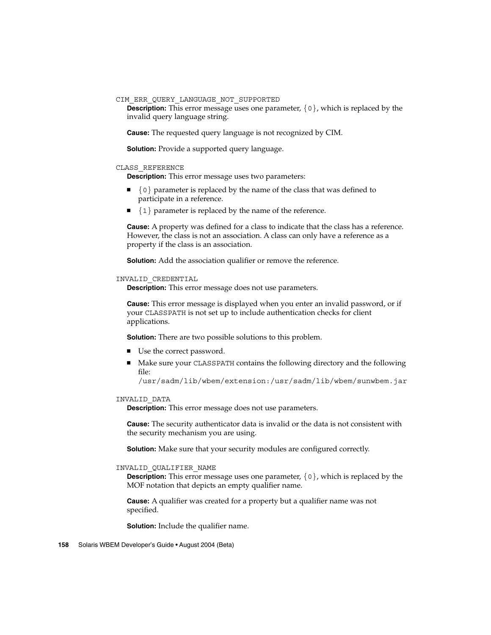#### CIM\_ERR\_QUERY\_LANGUAGE\_NOT\_SUPPORTED

**Description:** This error message uses one parameter, {0}, which is replaced by the invalid query language string.

**Cause:** The requested query language is not recognized by CIM.

**Solution:** Provide a supported query language.

#### CLASS\_REFERENCE

**Description:** This error message uses two parameters:

- $\blacksquare$  {0} parameter is replaced by the name of the class that was defined to participate in a reference.
- ${1}$  parameter is replaced by the name of the reference.

**Cause:** A property was defined for a class to indicate that the class has a reference. However, the class is not an association. A class can only have a reference as a property if the class is an association.

**Solution:** Add the association qualifier or remove the reference.

#### INVALID\_CREDENTIAL

**Description:** This error message does not use parameters.

**Cause:** This error message is displayed when you enter an invalid password, or if your CLASSPATH is not set up to include authentication checks for client applications.

**Solution:** There are two possible solutions to this problem.

- Use the correct password.
- Make sure your CLASSPATH contains the following directory and the following file:

/usr/sadm/lib/wbem/extension:/usr/sadm/lib/wbem/sunwbem.jar

#### INVALID\_DATA

**Description:** This error message does not use parameters.

**Cause:** The security authenticator data is invalid or the data is not consistent with the security mechanism you are using.

**Solution:** Make sure that your security modules are configured correctly.

#### INVALID\_QUALIFIER\_NAME

**Description:** This error message uses one parameter, {0}, which is replaced by the MOF notation that depicts an empty qualifier name.

**Cause:** A qualifier was created for a property but a qualifier name was not specified.

**Solution:** Include the qualifier name.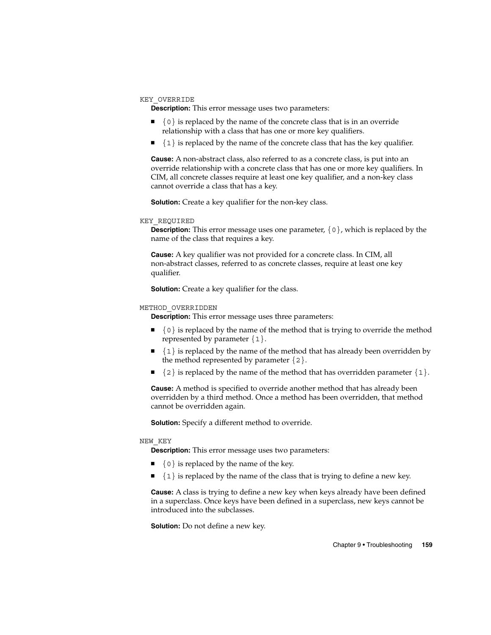#### KEY\_OVERRIDE

**Description:** This error message uses two parameters:

- $\blacksquare$  {0} is replaced by the name of the concrete class that is in an override relationship with a class that has one or more key qualifiers.
- $\blacksquare$  {1} is replaced by the name of the concrete class that has the key qualifier.

**Cause:** A non-abstract class, also referred to as a concrete class, is put into an override relationship with a concrete class that has one or more key qualifiers. In CIM, all concrete classes require at least one key qualifier, and a non-key class cannot override a class that has a key.

**Solution:** Create a key qualifier for the non-key class.

#### KEY\_REQUIRED

**Description:** This error message uses one parameter, {0}, which is replaced by the name of the class that requires a key.

**Cause:** A key qualifier was not provided for a concrete class. In CIM, all non-abstract classes, referred to as concrete classes, require at least one key qualifier.

**Solution:** Create a key qualifier for the class.

#### METHOD\_OVERRIDDEN

**Description:** This error message uses three parameters:

- $\blacksquare$  {0} is replaced by the name of the method that is trying to override the method represented by parameter  $\{1\}$ .
- $\blacksquare$  {1} is replaced by the name of the method that has already been overridden by the method represented by parameter  $\{2\}$ .
- $\{2\}$  is replaced by the name of the method that has overridden parameter  $\{1\}$ .

**Cause:** A method is specified to override another method that has already been overridden by a third method. Once a method has been overridden, that method cannot be overridden again.

**Solution:** Specify a different method to override.

#### NEW\_KEY

**Description:** This error message uses two parameters:

- $\{0\}$  is replaced by the name of the key.
- $\blacksquare$  {1} is replaced by the name of the class that is trying to define a new key.

**Cause:** A class is trying to define a new key when keys already have been defined in a superclass. Once keys have been defined in a superclass, new keys cannot be introduced into the subclasses.

**Solution:** Do not define a new key.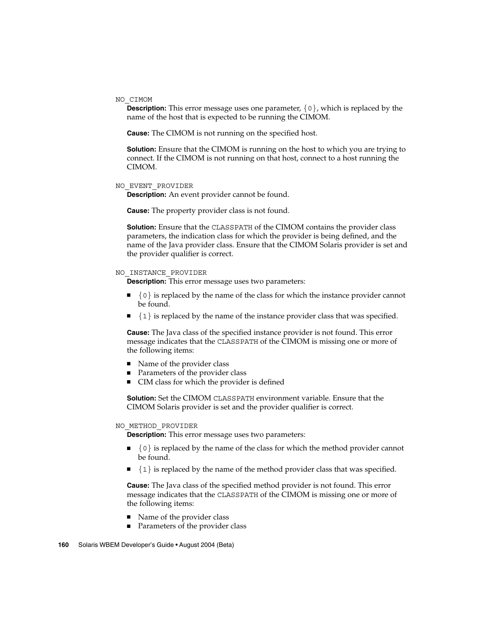#### NO\_CIMOM

**Description:** This error message uses one parameter,  $\{0\}$ , which is replaced by the name of the host that is expected to be running the CIMOM.

**Cause:** The CIMOM is not running on the specified host.

**Solution:** Ensure that the CIMOM is running on the host to which you are trying to connect. If the CIMOM is not running on that host, connect to a host running the CIMOM.

#### NO\_EVENT\_PROVIDER

**Description:** An event provider cannot be found.

**Cause:** The property provider class is not found.

**Solution:** Ensure that the CLASSPATH of the CIMOM contains the provider class parameters, the indication class for which the provider is being defined, and the name of the Java provider class. Ensure that the CIMOM Solaris provider is set and the provider qualifier is correct.

#### NO\_INSTANCE\_PROVIDER

**Description:** This error message uses two parameters:

- $\{0\}$  is replaced by the name of the class for which the instance provider cannot be found.
- $\blacksquare$  {1} is replaced by the name of the instance provider class that was specified.

**Cause:** The Java class of the specified instance provider is not found. This error message indicates that the CLASSPATH of the CIMOM is missing one or more of the following items:

- Name of the provider class
- Parameters of the provider class
- CIM class for which the provider is defined

**Solution:** Set the CIMOM CLASSPATH environment variable. Ensure that the CIMOM Solaris provider is set and the provider qualifier is correct.

#### NO\_METHOD\_PROVIDER

**Description:** This error message uses two parameters:

- ${0}$  is replaced by the name of the class for which the method provider cannot be found.
- $\blacksquare$  {1} is replaced by the name of the method provider class that was specified.

**Cause:** The Java class of the specified method provider is not found. This error message indicates that the CLASSPATH of the CIMOM is missing one or more of the following items:

- Name of the provider class
- Parameters of the provider class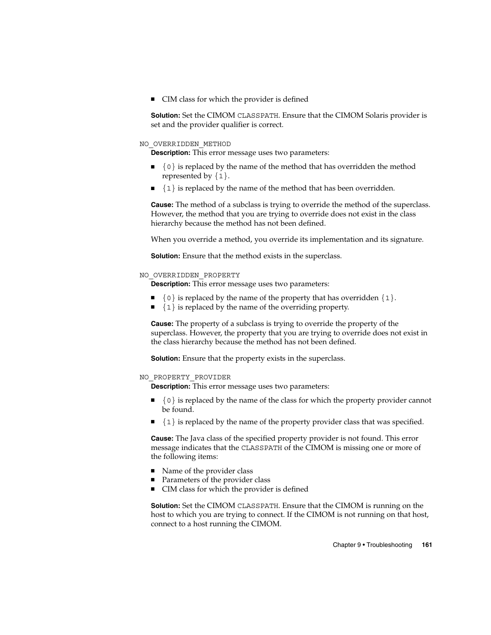■ CIM class for which the provider is defined

**Solution:** Set the CIMOM CLASSPATH. Ensure that the CIMOM Solaris provider is set and the provider qualifier is correct.

#### NO\_OVERRIDDEN\_METHOD

**Description:** This error message uses two parameters:

- $\blacksquare$  { 0 } is replaced by the name of the method that has overridden the method represented by  $\{1\}$ .
- $\blacksquare$  {1} is replaced by the name of the method that has been overridden.

**Cause:** The method of a subclass is trying to override the method of the superclass. However, the method that you are trying to override does not exist in the class hierarchy because the method has not been defined.

When you override a method, you override its implementation and its signature.

**Solution:** Ensure that the method exists in the superclass.

#### NO\_OVERRIDDEN\_PROPERTY

**Description:** This error message uses two parameters:

- $\blacksquare$  {0} is replaced by the name of the property that has overridden {1}.
- $\blacksquare$  {1} is replaced by the name of the overriding property.

**Cause:** The property of a subclass is trying to override the property of the superclass. However, the property that you are trying to override does not exist in the class hierarchy because the method has not been defined.

**Solution:** Ensure that the property exists in the superclass.

#### NO\_PROPERTY\_PROVIDER

**Description:** This error message uses two parameters:

- $\blacksquare$  {0} is replaced by the name of the class for which the property provider cannot be found.
- $\blacksquare$  {1} is replaced by the name of the property provider class that was specified.

**Cause:** The Java class of the specified property provider is not found. This error message indicates that the CLASSPATH of the CIMOM is missing one or more of the following items:

- Name of the provider class
- Parameters of the provider class
- CIM class for which the provider is defined

**Solution:** Set the CIMOM CLASSPATH. Ensure that the CIMOM is running on the host to which you are trying to connect. If the CIMOM is not running on that host, connect to a host running the CIMOM.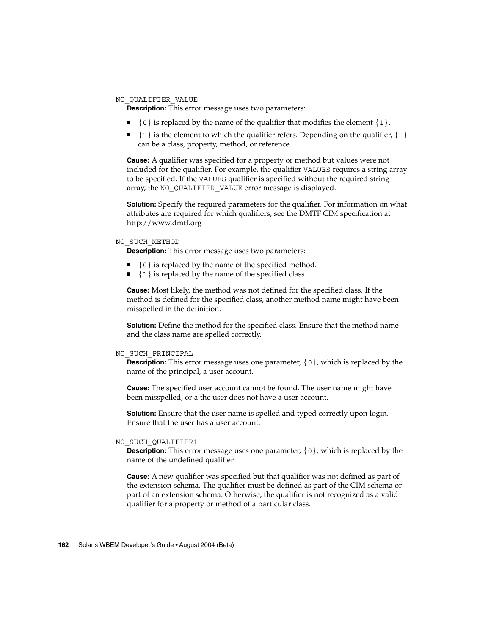#### NO\_QUALIFIER\_VALUE

**Description:** This error message uses two parameters:

- $\blacksquare$  { 0 } is replaced by the name of the qualifier that modifies the element { 1 }.
- $\{1\}$  is the element to which the qualifier refers. Depending on the qualifier,  $\{1\}$ can be a class, property, method, or reference.

**Cause:** A qualifier was specified for a property or method but values were not included for the qualifier. For example, the qualifier VALUES requires a string array to be specified. If the VALUES qualifier is specified without the required string array, the NO\_QUALIFIER\_VALUE error message is displayed.

**Solution:** Specify the required parameters for the qualifier. For information on what attributes are required for which qualifiers, see the DMTF CIM specification at [http://www.dmtf.org.](http://www.dmtf.org)

#### NO\_SUCH\_METHOD

**Description:** This error message uses two parameters:

- $\{0\}$  is replaced by the name of the specified method.
- {1} is replaced by the name of the specified class.

**Cause:** Most likely, the method was not defined for the specified class. If the method is defined for the specified class, another method name might have been misspelled in the definition.

**Solution:** Define the method for the specified class. Ensure that the method name and the class name are spelled correctly.

#### NO\_SUCH\_PRINCIPAL

**Description:** This error message uses one parameter, {0}, which is replaced by the name of the principal, a user account.

**Cause:** The specified user account cannot be found. The user name might have been misspelled, or a the user does not have a user account.

**Solution:** Ensure that the user name is spelled and typed correctly upon login. Ensure that the user has a user account.

#### NO\_SUCH\_QUALIFIER1

**Description:** This error message uses one parameter, {0}, which is replaced by the name of the undefined qualifier.

**Cause:** A new qualifier was specified but that qualifier was not defined as part of the extension schema. The qualifier must be defined as part of the CIM schema or part of an extension schema. Otherwise, the qualifier is not recognized as a valid qualifier for a property or method of a particular class.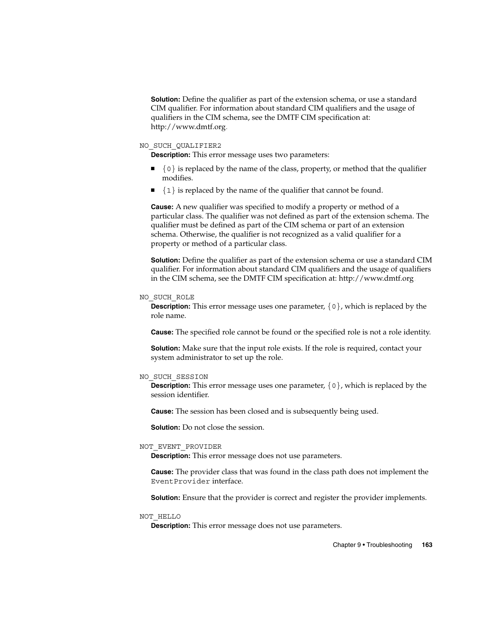**Solution:** Define the qualifier as part of the extension schema, or use a standard CIM qualifier. For information about standard CIM qualifiers and the usage of qualifiers in the CIM schema, see the DMTF CIM specification at: [http://www.dmtf.org.](http://www.dmtf.org)

NO\_SUCH\_QUALIFIER2

**Description:** This error message uses two parameters:

- $\blacksquare$  {0} is replaced by the name of the class, property, or method that the qualifier modifies.
- $\blacksquare$  {1} is replaced by the name of the qualifier that cannot be found.

**Cause:** A new qualifier was specified to modify a property or method of a particular class. The qualifier was not defined as part of the extension schema. The qualifier must be defined as part of the CIM schema or part of an extension schema. Otherwise, the qualifier is not recognized as a valid qualifier for a property or method of a particular class.

**Solution:** Define the qualifier as part of the extension schema or use a standard CIM qualifier. For information about standard CIM qualifiers and the usage of qualifiers in the CIM schema, see the DMTF CIM specification at: [http://www.dmtf.org.](http://www.dmtf.org)

#### NO\_SUCH\_ROLE

**Description:** This error message uses one parameter,  $\{0\}$ , which is replaced by the role name.

**Cause:** The specified role cannot be found or the specified role is not a role identity.

**Solution:** Make sure that the input role exists. If the role is required, contact your system administrator to set up the role.

#### NO\_SUCH\_SESSION

**Description:** This error message uses one parameter, {0}, which is replaced by the session identifier.

**Cause:** The session has been closed and is subsequently being used.

**Solution:** Do not close the session.

#### NOT\_EVENT\_PROVIDER

**Description:** This error message does not use parameters.

**Cause:** The provider class that was found in the class path does not implement the EventProvider interface.

**Solution:** Ensure that the provider is correct and register the provider implements.

#### NOT\_HELLO

**Description:** This error message does not use parameters.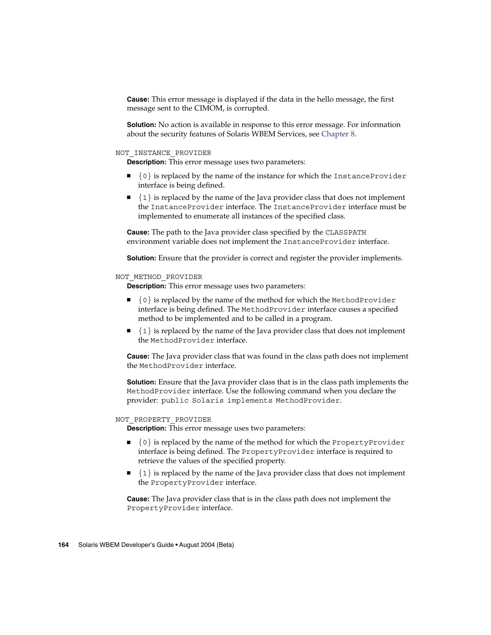**Cause:** This error message is displayed if the data in the hello message, the first message sent to the CIMOM, is corrupted.

**Solution:** No action is available in response to this error message. For information about the security features of Solaris WBEM Services, see [Chapter 8.](#page-134-0)

#### NOT\_INSTANCE\_PROVIDER

**Description:** This error message uses two parameters:

- ${0}$  is replaced by the name of the instance for which the InstanceProvider interface is being defined.
- $\{1\}$  is replaced by the name of the Java provider class that does not implement the InstanceProvider interface. The InstanceProvider interface must be implemented to enumerate all instances of the specified class.

**Cause:** The path to the Java provider class specified by the CLASSPATH environment variable does not implement the InstanceProvider interface.

**Solution:** Ensure that the provider is correct and register the provider implements.

#### NOT\_METHOD\_PROVIDER

**Description:** This error message uses two parameters:

- $\blacksquare$  {0} is replaced by the name of the method for which the MethodProvider interface is being defined. The MethodProvider interface causes a specified method to be implemented and to be called in a program.
- $\blacksquare$  {1} is replaced by the name of the Java provider class that does not implement the MethodProvider interface.

**Cause:** The Java provider class that was found in the class path does not implement the MethodProvider interface.

**Solution:** Ensure that the Java provider class that is in the class path implements the MethodProvider interface. Use the following command when you declare the provider: public Solaris implements MethodProvider.

#### NOT\_PROPERTY\_PROVIDER

**Description:** This error message uses two parameters:

- $\Box$  {0} is replaced by the name of the method for which the PropertyProvider interface is being defined. The PropertyProvider interface is required to retrieve the values of the specified property.
- $\blacksquare$  {1} is replaced by the name of the Java provider class that does not implement the PropertyProvider interface.

**Cause:** The Java provider class that is in the class path does not implement the PropertyProvider interface.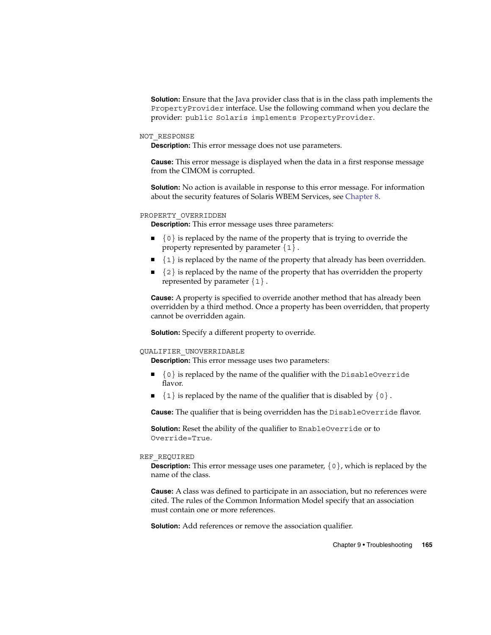**Solution:** Ensure that the Java provider class that is in the class path implements the PropertyProvider interface. Use the following command when you declare the provider: public Solaris implements PropertyProvider.

#### NOT RESPONSE

**Description:** This error message does not use parameters.

**Cause:** This error message is displayed when the data in a first response message from the CIMOM is corrupted.

**Solution:** No action is available in response to this error message. For information about the security features of Solaris WBEM Services, see [Chapter 8.](#page-134-0)

#### PROPERTY\_OVERRIDDEN

**Description:** This error message uses three parameters:

- $\blacksquare$  { 0 } is replaced by the name of the property that is trying to override the property represented by parameter  $\{1\}$ .
- $\blacksquare$  {1} is replaced by the name of the property that already has been overridden.
- $\blacksquare$  {2} is replaced by the name of the property that has overridden the property represented by parameter  $\{1\}$ .

**Cause:** A property is specified to override another method that has already been overridden by a third method. Once a property has been overridden, that property cannot be overridden again.

**Solution:** Specify a different property to override.

#### QUALIFIER\_UNOVERRIDABLE

**Description:** This error message uses two parameters:

- $\blacksquare$  { 0 } is replaced by the name of the qualifier with the DisableOverride flavor.
- $\blacksquare$  {1} is replaced by the name of the qualifier that is disabled by {0}.

**Cause:** The qualifier that is being overridden has the DisableOverride flavor.

**Solution:** Reset the ability of the qualifier to EnableOverride or to Override=True.

#### REF\_REQUIRED

**Description:** This error message uses one parameter,  $\{0\}$ , which is replaced by the name of the class.

**Cause:** A class was defined to participate in an association, but no references were cited. The rules of the Common Information Model specify that an association must contain one or more references.

**Solution:** Add references or remove the association qualifier.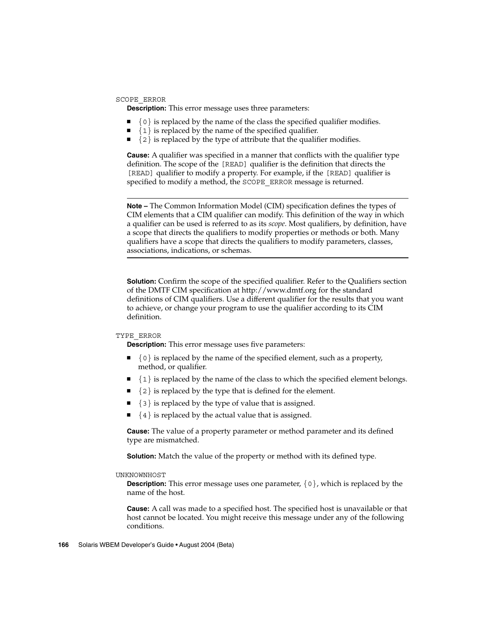#### SCOPE\_ERROR

**Description:** This error message uses three parameters:

- $\blacksquare$  {0} is replaced by the name of the class the specified qualifier modifies.
- ${1}$  is replaced by the name of the specified qualifier.
- $\blacksquare$  {2} is replaced by the type of attribute that the qualifier modifies.

**Cause:** A qualifier was specified in a manner that conflicts with the qualifier type definition. The scope of the [READ] qualifier is the definition that directs the [READ] qualifier to modify a property. For example, if the [READ] qualifier is specified to modify a method, the SCOPE\_ERROR message is returned.

**Note –** The Common Information Model (CIM) specification defines the types of CIM elements that a CIM qualifier can modify. This definition of the way in which a qualifier can be used is referred to as its *scope*. Most qualifiers, by definition, have a scope that directs the qualifiers to modify properties or methods or both. Many qualifiers have a scope that directs the qualifiers to modify parameters, classes, associations, indications, or schemas.

**Solution:** Confirm the scope of the specified qualifier. Refer to the Qualifiers section of the DMTF CIM specification at<http://www.dmtf.org> for the standard definitions of CIM qualifiers. Use a different qualifier for the results that you want to achieve, or change your program to use the qualifier according to its CIM definition.

#### TYPE\_ERROR

**Description:** This error message uses five parameters:

- ${0}$  is replaced by the name of the specified element, such as a property, method, or qualifier.
- ${1}$  is replaced by the name of the class to which the specified element belongs.
- $\{2\}$  is replaced by the type that is defined for the element.
- $\blacksquare$   $\{3\}$  is replaced by the type of value that is assigned.
- $\{4\}$  is replaced by the actual value that is assigned.

**Cause:** The value of a property parameter or method parameter and its defined type are mismatched.

**Solution:** Match the value of the property or method with its defined type.

#### UNKNOWNHOST

**Description:** This error message uses one parameter,  $\{0\}$ , which is replaced by the name of the host.

**Cause:** A call was made to a specified host. The specified host is unavailable or that host cannot be located. You might receive this message under any of the following conditions.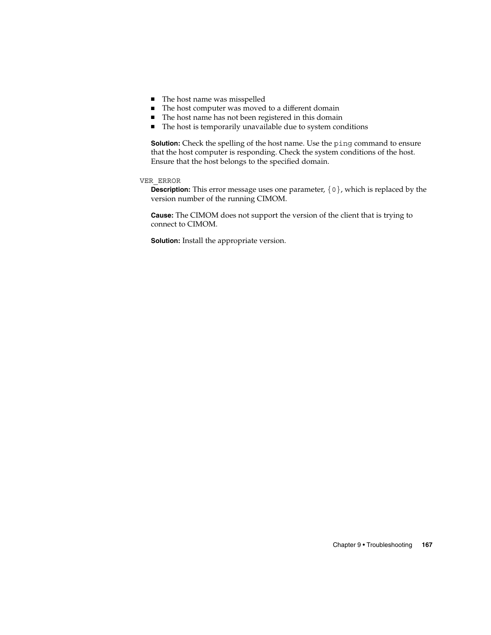- The host name was misspelled
- The host computer was moved to a different domain
- The host name has not been registered in this domain
- The host is temporarily unavailable due to system conditions

**Solution:** Check the spelling of the host name. Use the ping command to ensure that the host computer is responding. Check the system conditions of the host. Ensure that the host belongs to the specified domain.

VER\_ERROR

**Description:** This error message uses one parameter, {0}, which is replaced by the version number of the running CIMOM.

**Cause:** The CIMOM does not support the version of the client that is trying to connect to CIMOM.

**Solution:** Install the appropriate version.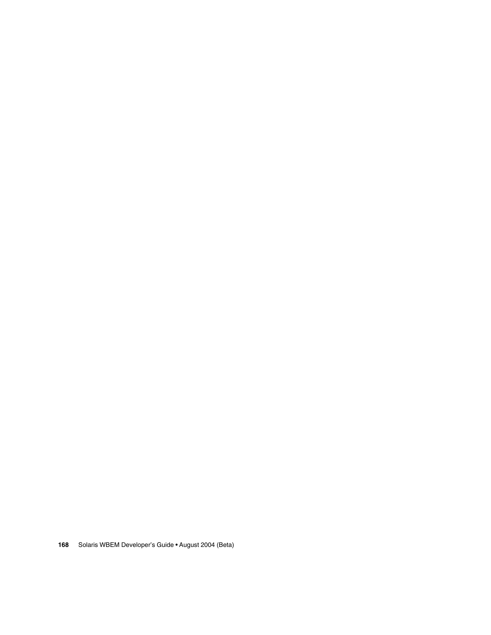Solaris WBEM Developer's Guide • August 2004 (Beta)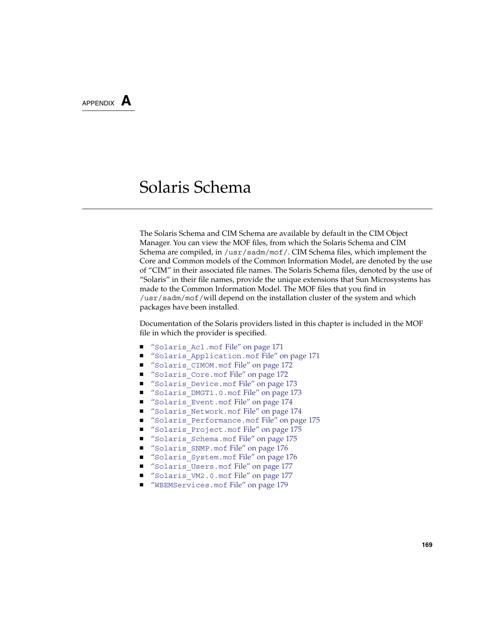APPENDIX **A**

## Solaris Schema

The Solaris Schema and CIM Schema are available by default in the CIM Object Manager. You can view the MOF files, from which the Solaris Schema and CIM Schema are compiled, in /usr/sadm/mof/. CIM Schema files, which implement the Core and Common models of the Common Information Model, are denoted by the use of "CIM" in their associated file names. The Solaris Schema files, denoted by the use of "Solaris" in their file names, provide the unique extensions that Sun Microsystems has made to the Common Information Model. The MOF files that you find in /usr/sadm/mof/will depend on the installation cluster of the system and which packages have been installed.

Documentation of the Solaris providers listed in this chapter is included in the MOF file in which the provider is specified.

- "Solaris Acl.mof File" on page 171
- "[Solaris\\_Application.mof](#page-170-0) File" on page 171
- "Solaris CIMOM.mof File" on page 172
- "Solaris Core.mof File" on page 172
- "[Solaris\\_Device.mof](#page-172-0) File" on page 173
- "Solaris DMGT1.0.mof File" on page 173
- "Solaris Event.mof File" on page 174
- "Solaris Network.mof File" on page 174
- "Solaris Performance.mof File" on page 175
- "Solaris Project.mof File" on page 175
- "Solaris Schema.mof File" on page 175
- "Solaris SNMP.mof File" on page 176
- 
- "Solaris System.mof File" on page 176
- "Solaris Users.mof File" on page 177
- "Solaris VM2.0.mof File" on page 177
- "[WBEMServices.mof](#page-178-0) File" on page 179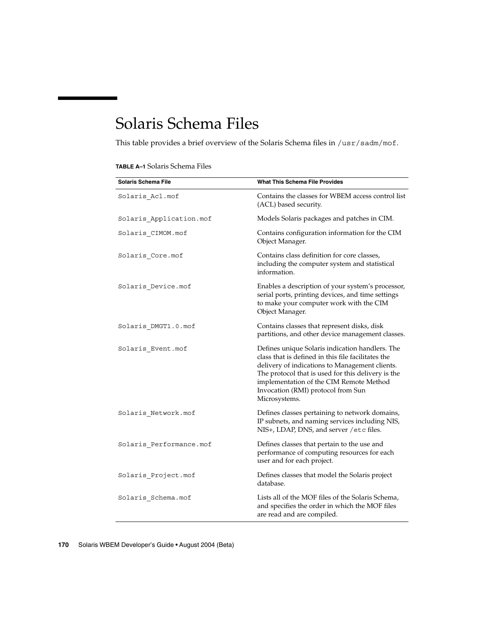# Solaris Schema Files

This table provides a brief overview of the Solaris Schema files in /usr/sadm/mof.

| <b>TABLE A-1</b> Solaris Schema Files |  |  |
|---------------------------------------|--|--|
|---------------------------------------|--|--|

| <b>Solaris Schema File</b> | <b>What This Schema File Provides</b>                                                                                                                                                                                                                                                                           |
|----------------------------|-----------------------------------------------------------------------------------------------------------------------------------------------------------------------------------------------------------------------------------------------------------------------------------------------------------------|
| Solaris Acl.mof            | Contains the classes for WBEM access control list<br>(ACL) based security.                                                                                                                                                                                                                                      |
| Solaris Application.mof    | Models Solaris packages and patches in CIM.                                                                                                                                                                                                                                                                     |
| Solaris CIMOM.mof          | Contains configuration information for the CIM<br>Object Manager.                                                                                                                                                                                                                                               |
| Solaris Core.mof           | Contains class definition for core classes,<br>including the computer system and statistical<br>information.                                                                                                                                                                                                    |
| Solaris Device.mof         | Enables a description of your system's processor,<br>serial ports, printing devices, and time settings<br>to make your computer work with the CIM<br>Object Manager.                                                                                                                                            |
| Solaris DMGT1.0.mof        | Contains classes that represent disks, disk<br>partitions, and other device management classes.                                                                                                                                                                                                                 |
| Solaris Event.mof          | Defines unique Solaris indication handlers. The<br>class that is defined in this file facilitates the<br>delivery of indications to Management clients.<br>The protocol that is used for this delivery is the<br>implementation of the CIM Remote Method<br>Invocation (RMI) protocol from Sun<br>Microsystems. |
| Solaris_Network.mof        | Defines classes pertaining to network domains,<br>IP subnets, and naming services including NIS,<br>NIS+, LDAP, DNS, and server / etc files.                                                                                                                                                                    |
| Solaris Performance.mof    | Defines classes that pertain to the use and<br>performance of computing resources for each<br>user and for each project.                                                                                                                                                                                        |
| Solaris_Project.mof        | Defines classes that model the Solaris project<br>database.                                                                                                                                                                                                                                                     |
| Solaris Schema.mof         | Lists all of the MOF files of the Solaris Schema,<br>and specifies the order in which the MOF files<br>are read and are compiled.                                                                                                                                                                               |

**170** Solaris WBEM Developer's Guide • August 2004 (Beta)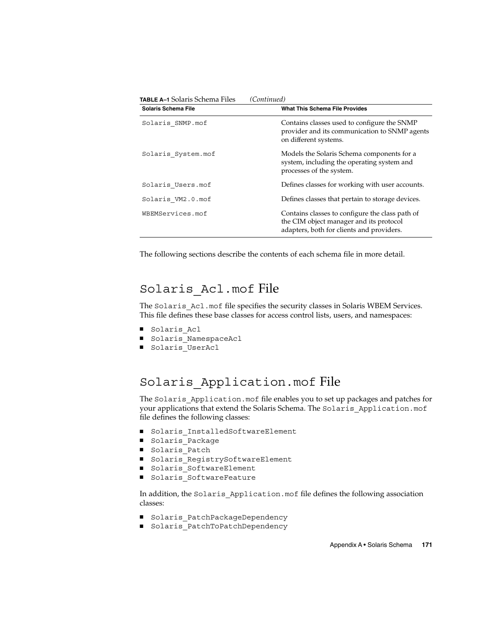<span id="page-170-0"></span>

| <b>TABLE A-1 Solaris Schema Files</b> | (Continued)                                                                                                                             |
|---------------------------------------|-----------------------------------------------------------------------------------------------------------------------------------------|
| Solaris Schema File                   | <b>What This Schema File Provides</b>                                                                                                   |
| Solaris SNMP.mof                      | Contains classes used to configure the SNMP<br>provider and its communication to SNMP agents<br>on different systems.                   |
| Solaris System.mof                    | Models the Solaris Schema components for a<br>system, including the operating system and<br>processes of the system.                    |
| Solaris Users.mof                     | Defines classes for working with user accounts.                                                                                         |
| Solaris VM2.0.mof                     | Defines classes that pertain to storage devices.                                                                                        |
| WBEMServices.mof                      | Contains classes to configure the class path of<br>the CIM object manager and its protocol<br>adapters, both for clients and providers. |

The following sections describe the contents of each schema file in more detail.

### Solaris\_Acl.mof File

The Solaris Acl.mof file specifies the security classes in Solaris WBEM Services. This file defines these base classes for access control lists, users, and namespaces:

- Solaris Acl
- Solaris NamespaceAcl
- Solaris\_UserAcl

### Solaris\_Application.mof File

The Solaris Application.mof file enables you to set up packages and patches for your applications that extend the Solaris Schema. The Solaris\_Application.mof file defines the following classes:

- Solaris\_InstalledSoftwareElement
- Solaris\_Package
- Solaris\_Patch
- Solaris RegistrySoftwareElement
- Solaris SoftwareElement
- Solaris SoftwareFeature

In addition, the Solaris\_Application.mof file defines the following association classes:

- Solaris PatchPackageDependency
- Solaris PatchToPatchDependency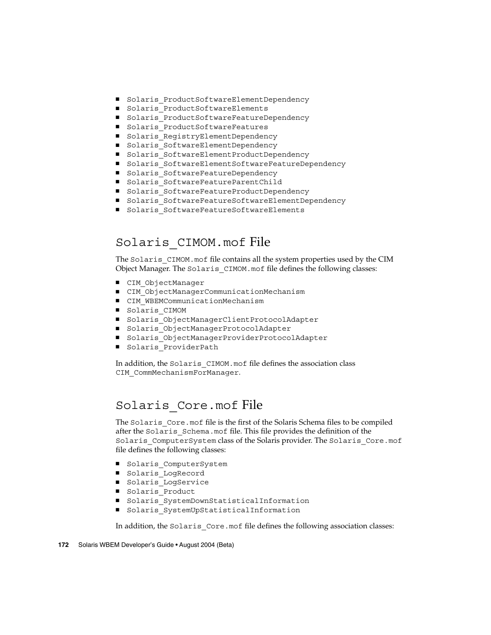- <span id="page-171-0"></span>■ Solaris ProductSoftwareElementDependency
- Solaris ProductSoftwareElements
- Solaris ProductSoftwareFeatureDependency
- Solaris ProductSoftwareFeatures
- Solaris RegistryElementDependency
- Solaris SoftwareElementDependency
- Solaris SoftwareElementProductDependency
- Solaris SoftwareElementSoftwareFeatureDependency
- Solaris SoftwareFeatureDependency
- Solaris SoftwareFeatureParentChild
- Solaris\_SoftwareFeatureProductDependency
- Solaris SoftwareFeatureSoftwareElementDependency
- Solaris SoftwareFeatureSoftwareElements

### Solaris\_CIMOM.mof File

The Solaris CIMOM.mof file contains all the system properties used by the CIM Object Manager. The Solaris CIMOM.mof file defines the following classes:

- CIM ObjectManager
- CIM ObjectManagerCommunicationMechanism
- CIM\_WBEMCommunicationMechanism
- Solaris CIMOM
- Solaris ObjectManagerClientProtocolAdapter
- Solaris ObjectManagerProtocolAdapter
- Solaris ObjectManagerProviderProtocolAdapter
- Solaris ProviderPath

In addition, the Solaris CIMOM.mof file defines the association class CIM\_CommMechanismForManager.

### Solaris\_Core.mof File

The Solaris Core.mof file is the first of the Solaris Schema files to be compiled after the Solaris Schema.mof file. This file provides the definition of the Solaris\_ComputerSystem class of the Solaris provider. The Solaris\_Core.mof file defines the following classes:

- Solaris ComputerSystem
- Solaris LogRecord
- Solaris LogService
- Solaris Product
- Solaris SystemDownStatisticalInformation
- Solaris SystemUpStatisticalInformation

In addition, the Solaris Core.mof file defines the following association classes: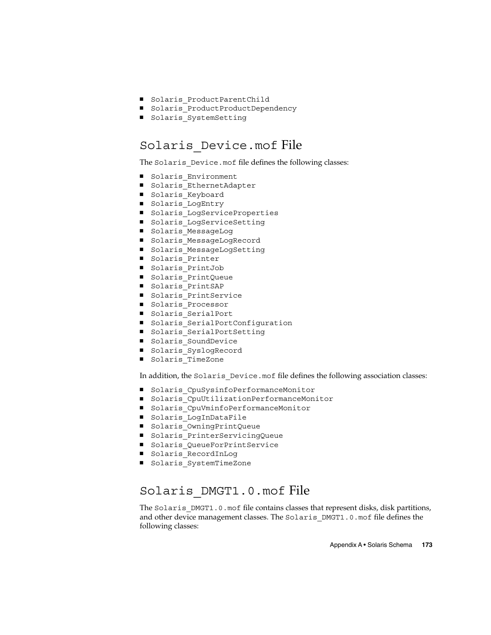- <span id="page-172-0"></span>■ Solaris ProductParentChild
- Solaris ProductProductDependency
- Solaris SystemSetting

### Solaris\_Device.mof File

The Solaris\_Device.mof file defines the following classes:

- Solaris Environment
- Solaris EthernetAdapter
- Solaris Keyboard
- Solaris LogEntry
- Solaris LogServiceProperties
- Solaris LogServiceSetting
- Solaris MessageLog
- Solaris\_MessageLogRecord
- Solaris MessageLogSetting
- Solaris\_Printer
- Solaris PrintJob
- Solaris PrintQueue
- Solaris PrintSAP
- Solaris PrintService
- Solaris Processor
- Solaris SerialPort
- Solaris SerialPortConfiguration
- Solaris SerialPortSetting
- Solaris SoundDevice
- Solaris SyslogRecord
- Solaris TimeZone

In addition, the Solaris Device.mof file defines the following association classes:

- Solaris CpuSysinfoPerformanceMonitor
- Solaris CpuUtilizationPerformanceMonitor
- Solaris CpuVminfoPerformanceMonitor
- Solaris LogInDataFile
- Solaris\_OwningPrintQueue
- Solaris PrinterServicingQueue
- Solaris\_QueueForPrintService
- Solaris\_RecordInLog
- Solaris SystemTimeZone

### Solaris\_DMGT1.0.mof File

The Solaris DMGT1.0.mof file contains classes that represent disks, disk partitions, and other device management classes. The Solaris DMGT1.0.mof file defines the following classes: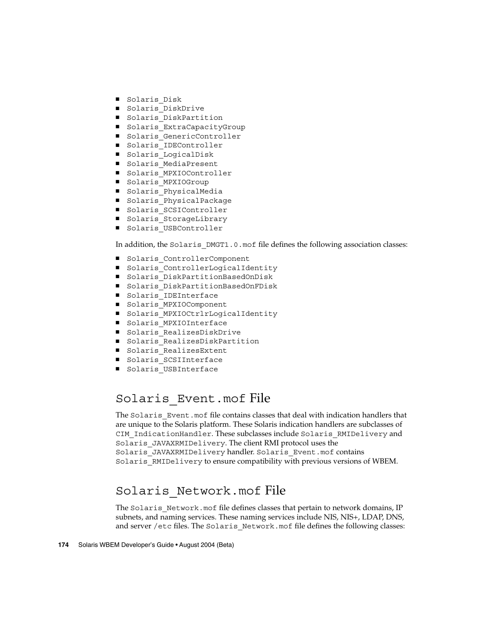- <span id="page-173-0"></span>■ Solaris Disk
- Solaris DiskDrive
- Solaris\_DiskPartition
- Solaris ExtraCapacityGroup
- Solaris GenericController
- Solaris IDEController
- Solaris LoqicalDisk
- Solaris MediaPresent
- Solaris\_MPXIOController
- Solaris MPXIOGroup
- Solaris PhysicalMedia
- Solaris PhysicalPackage
- Solaris SCSIController
- Solaris StorageLibrary
- Solaris USBController

In addition, the Solaris DMGT1.0.mof file defines the following association classes:

- Solaris ControllerComponent
- Solaris ControllerLogicalIdentity
- Solaris DiskPartitionBasedOnDisk
- Solaris DiskPartitionBasedOnFDisk
- Solaris IDEInterface
- Solaris MPXIOComponent
- Solaris MPXIOCtrlrLogicalIdentity
- Solaris MPXIOInterface
- Solaris RealizesDiskDrive
- Solaris RealizesDiskPartition
- Solaris RealizesExtent
- Solaris SCSIInterface
- Solaris USBInterface

### Solaris\_Event.mof File

The Solaris Event.mof file contains classes that deal with indication handlers that are unique to the Solaris platform. These Solaris indication handlers are subclasses of CIM\_IndicationHandler. These subclasses include Solaris\_RMIDelivery and Solaris JAVAXRMIDelivery. The client RMI protocol uses the Solaris JAVAXRMIDelivery handler. Solaris Event.mof contains Solaris RMIDelivery to ensure compatibility with previous versions of WBEM.

### Solaris\_Network.mof File

The Solaris Network.mof file defines classes that pertain to network domains, IP subnets, and naming services. These naming services include NIS, NIS+, LDAP, DNS, and server /etc files. The Solaris Network.mof file defines the following classes: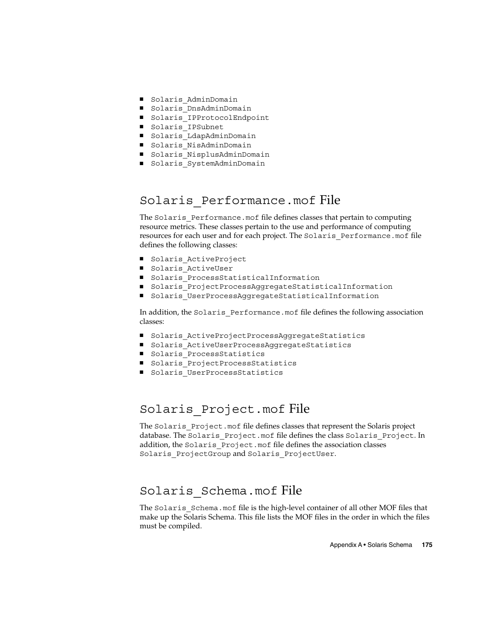- <span id="page-174-0"></span>■ Solaris AdminDomain
- Solaris DnsAdminDomain
- Solaris IPProtocolEndpoint
- Solaris IPSubnet
- Solaris LdapAdminDomain
- Solaris NisAdminDomain
- Solaris NisplusAdminDomain
- Solaris SystemAdminDomain

### Solaris\_Performance.mof File

The Solaris Performance.mof file defines classes that pertain to computing resource metrics. These classes pertain to the use and performance of computing resources for each user and for each project. The Solaris\_Performance.mof file defines the following classes:

- Solaris ActiveProject
- Solaris ActiveUser
- Solaris ProcessStatisticalInformation
- Solaris ProjectProcessAggregateStatisticalInformation
- Solaris UserProcessAggregateStatisticalInformation

In addition, the Solaris Performance.mof file defines the following association classes:

- Solaris ActiveProjectProcessAggregateStatistics
- Solaris ActiveUserProcessAggregateStatistics
- Solaris ProcessStatistics
- Solaris ProjectProcessStatistics
- Solaris UserProcessStatistics

### Solaris\_Project.mof File

The Solaris Project.mof file defines classes that represent the Solaris project database. The Solaris Project.mof file defines the class Solaris Project. In addition, the Solaris\_Project.mof file defines the association classes Solaris\_ProjectGroup and Solaris\_ProjectUser.

### Solaris\_Schema.mof File

The Solaris Schema.mof file is the high-level container of all other MOF files that make up the Solaris Schema. This file lists the MOF files in the order in which the files must be compiled.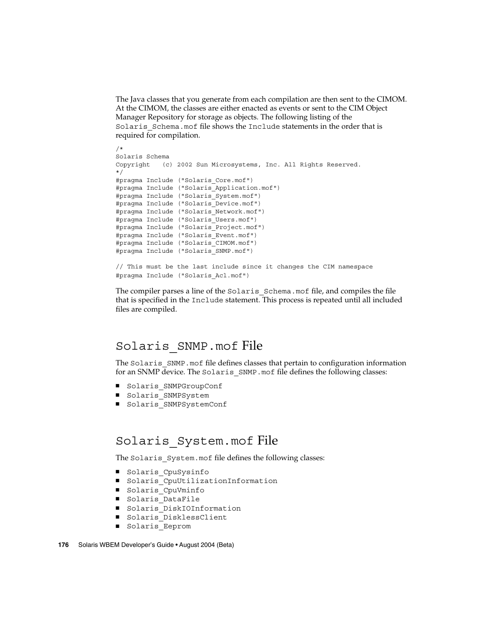<span id="page-175-0"></span>The Java classes that you generate from each compilation are then sent to the CIMOM. At the CIMOM, the classes are either enacted as events or sent to the CIM Object Manager Repository for storage as objects. The following listing of the Solaris Schema.mof file shows the Include statements in the order that is required for compilation.

```
/*
Solaris Schema
Copyright (c) 2002 Sun Microsystems, Inc. All Rights Reserved.
*/
#pragma Include ("Solaris_Core.mof")
#pragma Include ("Solaris_Application.mof")
#pragma Include ("Solaris_System.mof")
#pragma Include ("Solaris_Device.mof")
#pragma Include ("Solaris_Network.mof")
#pragma Include ("Solaris Users.mof")
#pragma Include ("Solaris_Project.mof")
#pragma Include ("Solaris_Event.mof")
#pragma Include ("Solaris_CIMOM.mof")
#pragma Include ("Solaris_SNMP.mof")
// This must be the last include since it changes the CIM namespace
#pragma Include ("Solaris_Acl.mof")
```
The compiler parses a line of the Solaris\_Schema.mof file, and compiles the file that is specified in the Include statement. This process is repeated until all included files are compiled.

### Solaris\_SNMP.mof File

The Solaris SNMP.mof file defines classes that pertain to configuration information for an SNMP device. The Solaris SNMP.mof file defines the following classes:

- Solaris SNMPGroupConf
- Solaris SNMPSystem
- Solaris SNMPSystemConf

### Solaris\_System.mof File

The Solaris System.mof file defines the following classes:

- Solaris CpuSysinfo
- Solaris CpuUtilizationInformation
- Solaris CpuVminfo
- Solaris DataFile
- Solaris DiskIOInformation
- Solaris DisklessClient
- Solaris Eeprom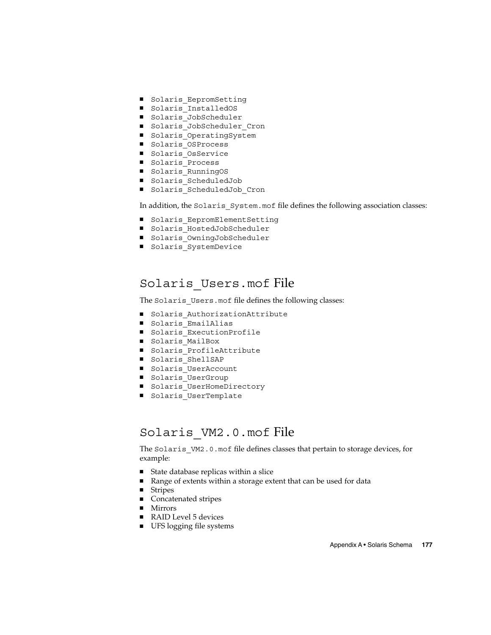- <span id="page-176-0"></span>■ Solaris EepromSetting
- Solaris InstalledOS
- Solaris JobScheduler
- Solaris JobScheduler Cron
- Solaris OperatingSystem
- Solaris OSProcess
- Solaris OsService
- Solaris Process
- Solaris RunningOS
- Solaris ScheduledJob
- Solaris\_ScheduledJob\_Cron

In addition, the Solaris\_System.mof file defines the following association classes:

- Solaris EepromElementSetting
- Solaris HostedJobScheduler
- Solaris OwningJobScheduler
- Solaris SystemDevice

### Solaris\_Users.mof File

The Solaris Users.mof file defines the following classes:

- Solaris AuthorizationAttribute
- Solaris EmailAlias
- Solaris ExecutionProfile
- Solaris MailBox
- Solaris\_ProfileAttribute
- Solaris\_ShellSAP
- Solaris\_UserAccount
- Solaris UserGroup
- Solaris\_UserHomeDirectory
- Solaris UserTemplate

### Solaris\_VM2.0.mof File

The Solaris\_VM2.0.mof file defines classes that pertain to storage devices, for example:

- State database replicas within a slice
- Range of extents within a storage extent that can be used for data
- Stripes
- Concatenated stripes
- Mirrors
- RAID Level 5 devices
- UFS logging file systems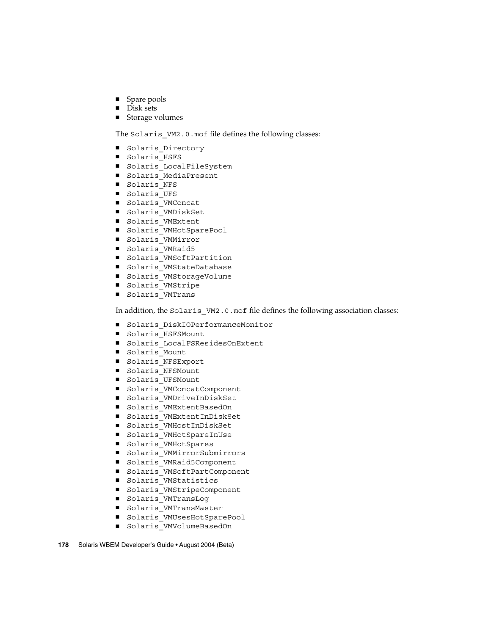- Spare pools
- Disk sets
- Storage volumes

The Solaris VM2.0.mof file defines the following classes:

- Solaris Directory
- Solaris HSFS
- Solaris LocalFileSystem
- Solaris MediaPresent
- Solaris\_NFS
- Solaris\_UFS
- Solaris VMConcat
- Solaris VMDiskSet
- Solaris VMExtent
- Solaris VMHotSparePool
- Solaris VMMirror
- Solaris VMRaid5
- Solaris VMSoftPartition
- Solaris\_VMStateDatabase
- Solaris VMStorageVolume
- Solaris VMStripe
- Solaris VMTrans

In addition, the Solaris VM2.0.mof file defines the following association classes:

- Solaris DiskIOPerformanceMonitor
- Solaris HSFSMount
- Solaris\_LocalFSResidesOnExtent
- Solaris\_Mount
- Solaris NFSExport
- Solaris NFSMount
- Solaris UFSMount
- Solaris VMConcatComponent
- Solaris VMDriveInDiskSet
- Solaris VMExtentBasedOn
- Solaris VMExtentInDiskSet
- Solaris VMHostInDiskSet
- Solaris VMHotSpareInUse
- Solaris\_VMHotSpares
- Solaris VMMirrorSubmirrors
- Solaris\_VMRaid5Component
- Solaris VMSoftPartComponent
- Solaris VMStatistics
- Solaris VMStripeComponent
- Solaris\_VMTransLog
- Solaris VMTransMaster
- Solaris VMUsesHotSparePool
- Solaris VMVolumeBasedOn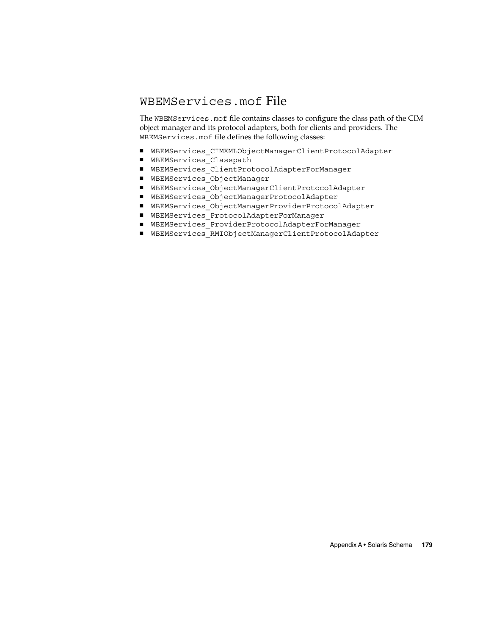### <span id="page-178-0"></span>WBEMServices.mof File

The WBEMServices.mof file contains classes to configure the class path of the CIM object manager and its protocol adapters, both for clients and providers. The WBEMServices.mof file defines the following classes:

- WBEMServices CIMXMLObjectManagerClientProtocolAdapter
- WBEMServices Classpath
- WBEMServices ClientProtocolAdapterForManager
- WBEMServices ObjectManager
- WBEMServices ObjectManagerClientProtocolAdapter
- WBEMServices ObjectManagerProtocolAdapter
- WBEMServices\_ObjectManagerProviderProtocolAdapter
- WBEMServices ProtocolAdapterForManager
- WBEMServices ProviderProtocolAdapterForManager
- WBEMServices\_RMIObjectManagerClientProtocolAdapter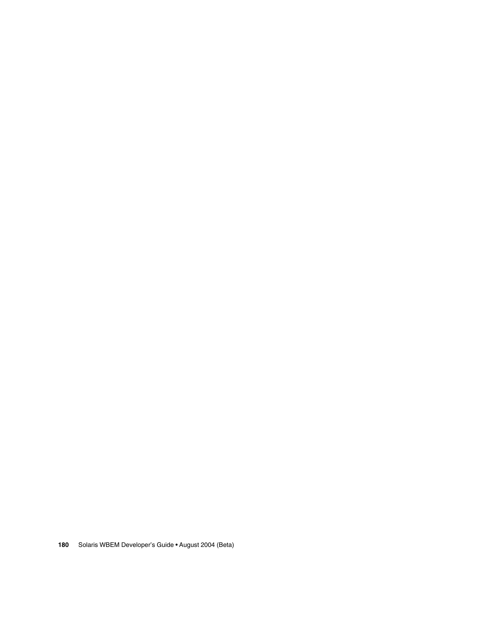Solaris WBEM Developer's Guide • August 2004 (Beta)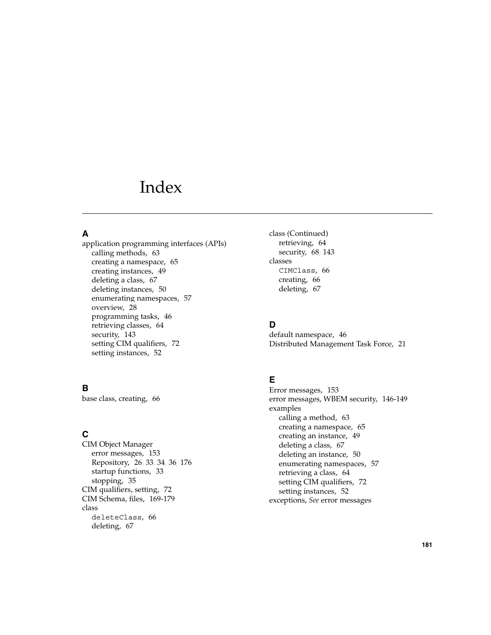# Index

## **A**

application programming interfaces (APIs) calling methods, [63](#page-62-0) creating a namespace, [65](#page-64-0) creating instances, [49](#page-48-0) deleting a class, [67](#page-66-0) deleting instances, [50](#page-49-0) enumerating namespaces, [57](#page-56-0) overview, [28](#page-27-0) programming tasks, [46](#page-45-0) retrieving classes, [64](#page-63-0) security, [143](#page-142-0) setting CIM qualifiers, [72](#page-71-0) setting instances, [52](#page-51-0)

## **B**

base class, creating, [66](#page-65-0)

## **C**

CIM Object Manager error messages, [153](#page-152-0) Repository, [26,](#page-25-0) [33,](#page-32-0) [34,](#page-33-0) [36,](#page-35-0) [176](#page-175-0) startup functions, [33](#page-32-0) stopping, [35](#page-34-0) CIM qualifiers, setting, [72](#page-71-0) CIM Schema, files, [169-179](#page-168-0) class deleteClass, [66](#page-65-0) deleting, [67](#page-66-0)

class (Continued) retrieving, [64](#page-63-0) security, [68,](#page-67-0) [143](#page-142-0) classes CIMClass, [66](#page-65-0) creating, [66](#page-65-0) deleting, [67](#page-66-0)

#### **D**

default namespace, [46](#page-45-0) Distributed Management Task Force, [21](#page-20-0)

# **E**

Error messages, [153](#page-152-0) error messages, WBEM security, [146-149](#page-145-0) examples calling a method, [63](#page-62-0) creating a namespace, [65](#page-64-0) creating an instance, [49](#page-48-0) deleting a class, [67](#page-66-0) deleting an instance, [50](#page-49-0) enumerating namespaces, [57](#page-56-0) retrieving a class, [64](#page-63-0) setting CIM qualifiers, [72](#page-71-0) setting instances, [52](#page-51-0) exceptions, *See* error messages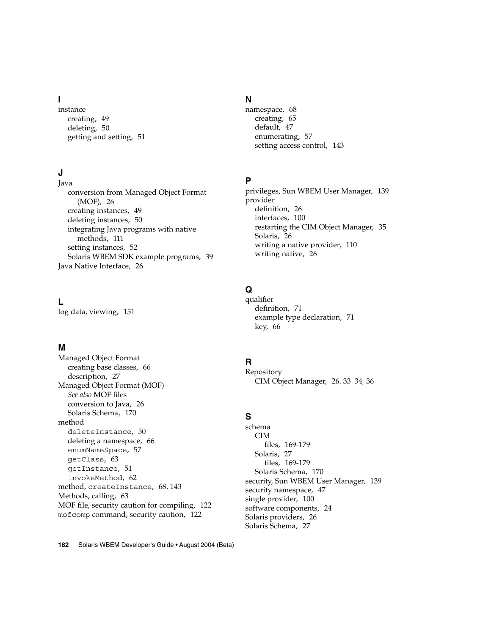**I**

instance creating, [49](#page-48-0) deleting, [50](#page-49-0) getting and setting, [51](#page-50-0)

# **J**

Java conversion from Managed Object Format (MOF), [26](#page-25-0) creating instances, [49](#page-48-0) deleting instances, [50](#page-49-0) integrating Java programs with native methods, [111](#page-110-0) setting instances, [52](#page-51-0) Solaris WBEM SDK example programs, [39](#page-38-0) Java Native Interface, [26](#page-25-0)

### **L**

log data, viewing, [151](#page-150-0)

#### **M**

Managed Object Format creating base classes, [66](#page-65-0) description, [27](#page-26-0) Managed Object Format (MOF) *See also* MOF files conversion to Java, [26](#page-25-0) Solaris Schema, [170](#page-169-0) method deleteInstance, [50](#page-49-0) deleting a namespace, [66](#page-65-0) enumNameSpace, [57](#page-56-0) getClass, [63](#page-62-0) getInstance, [51](#page-50-0) invokeMethod, [62](#page-61-0) method, createInstance, [68,](#page-67-0) [143](#page-142-0) Methods, calling, [63](#page-62-0) MOF file, security caution for compiling, [122](#page-121-0) mofcomp command, security caution, [122](#page-121-0)

### **N**

namespace, [68](#page-67-0) creating, [65](#page-64-0) default, [47](#page-46-0) enumerating, [57](#page-56-0) setting access control, [143](#page-142-0)

### **P**

privileges, Sun WBEM User Manager, [139](#page-138-0) provider definition, [26](#page-25-0) interfaces, [100](#page-99-0) restarting the CIM Object Manager, [35](#page-34-0) Solaris, [26](#page-25-0) writing a native provider, [110](#page-109-0) writing native, [26](#page-25-0)

# **Q**

qualifier definition, [71](#page-70-0) example type declaration, [71](#page-70-0) key, [66](#page-65-0)

## **R**

Repository CIM Object Manager, [26,](#page-25-0) [33,](#page-32-0) [34,](#page-33-0) [36](#page-35-0)

## **S**

schema CIM files, [169-179](#page-168-0) Solaris, [27](#page-26-0) files, [169-179](#page-168-0) Solaris Schema, [170](#page-169-0) security, Sun WBEM User Manager, [139](#page-138-0) security namespace, [47](#page-46-0) single provider, [100](#page-99-0) software components, [24](#page-23-0) Solaris providers, [26](#page-25-0) Solaris Schema, [27](#page-26-0)

**182** Solaris WBEM Developer's Guide • August 2004 (Beta)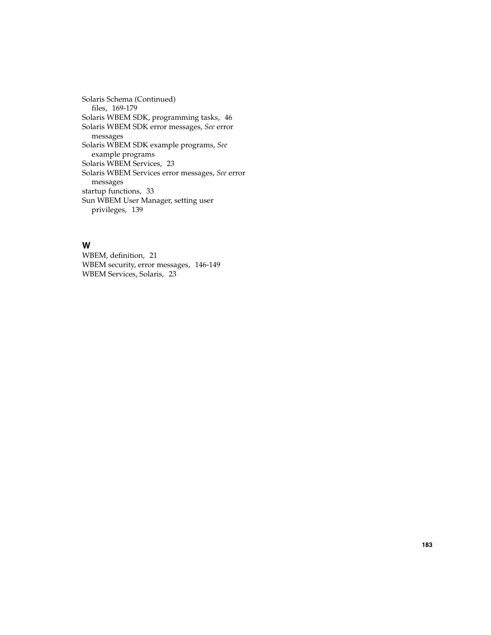Solaris Schema (Continued) files, [169-179](#page-168-0) Solaris WBEM SDK, programming tasks, [46](#page-45-0) Solaris WBEM SDK error messages, *See* error messages Solaris WBEM SDK example programs, *See* example programs Solaris WBEM Services, [23](#page-22-0) Solaris WBEM Services error messages, *See* error messages startup functions, [33](#page-32-0) Sun WBEM User Manager, setting user privileges, [139](#page-138-0)

## **W**

WBEM, definition, [21](#page-20-0) WBEM security, error messages, [146-149](#page-145-0) WBEM Services, Solaris, [23](#page-22-0)